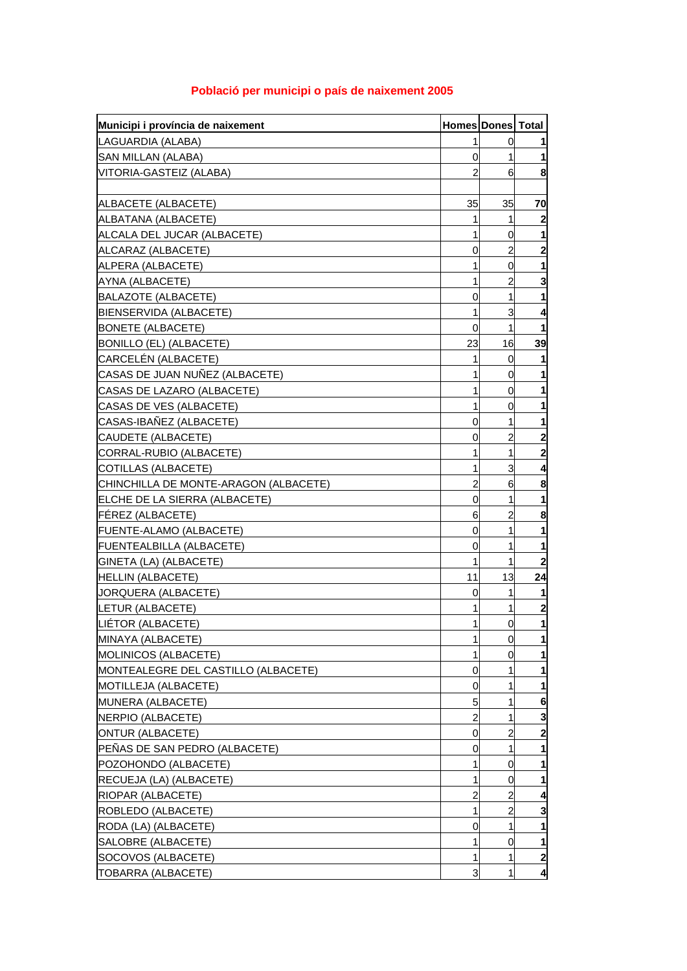| Municipi i província de naixement     | <b>Homes Dones Total</b> |                |                         |
|---------------------------------------|--------------------------|----------------|-------------------------|
| LAGUARDIA (ALABA)                     |                          | 0              |                         |
| <b>SAN MILLAN (ALABA)</b>             | 0                        | 1              | 1                       |
| VITORIA-GASTEIZ (ALABA)               | 2                        | 6              | 8                       |
|                                       |                          |                |                         |
| ALBACETE (ALBACETE)                   | 35                       | 35             | 70                      |
| ALBATANA (ALBACETE)                   | 1                        | 1              | $\mathbf{2}$            |
| ALCALA DEL JUCAR (ALBACETE)           | 1                        | 0              | 1                       |
| ALCARAZ (ALBACETE)                    | 0                        | $\overline{a}$ | $\mathbf{z}$            |
| ALPERA (ALBACETE)                     | 1                        | 0              | 1                       |
| AYNA (ALBACETE)                       | 1                        | 2              | 3                       |
| BALAZOTE (ALBACETE)                   | 0                        | 1              | $\mathbf 1$             |
| BIENSERVIDA (ALBACETE)                | 1                        | 3              | 4                       |
| <b>BONETE (ALBACETE)</b>              | 0                        | 1              | 1                       |
| BONILLO (EL) (ALBACETE)               | 23                       | 16             | 39                      |
| CARCELÉN (ALBACETE)                   | 1                        | 0              | 1                       |
| CASAS DE JUAN NUÑEZ (ALBACETE)        |                          | 0              | $\mathbf{1}$            |
| CASAS DE LAZARO (ALBACETE)            | 1                        | 0              | 1                       |
| CASAS DE VES (ALBACETE)               | 1                        | 0              | 1                       |
| CASAS-IBAÑEZ (ALBACETE)               | 0                        | 1              | 1                       |
| CAUDETE (ALBACETE)                    | 0                        | $\overline{c}$ | $\mathbf{2}$            |
| CORRAL-RUBIO (ALBACETE)               | 1                        | 1              | $\overline{\mathbf{c}}$ |
| COTILLAS (ALBACETE)                   | 1                        | 3              | 4                       |
| CHINCHILLA DE MONTE-ARAGON (ALBACETE) | 2                        | 6              | 8                       |
| ELCHE DE LA SIERRA (ALBACETE)         | 0                        | 1              | $\mathbf{1}$            |
| <b>FEREZ (ALBACETE)</b>               | 6                        | $\overline{c}$ | 8                       |
| <b>FUENTE-ALAMO (ALBACETE)</b>        | 0                        | 1              | 1                       |
| <b>FUENTEALBILLA (ALBACETE)</b>       | 0                        | 1              | 1                       |
| GINETA (LA) (ALBACETE)                | 1                        | 1              | $\mathbf{z}$            |
| <b>HELLIN (ALBACETE)</b>              | 11                       | 13             | 24                      |
| <b>JORQUERA (ALBACETE)</b>            | 0                        | 1              | 1                       |
| LETUR (ALBACETE)                      |                          | 1              | $\overline{\mathbf{c}}$ |
| LIÉTOR (ALBACETE)                     | 1                        | $\overline{0}$ | $\mathbf{1}$            |
| MINAYA (ALBACETE)                     | 1                        | $\overline{0}$ | $\mathbf{1}$            |
| <b>MOLINICOS (ALBACETE)</b>           | 1                        | 0              | $\mathbf{1}$            |
| MONTEALEGRE DEL CASTILLO (ALBACETE)   | 0                        | 1              | 1                       |
| <b>MOTILLEJA (ALBACETE)</b>           | 0                        | 1              | 1                       |
| MUNERA (ALBACETE)                     | 5                        | 1              | 6                       |
| NERPIO (ALBACETE)                     | 2                        | 1              | 3                       |
| <b>ONTUR (ALBACETE)</b>               | 0                        | 2              | $\mathbf{2}$            |
| PENAS DE SAN PEDRO (ALBACETE)         | 0                        | 1              | 1                       |
| POZOHONDO (ALBACETE)                  | 1                        | 0              | 1                       |
| RECUEJA (LA) (ALBACETE)               | 1                        | 0              | 1                       |
| RIOPAR (ALBACETE)                     | 2                        | $\overline{c}$ | 4                       |
| ROBLEDO (ALBACETE)                    |                          | $\overline{a}$ | 3                       |
| RODA (LA) (ALBACETE)                  | 0                        | 1              | 1                       |
| SALOBRE (ALBACETE)                    | 1                        | 0              | 1                       |
| SOCOVOS (ALBACETE)                    |                          | 1              | $\overline{2}$          |
| TOBARRA (ALBACETE)                    | 3                        | 1              | 4                       |

## **Població per municipi o país de naixement 2005**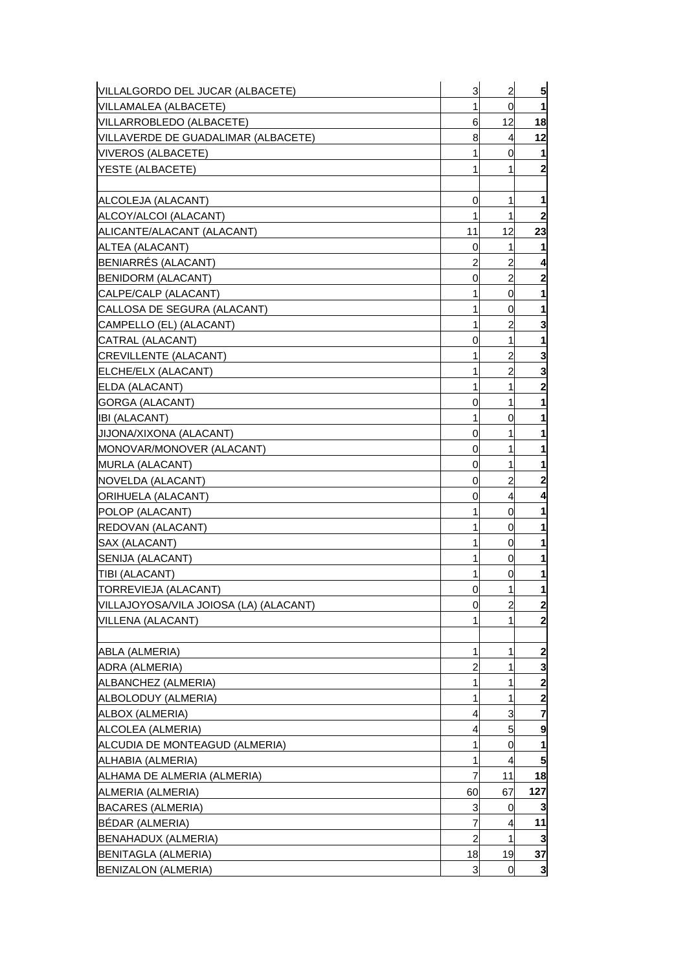| VILLALGORDO DEL JUCAR (ALBACETE)       | 3              | $\overline{a}$ | 5                       |
|----------------------------------------|----------------|----------------|-------------------------|
| VILLAMALEA (ALBACETE)                  | 1              | 0              | 1                       |
| VILLARROBLEDO (ALBACETE)               | 6              | 12             | 18                      |
| VILLAVERDE DE GUADALIMAR (ALBACETE)    | 8              | 4              | 12                      |
| <b>VIVEROS (ALBACETE)</b>              | 1              | 0              | 1                       |
| YESTE (ALBACETE)                       | 1              |                | $\mathbf{2}$            |
|                                        |                |                |                         |
| ALCOLEJA (ALACANT)                     | 0              | 1              | 1                       |
| ALCOY/ALCOI (ALACANT)                  | 1              | 1              | $\boldsymbol{2}$        |
| ALICANTE/ALACANT (ALACANT)             | 11             | 12             | 23                      |
| ALTEA (ALACANT)                        | 0              | 1              | 1                       |
| BENIARRÉS (ALACANT)                    | $\overline{a}$ | $\overline{a}$ | 4                       |
| <b>BENIDORM (ALACANT)</b>              | 0              | $\overline{c}$ | $\mathbf{2}$            |
| CALPE/CALP (ALACANT)                   | 1              | 0              | 1                       |
| CALLOSA DE SEGURA (ALACANT)            | 1              | 0              | 1                       |
| CAMPELLO (EL) (ALACANT)                | 1              | $\overline{a}$ | 3                       |
| CATRAL (ALACANT)                       | 0              | 1              | 1                       |
| <b>CREVILLENTE (ALACANT)</b>           | 1              | $\overline{a}$ | 3                       |
| ELCHE/ELX (ALACANT)                    | 1              | $\overline{c}$ | 3                       |
| ELDA (ALACANT)                         | 1              | 1              | $\mathbf{2}$            |
| GORGA (ALACANT)                        | 0              | 1              | 1                       |
| <b>IBI (ALACANT)</b>                   | 1              | 0              | 1                       |
| JIJONA/XIXONA (ALACANT)                | 0              | 1              | 1                       |
| MONOVAR/MONOVER (ALACANT)              | 0              | 1              | 1                       |
| <b>MURLA (ALACANT)</b>                 | 0              | 1              | 1                       |
| NOVELDA (ALACANT)                      | 0              | $\overline{a}$ | $\mathbf{2}$            |
| ORIHUELA (ALACANT)                     | 0              | 4              | 4                       |
| POLOP (ALACANT)                        | 1              | 0              |                         |
| <b>REDOVAN (ALACANT)</b>               | 1              | 0              | 1                       |
| SAX (ALACANT)                          | 1              | 0              | 1                       |
| SENIJA (ALACANT)                       | 1              | 0              | 1                       |
| TIBI (ALACANT)                         | 1              | 0              | 1                       |
| TORREVIEJA (ALACANT)                   | 0              | 1              | 1                       |
| VILLAJOYOSA/VILA JOIOSA (LA) (ALACANT) | $\overline{0}$ | $\overline{a}$ | $\mathbf{2}$            |
| VILLENA (ALACANT)                      | 1              |                | $\overline{\mathbf{c}}$ |
|                                        |                |                |                         |
| ABLA (ALMERIA)                         | 1              | 1              | $\overline{\mathbf{c}}$ |
| ADRA (ALMERIA)                         | $\overline{a}$ | 1              | 3                       |
| ALBANCHEZ (ALMERIA)                    | 1              | 1              | $\overline{\mathbf{c}}$ |
| ALBOLODUY (ALMERIA)                    | 1              | 1              | $\mathbf{2}$            |
| ALBOX (ALMERIA)                        | 4              | 3              | $\overline{7}$          |
| ALCOLEA (ALMERIA)                      | 4              | 5              | 9                       |
| ALCUDIA DE MONTEAGUD (ALMERIA)         | 1              | 0              | 1                       |
| ALHABIA (ALMERIA)                      | 1              | 4              | 5                       |
| ALHAMA DE ALMERIA (ALMERIA)            | 7              | 11             | 18                      |
| ALMERIA (ALMERIA)                      | 60             | 67             | 127                     |
| <b>BACARES (ALMERIA)</b>               | 3              | 0              | 3                       |
| BÉDAR (ALMERIA)                        | 7              | 4              | 11                      |
| <b>BENAHADUX (ALMERIA)</b>             | $\overline{c}$ | 1              | 3                       |
| <b>BENITAGLA (ALMERIA)</b>             | 18             | 19             | 37                      |
| <b>BENIZALON (ALMERIA)</b>             | 3              | 0              | 3                       |
|                                        |                |                |                         |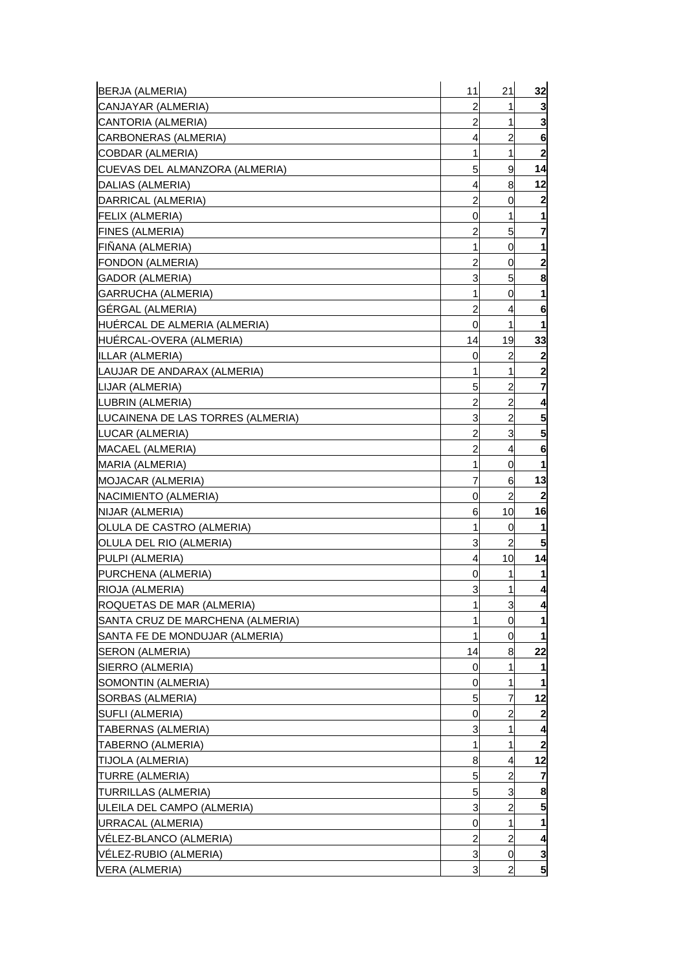| BERJA (ALMERIA)                                          | 11             | 21                  | 32                  |
|----------------------------------------------------------|----------------|---------------------|---------------------|
| CANJAYAR (ALMERIA)                                       | 2              | 1                   | 3                   |
| CANTORIA (ALMERIA)                                       | 2              | 1                   | 3                   |
| CARBONERAS (ALMERIA)                                     | 4              | 2                   | 6                   |
| COBDAR (ALMERIA)                                         | 1              | 1                   | $\mathbf{2}$        |
| CUEVAS DEL ALMANZORA (ALMERIA)                           | 5              | 9                   | 14                  |
| DALIAS (ALMERIA)                                         | 4              | 8                   | 12                  |
| DARRICAL (ALMERIA)                                       | 2              | 0                   | 2                   |
| FELIX (ALMERIA)                                          | 0              | 1                   | 1                   |
| FINES (ALMERIA)                                          | 2              | 5                   | 7                   |
| FINANA (ALMERIA)                                         | 1              | 0                   | 1                   |
| FONDON (ALMERIA)                                         | 2              | 0                   | 2                   |
| GADOR (ALMERIA)                                          | 3              | 5                   | 8                   |
| GARRUCHA (ALMERIA)                                       | 1              | 0                   | 1                   |
| GÉRGAL (ALMERIA)                                         | 2              | 4                   | 6                   |
| HUÉRCAL DE ALMERIA (ALMERIA)                             | 0              | 1                   | 1                   |
| HUERCAL-OVERA (ALMERIA)                                  | 14             | 19                  | 33                  |
| ILLAR (ALMERIA)                                          | 0              | 2                   | $\overline{2}$      |
| LAUJAR DE ANDARAX (ALMERIA)                              | 1              | 1                   |                     |
| LIJAR (ALMERIA)                                          | 5              | 2                   | 7                   |
| LUBRIN (ALMERIA)                                         | $\overline{c}$ | $\overline{c}$      | 4                   |
| LUCAINENA DE LAS TORRES (ALMERIA)                        | 3              | 2                   | 5                   |
| LUCAR (ALMERIA)                                          | 2              | 3                   | 5                   |
| MACAEL (ALMERIA)                                         | 2              | 4                   | 6                   |
|                                                          | 1              | 0                   | 1                   |
| MARIA (ALMERIA)                                          | 7              | 6                   | 13                  |
| MOJACAR (ALMERIA)                                        |                | 2                   |                     |
| NACIMIENTO (ALMERIA)                                     | 0<br>6         | 10                  | 16                  |
| NIJAR (ALMERIA)<br>OLULA DE CASTRO (ALMERIA)             | 1              | 0                   | 1                   |
| OLULA DEL RIO (ALMERIA)                                  | 3              | 2                   | 5                   |
|                                                          | 4              | 10                  | 14                  |
| PULPI (ALMERIA)<br>PURCHENA (ALMERIA)                    | 0              | 1                   |                     |
| RIOJA (ALMERIA)                                          | 3              | 1                   | 4                   |
| ROQUETAS DE MAR (ALMERIA)                                | 1              | 3                   | 4                   |
|                                                          | 1              | 0                   | 1                   |
| SANTA CRUZ DE MARCHENA (ALMERIA)                         | 1              | 0                   | 1                   |
| SANTA FE DE MONDUJAR (ALMERIA)<br><b>SERON (ALMERIA)</b> |                | 8                   | 22                  |
| SIERRO (ALMERIA)                                         | 14             | 1                   |                     |
| SOMONTIN (ALMERIA)                                       | 0              | 1                   | 1                   |
|                                                          | 0              | 7                   | 12                  |
| SORBAS (ALMERIA)                                         | 5              | 2                   | 2                   |
| SUFLI (ALMERIA)                                          | 0              |                     |                     |
| TABERNAS (ALMERIA)                                       | 3              | 1                   | 4<br>$\overline{2}$ |
| TABERNO (ALMERIA)                                        | 1              | 1                   |                     |
| TIJOLA (ALMERIA)                                         | 8              | 4<br>$\overline{2}$ | 12                  |
| TURRE (ALMERIA)                                          | 5              |                     | 7                   |
| <b>TURRILLAS (ALMERIA)</b>                               | 5              | 3                   | 8                   |
| ULEILA DEL CAMPO (ALMERIA)                               | 3              | 2                   | 5                   |
| URRACAL (ALMERIA)                                        | 0              | 1                   |                     |
| VÉLEZ-BLANCO (ALMERIA)                                   | $\overline{c}$ | $\overline{c}$      | 4                   |
| VÉLEZ-RUBIO (ALMERIA)                                    | 3              | 0                   | 3                   |
| <b>VERA (ALMERIA)</b>                                    | 3              | $\overline{2}$      | 5 <sub>l</sub>      |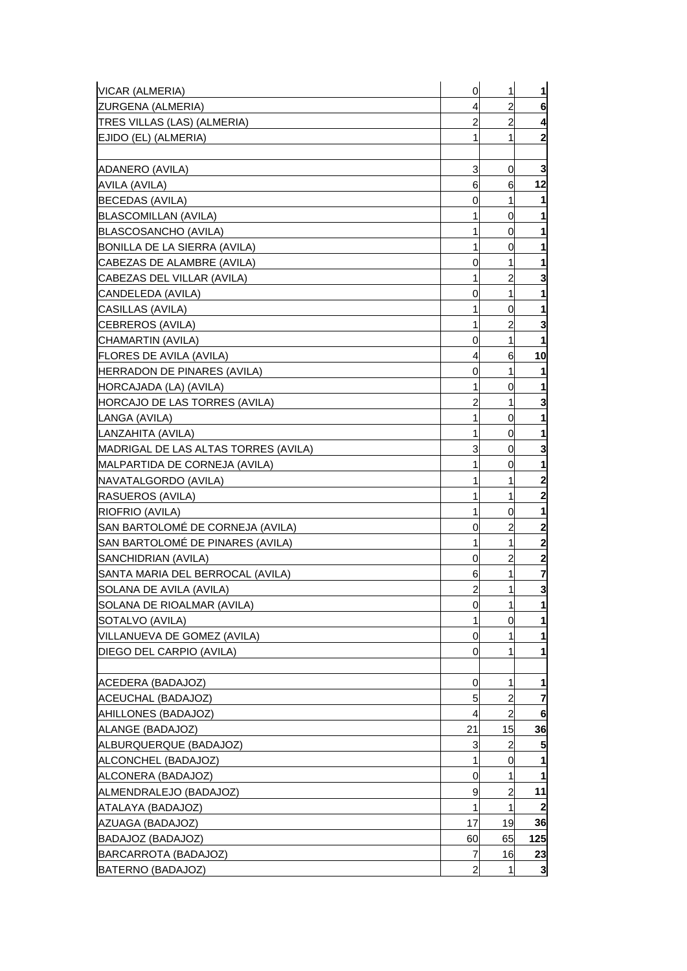| VICAR (ALMERIA)                      | $\mathbf 0$    | 1              | $\mathbf{1}$     |
|--------------------------------------|----------------|----------------|------------------|
| ZURGENA (ALMERIA)                    | 4              | 2              | 6                |
| TRES VILLAS (LAS) (ALMERIA)          | 2              | $\overline{c}$ | 4                |
| EJIDO (EL) (ALMERIA)                 | 1              | 1              | $\mathbf{z}$     |
|                                      |                |                |                  |
| ADANERO (AVILA)                      | 3              | 0              | 3                |
| AVILA (AVILA)                        | 6              | 6              | 12               |
| BECEDAS (AVILA)                      | 0              | 1              | 11               |
| <b>BLASCOMILLAN (AVILA)</b>          | 1              | 0              | 1                |
| BLASCOSANCHO (AVILA)                 |                | 0              | 1                |
| BONILLA DE LA SIERRA (AVILA)         |                | 0              | 1                |
| CABEZAS DE ALAMBRE (AVILA)           | 0              | 1              |                  |
| CABEZAS DEL VILLAR (AVILA)           | 1              | 2              | 3                |
| CANDELEDA (AVILA)                    | 0              | 1              | 1                |
| CASILLAS (AVILA)                     | 1              | 0              | 1                |
| CEBREROS (AVILA)                     | 1              | 2              | 3                |
| CHAMARTIN (AVILA)                    | 0              | 1              | 1                |
| <b>FLORES DE AVILA (AVILA)</b>       | 4              | 6              | 10               |
| HERRADON DE PINARES (AVILA)          | 0              | 1              | 1                |
| HORCAJADA (LA) (AVILA)               | 1              | 0              |                  |
| <b>HORCAJO DE LAS TORRES (AVILA)</b> | 2              | 1              | 3                |
| LANGA (AVILA)                        |                | 0              | 1                |
| LANZAHITA (AVILA)                    | 1              | 0              | 1                |
| MADRIGAL DE LAS ALTAS TORRES (AVILA) | 3              | 0              | 3                |
| MALPARTIDA DE CORNEJA (AVILA)        | 1              | 0              | 1                |
| NAVATALGORDO (AVILA)                 |                | 1              | $\mathbf{2}$     |
| RASUEROS (AVILA)                     | 1              | 1              | $\mathbf{2}$     |
| RIOFRIO (AVILA)                      |                | 0              | 1                |
| SAN BARTOLOME DE CORNEJA (AVILA)     | 0              | $\overline{c}$ | $\boldsymbol{2}$ |
| SAN BARTOLOMÉ DE PINARES (AVILA)     | 1              | 1              | $\mathbf{z}$     |
| SANCHIDRIAN (AVILA)                  | 0              | $\overline{a}$ | $\mathbf{2}$     |
| SANTA MARIA DEL BERROCAL (AVILA)     | 6              | 1              | 7                |
| SOLANA DE AVILA (AVILA)              | $\overline{a}$ | 1              | 3                |
| SOLANA DE RIOALMAR (AVILA)           | 0              | 1              | 1                |
| SOTALVO (AVILA)                      | 1              | 0              | $\mathbf{1}$     |
| VILLANUEVA DE GOMEZ (AVILA)          | 0              | 1              | 1                |
| DIEGO DEL CARPIO (AVILA)             | 0              | 1              | 1                |
|                                      |                |                |                  |
| ACEDERA (BADAJOZ)                    | 0              | 1              | 1                |
| ACEUCHAL (BADAJOZ)                   | 5              | 2              | 7                |
| AHILLONES (BADAJOZ)                  | 4              | $\overline{2}$ | 6                |
| ALANGE (BADAJOZ)                     | 21             | 15             | 36               |
| ALBURQUERQUE (BADAJOZ)               | 3              | 2              | 5                |
| ALCONCHEL (BADAJOZ)                  | 1              | 0              | 1                |
| ALCONERA (BADAJOZ)                   | 0              | 1              | 1                |
| ALMENDRALEJO (BADAJOZ)               | 9              | 2              | 11               |
| ATALAYA (BADAJOZ)                    | 1              | 1              | $\mathbf{2}$     |
| AZUAGA (BADAJOZ)                     | 17             | 19             | 36               |
| BADAJOZ (BADAJOZ)                    | 60             | 65             | 125              |
| BARCARROTA (BADAJOZ)                 | 7              | 16             | 23               |
| BATERNO (BADAJOZ)                    | 2              |                | 3                |
|                                      |                |                |                  |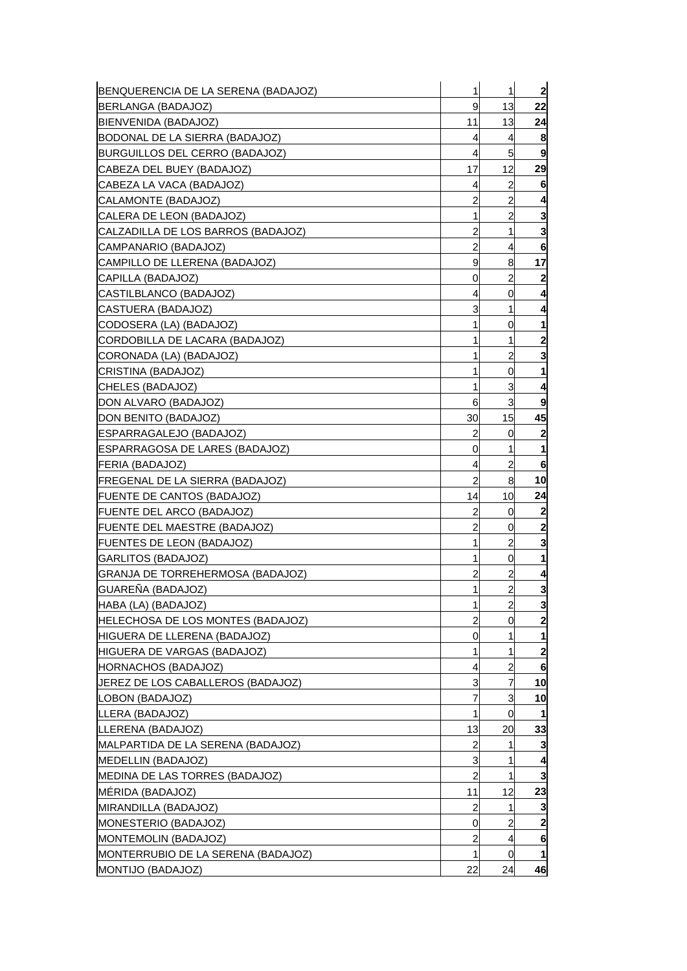| BENQUERENCIA DE LA SERENA (BADAJOZ)      | 1              | 1              | $\overline{\mathbf{c}}$ |
|------------------------------------------|----------------|----------------|-------------------------|
| BERLANGA (BADAJOZ)                       | 9              | 13             | 22                      |
| BIENVENIDA (BADAJOZ)                     | 11             | 13             | 24                      |
| BODONAL DE LA SIERRA (BADAJOZ)           | 4              | 4              | 8                       |
| BURGUILLOS DEL CERRO (BADAJOZ)           | 4              | 5              | 9                       |
| CABEZA DEL BUEY (BADAJOZ)                | 17             | 12             | 29                      |
| CABEZA LA VACA (BADAJOZ)                 | 4              | $\overline{c}$ | 6                       |
| CALAMONTE (BADAJOZ)                      | 2              | 2              | 4                       |
| CALERA DE LEON (BADAJOZ)                 | 1              | $\overline{c}$ | 3                       |
| CALZADILLA DE LOS BARROS (BADAJOZ)       | 2              | 1              | 3                       |
| CAMPANARIO (BADAJOZ)                     | 2              | 4              | 6                       |
| CAMPILLO DE LLERENA (BADAJOZ)            | 9              | 8              | 17                      |
| CAPILLA (BADAJOZ)                        | 0              | $\overline{c}$ | 2                       |
| CASTILBLANCO (BADAJOZ)                   | 4              | 0              | 4                       |
| CASTUERA (BADAJOZ)                       | 3              | 1              | 4                       |
| CODOSERA (LA) (BADAJOZ)                  | 1              | 0              |                         |
| CORDOBILLA DE LACARA (BADAJOZ)           | 1              | 1              | 2                       |
| CORONADA (LA) (BADAJOZ)                  | 1              | 2              | 3                       |
| CRISTINA (BADAJOZ)                       | 1              | 0              |                         |
| CHELES (BADAJOZ)                         | 1              | 3              |                         |
| DON ALVARO (BADAJOZ)                     | 6              | 3              | 9                       |
| DON BENITO (BADAJOZ)                     | 30             | 15             | 45                      |
| ESPARRAGALEJO (BADAJOZ)                  | 2              | 0              | 2                       |
| ESPARRAGOSA DE LARES (BADAJOZ)           | 0              | 1              | 1                       |
| FERIA (BADAJOZ)                          | 4              | $\overline{c}$ | 6                       |
| FREGENAL DE LA SIERRA (BADAJOZ)          | $\overline{a}$ | 8              | 10                      |
| FUENTE DE CANTOS (BADAJOZ)               | 14             | 10             | 24                      |
| FUENTE DEL ARCO (BADAJOZ)                | 2              | 0              | 2                       |
| FUENTE DEL MAESTRE (BADAJOZ)             | $\overline{c}$ | 0              | 2                       |
| FUENTES DE LEON (BADAJOZ)                | 1              | 2              | 3                       |
| GARLITOS (BADAJOZ)                       | 1              | 0              | 1                       |
| GRANJA DE TORREHERMOSA (BADAJOZ)         | 2              | 2              | 4                       |
| GUARENA (BADAJOZ)                        | 1              | $\overline{a}$ | 3                       |
| HABA (LA) (BADAJOZ)                      | 1              | $\overline{a}$ | 3                       |
| <b>HELECHOSA DE LOS MONTES (BADAJOZ)</b> | 2              | 0              | $\overline{c}$          |
| <b>HIGUERA DE LLERENA (BADAJOZ)</b>      | 0              | 1              | 1                       |
| HIGUERA DE VARGAS (BADAJOZ)              | 1              | 1              | $\overline{\mathbf{2}}$ |
| HORNACHOS (BADAJOZ)                      | 4              | 2              | 6                       |
| JEREZ DE LOS CABALLEROS (BADAJOZ)        | 3              | 7              | 10                      |
| LOBON (BADAJOZ)                          | 7              | 3              | 10                      |
| LLERA (BADAJOZ)                          | 1              | $\mathbf 0$    | -1                      |
| LLERENA (BADAJOZ)                        | 13             | 20             | 33                      |
| MALPARTIDA DE LA SERENA (BADAJOZ)        | 2              | 1              | 3                       |
| MEDELLIN (BADAJOZ)                       | 3              | 1              | 4                       |
| MEDINA DE LAS TORRES (BADAJOZ)           | $\overline{2}$ | 1              | 3                       |
| MERIDA (BADAJOZ)                         | 11             | 12             | 23                      |
| MIRANDILLA (BADAJOZ)                     | 2              | 1              | 3                       |
| MONESTERIO (BADAJOZ)                     | 0              | 2              | 2                       |
| MONTEMOLIN (BADAJOZ)                     | $\overline{c}$ | 4              | 6                       |
| MONTERRUBIO DE LA SERENA (BADAJOZ)       | 1              | 0              | 1                       |
| MONTIJO (BADAJOZ)                        | 22             | 24             | 46                      |
|                                          |                |                |                         |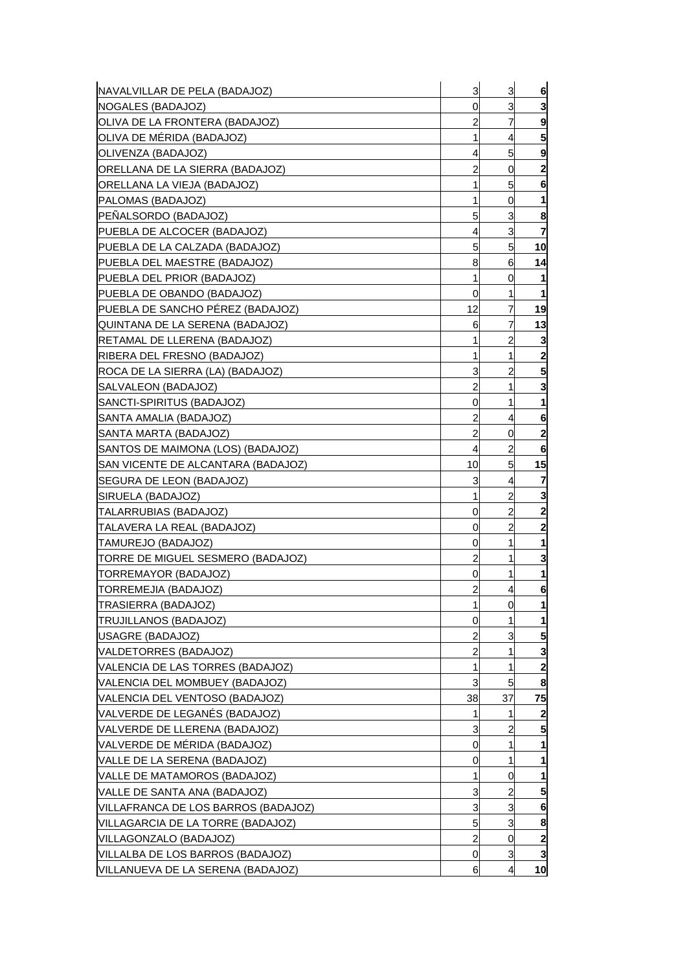| NAVALVILLAR DE PELA (BADAJOZ)       | 3              | 3                     | 6                       |
|-------------------------------------|----------------|-----------------------|-------------------------|
| NOGALES (BADAJOZ)                   | 0              | 3                     | 3                       |
| OLIVA DE LA FRONTERA (BADAJOZ)      | 2              | 7                     | 9                       |
| OLIVA DE MÉRIDA (BADAJOZ)           | 1              | 4                     | 5                       |
| JOLIVENZA (BADAJOZ)                 | 4              | 5                     | 9                       |
| ORELLANA DE LA SIERRA (BADAJOZ)     | 2              | 0                     | $\boldsymbol{2}$        |
| ORELLANA LA VIEJA (BADAJOZ)         | 1              | 5 <sup>1</sup>        | 6                       |
| PALOMAS (BADAJOZ)                   | 1              | 0                     | 1                       |
| PEÑALSORDO (BADAJOZ)                | 5              | 3                     | 8                       |
| PUEBLA DE ALCOCER (BADAJOZ)         | 4              | 3                     | 7                       |
| PUEBLA DE LA CALZADA (BADAJOZ)      | 5              | 5 <sup>1</sup>        | 10                      |
| IPUEBLA DEL MAESTRE (BADAJOZ)       | 8              | 6                     | 14                      |
| PUEBLA DEL PRIOR (BADAJOZ)          | 1              | 0                     | 1                       |
| PUEBLA DE OBANDO (BADAJOZ)          | 0              | 1                     | 1                       |
| PUEBLA DE SANCHO PEREZ (BADAJOZ)    | 12             | 7                     | 19                      |
| IQUINTANA DE LA SERENA (BADAJOZ)    | 6              | 7                     | 13                      |
| IRETAMAL DE LLERENA (BADAJOZ)       | 1              | 2                     | 3                       |
| RIBERA DEL FRESNO (BADAJOZ)         | 1              | 1                     | $\boldsymbol{2}$        |
| ROCA DE LA SIERRA (LA) (BADAJOZ)    | 3              | 2                     | 5                       |
| SALVALEON (BADAJOZ)                 | 2              | 1                     | 3                       |
| ISANCTI-SPIRITUS (BADAJOZ)          | 0              | 1                     | 1                       |
| SANTA AMALIA (BADAJOZ)              | 2              | 4                     | 6                       |
| SANTA MARTA (BADAJOZ)               | $\overline{c}$ | 0                     | $\mathbf{2}$            |
| SANTOS DE MAIMONA (LOS) (BADAJOZ)   | 4              | 2                     | 6                       |
| ISAN VICENTE DE ALCANTARA (BADAJOZ) | 10             | 5                     | 15                      |
| SEGURA DE LEON (BADAJOZ)            | 3              | 4                     | 7                       |
| SIRUELA (BADAJOZ)                   | 1              | $\overline{2}$        | 3                       |
| TALARRUBIAS (BADAJOZ)               | 0              | 2                     | 2                       |
| ITALAVERA LA REAL (BADAJOZ)         | 0              | $\overline{c}$        | $\overline{\mathbf{c}}$ |
| TAMUREJO (BADAJOZ)                  | 0              | 1                     | 1                       |
| (TORRE DE MIGUEL SESMERO (BADAJOZ   | 2              | 1                     | 3                       |
| TORREMAYOR (BADAJOZ)                | 0              | 1                     | 1                       |
| TORREMEJIA (BADAJOZ)                | $\overline{a}$ | 4                     | 6                       |
| TRASIERRA (BADAJOZ)                 | $\mathbf{1}$   | 0                     | 1                       |
| TRUJILLANOS (BADAJOZ)               | 0              |                       | 1                       |
| USAGRE (BADAJOZ)                    | 2              | 3                     | 5                       |
| VALDETORRES (BADAJOZ)               | $\overline{c}$ | 1                     | 3                       |
| VALENCIA DE LAS TORRES (BADAJOZ)    | 1              | 1                     | $\boldsymbol{2}$        |
| VALENCIA DEL MOMBUEY (BADAJOZ)      | 3              | 5                     | 8                       |
| VALENCIA DEL VENTOSO (BADAJOZ)      | 38             | 37                    | 75                      |
| VALVERDE DE LEGANÉS (BADAJOZ)       | 1              | 1                     | 2                       |
| VALVERDE DE LLERENA (BADAJOZ)       | 3              | 2                     | 5                       |
| VALVERDE DE MÉRIDA (BADAJOZ)        | 0              | 1                     |                         |
| VALLE DE LA SERENA (BADAJOZ)        | 0              | 1                     |                         |
| VALLE DE MATAMOROS (BADAJOZ)        | 1              | 0                     | 1                       |
| VALLE DE SANTA ANA (BADAJOZ)        | 3              | 2                     | 5                       |
| VILLAFRANCA DE LOS BARROS (BADAJOZ) | 3              | 3                     | 6                       |
| VILLAGARCIA DE LA TORRE (BADAJOZ)   | 5              | 3                     | 8                       |
| VILLAGONZALO (BADAJOZ)              | $\overline{c}$ | 0                     | $\mathbf{2}$            |
| VILLALBA DE LOS BARROS (BADAJOZ)    | 0              | 3                     | 3                       |
| VILLANUEVA DE LA SERENA (BADAJOZ)   | 6              | $\boldsymbol{\Delta}$ | 10                      |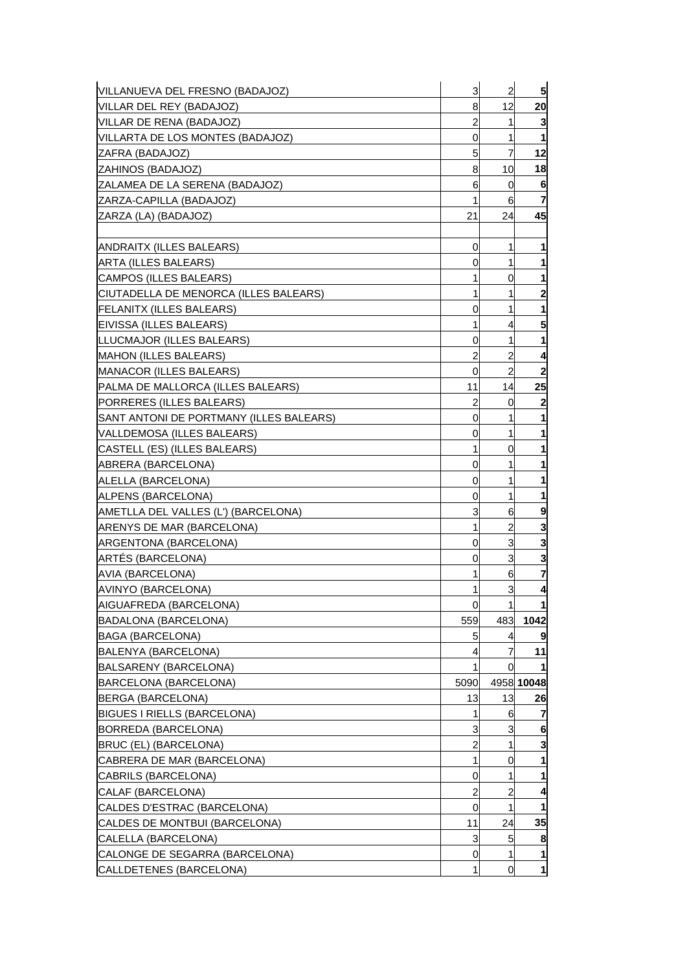| VILLANUEVA DEL FRESNO (BADAJOZ)         | 3           | $\overline{a}$ | 5            |
|-----------------------------------------|-------------|----------------|--------------|
| VILLAR DEL REY (BADAJOZ)                | 8           | 12             | 20           |
| VILLAR DE RENA (BADAJOZ)                | 2           | 1              | 3            |
| VILLARTA DE LOS MONTES (BADAJOZ)        | 0           | 1              |              |
| ZAFRA (BADAJOZ)                         | 5           | 7              | 12           |
| ZAHINOS (BADAJOZ)                       | 8           | 10             | 18           |
| ZALAMEA DE LA SERENA (BADAJOZ)          | 6           | 0              | 6            |
| ZARZA-CAPILLA (BADAJOZ)                 | 1           | 61             | 7            |
| ZARZA (LA) (BADAJOZ)                    | 21          | 24             | 45           |
|                                         |             |                |              |
| ANDRAITX (ILLES BALEARS)                | 0           | 1              |              |
| ARTA (ILLES BALEARS)                    | 0           | 1              |              |
| CAMPOS (ILLES BALEARS)                  | 1           | 0              |              |
| CIUTADELLA DE MENORCA (ILLES BALEARS)   | 1           | 1              | $\mathbf{2}$ |
| <b>FELANITX (ILLES BALEARS)</b>         | 0           | 1              |              |
| EIVISSA (ILLES BALEARS)                 | 1           | 4              | 5            |
| LLUCMAJOR (ILLES BALEARS)               | 0           | 1              | 1            |
| <b>MAHON (ILLES BALEARS)</b>            | 2           | 2              |              |
| MANACOR (ILLES BALEARS)                 | 0           | $\overline{c}$ |              |
| PALMA DE MALLORCA (ILLES BALEARS)       | 11          | 14             | 25           |
| PORRERES (ILLES BALEARS)                | 2           | 0              |              |
| SANT ANTONI DE PORTMANY (ILLES BALEARS) | 0           | 1              |              |
| VALLDEMOSA (ILLES BALEARS)              | 0           | 1              |              |
| CASTELL (ES) (ILLES BALEARS)            | 1           | 0              |              |
| ABRERA (BARCELONA)                      | 0           | 1              |              |
| ALELLA (BARCELONA)                      | 0           | 1              |              |
| ALPENS (BARCELONA)                      | 0           | 1              |              |
| AMETLLA DEL VALLES (L') (BARCELONA)     | 3           | 6              |              |
| ARENYS DE MAR (BARCELONA)               | 1           | $\overline{c}$ | 3            |
| ARGENTONA (BARCELONA)                   | 0           | 3              | 3            |
| ARTES (BARCELONA)                       | 0           | 3              |              |
| AVIA (BARCELONA)                        |             | 6              | 7            |
| AVINYO (BARCELONA)                      | 1           | 3              | 4            |
| AIGUAFREDA (BARCELONA)                  | $\mathbf 0$ | 1              |              |
| BADALONA (BARCELONA)                    | 559         | 483            | 1042         |
| BAGA (BARCELONA)                        | 5           | 4              |              |
| BALENYA (BARCELONA)                     | 4           |                | 11           |
| BALSARENY (BARCELONA)                   | 1           | 0              |              |
| BARCELONA (BARCELONA)                   | 5090        |                | 4958 10048   |
| BERGA (BARCELONA)                       | 13          | 13             | 26           |
| <b>BIGUES I RIELLS (BARCELONA)</b>      | 1           | 6              |              |
| BORREDA (BARCELONA)                     | 3           | 3              | 6            |
| <b>BRUC (EL) (BARCELONA)</b>            | 2           | 1              | 3            |
| CABRERA DE MAR (BARCELONA)              | 1           | 0              |              |
| CABRILS (BARCELONA)                     | 0           | 1              |              |
| CALAF (BARCELONA)                       | 2           | 2              |              |
| CALDES D'ESTRAC (BARCELONA)             | 0           | 1              |              |
| CALDES DE MONTBUI (BARCELONA)           | 11          | 24             | 35           |
| CALELLA (BARCELONA)                     | 3           | 5              | 8            |
| CALONGE DE SEGARRA (BARCELONA)          | 0           | 1              |              |
| CALLDETENES (BARCELONA)                 | 1           | 0              | 1            |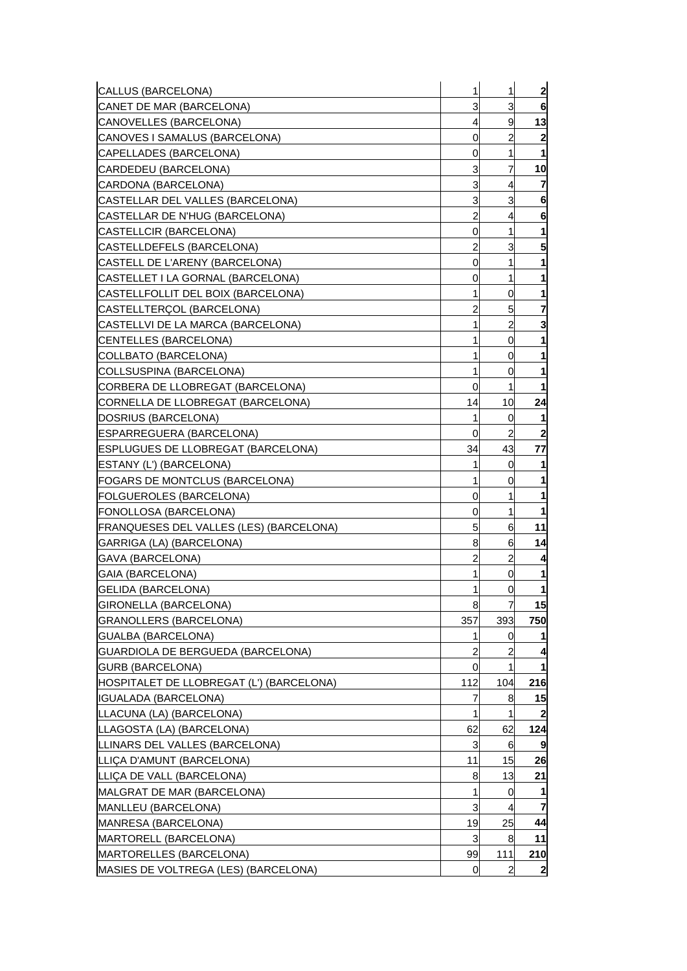| CALLUS (BARCELONA)                       | 1              | 1              | $\overline{\mathbf{c}}$ |
|------------------------------------------|----------------|----------------|-------------------------|
| CANET DE MAR (BARCELONA)                 | 3              | 3              | 6                       |
| CANOVELLES (BARCELONA)                   | 4              | 9              | 13                      |
| CANOVES I SAMALUS (BARCELONA)            | 0              | 2              | 2                       |
| CAPELLADES (BARCELONA)                   | 0              | 1              | 1                       |
| CARDEDEU (BARCELONA)                     | 3              | $\overline{7}$ | 10                      |
| CARDONA (BARCELONA)                      | 3              | $\overline{4}$ | $\overline{7}$          |
| CASTELLAR DEL VALLES (BARCELONA)         | 3              | 3              | 6                       |
| CASTELLAR DE N'HUG (BARCELONA)           | $\overline{c}$ | 4              | 6                       |
| CASTELLCIR (BARCELONA)                   | 0              | 1              | 1                       |
| CASTELLDEFELS (BARCELONA)                | 2              | 3              | 5                       |
| CASTELL DE L'ARENY (BARCELONA)           | 0              | 1              |                         |
| CASTELLET I LA GORNAL (BARCELONA)        | 0              | 1              | 1                       |
| CASTELLFOLLIT DEL BOIX (BARCELONA)       | 1              | 0              | 1                       |
| CASTELLTERÇOL (BARCELONA)                | 2              | 5              | $\overline{7}$          |
| CASTELLVI DE LA MARCA (BARCELONA)        | 1              | 2              | 3                       |
| CENTELLES (BARCELONA)                    | 1              | 0              | 1                       |
| COLLBATO (BARCELONA)                     | 1              | 0              | 1                       |
| COLLSUSPINA (BARCELONA)                  | 1              | 0              | 1                       |
| CORBERA DE LLOBREGAT (BARCELONA)         | 0              | 1              |                         |
| CORNELLA DE LLOBREGAT (BARCELONA)        | 14             | 10             | 24                      |
| DOSRIUS (BARCELONA)                      | 1              | 0              | 1                       |
| ESPARREGUERA (BARCELONA)                 | <sub>0</sub>   | $\overline{2}$ | $\overline{\mathbf{c}}$ |
| ESPLUGUES DE LLOBREGAT (BARCELONA)       | 34             | 43             | 77                      |
| ESTANY (L') (BARCELONA)                  | 1              | 0              | 1                       |
| FOGARS DE MONTCLUS (BARCELONA)           | 1              | 0              | 1                       |
| FOLGUEROLES (BARCELONA)                  | 0              | 1              | 1                       |
| FONOLLOSA (BARCELONA)                    | 0              | 1              |                         |
| [FRANQUESES DEL VALLES (LES) (BARCELONA) | 5              | 6              | 11                      |
| GARRIGA (LA) (BARCELONA)                 | 8              | 6              | 14                      |
| <b>GAVA (BARCELONA)</b>                  | 2              | $\overline{c}$ | 4                       |
| GAIA (BARCELONA)                         | 1              | 0              | 1                       |
| <b>GELIDA (BARCELONA)</b>                | 1              | 0              | 1                       |
| GIRONELLA (BARCELONA)                    | 8              | $\overline{7}$ | 15                      |
| GRANOLLERS (BARCELONA)                   | 357            | 393            | 750                     |
| GUALBA (BARCELONA)                       | 1              | 0              |                         |
| GUARDIOLA DE BERGUEDA (BARCELONA)        | 2              | $\overline{c}$ | 4                       |
| GURB (BARCELONA)                         | 0              | 1              |                         |
| HOSPITALET DE LLOBREGAT (L') (BARCELONA) | 112            | 104            | 216                     |
| IGUALADA (BARCELONA)                     | 7              | 8              | 15                      |
| LLACUNA (LA) (BARCELONA)                 | 1              | 1              | $\mathbf{2}$            |
| LLAGOSTA (LA) (BARCELONA)                | 62             | 62             | 124                     |
| LLINARS DEL VALLES (BARCELONA)           | 3              | 6              | 9                       |
| LLICA D'AMUNT (BARCELONA)                | 11             | 15             | 26                      |
| LLICA DE VALL (BARCELONA)                | 8              | 13             | 21                      |
| MALGRAT DE MAR (BARCELONA)               | 1              | 0              | 1                       |
| <b>MANLLEU (BARCELONA)</b>               | 3              | $\overline{4}$ | $\overline{7}$          |
| MANRESA (BARCELONA)                      | 19             | 25             | 44                      |
| MARTORELL (BARCELONA)                    | 3              | 8              | 11                      |
| MARTORELLES (BARCELONA)                  | 99             | 111            | 210                     |
| MASIES DE VOLTREGA (LES) (BARCELONA)     | 0              | 2              | $\mathbf{2}$            |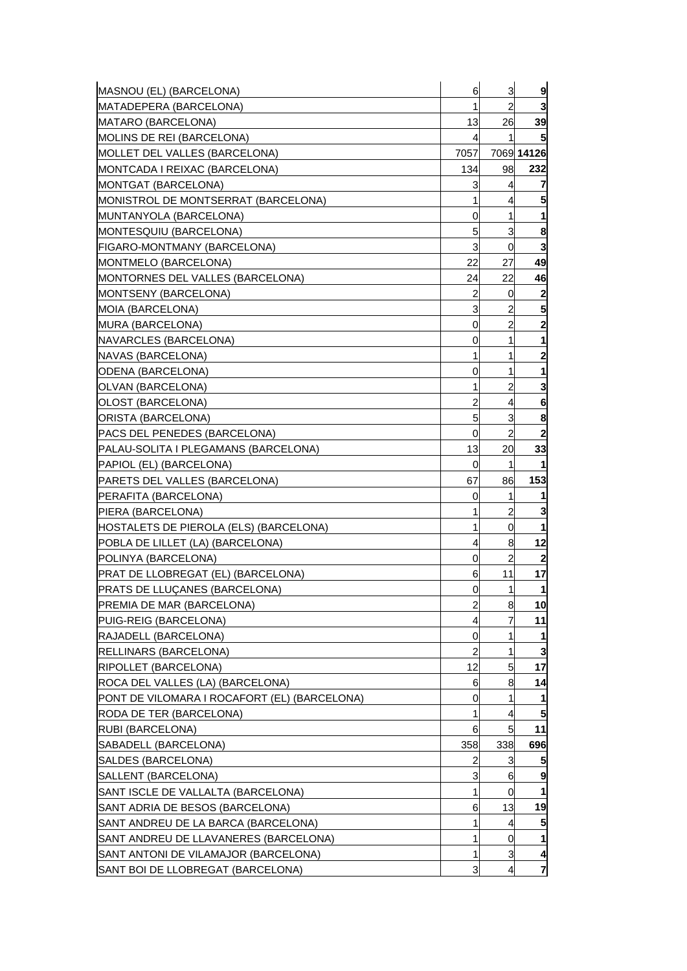| MASNOU (EL) (BARCELONA)                      | 6              | 3              | 9              |
|----------------------------------------------|----------------|----------------|----------------|
| MATADEPERA (BARCELONA)                       | 1              | 2              | 3              |
| MATARO (BARCELONA)                           | 13             | 26             | 39             |
| MOLINS DE REI (BARCELONA)                    | 4              | 1              |                |
| MOLLET DEL VALLES (BARCELONA)                | 7057           |                | 7069 14126     |
| MONTCADA I REIXAC (BARCELONA)                | 134            | 98             | 232            |
| MONTGAT (BARCELONA)                          | 3              | 4              |                |
| MONISTROL DE MONTSERRAT (BARCELONA)          | 1              | 4              |                |
| MUNTANYOLA (BARCELONA)                       | 0              | 1              | 1              |
| MONTESQUIU (BARCELONA)                       | 5              | 3              | 8              |
| FIGARO-MONTMANY (BARCELONA)                  | 3              | $\overline{0}$ | 3              |
| MONTMELO (BARCELONA)                         | 22             | 27             | 49             |
| MONTORNES DEL VALLES (BARCELONA)             | 24             | 22             | 46             |
| MONTSENY (BARCELONA)                         | 2              | 0              | $\mathbf 2$    |
| MOIA (BARCELONA)                             | 3              | 2              | 5              |
| MURA (BARCELONA)                             | 0              | 2              | 2              |
| NAVARCLES (BARCELONA)                        | 0              | 1              | 1              |
| NAVAS (BARCELONA)                            | 1              | 1              | $\mathbf{2}$   |
| ODENA (BARCELONA)                            | 0              | 1              | 1              |
| OLVAN (BARCELONA)                            | 1              | 2              | 3              |
| OLOST (BARCELONA)                            | $\overline{2}$ | 4              | 6              |
| ORISTA (BARCELONA)                           | 5              | 3              | 8              |
| PACS DEL PENEDES (BARCELONA)                 | 0              | $\overline{a}$ | 2              |
| PALAU-SOLITA I PLEGAMANS (BARCELONA)         | 13             | 20             | 33             |
| PAPIOL (EL) (BARCELONA)                      | 0              | 1              |                |
| PARETS DEL VALLES (BARCELONA)                | 67             | 86             | 153            |
| PERAFITA (BARCELONA)                         | 0              | 1              |                |
| PIERA (BARCELONA)                            | 1              | 2              |                |
| HOSTALETS DE PIEROLA (ELS) (BARCELONA)       | 1              | 0              |                |
| POBLA DE LILLET (LA) (BARCELONA)             | 4              | 8              | 12             |
| POLINYA (BARCELONA)                          | 0              | 2              |                |
| PRAT DE LLOBREGAT (EL) (BARCELONA)           | 6              | 11             | 17             |
| PRATS DE LLUÇANES (BARCELONA)                | 0              | 1              | $\mathbf 1$    |
| PREMIA DE MAR (BARCELONA)                    | 2              | 8              | 10             |
| PUIG-REIG (BARCELONA)                        | 4              |                | 11             |
| RAJADELL (BARCELONA)                         | 0              | 1              |                |
| RELLINARS (BARCELONA)                        | $\overline{2}$ | 1              | 3              |
| RIPOLLET (BARCELONA)                         | 12             | 5              | 17             |
| ROCA DEL VALLES (LA) (BARCELONA)             | 6              | 8              | 14             |
| PONT DE VILOMARA I ROCAFORT (EL) (BARCELONA) | 0              | 1              |                |
| RODA DE TER (BARCELONA)                      | 1              | 4              | 5              |
| RUBI (BARCELONA)                             | 6              | 5              | 11             |
| SABADELL (BARCELONA)                         | 358            | 338            | 696            |
| SALDES (BARCELONA)                           | 2              | 3              |                |
| SALLENT (BARCELONA)                          | 3              | 6              | 9              |
| SANT ISCLE DE VALLALTA (BARCELONA)           | 1              | 0              |                |
| SANT ADRIA DE BESOS (BARCELONA)              | 6              | 13             | 19             |
| SANT ANDREU DE LA BARCA (BARCELONA)          | 1              | 4              |                |
| SANT ANDREU DE LLAVANERES (BARCELONA)        | 1              | $\overline{0}$ | 1              |
| SANT ANTONI DE VILAMAJOR (BARCELONA)         | 1              | 3              | 4              |
| SANT BOI DE LLOBREGAT (BARCELONA)            | 3              | 4              | $\overline{7}$ |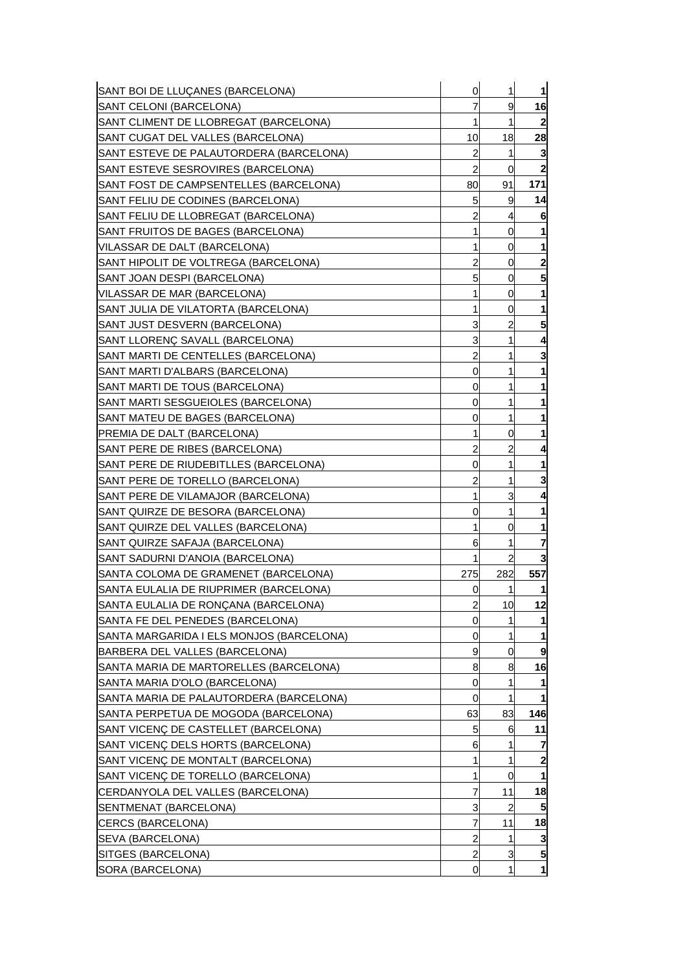| SANT BOI DE LLUÇANES (BARCELONA)         | 0              | 1              | 1                |
|------------------------------------------|----------------|----------------|------------------|
| SANT CELONI (BARCELONA)                  | 7              | 9              | 16               |
| SANT CLIMENT DE LLOBREGAT (BARCELONA)    | 1              | 1              | $\mathbf{2}$     |
| SANT CUGAT DEL VALLES (BARCELONA)        | 10             | 18             | 28               |
| SANT ESTEVE DE PALAUTORDERA (BARCELONA)  | $\overline{c}$ | 1              | 3                |
| SANT ESTEVE SESROVIRES (BARCELONA)       | 2              | 0              | $\boldsymbol{2}$ |
| SANT FOST DE CAMPSENTELLES (BARCELONA)   | 80             | 91             | 171              |
| SANT FELIU DE CODINES (BARCELONA)        | 5              | 9              | 14               |
| SANT FELIU DE LLOBREGAT (BARCELONA)      | $\overline{c}$ | 4              | 6                |
| SANT FRUITOS DE BAGES (BARCELONA)        | 1              | 0              | 1                |
| VILASSAR DE DALT (BARCELONA)             | 1              | 0              | 1                |
| SANT HIPOLIT DE VOLTREGA (BARCELONA)     | $\overline{c}$ | 0              | 2                |
| SANT JOAN DESPI (BARCELONA)              | 5              | 0              | 5                |
| VILASSAR DE MAR (BARCELONA)              | 1              | 0              | 1                |
| SANT JULIA DE VILATORTA (BARCELONA)      | 1              | 0              | 1                |
| SANT JUST DESVERN (BARCELONA)            | 3              | 2              | 5                |
| SANT LLORENC SAVALL (BARCELONA)          | 3              | 1              | 4                |
| SANT MARTI DE CENTELLES (BARCELONA)      | 2              | 1              | 3                |
| SANT MARTI D'ALBARS (BARCELONA)          | 0              | 1              | 1                |
| SANT MARTI DE TOUS (BARCELONA)           | 0              | 1              |                  |
| SANT MARTI SESGUEIOLES (BARCELONA)       | 0              | 1              | 1                |
| SANT MATEU DE BAGES (BARCELONA)          | 0              | 1              | 1                |
| PREMIA DE DALT (BARCELONA)               | 1              | 0              | 1                |
| SANT PERE DE RIBES (BARCELONA)           | $\overline{c}$ | 2              | 4                |
| SANT PERE DE RIUDEBITLLES (BARCELONA)    | 0              | 1              | 1                |
| SANT PERE DE TORELLO (BARCELONA)         | 2              | 1              | 3                |
| SANT PERE DE VILAMAJOR (BARCELONA)       | 1              | 3              | 4                |
| SANT QUIRZE DE BESORA (BARCELONA)        | 0              | 1              | 1                |
| SANT QUIRZE DEL VALLES (BARCELONA)       | 1              | 0              | 1                |
| SANT QUIRZE SAFAJA (BARCELONA)           | 6              | 1              | 7                |
| SANT SADURNI D'ANOIA (BARCELONA)         | 1              | $\overline{c}$ | 3                |
| SANTA COLOMA DE GRAMENET (BARCELONA)     | 275            | 282            | 557              |
| SANTA EULALIA DE RIUPRIMER (BARCELONA)   | 0              | 1              | 1                |
| SANTA EULALIA DE RONÇANA (BARCELONA)     | $\overline{c}$ | 10             | 12               |
| SANTA FE DEL PENEDES (BARCELONA)         | 0              |                | 1                |
| SANTA MARGARIDA I ELS MONJOS (BARCELONA) | 0              | 1              |                  |
| BARBERA DEL VALLES (BARCELONA)           | 9              | 0              | 9                |
| SANTA MARIA DE MARTORELLES (BARCELONA)   | 8              | 8              | 16               |
| SANTA MARIA D'OLO (BARCELONA)            | 0              |                | 1                |
| SANTA MARIA DE PALAUTORDERA (BARCELONA)  | 0              | 1              |                  |
| SANTA PERPETUA DE MOGODA (BARCELONA)     | 63             | 83             | 146              |
| SANT VICENÇ DE CASTELLET (BARCELONA)     | 5              | 6              | 11               |
| SANT VICENÇ DELS HORTS (BARCELONA)       | 6              | 1              | 7                |
| SANT VICENÇ DE MONTALT (BARCELONA)       | 1              | 1              | 2                |
| SANT VICENÇ DE TORELLO (BARCELONA)       | 1              | 0              | 1                |
| CERDANYOLA DEL VALLES (BARCELONA)        | 7              | 11             | 18               |
| SENTMENAT (BARCELONA)                    | 3              | $\overline{c}$ | 5                |
| CERCS (BARCELONA)                        | 7              | 11             | 18               |
| SEVA (BARCELONA)                         | 2              | 1              | 3                |
| SITGES (BARCELONA)                       | $\overline{c}$ | 3              | 5                |
| SORA (BARCELONA)                         | <sub>0</sub>   | 1              | $\mathbf{1}$     |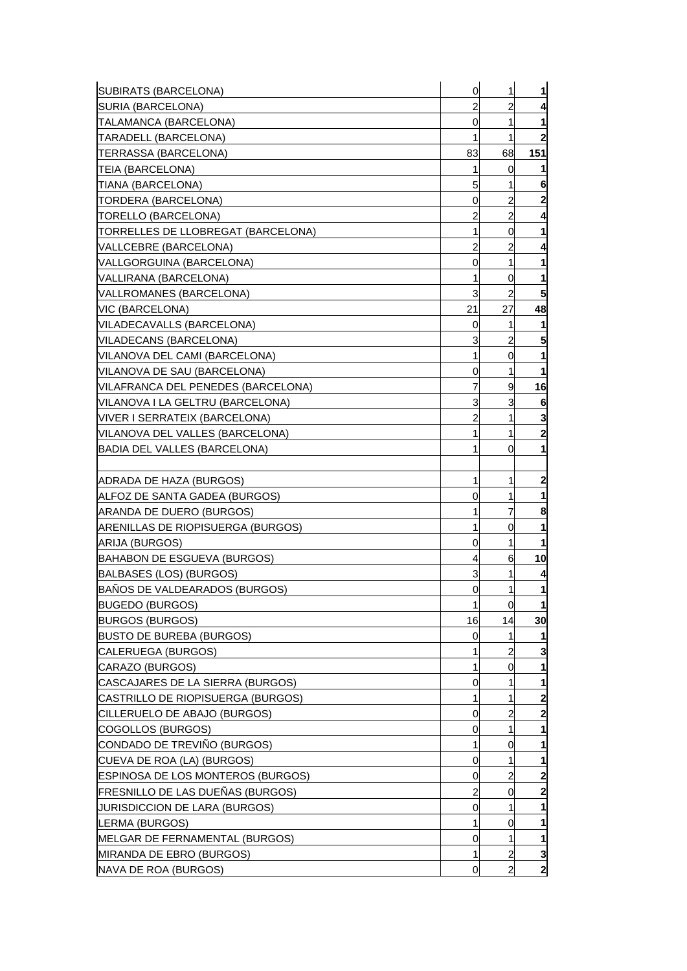| SUBIRATS (BARCELONA)                   | $\mathbf 0$    | 1                       | $\mathbf{1}$ |
|----------------------------------------|----------------|-------------------------|--------------|
| SURIA (BARCELONA)                      | $\overline{a}$ | $\overline{c}$          | 4            |
| TALAMANCA (BARCELONA)                  | 0              | 1                       | $\mathbf{1}$ |
| TARADELL (BARCELONA)                   | 1              | 1                       | $\mathbf{2}$ |
| ITERRASSA (BARCELONA)                  | 83             | 68                      | 151          |
| ITEIA (BARCELONA)                      | 1              | 0                       | 11           |
| TIANA (BARCELONA)                      | 5              | 1                       | 6            |
| TORDERA (BARCELONA)                    | 0              | 2                       | $\mathbf{2}$ |
| (TORELLO (BARCELONA                    | $\overline{c}$ | $\overline{c}$          | 4            |
| TORRELLES DE LLOBREGAT (BARCELONA)     | 1              | 0                       | $\mathbf{1}$ |
| VALLCEBRE (BARCELONA)                  | $\overline{c}$ | 2                       | 4            |
| VALLGORGUINA (BARCELONA)               | 0              | 1                       | 1            |
| [VALLIRANA (BARCELONA)                 | 1              | 0                       | 1            |
| VALLROMANES (BARCELONA)                | 3              | $\overline{a}$          | 5            |
| VIC (BARCELONA)                        | 21             | 27                      | 48           |
| VILADECAVALLS (BARCELONA)              | 0              | 1                       | 1            |
| VILADECANS (BARCELONA)                 | 3              | 2                       | 5            |
| VILANOVA DEL CAMI (BARCELONA)          | 1              | 0                       | $\mathbf{1}$ |
| VILANOVA DE SAU (BARCELONA)            | 0              | $\mathbf{1}$            | $\mathbf{1}$ |
| VILAFRANCA DEL PENEDES (BARCELONA)     | 7              | 9                       | 16           |
| IVILANOVA I LA GELTRU (BARCELONA)      | 3              | 3                       | 6            |
| VIVER I SERRATEIX (BARCELONA)          | 2              | 1                       | 3            |
| VILANOVA DEL VALLES (BARCELONA)        | 1              | 1                       | $\mathbf{2}$ |
| BADIA DEL VALLES (BARCELONA)           | 1              | 0                       | $\mathbf{1}$ |
|                                        |                |                         |              |
| IADRADA DE HAZA (BURGOS)               | 1              | 1                       | $\mathbf{2}$ |
| ALFOZ DE SANTA GADEA (BURGOS)          | 0              | 1                       | $\mathbf{1}$ |
| IARANDA DE DUERO (BURGOS)              | 1              | $\overline{7}$          | 8            |
| ARENILLAS DE RIOPISUERGA (BURGOS)      | 1              | 0                       | $\mathbf 1$  |
| ARIJA (BURGOS)                         | 0              | 1                       | 1            |
| BAHABON DE ESGUEVA (BURGOS)            | 4              | 6                       | 10           |
| BALBASES (LOS) (BURGOS)                | 3              | 1                       | 4            |
| BAÑOS DE VALDEARADOS (BURGOS)          | 0              | 1                       | $\mathbf 1$  |
| <b>BUGEDO (BURGOS)</b>                 | 1              | 0                       | $\mathbf{1}$ |
| <b>BURGOS (BURGOS)</b>                 | 16             | 14                      | 30           |
| <b>BUSTO DE BUREBA (BURGOS)</b>        | 0              | 1                       | 1            |
| CALERUEGA (BURGOS)                     | 1              | 2                       | 3            |
| CARAZO (BURGOS)                        |                | 0                       | 1            |
| CASCAJARES DE LA SIERRA (BURGOS)       | 0              |                         | $\mathbf{1}$ |
| CASTRILLO DE RIOPISUERGA (BURGOS)      |                | 1                       | $\mathbf{2}$ |
| <b>ICILLERUELO DE ABAJO (BURGOS)</b>   | 0              | 2                       | $\mathbf{2}$ |
| COGOLLOS (BURGOS)                      | 0              | 1                       | 1            |
| CONDADO DE TREVIÑO (BURGOS)            | 1              | 0                       | $\mathbf{1}$ |
| CUEVA DE ROA (LA) (BURGOS)             | 0              |                         | 1            |
| ESPINOSA DE LOS MONTEROS (BURGOS)      | 0              | 2                       | $\mathbf{2}$ |
| FRESNILLO DE LAS DUEÑAS (BURGOS)       | 2              | 0                       | $\mathbf{z}$ |
| <b>JURISDICCION DE LARA (BURGOS)</b>   | 0              |                         | $\mathbf{1}$ |
| LERMA (BURGOS)                         |                | 0                       | 1            |
| <b>IMELGAR DE FERNAMENTAL (BURGOS)</b> | 0              | 1                       | 1            |
| MIRANDA DE EBRO (BURGOS)               |                | $\overline{\mathbf{c}}$ | 3            |
| <b>NAVA DE ROA (BURGOS)</b>            | 0              | 2                       | $\mathbf{2}$ |
|                                        |                |                         |              |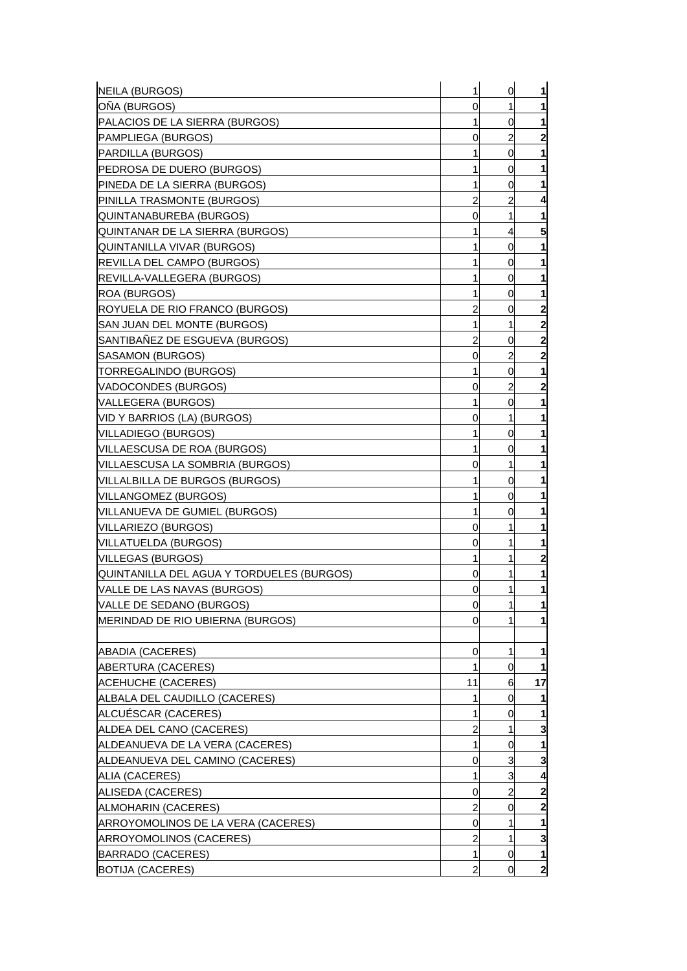| NEILA (BURGOS)                            | 1  | 0              | $\mathbf{1}$            |
|-------------------------------------------|----|----------------|-------------------------|
| ONA (BURGOS)                              | 0  | 1              | 1                       |
| PALACIOS DE LA SIERRA (BURGOS)            | 1  | 0              | $\mathbf{1}$            |
| <b>PAMPLIEGA (BURGOS)</b>                 | 0  | 2              | $\mathbf{2}$            |
| PARDILLA (BURGOS)                         | 1  | 0              | 1                       |
| PEDROSA DE DUERO (BURGOS)                 |    | 0              | 1                       |
| PINEDA DE LA SIERRA (BURGOS)              | 1  | 0              | 1                       |
| PINILLA TRASMONTE (BURGOS)                | 2  | 2              | 4                       |
| IQUINTANABUREBA (BURGOS)                  | 0  | 1              | 1                       |
| QUINTANAR DE LA SIERRA (BURGOS)           | 1  | 4              | 5                       |
| QUINTANILLA VIVAR (BURGOS)                | 1  | 0              | 1                       |
| REVILLA DEL CAMPO (BURGOS)                |    | 0              | 1                       |
| <b>REVILLA-VALLEGERA (BURGOS)</b>         | 1  | 0              | 1                       |
| IROA (BURGOS)                             |    | 0              | 1                       |
| ROYUELA DE RIO FRANCO (BURGOS)            | 2  | 0              | $\overline{\mathbf{c}}$ |
| ISAN JUAN DEL MONTE (BURGOS)              | 1  | 1              | $\mathbf{2}$            |
| SANTIBANEZ DE ESGUEVA (BURGOS)            | 2  | 0              | $\overline{\mathbf{c}}$ |
| SASAMON (BURGOS)                          | 0  | $\overline{c}$ | $\overline{\mathbf{c}}$ |
| TORREGALINDO (BURGOS)                     | 1  | 0              | $\mathbf{1}$            |
| VADOCONDES (BURGOS)                       | 0  | 2              | $\mathbf{2}$            |
| VALLEGERA (BURGOS)                        | 1  | 0              | 1                       |
| VID Y BARRIOS (LA) (BURGOS)               | 0  | 1              | 1                       |
| VILLADIEGO (BURGOS)                       | 1  | 0              | 1                       |
| VILLAESCUSA DE ROA (BURGOS)               | 1  | 0              | 1                       |
| VILLAESCUSA LA SOMBRIA (BURGOS)           | 0  | 1              | 1                       |
| VILLALBILLA DE BURGOS (BURGOS)            |    | 0              | 1                       |
| VILLANGOMEZ (BURGOS)                      | 1  | 0              | 1                       |
| VILLANUEVA DE GUMIEL (BURGOS)             | 1  | 0              | 1                       |
| VILLARIEZO (BURGOS)                       | 0  | 1              | 1                       |
| VILLATUELDA (BURGOS)                      | 0  | 1              | 1                       |
| VILLEGAS (BURGOS)                         | 1  | 1              | $\overline{\mathbf{c}}$ |
| QUINTANILLA DEL AGUA Y TORDUELES (BURGOS) | 0  | 1              | 1                       |
| VALLE DE LAS NAVAS (BURGOS)               | 0  | 1              | 1                       |
| VALLE DE SEDANO (BURGOS)                  | 0  | 1              | $\mathbf{1}$            |
| <b>IMERINDAD DE RIO UBIERNA (BURGOS)</b>  | 0  |                | $\mathbf{1}$            |
|                                           |    |                |                         |
| ABADIA (CACERES)                          | 0  | 1              | 1                       |
| <b>ABERTURA (CACERES)</b>                 |    | 0              | 1                       |
| <b>ACEHUCHE (CACERES)</b>                 | 11 | 6              | 17                      |
| ALBALA DEL CAUDILLO (CACERES)             |    | 0              | 1                       |
| ALCUÉSCAR (CACERES)                       | 1  | 0              | 1                       |
| ALDEA DEL CANO (CACERES)                  | 2  | 1              | 3                       |
| ALDEANUEVA DE LA VERA (CACERES)           | 1  | 0              | $\mathbf{1}$            |
| ALDEANUEVA DEL CAMINO (CACERES)           | 0  | 3              | 3                       |
| ALIA (CACERES)                            | 1  | 3              | 4                       |
| ALISEDA (CACERES)                         | 0  | $\overline{c}$ | $\mathbf{2}$            |
| ALMOHARIN (CACERES)                       | 2  | 0              | $\mathbf{2}$            |
| ARROYOMOLINOS DE LA VERA (CACERES)        | 0  | 1              | 1                       |
| ARROYOMOLINOS (CACERES)                   | 2  | 1              | 3                       |
| BARRADO (CACERES)                         | 1  | 0              | $\mathbf{1}$            |
| <b>BOTIJA (CACERES)</b>                   | 2  | <sub>0</sub>   | $\mathbf{2}$            |
|                                           |    |                |                         |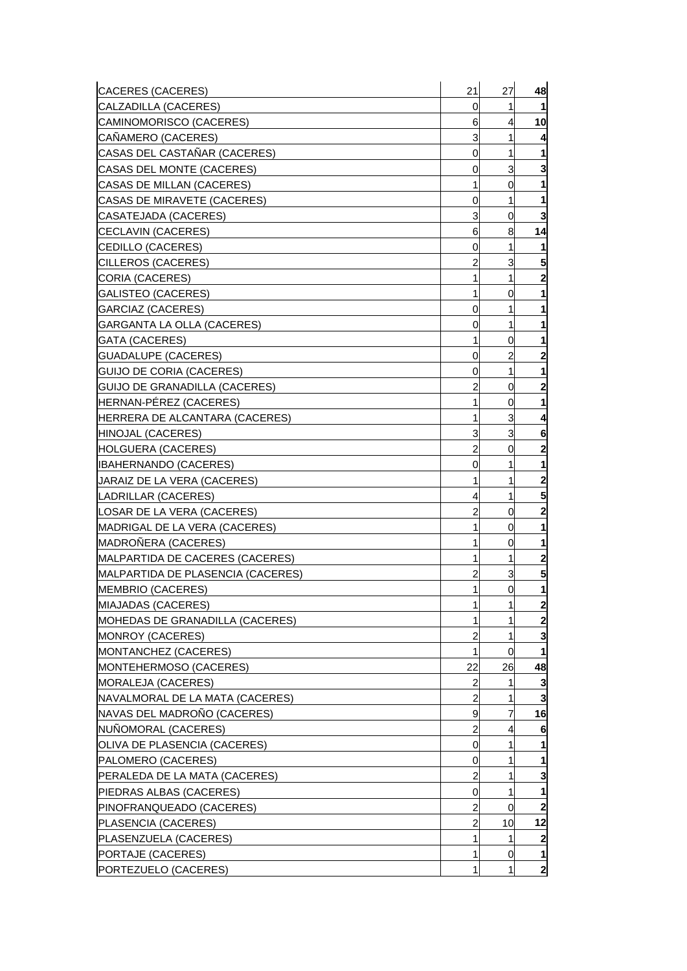| <b>CACERES (CACERES)</b>             | 21             | 27             | 48                      |
|--------------------------------------|----------------|----------------|-------------------------|
| CALZADILLA (CACERES)                 | 0              | 1              |                         |
| CAMINOMORISCO (CACERES)              | 6              | 4              | 10                      |
| CAÑAMERO (CACERES)                   | 3              | 1              |                         |
| CASAS DEL CASTAÑAR (CACERES)         | 0              | 1              |                         |
| CASAS DEL MONTE (CACERES)            | 0              | 3              | 3                       |
| CASAS DE MILLAN (CACERES)            | 1              | 0              |                         |
| <b>CASAS DE MIRAVETE (CACERES)</b>   | 0              | 1              | 1                       |
| CASATEJADA (CACERES)                 | 3              | 0              | 3                       |
| CECLAVIN (CACERES)                   | 6              | 8              | 14                      |
| CEDILLO (CACERES)                    | 0              | 1              |                         |
| CILLEROS (CACERES)                   | 2              | 3              | 5                       |
| CORIA (CACERES)                      | 1              | 1              | 2                       |
| <b>GALISTEO (CACERES)</b>            | 1              | 0              | 1                       |
| <b>GARCIAZ (CACERES)</b>             | 0              | 1              | 1                       |
| <b>GARGANTA LA OLLA (CACERES)</b>    | 0              | 1              | 1                       |
| <b>GATA (CACERES)</b>                | 1              | 0              | 1                       |
| <b>GUADALUPE (CACERES)</b>           | 0              | $\overline{c}$ | 2                       |
| GUIJO DE CORIA (CACERES)             | 0              | 1              | 1                       |
| <b>GUIJO DE GRANADILLA (CACERES)</b> | 2              | 0              | $\overline{\mathbf{c}}$ |
| HERNAN-PÉREZ (CACERES)               | 1              | 0              | 1                       |
| HERRERA DE ALCANTARA (CACERES)       | 1              | 3              | 4                       |
| HINOJAL (CACERES)                    | 3              | 3              | 6                       |
| <b>HOLGUERA (CACERES)</b>            | $\overline{c}$ | 0              | $\overline{\mathbf{c}}$ |
| <b>IBAHERNANDO (CACERES)</b>         | 0              | 1              | 1                       |
| JARAIZ DE LA VERA (CACERES)          | 1              | 1              | 2                       |
| LADRILLAR (CACERES)                  | 4              | 1              | 5                       |
| LOSAR DE LA VERA (CACERES)           | $\overline{c}$ | 0              | $\overline{\mathbf{c}}$ |
| MADRIGAL DE LA VERA (CACERES)        | 1              | 0              | 1                       |
| MADROÑERA (CACERES)                  | 1              | 0              | 1                       |
| MALPARTIDA DE CACERES (CACERES)      |                | 1              | $\overline{2}$          |
| MALPARTIDA DE PLASENCIA (CACERES)    | $\overline{c}$ | 3              | 5                       |
| <b>MEMBRIO (CACERES)</b>             | 1              | 0              | 1                       |
| MIAJADAS (CACERES)                   | 1              | $\mathbf{1}$   | $\mathbf{2}$            |
| MOHEDAS DE GRANADILLA (CACERES)      | 1              |                | $\overline{2}$          |
| MONROY (CACERES)                     | $\overline{c}$ | 1              | 3                       |
| MONTANCHEZ (CACERES)                 | 1              | 0              |                         |
| MONTEHERMOSO (CACERES)               | 22             | 26             | 48                      |
| MORALEJA (CACERES)                   | 2              | 1              |                         |
| NAVALMORAL DE LA MATA (CACERES)      | $\overline{c}$ | 1              | 3                       |
| NAVAS DEL MADROÑO (CACERES)          | 9              | 7              | 16                      |
| NUÑOMORAL (CACERES)                  | $\overline{c}$ | 4              | 6                       |
| OLIVA DE PLASENCIA (CACERES)         | 0              | 1              |                         |
| PALOMERO (CACERES)                   | 0              | 1              | 1                       |
| PERALEDA DE LA MATA (CACERES)        | 2              | 1              | 3                       |
| PIEDRAS ALBAS (CACERES)              | 0              | 1              | 1                       |
| PINOFRANQUEADO (CACERES)             | $\overline{c}$ | 0              | 2                       |
| PLASENCIA (CACERES)                  | $\overline{c}$ | 10             | 12                      |
| PLASENZUELA (CACERES)                | 1              | 1              | 2                       |
| PORTAJE (CACERES)                    | 1              | $\overline{0}$ | 1                       |
| PORTEZUELO (CACERES)                 | 1              | 1              | $\mathbf{2}$            |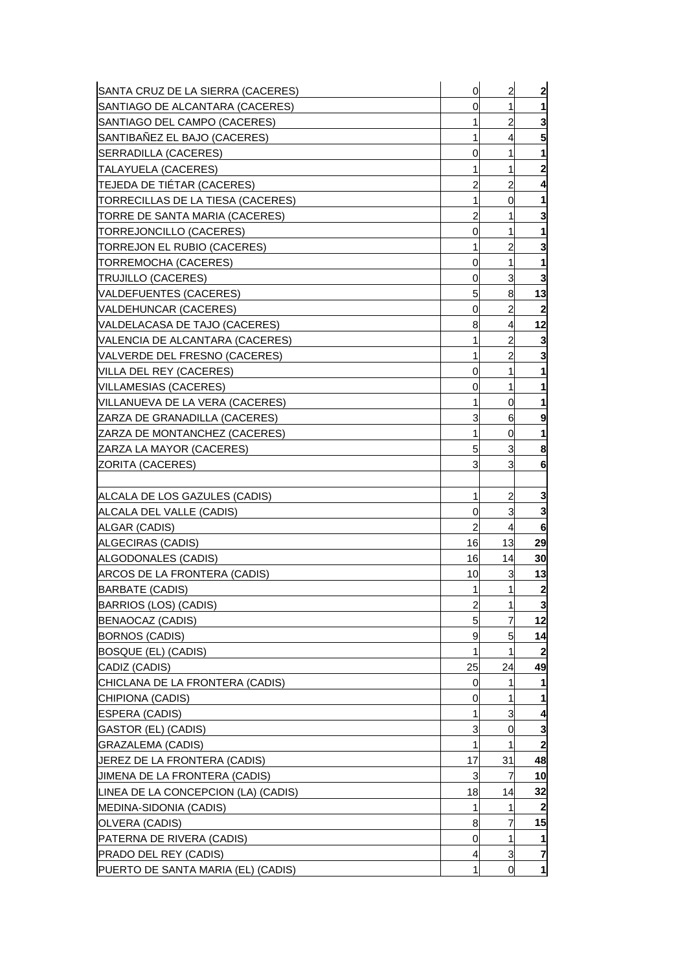| SANTA CRUZ DE LA SIERRA (CACERES)   | $\mathbf 0$    | $\overline{\mathbf{c}}$ | $\overline{\mathbf{c}}$ |
|-------------------------------------|----------------|-------------------------|-------------------------|
| SANTIAGO DE ALCANTARA (CACERES)     | 0              | 1                       | 1                       |
| SANTIAGO DEL CAMPO (CACERES)        | 1              | $\overline{c}$          | 3                       |
| SANTIBAÑEZ EL BAJO (CACERES)        | 1              | 4                       | 5                       |
| SERRADILLA (CACERES)                | 0              | 1                       | 1                       |
| TALAYUELA (CACERES)                 | 1              | 1                       | $\overline{\mathbf{c}}$ |
| TEJEDA DE TIÉTAR (CACERES)          | 2              | $\overline{a}$          | 4                       |
| TORRECILLAS DE LA TIESA (CACERES)   | 1              | 0                       | 1                       |
| TORRE DE SANTA MARIA (CACERES)      | $\overline{a}$ | 1                       | 3                       |
| TORREJONCILLO (CACERES)             | 0              | 1                       | 1                       |
| TORREJON EL RUBIO (CACERES)         | 1              | $\overline{a}$          | 3                       |
| TORREMOCHA (CACERES)                | 0              | 1                       | 1                       |
| TRUJILLO (CACERES)                  | 0              | 3                       | 3                       |
| VALDEFUENTES (CACERES)              | 5              | 8                       | 13                      |
| VALDEHUNCAR (CACERES)               | 0              | $\overline{a}$          |                         |
| VALDELACASA DE TAJO (CACERES)       | 8              | 4                       | 12                      |
| VALENCIA DE ALCANTARA (CACERES)     | 1              | $\overline{a}$          | 3                       |
| VALVERDE DEL FRESNO (CACERES)       | 1              | $\overline{c}$          | 3                       |
| VILLA DEL REY (CACERES)             | 0              | 1                       | 1                       |
| <b>VILLAMESIAS (CACERES)</b>        | 0              | 1                       | 1                       |
| VILLANUEVA DE LA VERA (CACERES)     | 1              | 0                       | 1                       |
| ZARZA DE GRANADILLA (CACERES)       | 3              | 6                       | 9                       |
| ZARZA DE MONTANCHEZ (CACERES)       | 1              | 0                       | 1                       |
| ZARZA LA MAYOR (CACERES)            | 5              | 3                       | 8                       |
| ZORITA (CACERES)                    | 3              | 3                       | 6                       |
|                                     |                |                         |                         |
| ALCALA DE LOS GAZULES (CADIS)       | $\mathbf{1}$   | $\overline{\mathbf{c}}$ | 3                       |
| ALCALA DEL VALLE (CADIS)            | 0              | 3                       | 3                       |
| ALGAR (CADIS)                       | $\overline{a}$ | $\overline{4}$          | 6                       |
| ALGECIRAS (CADIS)                   | 16             | 13                      | 29                      |
| ALGODONALES (CADIS)                 | 16             | 14                      | 30                      |
| ARCOS DE LA FRONTERA (CADIS)        | 10             | 3                       | 13                      |
| <b>BARBATE (CADIS)</b>              | 1              | 1                       | $\overline{\mathbf{c}}$ |
| BARRIOS (LOS) (CADIS)               | $\overline{a}$ | $\mathbf{1}$            | $\overline{\mathbf{3}}$ |
| BENAOCAZ (CADIS)                    | 5              | 7                       | 12                      |
| <b>BORNOS (CADIS)</b>               | 9              | 5                       | 14                      |
| <b>BOSQUE (EL) (CADIS)</b>          | 1              | 1                       | 2                       |
| CADIZ (CADIS)                       | 25             | 24                      | 49                      |
| CHICLANA DE LA FRONTERA (CADIS)     | 0              |                         |                         |
| CHIPIONA (CADIS)                    | 0              | 1                       | 1                       |
| ESPERA (CADIS)                      | 1              | 3                       | 4                       |
| GASTOR (EL) (CADIS)                 | 3              | 0                       | 3                       |
| GRAZALEMA (CADIS)                   | 1              |                         | $\mathbf{2}$            |
| JEREZ DE LA FRONTERA (CADIS)        | 17             | 31                      | 48                      |
| JIMENA DE LA FRONTERA (CADIS)       | 3              | 7                       | 10                      |
| LINEA DE LA CONCEPCION (LA) (CADIS) | 18             | 14                      | 32                      |
| MEDINA-SIDONIA (CADIS)              | 1              | 1                       | $\mathbf{2}$            |
| OLVERA (CADIS)                      | 8              | 7                       | 15                      |
| PATERNA DE RIVERA (CADIS)           | 0              | 1                       | 1                       |
| PRADO DEL REY (CADIS)               | 4              | 3                       | 7                       |
| PUERTO DE SANTA MARIA (EL) (CADIS)  | $\mathbf{1}$   | 0                       | $\mathbf{1}$            |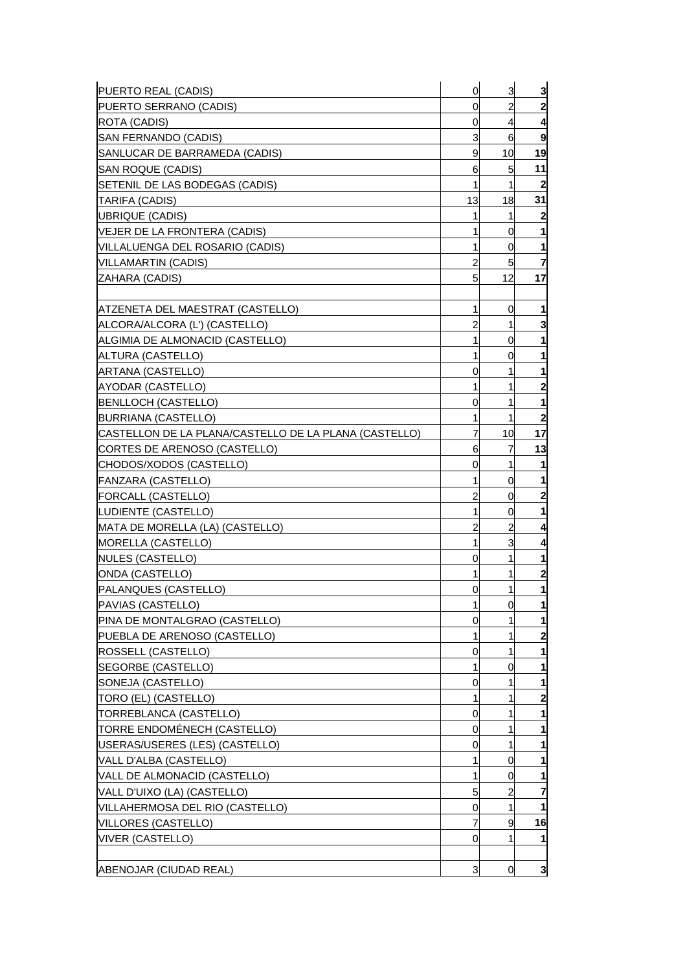| PUERTO REAL (CADIS)                                   | 0  | 3  | 3                |
|-------------------------------------------------------|----|----|------------------|
| PUERTO SERRANO (CADIS)                                | 0  | 2  | $\mathbf{2}$     |
| ROTA (CADIS)                                          | 0  | 4  | 4                |
| SAN FERNANDO (CADIS)                                  | 3  | 6  | 9                |
| SANLUCAR DE BARRAMEDA (CADIS)                         | 9  | 10 | 19               |
| SAN ROQUE (CADIS)                                     | 6  | 5  | 11               |
| SETENIL DE LAS BODEGAS (CADIS)                        | 1  | 1  | $\overline{2}$   |
| TARIFA (CADIS)                                        | 13 | 18 | 31               |
| UBRIQUE (CADIS)                                       | 1  | 1  | $\overline{2}$   |
| VEJER DE LA FRONTERA (CADIS)                          | 1  | 0  |                  |
| VILLALUENGA DEL ROSARIO (CADIS)                       | 1  | 0  | 1                |
| VILLAMARTIN (CADIS)                                   | 2  | 5  | 7                |
| ZAHARA (CADIS)                                        | 5  | 12 | 17               |
|                                                       |    |    |                  |
| ATZENETA DEL MAESTRAT (CASTELLO)                      | 1  | 0  | 1                |
| ALCORA/ALCORA (L') (CASTELLO)                         | 2  | 1  | 3                |
| ALGIMIA DE ALMONACID (CASTELLO)                       | 1  | 0  |                  |
| ALTURA (CASTELLO)                                     | 1  | 0  |                  |
| ARTANA (CASTELLO)                                     | 0  | 1  |                  |
| AYODAR (CASTELLO)                                     | 1  | 1  | 2                |
| <b>BENLLOCH (CASTELLO)</b>                            | 0  | 1  | 1                |
| <b>BURRIANA (CASTELLO)</b>                            | 1  | 1  | $\boldsymbol{2}$ |
| CASTELLON DE LA PLANA/CASTELLO DE LA PLANA (CASTELLO) | 7  | 10 | 17               |
| CORTES DE ARENOSO (CASTELLO)                          | 6  | 7  | 13               |
| CHODOS/XODOS (CASTELLO)                               | 0  | 1  | 1                |
| FANZARA (CASTELLO)                                    | 1  | 0  |                  |
| FORCALL (CASTELLO)                                    | 2  | 0  | $\mathbf{2}$     |
| LUDIENTE (CASTELLO)                                   | 1  | 0  |                  |
| MATA DE MORELLA (LA) (CASTELLO)                       | 2  | 2  | 4                |
| <b>MORELLA (CASTELLO)</b>                             | 1  | 3  | 4                |
| NULES (CASTELLO)                                      | 0  | 1  | 1                |
| ONDA (CASTELLO)                                       | 1  | 1  | $\mathbf{2}$     |
| PALANQUES (CASTELLO)                                  | 0  | 1  | 1                |
| PAVIAS (CASTELLO)                                     | 1  | 0  |                  |
| PINA DE MONTALGRAO (CASTELLO)                         | 0  |    | 1                |
| PUEBLA DE ARENOSO (CASTELLO)                          | 1  | 1  | 2                |
| ROSSELL (CASTELLO)                                    | 0  | 1  | 1                |
| SEGORBE (CASTELLO)                                    | 1  | 0  |                  |
| SONEJA (CASTELLO)                                     | 0  | 1  |                  |
| TORO (EL) (CASTELLO)                                  | 1  | 1  | 2                |
| TORREBLANCA (CASTELLO)                                | 0  | 1  |                  |
| TORRE ENDOMÉNECH (CASTELLO)                           | 0  | 1  |                  |
| USERAS/USERES (LES) (CASTELLO)                        | 0  | 1  | 1                |
| VALL D'ALBA (CASTELLO)                                | 1  | 0  |                  |
| VALL DE ALMONACID (CASTELLO)                          | 1  | 0  | 1                |
| VALL D'UIXO (LA) (CASTELLO)                           | 5  | 2  | 7                |
| VILLAHERMOSA DEL RIO (CASTELLO)                       | 0  | 1  |                  |
| <b>VILLORES (CASTELLO)</b>                            | 7  | 9  | 16               |
| <b>VIVER (CASTELLO)</b>                               | 0  | 1  | 1                |
|                                                       |    |    |                  |
| ABENOJAR (CIUDAD REAL)                                | 3  | 0  | 3                |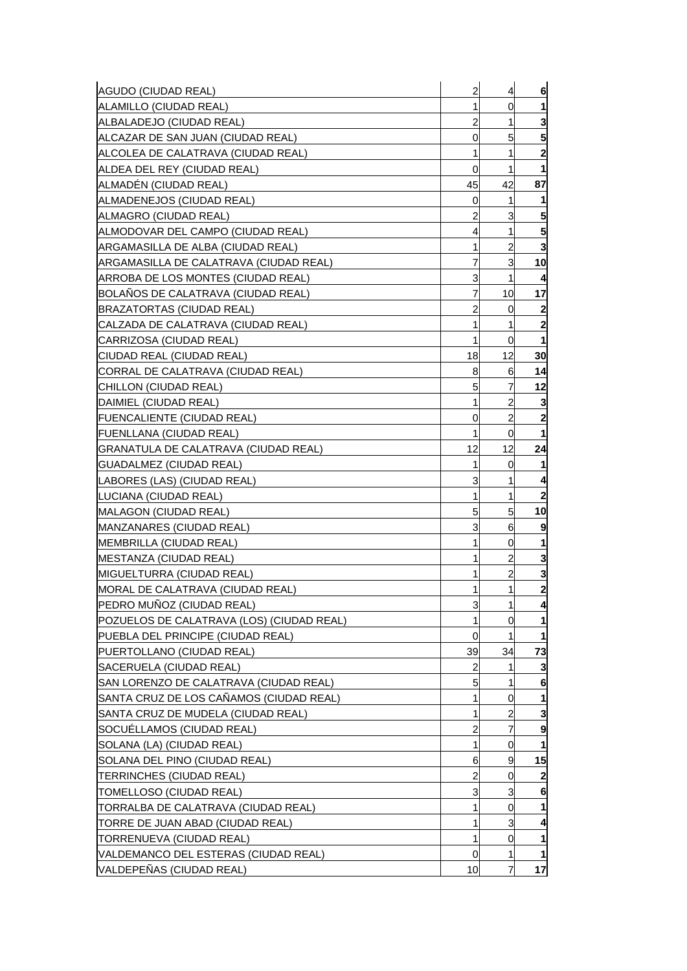| 1<br>0<br>1<br>3<br>2<br>1<br>5<br>5<br>0<br>1<br>1<br>2<br>0<br>1<br>1<br>42<br>ALMADÉN (CIUDAD REAL)<br>45<br>87<br> ALMADENEJOS (CIUDAD REAL)<br>0<br>1<br>1<br>$\overline{2}$<br>5<br>3<br>ALMAGRO (CIUDAD REAL)<br>5<br>ALMODOVAR DEL CAMPO (CIUDAD REAL)<br>4<br>1<br>3<br>1<br>$\overline{a}$<br>ARGAMASILLA DE ALBA (CIUDAD REAL)<br>7<br>3<br>10<br>ARGAMASILLA DE CALATRAVA (CIUDAD REAL)<br>3<br>1<br>ARROBA DE LOS MONTES (CIUDAD REAL)<br>4<br>$\overline{7}$<br>BOLANOS DE CALATRAVA (CIUDAD REAL)<br>10<br>17<br>2<br>$\overline{\mathbf{2}}$<br><b>BRAZATORTAS (CIUDAD REAL)</b><br>0<br>1<br>$\mathbf{2}$<br>CALZADA DE CALATRAVA (CIUDAD REAL)<br>1<br>1<br>1<br>CARRIZOSA (CIUDAD REAL)<br>0<br>12<br>30<br>CIUDAD REAL (CIUDAD REAL)<br>18<br>6<br>14<br>CORRAL DE CALATRAVA (CIUDAD REAL)<br>8<br>7<br>5<br>12<br>CHILLON (CIUDAD REAL)<br>1<br>$\overline{c}$<br>3<br> DAIMIEL (CIUDAD REAL)<br>$\overline{a}$<br>$\boldsymbol{2}$<br>FUENCALIENTE (CIUDAD REAL)<br>0<br>1<br>$\overline{0}$<br>1<br>FUENLLANA (CIUDAD REAL)<br>12<br>12<br>24<br>GRANATULA DE CALATRAVA (CIUDAD REAL)<br>1<br> GUADALMEZ (CIUDAD REAL)<br>0<br>-1<br>3<br>4<br><b>LABORES (LAS) (CIUDAD REAL)</b><br>1<br>1<br>1<br>$\overline{2}$<br>LUCIANA (CIUDAD REAL)<br>5<br>5<br>10<br> MALAGON (CIUDAD REAL)<br>3<br>6<br>9<br><b>MANZANARES (CIUDAD REAL)</b><br>1<br>1<br><b>IMEMBRILLA (CIUDAD REAL)</b><br>0<br>$\overline{a}$<br>3<br>1<br><b>IMESTANZA (CIUDAD REAL)</b><br>2<br>3<br><b>MIGUELTURRA (CIUDAD REAL)</b><br>1<br>$\overline{\mathbf{c}}$<br>1<br>1<br><b>IMORAL DE CALATRAVA (CIUDAD REAL)</b><br>PEDRO MUÑOZ (CIUDAD REAL)<br>3<br>$\mathbf{1}$<br>4<br>1<br>$\overline{0}$<br>1<br>POZUELOS DE CALATRAVA (LOS) (CIUDAD REAL)<br>PUEBLA DEL PRINCIPE (CIUDAD REAL)<br>0<br>1<br>1<br>PUERTOLLANO (CIUDAD REAL)<br>39<br>34<br>73<br>SACERUELA (CIUDAD REAL)<br>2<br>3<br>1<br>5<br>1<br>6<br>SAN LORENZO DE CALATRAVA (CIUDAD REAL)<br>SANTA CRUZ DE LOS CAÑAMOS (CIUDAD REAL)<br>1<br>0<br>1<br>2<br>SANTA CRUZ DE MUDELA (CIUDAD REAL)<br>3<br>SOCUÉLLAMOS (CIUDAD REAL)<br>$\overline{c}$<br>7<br>9<br>1<br>$\overline{0}$<br>1<br>SOLANA (LA) (CIUDAD REAL)<br>15<br>SOLANA DEL PINO (CIUDAD REAL)<br>9<br>6<br>TERRINCHES (CIUDAD REAL)<br>2<br>0<br>3<br>TOMELLOSO (CIUDAD REAL)<br>3<br>6<br>$\overline{0}$<br>1<br>1<br> TORRALBA DE CALATRAVA (CIUDAD REAL)<br>3<br>TORRE DE JUAN ABAD (CIUDAD REAL)<br>1<br>4<br>1<br>TORRENUEVA (CIUDAD REAL)<br>0<br>1<br>VALDEMANCO DEL ESTERAS (CIUDAD REAL)<br>0<br>1<br>1<br>7<br>10 | AGUDO (CIUDAD REAL)                | $\overline{c}$ | $\overline{\mathcal{A}}$ | 6 |
|-----------------------------------------------------------------------------------------------------------------------------------------------------------------------------------------------------------------------------------------------------------------------------------------------------------------------------------------------------------------------------------------------------------------------------------------------------------------------------------------------------------------------------------------------------------------------------------------------------------------------------------------------------------------------------------------------------------------------------------------------------------------------------------------------------------------------------------------------------------------------------------------------------------------------------------------------------------------------------------------------------------------------------------------------------------------------------------------------------------------------------------------------------------------------------------------------------------------------------------------------------------------------------------------------------------------------------------------------------------------------------------------------------------------------------------------------------------------------------------------------------------------------------------------------------------------------------------------------------------------------------------------------------------------------------------------------------------------------------------------------------------------------------------------------------------------------------------------------------------------------------------------------------------------------------------------------------------------------------------------------------------------------------------------------------------------------------------------------------------------------------------------------------------------------------------------------------------------------------------------------------------------------------------------------------------------------------------------------------------------------------------------------------------------------------------------------------------------------------------------------------------------------------------------------------------|------------------------------------|----------------|--------------------------|---|
| 17                                                                                                                                                                                                                                                                                                                                                                                                                                                                                                                                                                                                                                                                                                                                                                                                                                                                                                                                                                                                                                                                                                                                                                                                                                                                                                                                                                                                                                                                                                                                                                                                                                                                                                                                                                                                                                                                                                                                                                                                                                                                                                                                                                                                                                                                                                                                                                                                                                                                                                                                                        | ALAMILLO (CIUDAD REAL)             |                |                          |   |
|                                                                                                                                                                                                                                                                                                                                                                                                                                                                                                                                                                                                                                                                                                                                                                                                                                                                                                                                                                                                                                                                                                                                                                                                                                                                                                                                                                                                                                                                                                                                                                                                                                                                                                                                                                                                                                                                                                                                                                                                                                                                                                                                                                                                                                                                                                                                                                                                                                                                                                                                                           | ALBALADEJO (CIUDAD REAL)           |                |                          |   |
|                                                                                                                                                                                                                                                                                                                                                                                                                                                                                                                                                                                                                                                                                                                                                                                                                                                                                                                                                                                                                                                                                                                                                                                                                                                                                                                                                                                                                                                                                                                                                                                                                                                                                                                                                                                                                                                                                                                                                                                                                                                                                                                                                                                                                                                                                                                                                                                                                                                                                                                                                           | ALCAZAR DE SAN JUAN (CIUDAD REAL)  |                |                          |   |
|                                                                                                                                                                                                                                                                                                                                                                                                                                                                                                                                                                                                                                                                                                                                                                                                                                                                                                                                                                                                                                                                                                                                                                                                                                                                                                                                                                                                                                                                                                                                                                                                                                                                                                                                                                                                                                                                                                                                                                                                                                                                                                                                                                                                                                                                                                                                                                                                                                                                                                                                                           | ALCOLEA DE CALATRAVA (CIUDAD REAL) |                |                          |   |
|                                                                                                                                                                                                                                                                                                                                                                                                                                                                                                                                                                                                                                                                                                                                                                                                                                                                                                                                                                                                                                                                                                                                                                                                                                                                                                                                                                                                                                                                                                                                                                                                                                                                                                                                                                                                                                                                                                                                                                                                                                                                                                                                                                                                                                                                                                                                                                                                                                                                                                                                                           | ALDEA DEL REY (CIUDAD REAL)        |                |                          |   |
|                                                                                                                                                                                                                                                                                                                                                                                                                                                                                                                                                                                                                                                                                                                                                                                                                                                                                                                                                                                                                                                                                                                                                                                                                                                                                                                                                                                                                                                                                                                                                                                                                                                                                                                                                                                                                                                                                                                                                                                                                                                                                                                                                                                                                                                                                                                                                                                                                                                                                                                                                           |                                    |                |                          |   |
|                                                                                                                                                                                                                                                                                                                                                                                                                                                                                                                                                                                                                                                                                                                                                                                                                                                                                                                                                                                                                                                                                                                                                                                                                                                                                                                                                                                                                                                                                                                                                                                                                                                                                                                                                                                                                                                                                                                                                                                                                                                                                                                                                                                                                                                                                                                                                                                                                                                                                                                                                           |                                    |                |                          |   |
|                                                                                                                                                                                                                                                                                                                                                                                                                                                                                                                                                                                                                                                                                                                                                                                                                                                                                                                                                                                                                                                                                                                                                                                                                                                                                                                                                                                                                                                                                                                                                                                                                                                                                                                                                                                                                                                                                                                                                                                                                                                                                                                                                                                                                                                                                                                                                                                                                                                                                                                                                           |                                    |                |                          |   |
|                                                                                                                                                                                                                                                                                                                                                                                                                                                                                                                                                                                                                                                                                                                                                                                                                                                                                                                                                                                                                                                                                                                                                                                                                                                                                                                                                                                                                                                                                                                                                                                                                                                                                                                                                                                                                                                                                                                                                                                                                                                                                                                                                                                                                                                                                                                                                                                                                                                                                                                                                           |                                    |                |                          |   |
|                                                                                                                                                                                                                                                                                                                                                                                                                                                                                                                                                                                                                                                                                                                                                                                                                                                                                                                                                                                                                                                                                                                                                                                                                                                                                                                                                                                                                                                                                                                                                                                                                                                                                                                                                                                                                                                                                                                                                                                                                                                                                                                                                                                                                                                                                                                                                                                                                                                                                                                                                           |                                    |                |                          |   |
|                                                                                                                                                                                                                                                                                                                                                                                                                                                                                                                                                                                                                                                                                                                                                                                                                                                                                                                                                                                                                                                                                                                                                                                                                                                                                                                                                                                                                                                                                                                                                                                                                                                                                                                                                                                                                                                                                                                                                                                                                                                                                                                                                                                                                                                                                                                                                                                                                                                                                                                                                           |                                    |                |                          |   |
|                                                                                                                                                                                                                                                                                                                                                                                                                                                                                                                                                                                                                                                                                                                                                                                                                                                                                                                                                                                                                                                                                                                                                                                                                                                                                                                                                                                                                                                                                                                                                                                                                                                                                                                                                                                                                                                                                                                                                                                                                                                                                                                                                                                                                                                                                                                                                                                                                                                                                                                                                           |                                    |                |                          |   |
|                                                                                                                                                                                                                                                                                                                                                                                                                                                                                                                                                                                                                                                                                                                                                                                                                                                                                                                                                                                                                                                                                                                                                                                                                                                                                                                                                                                                                                                                                                                                                                                                                                                                                                                                                                                                                                                                                                                                                                                                                                                                                                                                                                                                                                                                                                                                                                                                                                                                                                                                                           |                                    |                |                          |   |
|                                                                                                                                                                                                                                                                                                                                                                                                                                                                                                                                                                                                                                                                                                                                                                                                                                                                                                                                                                                                                                                                                                                                                                                                                                                                                                                                                                                                                                                                                                                                                                                                                                                                                                                                                                                                                                                                                                                                                                                                                                                                                                                                                                                                                                                                                                                                                                                                                                                                                                                                                           |                                    |                |                          |   |
|                                                                                                                                                                                                                                                                                                                                                                                                                                                                                                                                                                                                                                                                                                                                                                                                                                                                                                                                                                                                                                                                                                                                                                                                                                                                                                                                                                                                                                                                                                                                                                                                                                                                                                                                                                                                                                                                                                                                                                                                                                                                                                                                                                                                                                                                                                                                                                                                                                                                                                                                                           |                                    |                |                          |   |
|                                                                                                                                                                                                                                                                                                                                                                                                                                                                                                                                                                                                                                                                                                                                                                                                                                                                                                                                                                                                                                                                                                                                                                                                                                                                                                                                                                                                                                                                                                                                                                                                                                                                                                                                                                                                                                                                                                                                                                                                                                                                                                                                                                                                                                                                                                                                                                                                                                                                                                                                                           |                                    |                |                          |   |
|                                                                                                                                                                                                                                                                                                                                                                                                                                                                                                                                                                                                                                                                                                                                                                                                                                                                                                                                                                                                                                                                                                                                                                                                                                                                                                                                                                                                                                                                                                                                                                                                                                                                                                                                                                                                                                                                                                                                                                                                                                                                                                                                                                                                                                                                                                                                                                                                                                                                                                                                                           |                                    |                |                          |   |
|                                                                                                                                                                                                                                                                                                                                                                                                                                                                                                                                                                                                                                                                                                                                                                                                                                                                                                                                                                                                                                                                                                                                                                                                                                                                                                                                                                                                                                                                                                                                                                                                                                                                                                                                                                                                                                                                                                                                                                                                                                                                                                                                                                                                                                                                                                                                                                                                                                                                                                                                                           |                                    |                |                          |   |
|                                                                                                                                                                                                                                                                                                                                                                                                                                                                                                                                                                                                                                                                                                                                                                                                                                                                                                                                                                                                                                                                                                                                                                                                                                                                                                                                                                                                                                                                                                                                                                                                                                                                                                                                                                                                                                                                                                                                                                                                                                                                                                                                                                                                                                                                                                                                                                                                                                                                                                                                                           |                                    |                |                          |   |
|                                                                                                                                                                                                                                                                                                                                                                                                                                                                                                                                                                                                                                                                                                                                                                                                                                                                                                                                                                                                                                                                                                                                                                                                                                                                                                                                                                                                                                                                                                                                                                                                                                                                                                                                                                                                                                                                                                                                                                                                                                                                                                                                                                                                                                                                                                                                                                                                                                                                                                                                                           |                                    |                |                          |   |
|                                                                                                                                                                                                                                                                                                                                                                                                                                                                                                                                                                                                                                                                                                                                                                                                                                                                                                                                                                                                                                                                                                                                                                                                                                                                                                                                                                                                                                                                                                                                                                                                                                                                                                                                                                                                                                                                                                                                                                                                                                                                                                                                                                                                                                                                                                                                                                                                                                                                                                                                                           |                                    |                |                          |   |
|                                                                                                                                                                                                                                                                                                                                                                                                                                                                                                                                                                                                                                                                                                                                                                                                                                                                                                                                                                                                                                                                                                                                                                                                                                                                                                                                                                                                                                                                                                                                                                                                                                                                                                                                                                                                                                                                                                                                                                                                                                                                                                                                                                                                                                                                                                                                                                                                                                                                                                                                                           |                                    |                |                          |   |
|                                                                                                                                                                                                                                                                                                                                                                                                                                                                                                                                                                                                                                                                                                                                                                                                                                                                                                                                                                                                                                                                                                                                                                                                                                                                                                                                                                                                                                                                                                                                                                                                                                                                                                                                                                                                                                                                                                                                                                                                                                                                                                                                                                                                                                                                                                                                                                                                                                                                                                                                                           |                                    |                |                          |   |
|                                                                                                                                                                                                                                                                                                                                                                                                                                                                                                                                                                                                                                                                                                                                                                                                                                                                                                                                                                                                                                                                                                                                                                                                                                                                                                                                                                                                                                                                                                                                                                                                                                                                                                                                                                                                                                                                                                                                                                                                                                                                                                                                                                                                                                                                                                                                                                                                                                                                                                                                                           |                                    |                |                          |   |
|                                                                                                                                                                                                                                                                                                                                                                                                                                                                                                                                                                                                                                                                                                                                                                                                                                                                                                                                                                                                                                                                                                                                                                                                                                                                                                                                                                                                                                                                                                                                                                                                                                                                                                                                                                                                                                                                                                                                                                                                                                                                                                                                                                                                                                                                                                                                                                                                                                                                                                                                                           |                                    |                |                          |   |
|                                                                                                                                                                                                                                                                                                                                                                                                                                                                                                                                                                                                                                                                                                                                                                                                                                                                                                                                                                                                                                                                                                                                                                                                                                                                                                                                                                                                                                                                                                                                                                                                                                                                                                                                                                                                                                                                                                                                                                                                                                                                                                                                                                                                                                                                                                                                                                                                                                                                                                                                                           |                                    |                |                          |   |
|                                                                                                                                                                                                                                                                                                                                                                                                                                                                                                                                                                                                                                                                                                                                                                                                                                                                                                                                                                                                                                                                                                                                                                                                                                                                                                                                                                                                                                                                                                                                                                                                                                                                                                                                                                                                                                                                                                                                                                                                                                                                                                                                                                                                                                                                                                                                                                                                                                                                                                                                                           |                                    |                |                          |   |
|                                                                                                                                                                                                                                                                                                                                                                                                                                                                                                                                                                                                                                                                                                                                                                                                                                                                                                                                                                                                                                                                                                                                                                                                                                                                                                                                                                                                                                                                                                                                                                                                                                                                                                                                                                                                                                                                                                                                                                                                                                                                                                                                                                                                                                                                                                                                                                                                                                                                                                                                                           |                                    |                |                          |   |
|                                                                                                                                                                                                                                                                                                                                                                                                                                                                                                                                                                                                                                                                                                                                                                                                                                                                                                                                                                                                                                                                                                                                                                                                                                                                                                                                                                                                                                                                                                                                                                                                                                                                                                                                                                                                                                                                                                                                                                                                                                                                                                                                                                                                                                                                                                                                                                                                                                                                                                                                                           |                                    |                |                          |   |
|                                                                                                                                                                                                                                                                                                                                                                                                                                                                                                                                                                                                                                                                                                                                                                                                                                                                                                                                                                                                                                                                                                                                                                                                                                                                                                                                                                                                                                                                                                                                                                                                                                                                                                                                                                                                                                                                                                                                                                                                                                                                                                                                                                                                                                                                                                                                                                                                                                                                                                                                                           |                                    |                |                          |   |
|                                                                                                                                                                                                                                                                                                                                                                                                                                                                                                                                                                                                                                                                                                                                                                                                                                                                                                                                                                                                                                                                                                                                                                                                                                                                                                                                                                                                                                                                                                                                                                                                                                                                                                                                                                                                                                                                                                                                                                                                                                                                                                                                                                                                                                                                                                                                                                                                                                                                                                                                                           |                                    |                |                          |   |
|                                                                                                                                                                                                                                                                                                                                                                                                                                                                                                                                                                                                                                                                                                                                                                                                                                                                                                                                                                                                                                                                                                                                                                                                                                                                                                                                                                                                                                                                                                                                                                                                                                                                                                                                                                                                                                                                                                                                                                                                                                                                                                                                                                                                                                                                                                                                                                                                                                                                                                                                                           |                                    |                |                          |   |
|                                                                                                                                                                                                                                                                                                                                                                                                                                                                                                                                                                                                                                                                                                                                                                                                                                                                                                                                                                                                                                                                                                                                                                                                                                                                                                                                                                                                                                                                                                                                                                                                                                                                                                                                                                                                                                                                                                                                                                                                                                                                                                                                                                                                                                                                                                                                                                                                                                                                                                                                                           |                                    |                |                          |   |
|                                                                                                                                                                                                                                                                                                                                                                                                                                                                                                                                                                                                                                                                                                                                                                                                                                                                                                                                                                                                                                                                                                                                                                                                                                                                                                                                                                                                                                                                                                                                                                                                                                                                                                                                                                                                                                                                                                                                                                                                                                                                                                                                                                                                                                                                                                                                                                                                                                                                                                                                                           |                                    |                |                          |   |
|                                                                                                                                                                                                                                                                                                                                                                                                                                                                                                                                                                                                                                                                                                                                                                                                                                                                                                                                                                                                                                                                                                                                                                                                                                                                                                                                                                                                                                                                                                                                                                                                                                                                                                                                                                                                                                                                                                                                                                                                                                                                                                                                                                                                                                                                                                                                                                                                                                                                                                                                                           |                                    |                |                          |   |
|                                                                                                                                                                                                                                                                                                                                                                                                                                                                                                                                                                                                                                                                                                                                                                                                                                                                                                                                                                                                                                                                                                                                                                                                                                                                                                                                                                                                                                                                                                                                                                                                                                                                                                                                                                                                                                                                                                                                                                                                                                                                                                                                                                                                                                                                                                                                                                                                                                                                                                                                                           |                                    |                |                          |   |
|                                                                                                                                                                                                                                                                                                                                                                                                                                                                                                                                                                                                                                                                                                                                                                                                                                                                                                                                                                                                                                                                                                                                                                                                                                                                                                                                                                                                                                                                                                                                                                                                                                                                                                                                                                                                                                                                                                                                                                                                                                                                                                                                                                                                                                                                                                                                                                                                                                                                                                                                                           |                                    |                |                          |   |
|                                                                                                                                                                                                                                                                                                                                                                                                                                                                                                                                                                                                                                                                                                                                                                                                                                                                                                                                                                                                                                                                                                                                                                                                                                                                                                                                                                                                                                                                                                                                                                                                                                                                                                                                                                                                                                                                                                                                                                                                                                                                                                                                                                                                                                                                                                                                                                                                                                                                                                                                                           |                                    |                |                          |   |
|                                                                                                                                                                                                                                                                                                                                                                                                                                                                                                                                                                                                                                                                                                                                                                                                                                                                                                                                                                                                                                                                                                                                                                                                                                                                                                                                                                                                                                                                                                                                                                                                                                                                                                                                                                                                                                                                                                                                                                                                                                                                                                                                                                                                                                                                                                                                                                                                                                                                                                                                                           |                                    |                |                          |   |
|                                                                                                                                                                                                                                                                                                                                                                                                                                                                                                                                                                                                                                                                                                                                                                                                                                                                                                                                                                                                                                                                                                                                                                                                                                                                                                                                                                                                                                                                                                                                                                                                                                                                                                                                                                                                                                                                                                                                                                                                                                                                                                                                                                                                                                                                                                                                                                                                                                                                                                                                                           |                                    |                |                          |   |
|                                                                                                                                                                                                                                                                                                                                                                                                                                                                                                                                                                                                                                                                                                                                                                                                                                                                                                                                                                                                                                                                                                                                                                                                                                                                                                                                                                                                                                                                                                                                                                                                                                                                                                                                                                                                                                                                                                                                                                                                                                                                                                                                                                                                                                                                                                                                                                                                                                                                                                                                                           |                                    |                |                          |   |
|                                                                                                                                                                                                                                                                                                                                                                                                                                                                                                                                                                                                                                                                                                                                                                                                                                                                                                                                                                                                                                                                                                                                                                                                                                                                                                                                                                                                                                                                                                                                                                                                                                                                                                                                                                                                                                                                                                                                                                                                                                                                                                                                                                                                                                                                                                                                                                                                                                                                                                                                                           |                                    |                |                          |   |
|                                                                                                                                                                                                                                                                                                                                                                                                                                                                                                                                                                                                                                                                                                                                                                                                                                                                                                                                                                                                                                                                                                                                                                                                                                                                                                                                                                                                                                                                                                                                                                                                                                                                                                                                                                                                                                                                                                                                                                                                                                                                                                                                                                                                                                                                                                                                                                                                                                                                                                                                                           |                                    |                |                          |   |
|                                                                                                                                                                                                                                                                                                                                                                                                                                                                                                                                                                                                                                                                                                                                                                                                                                                                                                                                                                                                                                                                                                                                                                                                                                                                                                                                                                                                                                                                                                                                                                                                                                                                                                                                                                                                                                                                                                                                                                                                                                                                                                                                                                                                                                                                                                                                                                                                                                                                                                                                                           |                                    |                |                          |   |
|                                                                                                                                                                                                                                                                                                                                                                                                                                                                                                                                                                                                                                                                                                                                                                                                                                                                                                                                                                                                                                                                                                                                                                                                                                                                                                                                                                                                                                                                                                                                                                                                                                                                                                                                                                                                                                                                                                                                                                                                                                                                                                                                                                                                                                                                                                                                                                                                                                                                                                                                                           |                                    |                |                          |   |
|                                                                                                                                                                                                                                                                                                                                                                                                                                                                                                                                                                                                                                                                                                                                                                                                                                                                                                                                                                                                                                                                                                                                                                                                                                                                                                                                                                                                                                                                                                                                                                                                                                                                                                                                                                                                                                                                                                                                                                                                                                                                                                                                                                                                                                                                                                                                                                                                                                                                                                                                                           |                                    |                |                          |   |
|                                                                                                                                                                                                                                                                                                                                                                                                                                                                                                                                                                                                                                                                                                                                                                                                                                                                                                                                                                                                                                                                                                                                                                                                                                                                                                                                                                                                                                                                                                                                                                                                                                                                                                                                                                                                                                                                                                                                                                                                                                                                                                                                                                                                                                                                                                                                                                                                                                                                                                                                                           |                                    |                |                          |   |
|                                                                                                                                                                                                                                                                                                                                                                                                                                                                                                                                                                                                                                                                                                                                                                                                                                                                                                                                                                                                                                                                                                                                                                                                                                                                                                                                                                                                                                                                                                                                                                                                                                                                                                                                                                                                                                                                                                                                                                                                                                                                                                                                                                                                                                                                                                                                                                                                                                                                                                                                                           |                                    |                |                          |   |
|                                                                                                                                                                                                                                                                                                                                                                                                                                                                                                                                                                                                                                                                                                                                                                                                                                                                                                                                                                                                                                                                                                                                                                                                                                                                                                                                                                                                                                                                                                                                                                                                                                                                                                                                                                                                                                                                                                                                                                                                                                                                                                                                                                                                                                                                                                                                                                                                                                                                                                                                                           |                                    |                |                          |   |
|                                                                                                                                                                                                                                                                                                                                                                                                                                                                                                                                                                                                                                                                                                                                                                                                                                                                                                                                                                                                                                                                                                                                                                                                                                                                                                                                                                                                                                                                                                                                                                                                                                                                                                                                                                                                                                                                                                                                                                                                                                                                                                                                                                                                                                                                                                                                                                                                                                                                                                                                                           | VALDEPEÑAS (CIUDAD REAL)           |                |                          |   |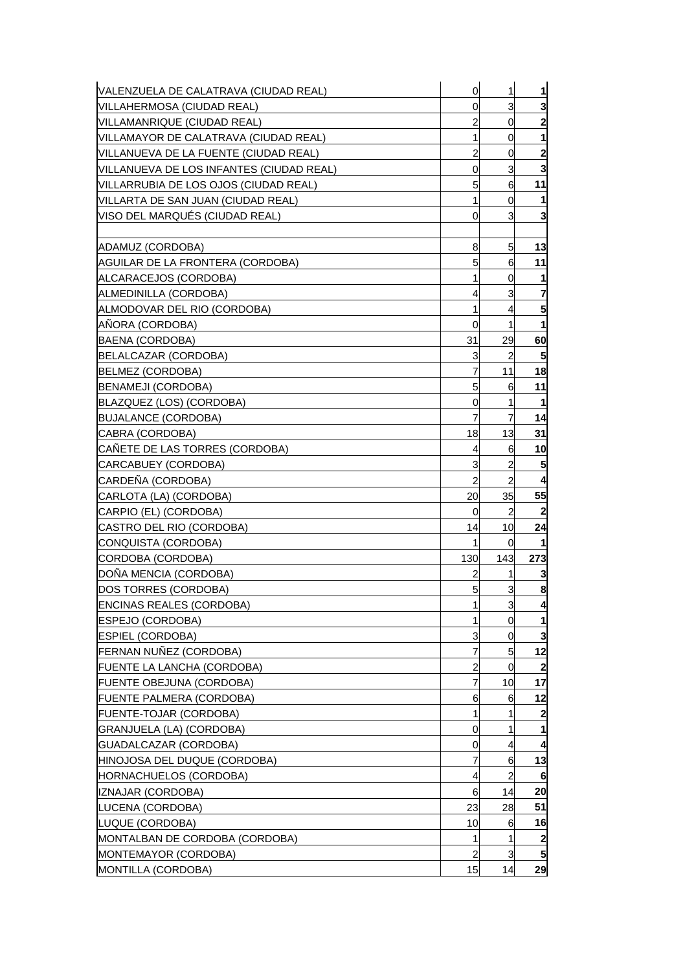| VALENZUELA DE CALATRAVA (CIUDAD REAL)    | $\mathbf 0$    | 1              | 1            |
|------------------------------------------|----------------|----------------|--------------|
| VILLAHERMOSA (CIUDAD REAL)               | 0              | 3              | 3            |
| VILLAMANRIQUE (CIUDAD REAL)              | 2              | 0              |              |
| VILLAMAYOR DE CALATRAVA (CIUDAD REAL)    | 1              | 0              | 1            |
| VILLANUEVA DE LA FUENTE (CIUDAD REAL)    | 2              | 0              | $\mathbf{2}$ |
| VILLANUEVA DE LOS INFANTES (CIUDAD REAL) | 0              | 3              | 3            |
| VILLARRUBIA DE LOS OJOS (CIUDAD REAL)    | 5              | 6              | 11           |
| VILLARTA DE SAN JUAN (CIUDAD REAL)       | 1              | 0              |              |
| VISO DEL MARQUÉS (CIUDAD REAL)           | 0              | 3              | 3            |
|                                          |                |                |              |
| ADAMUZ (CORDOBA)                         | 8              | 5              | 13           |
| AGUILAR DE LA FRONTERA (CORDOBA)         | 5              | 6              | 11           |
| ALCARACEJOS (CORDOBA)                    | 1              | 0              | 1            |
| ALMEDINILLA (CORDOBA)                    | 4              | 3              | 7            |
| ALMODOVAR DEL RIO (CORDOBA)              | 1              | 4              | 5            |
| ANORA (CORDOBA)                          | 0              | 1              |              |
| BAENA (CORDOBA)                          | 31             | 29             | 60           |
| BELALCAZAR (CORDOBA)                     | 3              | $\overline{c}$ | 5            |
| BELMEZ (CORDOBA)                         | 7              | 11             | 18           |
| BENAMEJI (CORDOBA)                       | 5              | 6              | 11           |
| BLAZQUEZ (LOS) (CORDOBA)                 | 0              | 1              | $\mathbf{1}$ |
| <b>BUJALANCE (CORDOBA)</b>               | 7              | 7              | 14           |
| CABRA (CORDOBA)                          | 18             | 13             | 31           |
| CAÑETE DE LAS TORRES (CORDOBA)           | 4              | 6              | 10           |
| CARCABUEY (CORDOBA)                      | 3              | $\overline{c}$ | 5            |
| CARDEÑA (CORDOBA)                        | $\overline{a}$ | $\overline{a}$ |              |
| CARLOTA (LA) (CORDOBA)                   | 20             | 35             | 55           |
| CARPIO (EL) (CORDOBA)                    | 0              | $\overline{a}$ | 2            |
| CASTRO DEL RIO (CORDOBA)                 | 14             | 10             | 24           |
| CONQUISTA (CORDOBA)                      | 1              | 0              |              |
| CORDOBA (CORDOBA)                        | 130            | 143            | 273          |
| DOÑA MENCIA (CORDOBA)                    | 2              | 1              | 3            |
| DOS TORRES (CORDOBA)                     | 5              | 3              | 8            |
| <b>ENCINAS REALES (CORDOBA)</b>          | 1              | 3              | 4            |
| ESPEJO (CORDOBA)                         | 1              | $\overline{0}$ | 1            |
| <b>ESPIEL (CORDOBA)</b>                  | 3              | 0              | 3            |
| FERNAN NUÑEZ (CORDOBA)                   | 7              | 5              | 12           |
| <b>FUENTE LA LANCHA (CORDOBA)</b>        | $\overline{c}$ | $\mathbf 0$    | 2            |
| <b>FUENTE OBEJUNA (CORDOBA)</b>          | 7              | 10             | 17           |
| <b>FUENTE PALMERA (CORDOBA)</b>          | 6              | 6              | 12           |
| <b>FUENTE-TOJAR (CORDOBA)</b>            | 1              | 1              | $\mathbf 2$  |
| GRANJUELA (LA) (CORDOBA)                 | 0              | 1              |              |
| GUADALCAZAR (CORDOBA)                    | 0              | 4              | 4            |
| HINOJOSA DEL DUQUE (CORDOBA)             | 7              | 6              | 13           |
| HORNACHUELOS (CORDOBA)                   | 4              | $\overline{c}$ | 6            |
| IZNAJAR (CORDOBA)                        | 6              | 14             | 20           |
| LUCENA (CORDOBA)                         | 23             | 28             | 51           |
| LUQUE (CORDOBA)                          | 10             | 6              | 16           |
| MONTALBAN DE CORDOBA (CORDOBA)           | 1              | 1              | $\mathbf{2}$ |
| MONTEMAYOR (CORDOBA)                     | 2              | 3              | 5            |
| MONTILLA (CORDOBA)                       | 15             | 14             | 29           |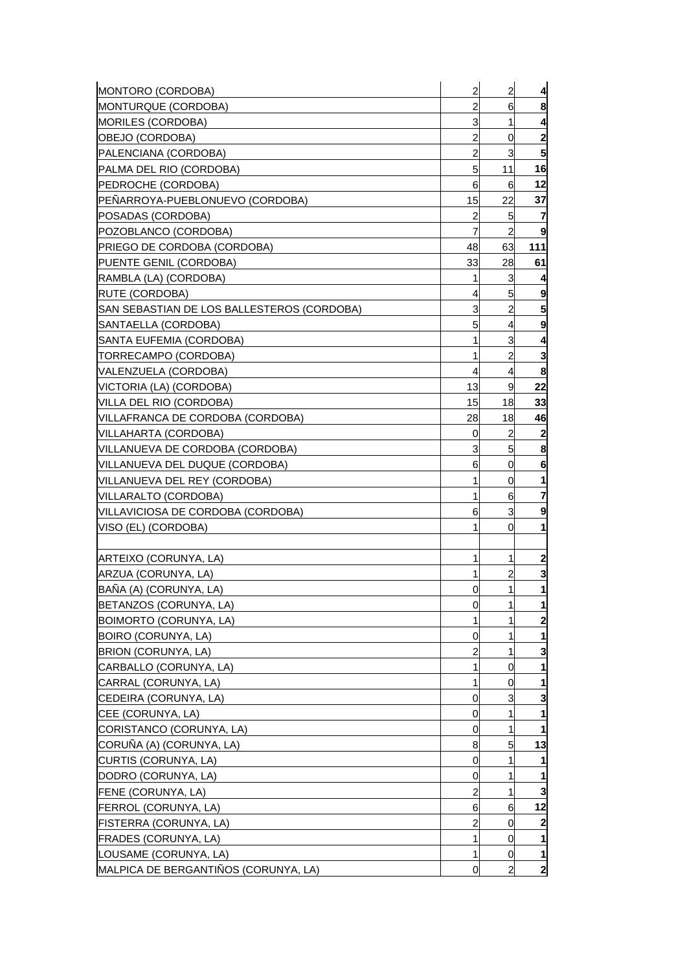| MONTORO (CORDOBA)                          | $\overline{a}$ | $\overline{a}$ | 4              |
|--------------------------------------------|----------------|----------------|----------------|
| MONTURQUE (CORDOBA)                        | 2              | 6              | 8              |
| <b>MORILES (CORDOBA)</b>                   | 3              | 1              | 4              |
| OBEJO (CORDOBA)                            | 2              | 0              | 2              |
| PALENCIANA (CORDOBA)                       | $\overline{a}$ | 3              | 5              |
| PALMA DEL RIO (CORDOBA)                    | 5              | 11             | 16             |
| PEDROCHE (CORDOBA)                         | 6              | 6              | 12             |
| PEÑARROYA-PUEBLONUEVO (CORDOBA)            | 15             | 22             | 37             |
| POSADAS (CORDOBA)                          | $\overline{a}$ | 5              | 7              |
| POZOBLANCO (CORDOBA)                       | $\overline{7}$ | $\overline{2}$ | 9              |
| PRIEGO DE CORDOBA (CORDOBA)                | 48             | 63             | 111            |
| PUENTE GENIL (CORDOBA)                     | 33             | 28             | 61             |
| RAMBLA (LA) (CORDOBA)                      | 1              | 3              | 4              |
| RUTE (CORDOBA)                             | 4              | 5              | 9              |
| SAN SEBASTIAN DE LOS BALLESTEROS (CORDOBA) | 3              | $\overline{2}$ | 5              |
| SANTAELLA (CORDOBA)                        | 5              | 4              | 9              |
| SANTA EUFEMIA (CORDOBA)                    | 1              | 3              | 4              |
| TORRECAMPO (CORDOBA)                       | 1              | $\overline{2}$ | 3              |
| VALENZUELA (CORDOBA)                       | 4              | 4              | 8              |
| VICTORIA (LA) (CORDOBA)                    | 13             | 9              | 22             |
| VILLA DEL RIO (CORDOBA)                    | 15             | 18             | 33             |
| VILLAFRANCA DE CORDOBA (CORDOBA)           | 28             | 18             | 46             |
| VILLAHARTA (CORDOBA)                       | 0              | 2              | 2              |
| VILLANUEVA DE CORDOBA (CORDOBA)            | 3              | 5              | 8              |
| VILLANUEVA DEL DUQUE (CORDOBA)             | 6              | 0              | 6              |
| VILLANUEVA DEL REY (CORDOBA)               | 1              | 0              |                |
| VILLARALTO (CORDOBA)                       | 1              | 6              | 7              |
| VILLAVICIOSA DE CORDOBA (CORDOBA)          | 6              | 3              | 9              |
| VISO (EL) (CORDOBA)                        | 1              | 0              | 1              |
|                                            |                |                |                |
| ARTEIXO (CORUNYA, LA)                      | 1              | 1              | $\mathbf{2}$   |
| ARZUA (CORUNYA, LA)                        | 1              | 2              | 3              |
| BAÑA (A) (CORUNYA, LA)                     | 0              | 1              | 1              |
| BETANZOS (CORUNYA, LA)                     | 0              | 1              | 1              |
| BOIMORTO (CORUNYA, LA)                     | 1              | 1              | $\overline{2}$ |
| BOIRO (CORUNYA, LA)                        | 0              | 1              |                |
| BRION (CORUNYA, LA)                        | 2              | 1              | 3              |
| CARBALLO (CORUNYA, LA)                     | 1              | 0              |                |
| CARRAL (CORUNYA, LA)                       | 1              | 0              |                |
| CEDEIRA (CORUNYA, LA)                      | 0              | 3              | 3              |
| CEE (CORUNYA, LA)                          | 0              | 1              |                |
| CORISTANCO (CORUNYA, LA)                   | 0              | 1              |                |
| CORUÑA (A) (CORUNYA, LA)                   | 8              | 5              | 13             |
| CURTIS (CORUNYA, LA)                       | 0              | 1              |                |
| DODRO (CORUNYA, LA)                        | 0              | 1              |                |
| FENE (CORUNYA, LA)                         | 2              | 1              | 3              |
| FERROL (CORUNYA, LA)                       | 6              | 6              | 12             |
| FISTERRA (CORUNYA, LA)                     | 2              | 0              | 2              |
| FRADES (CORUNYA, LA)                       | 1              | 0              |                |
| LOUSAME (CORUNYA, LA)                      | 1              | 0              | 1              |
| MALPICA DE BERGANTIÑOS (CORUNYA, LA)       | 0              | $\overline{2}$ | $\mathbf{2}$   |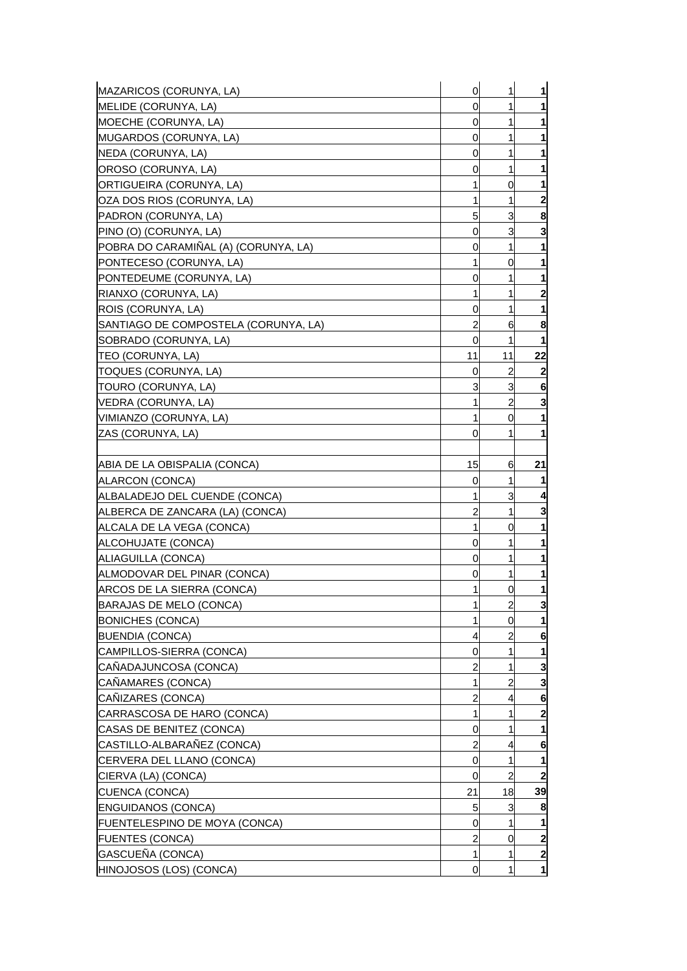| MAZARICOS (CORUNYA, LA)                          | $\overline{0}$ | 1              | $\mathbf{1}$                 |
|--------------------------------------------------|----------------|----------------|------------------------------|
| MELIDE (CORUNYA, LA)                             | 0              | 1              | 1                            |
| <b>MOECHE (CORUNYA, LA)</b>                      | 0              | 1              | 1                            |
| <b>IMUGARDOS (CORUNYA, LA)</b>                   | 0              | 1              | 1                            |
| NEDA (CORUNYA, LA)                               | 0              | 1              | 1                            |
| OROSO (CORUNYA, LA)                              | 0              | 1              | 1                            |
| ORTIGUEIRA (CORUNYA, LA)                         | 1              | 0              | 1                            |
| JOZA DOS RIOS (CORUNYA, LA)                      | 1              | 1              | $\mathbf{2}$                 |
| PADRON (CORUNYA, LA)                             | 5              | 3              | 8                            |
| PINO (O) (CORUNYA, LA)                           | 0              | 3              | 3                            |
| POBRA DO CARAMIÑAL (A) (CORUNYA, LA)             | 0              | 1              | 1                            |
| [PONTECESO (CORUNYA, LA)                         |                | 0              | 1                            |
| PONTEDEUME (CORUNYA, LA)                         | 0              |                | 1                            |
| RIANXO (CORUNYA, LA)                             | 1              | 1              | $\mathbf{2}$                 |
| ROIS (CORUNYA, LA)                               | 0              | 1              | $\mathbf{1}$                 |
| ISANTIAGO DE COMPOSTELA (CORUNYA, LA)            | 2              | 6              | 8                            |
| SOBRADO (CORUNYA, LA)                            | 0              | 1              | 1                            |
| TEO (CORUNYA, LA)                                | 11             | 11             | 22                           |
| TOQUES (CORUNYA, LA)                             | 0              | 2              | $\mathbf{2}$                 |
| <b>TOURO (CORUNYA, LA)</b>                       | 3              | 3              | 6                            |
| VEDRA (CORUNYA, LA)                              | 1              | $\overline{c}$ | 3                            |
| VIMIANZO (CORUNYA, LA)                           | 1              | 0              | $\mathbf{1}$                 |
| ZAS (CORUNYA, LA)                                | 0              |                | 1                            |
|                                                  |                |                |                              |
| IABIA DE LA OBISPALIA (CONCA)                    | 15             | 6              | 21                           |
| ALARCON (CONCA)                                  | 0              | 1              | 1                            |
| ALBALADEJO DEL CUENDE (CONCA)                    | 1              | 3              | 4                            |
| ALBERCA DE ZANCARA (LA) (CONCA)                  | 2              | 1              | 3                            |
| ALCALA DE LA VEGA (CONCA)                        | 1              | 0              | 1                            |
| ALCOHUJATE (CONCA)                               | 0              | 1              | 1                            |
| ALIAGUILLA (CONCA)                               | 0              | 1              | 1                            |
| ALMODOVAR DEL PINAR (CONCA)                      | 0              | 1              | 1                            |
| ARCOS DE LA SIERRA (CONCA)                       | 1              | 0              | 1                            |
| BARAJAS DE MELO (CONCA)                          | 1              | $\overline{a}$ | $\mathbf{3}$                 |
| <b>BONICHES (CONCA)</b>                          | 1              | 0              | $\mathbf{1}$                 |
| <b>BUENDIA (CONCA)</b>                           | 4              | 2              | 6                            |
| CAMPILLOS-SIERRA (CONCA)                         | 0              | 1              | 1                            |
| CAÑADAJUNCOSA (CONCA)                            | 2              |                | 3                            |
| CAÑAMARES (CONCA)                                | 1              | 2              | 3                            |
| CAÑIZARES (CONCA)                                | 2              | 4              | 6                            |
| CARRASCOSA DE HARO (CONCA)                       | 1              |                | $\mathbf{2}$                 |
| CASAS DE BENITEZ (CONCA)                         | 0              |                | 1                            |
| CASTILLO-ALBARAÑEZ (CONCA)                       | 2              | 4              | 6                            |
|                                                  | 0              | 1              |                              |
| CERVERA DEL LLANO (CONCA)<br>CIERVA (LA) (CONCA) | 0              | 2              | 1<br>$\overline{\mathbf{2}}$ |
| <b>CUENCA (CONCA)</b>                            | 21             | 18             | 39                           |
|                                                  | 5              |                |                              |
| <b>ENGUIDANOS (CONCA)</b>                        |                | 3<br>1         | 8                            |
| FUENTELESPINO DE MOYA (CONCA)                    | 0              |                | 1<br>$\overline{\mathbf{c}}$ |
| <b>FUENTES (CONCA)</b>                           | 2              | 0              |                              |
| GASCUEÑA (CONCA)                                 | 1              | 1              | $\mathbf{2}$                 |
| HINOJOSOS (LOS) (CONCA)                          | 0              | 1              | $\mathbf{1}$                 |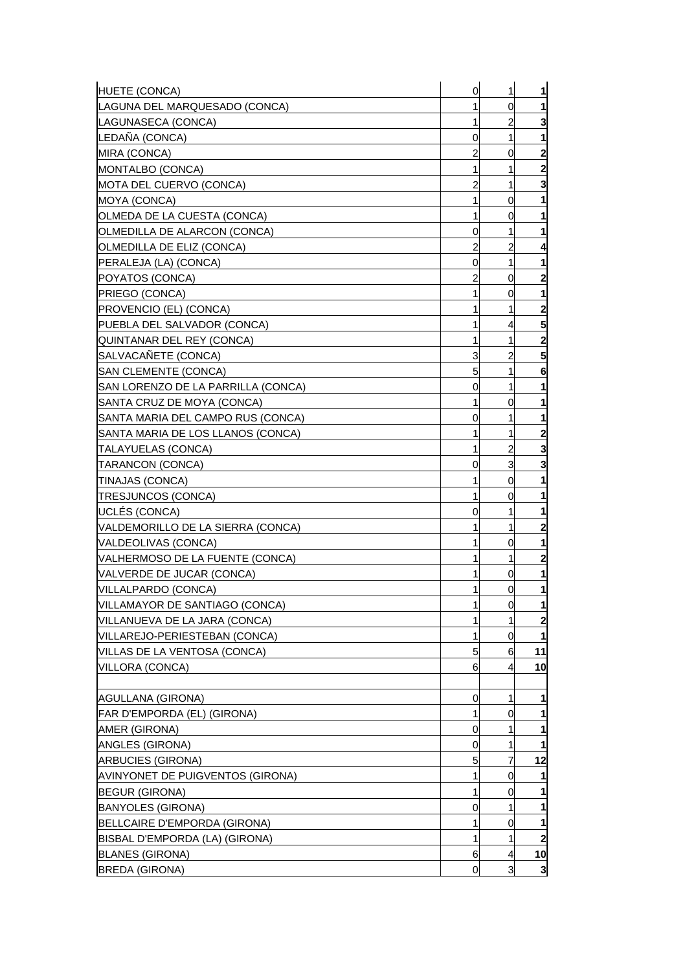| HUETE (CONCA)                                     | 0 | 1              | 1                       |
|---------------------------------------------------|---|----------------|-------------------------|
| LAGUNA DEL MARQUESADO (CONCA)                     | 1 | 0              | 1                       |
| LAGUNASECA (CONCA)                                | 1 | $\overline{c}$ | 3                       |
| LEDANA (CONCA)                                    | 0 | 1              | 1                       |
| MIRA (CONCA)                                      | 2 | 0              | $\overline{\mathbf{c}}$ |
| MONTALBO (CONCA)                                  | 1 | 1              | $\overline{\mathbf{2}}$ |
| MOTA DEL CUERVO (CONCA)                           | 2 | 1              | 3                       |
| MOYA (CONCA)                                      | 1 | 0              | 1                       |
| OLMEDA DE LA CUESTA (CONCA)                       | 1 | 0              | 1                       |
| OLMEDILLA DE ALARCON (CONCA)                      | 0 | 1              | 1                       |
| OLMEDILLA DE ELIZ (CONCA)                         | 2 | 2              | 4                       |
| PERALEJA (LA) (CONCA)                             | 0 | 1              |                         |
| POYATOS (CONCA)                                   | 2 | 0              | $\mathbf{2}$            |
| PRIEGO (CONCA)                                    | 1 | 0              | 1                       |
| PROVENCIO (EL) (CONCA)                            | 1 | 1              | $\overline{\mathbf{c}}$ |
| PUEBLA DEL SALVADOR (CONCA)                       | 1 | 4              | 5                       |
| QUINTANAR DEL REY (CONCA)                         | 1 | 1              | $\overline{2}$          |
| SALVACAÑETE (CONCA)                               | 3 | $\overline{a}$ | 5                       |
| <b>SAN CLEMENTE (CONCA)</b>                       | 5 | 1              | 6                       |
| SAN LORENZO DE LA PARRILLA (CONCA)                | 0 | 1              | 1                       |
| SANTA CRUZ DE MOYA (CONCA)                        | 1 | 0              | 1                       |
| SANTA MARIA DEL CAMPO RUS (CONCA)                 | 0 | 1              | 1                       |
| SANTA MARIA DE LOS LLANOS (CONCA)                 | 1 | 1              | $\overline{\mathbf{c}}$ |
| TALAYUELAS (CONCA)                                | 1 | 2              | 3                       |
| TARANCON (CONCA)                                  | 0 | 3              | 3                       |
| TINAJAS (CONCA)                                   | 1 | 0              |                         |
| TRESJUNCOS (CONCA)                                | 1 | 0              |                         |
| UCLÉS (CONCA)                                     | 0 | 1              | 1                       |
| VALDEMORILLO DE LA SIERRA (CONCA)                 | 1 | 1              | $\mathbf{2}$            |
| VALDEOLIVAS (CONCA)                               | 1 | 0              | 1                       |
| VALHERMOSO DE LA FUENTE (CONCA)                   | 1 | 1              | $\overline{\mathbf{c}}$ |
| VALVERDE DE JUCAR (CONCA)                         | 1 | 0              | 1                       |
| VILLALPARDO (CONCA)                               | 1 | $\overline{0}$ | 1                       |
| VILLAMAYOR DE SANTIAGO (CONCA)                    | 1 | 0              | 1                       |
| VILLANUEVA DE LA JARA (CONCA)                     | 1 | 1              | $\overline{\mathbf{c}}$ |
| VILLAREJO-PERIESTEBAN (CONCA)                     | 1 | 0              | 1                       |
| VILLAS DE LA VENTOSA (CONCA)                      | 5 | 6              | 11                      |
| VILLORA (CONCA)                                   | 6 | 4              | 10                      |
|                                                   |   |                |                         |
| AGULLANA (GIRONA)                                 | 0 | 1              | 1                       |
| FAR D'EMPORDA (EL) (GIRONA)                       | 1 | 0              | 1                       |
| AMER (GIRONA)                                     | 0 | 1              |                         |
| ANGLES (GIRONA)                                   | 0 | 1              | 1                       |
| <b>ARBUCIES (GIRONA)</b>                          | 5 | 7              | 12                      |
| AVINYONET DE PUIGVENTOS (GIRONA)                  | 1 | 0              | 1                       |
|                                                   | 1 |                |                         |
| <b>BEGUR (GIRONA)</b><br><b>BANYOLES (GIRONA)</b> |   | 0              | 1                       |
|                                                   | 0 | 1              |                         |
| BELLCAIRE D'EMPORDA (GIRONA)                      | 1 | 0              | 1                       |
| BISBAL D'EMPORDA (LA) (GIRONA)                    | 1 | 1              | $\overline{\mathbf{2}}$ |
| <b>BLANES (GIRONA)</b>                            | 6 | $\overline{4}$ | 10                      |
| <b>BREDA (GIRONA)</b>                             | 0 | 3              | $\mathbf{3}$            |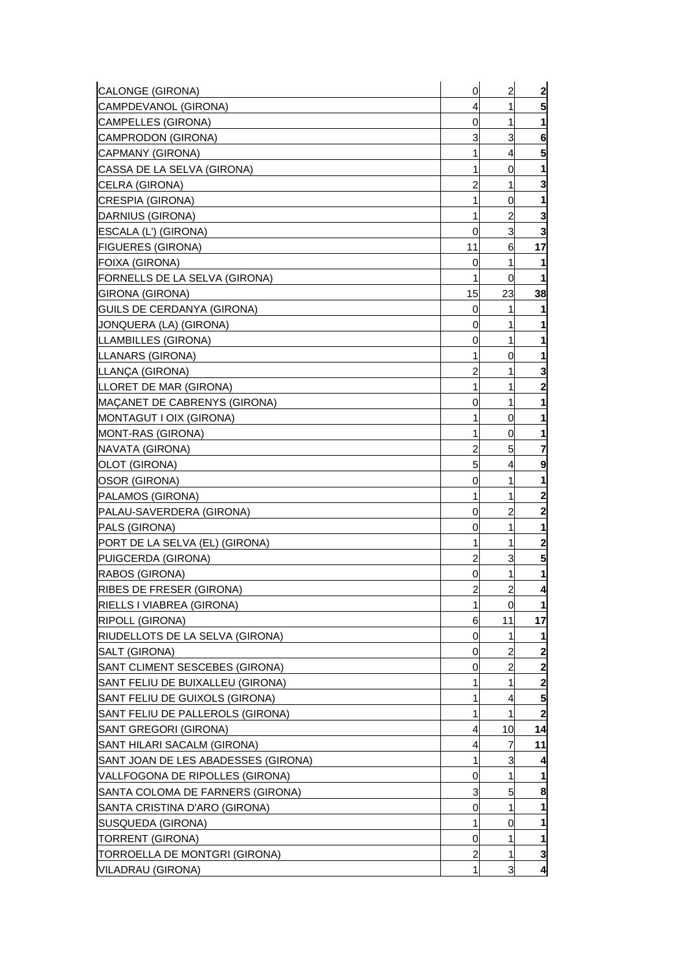| CALONGE (GIRONA)                    | 0              | $\overline{a}$ | $\mathbf{2}$   |
|-------------------------------------|----------------|----------------|----------------|
| CAMPDEVANOL (GIRONA)                | 4              | 1              | 5              |
| CAMPELLES (GIRONA)                  | 0              | 1              |                |
| CAMPRODON (GIRONA)                  | 3              | 3              | 6              |
| CAPMANY (GIRONA)                    | 1              | 4              | 5              |
| CASSA DE LA SELVA (GIRONA)          | 1              | 0              |                |
| CELRA (GIRONA)                      | 2              | 1              | 3              |
| CRESPIA (GIRONA)                    | 1              | 0              |                |
| DARNIUS (GIRONA)                    | 1              | 2              | З              |
| ESCALA (L') (GIRONA)                | 0              | 3              | 3              |
| <b>FIGUERES (GIRONA)</b>            | 11             | 6              | 17             |
| FOIXA (GIRONA)                      | 0              | 1              |                |
| FORNELLS DE LA SELVA (GIRONA)       | 1              | 0              | 1              |
| <b>GIRONA (GIRONA)</b>              | 15             | 23             | 38             |
| GUILS DE CERDANYA (GIRONA)          | 0              | 1              |                |
| JONQUERA (LA) (GIRONA)              | 0              | 1              |                |
| LLAMBILLES (GIRONA)                 | 0              | 1              | 1              |
| LLANARS (GIRONA)                    | 1              | 0              |                |
| LLANÇA (GIRONA)                     | 2              | 1              | 3              |
| LLORET DE MAR (GIRONA)              | 1              | 1              | 2              |
| MAÇANET DE CABRENYS (GIRONA)        | 0              | 1              |                |
| MONTAGUT I OIX (GIRONA)             | 1              | 0              |                |
| MONT-RAS (GIRONA)                   | 1              | 0              |                |
| NAVATA (GIRONA)                     | 2              | 5              | 7              |
| OLOT (GIRONA)                       | 5              | 4              | 9              |
| OSOR (GIRONA)                       | 0              | 1              |                |
| PALAMOS (GIRONA)                    | 1              | 1              | 2              |
| PALAU-SAVERDERA (GIRONA)            | 0              | 2              | 2              |
| PALS (GIRONA)                       | 0              | 1              |                |
| PORT DE LA SELVA (EL) (GIRONA)      | 1              | 1              | $\mathbf{2}$   |
| PUIGCERDA (GIRONA)                  | 2              | 3              | 5              |
| RABOS (GIRONA)                      | 0              | 1              |                |
| <b>RIBES DE FRESER (GIRONA)</b>     | $\overline{c}$ | $\overline{a}$ | 4              |
| RIELLS I VIABREA (GIRONA)           | 1              | $\mathbf 0$    | $\mathbf{1}$   |
| RIPOLL (GIRONA)                     | 6              | 11             | 17             |
| RIUDELLOTS DE LA SELVA (GIRONA)     | 0              | 1              |                |
| SALT (GIRONA)                       | 0              | 2              | $\mathbf{2}$   |
| SANT CLIMENT SESCEBES (GIRONA)      | 0              | 2              | $\overline{2}$ |
| SANT FELIU DE BUIXALLEU (GIRONA)    | 1              | 1              | 2              |
| SANT FELIU DE GUIXOLS (GIRONA)      | 1              | 4              | 5              |
| SANT FELIU DE PALLEROLS (GIRONA)    | 1              | 1              | $\overline{2}$ |
| SANT GREGORI (GIRONA)               | 4              | 10             | 14             |
| SANT HILARI SACALM (GIRONA)         | 4              | 7              | 11             |
| SANT JOAN DE LES ABADESSES (GIRONA) | 1              | 3              |                |
| VALLFOGONA DE RIPOLLES (GIRONA)     | 0              | 1              |                |
| SANTA COLOMA DE FARNERS (GIRONA)    | 3              | 5              | 8              |
| SANTA CRISTINA D'ARO (GIRONA)       | 0              | 1              |                |
| SUSQUEDA (GIRONA)                   | 1              | 0              |                |
| <b>TORRENT (GIRONA)</b>             | 0              | 1              | 1              |
| TORROELLA DE MONTGRI (GIRONA)       | 2              | 1              | 3              |
| VILADRAU (GIRONA)                   | 1              | 3              | 4              |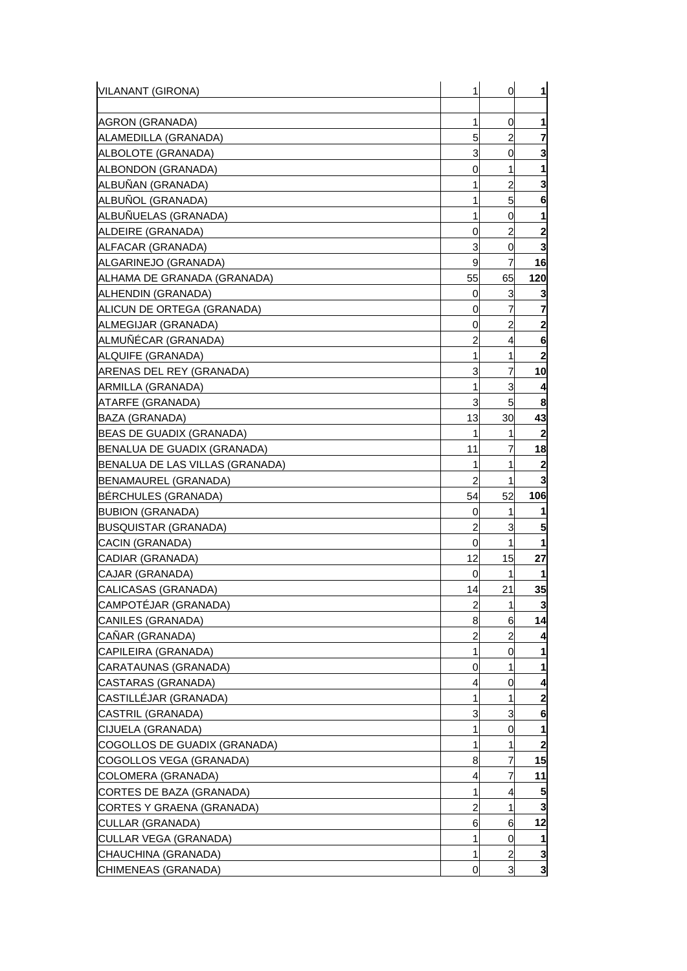| AGRON (GRANADA)<br>1<br>0<br>1<br>5<br>2<br>ALAMEDILLA (GRANADA)<br>7<br>3<br>ALBOLOTE (GRANADA)<br>0<br>3<br>ALBONDON (GRANADA)<br>0<br>1<br>$\overline{2}$<br>ALBUÑAN (GRANADA)<br>3<br>1<br>ALBUNOL (GRANADA)<br>5<br>1<br>6<br>ALBUÑUELAS (GRANADA)<br>1<br>0<br>1<br>$\overline{2}$<br>$\mathbf{2}$<br>ALDEIRE (GRANADA)<br>0<br>3<br>ALFACAR (GRANADA)<br>0<br>9<br>7<br>16<br>ALGARINEJO (GRANADA)<br>55<br>65<br>120<br>ALHAMA DE GRANADA (GRANADA)<br>ALHENDIN (GRANADA)<br>0<br>3<br>3<br>7<br>ALICUN DE ORTEGA (GRANADA)<br>0<br>2<br>2<br>ALMEGIJAR (GRANADA)<br>0<br>ALMUÑÉCAR (GRANADA)<br>2<br>4<br>6<br>$\mathbf{2}$<br>ALQUIFE (GRANADA)<br>1<br>1<br>7<br>10<br>3<br>ARENAS DEL REY (GRANADA)<br>3<br>ARMILLA (GRANADA)<br>1<br>3<br>5<br>8<br>ATARFE (GRANADA)<br>13<br>43<br>BAZA (GRANADA)<br>30<br>$\mathbf{2}$<br>BEAS DE GUADIX (GRANADA)<br>1<br>1<br>11<br>7<br>18<br>BENALUA DE GUADIX (GRANADA)<br>BENALUA DE LAS VILLAS (GRANADA)<br>1<br>1<br>2<br>$\overline{a}$<br>1<br>3<br>BENAMAUREL (GRANADA)<br>52<br>BÉRCHULES (GRANADA)<br>54<br>106<br><b>BUBION (GRANADA)</b><br>0<br>1<br>$\overline{c}$<br><b>BUSQUISTAR (GRANADA)</b><br>3<br>5<br>0<br>1<br>1<br>CACIN (GRANADA)<br>12<br>15<br>27<br>CADIAR (GRANADA)<br>CAJAR (GRANADA)<br>0<br>1<br>21<br>CALICASAS (GRANADA)<br>35<br>14<br>$\overline{a}$<br>3<br>CAMPOTÉJAR (GRANADA)<br>$\mathbf{1}$<br>14<br>CANILES (GRANADA)<br>8<br>6<br>CAÑAR (GRANADA)<br>2<br>2<br>CAPILEIRA (GRANADA)<br>1<br>0<br>CARATAUNAS (GRANADA)<br>0<br>1<br>CASTARAS (GRANADA)<br>0<br>4<br>CASTILLÉJAR (GRANADA)<br>2<br>1<br>1<br>CASTRIL (GRANADA)<br>3<br>3<br>6<br>CIJUELA (GRANADA)<br>1<br>0<br>COGOLLOS DE GUADIX (GRANADA)<br>$\overline{2}$<br>1<br>1<br>COGOLLOS VEGA (GRANADA)<br>8<br>7<br>15<br>7<br>11<br>COLOMERA (GRANADA)<br>4<br>CORTES DE BAZA (GRANADA)<br>1<br>4<br>2<br>1<br>CORTES Y GRAENA (GRANADA)<br>12<br>CULLAR (GRANADA)<br>6<br>6<br>CULLAR VEGA (GRANADA)<br>0<br>1<br>$\overline{2}$<br>CHAUCHINA (GRANADA)<br>3<br>1<br>$\overline{3}$<br>3<br>CHIMENEAS (GRANADA)<br>0 | VILANANT (GIRONA) | 1 | 0 | 1 |
|---------------------------------------------------------------------------------------------------------------------------------------------------------------------------------------------------------------------------------------------------------------------------------------------------------------------------------------------------------------------------------------------------------------------------------------------------------------------------------------------------------------------------------------------------------------------------------------------------------------------------------------------------------------------------------------------------------------------------------------------------------------------------------------------------------------------------------------------------------------------------------------------------------------------------------------------------------------------------------------------------------------------------------------------------------------------------------------------------------------------------------------------------------------------------------------------------------------------------------------------------------------------------------------------------------------------------------------------------------------------------------------------------------------------------------------------------------------------------------------------------------------------------------------------------------------------------------------------------------------------------------------------------------------------------------------------------------------------------------------------------------------------------------------------------------------------------------------------------------------------------------------------------------------------------------------------------------------------------------------------------------------------------------------------------------------------------------|-------------------|---|---|---|
|                                                                                                                                                                                                                                                                                                                                                                                                                                                                                                                                                                                                                                                                                                                                                                                                                                                                                                                                                                                                                                                                                                                                                                                                                                                                                                                                                                                                                                                                                                                                                                                                                                                                                                                                                                                                                                                                                                                                                                                                                                                                                 |                   |   |   |   |
|                                                                                                                                                                                                                                                                                                                                                                                                                                                                                                                                                                                                                                                                                                                                                                                                                                                                                                                                                                                                                                                                                                                                                                                                                                                                                                                                                                                                                                                                                                                                                                                                                                                                                                                                                                                                                                                                                                                                                                                                                                                                                 |                   |   |   |   |
|                                                                                                                                                                                                                                                                                                                                                                                                                                                                                                                                                                                                                                                                                                                                                                                                                                                                                                                                                                                                                                                                                                                                                                                                                                                                                                                                                                                                                                                                                                                                                                                                                                                                                                                                                                                                                                                                                                                                                                                                                                                                                 |                   |   |   |   |
|                                                                                                                                                                                                                                                                                                                                                                                                                                                                                                                                                                                                                                                                                                                                                                                                                                                                                                                                                                                                                                                                                                                                                                                                                                                                                                                                                                                                                                                                                                                                                                                                                                                                                                                                                                                                                                                                                                                                                                                                                                                                                 |                   |   |   |   |
|                                                                                                                                                                                                                                                                                                                                                                                                                                                                                                                                                                                                                                                                                                                                                                                                                                                                                                                                                                                                                                                                                                                                                                                                                                                                                                                                                                                                                                                                                                                                                                                                                                                                                                                                                                                                                                                                                                                                                                                                                                                                                 |                   |   |   |   |
|                                                                                                                                                                                                                                                                                                                                                                                                                                                                                                                                                                                                                                                                                                                                                                                                                                                                                                                                                                                                                                                                                                                                                                                                                                                                                                                                                                                                                                                                                                                                                                                                                                                                                                                                                                                                                                                                                                                                                                                                                                                                                 |                   |   |   |   |
|                                                                                                                                                                                                                                                                                                                                                                                                                                                                                                                                                                                                                                                                                                                                                                                                                                                                                                                                                                                                                                                                                                                                                                                                                                                                                                                                                                                                                                                                                                                                                                                                                                                                                                                                                                                                                                                                                                                                                                                                                                                                                 |                   |   |   |   |
|                                                                                                                                                                                                                                                                                                                                                                                                                                                                                                                                                                                                                                                                                                                                                                                                                                                                                                                                                                                                                                                                                                                                                                                                                                                                                                                                                                                                                                                                                                                                                                                                                                                                                                                                                                                                                                                                                                                                                                                                                                                                                 |                   |   |   |   |
|                                                                                                                                                                                                                                                                                                                                                                                                                                                                                                                                                                                                                                                                                                                                                                                                                                                                                                                                                                                                                                                                                                                                                                                                                                                                                                                                                                                                                                                                                                                                                                                                                                                                                                                                                                                                                                                                                                                                                                                                                                                                                 |                   |   |   |   |
|                                                                                                                                                                                                                                                                                                                                                                                                                                                                                                                                                                                                                                                                                                                                                                                                                                                                                                                                                                                                                                                                                                                                                                                                                                                                                                                                                                                                                                                                                                                                                                                                                                                                                                                                                                                                                                                                                                                                                                                                                                                                                 |                   |   |   |   |
|                                                                                                                                                                                                                                                                                                                                                                                                                                                                                                                                                                                                                                                                                                                                                                                                                                                                                                                                                                                                                                                                                                                                                                                                                                                                                                                                                                                                                                                                                                                                                                                                                                                                                                                                                                                                                                                                                                                                                                                                                                                                                 |                   |   |   |   |
|                                                                                                                                                                                                                                                                                                                                                                                                                                                                                                                                                                                                                                                                                                                                                                                                                                                                                                                                                                                                                                                                                                                                                                                                                                                                                                                                                                                                                                                                                                                                                                                                                                                                                                                                                                                                                                                                                                                                                                                                                                                                                 |                   |   |   |   |
|                                                                                                                                                                                                                                                                                                                                                                                                                                                                                                                                                                                                                                                                                                                                                                                                                                                                                                                                                                                                                                                                                                                                                                                                                                                                                                                                                                                                                                                                                                                                                                                                                                                                                                                                                                                                                                                                                                                                                                                                                                                                                 |                   |   |   |   |
|                                                                                                                                                                                                                                                                                                                                                                                                                                                                                                                                                                                                                                                                                                                                                                                                                                                                                                                                                                                                                                                                                                                                                                                                                                                                                                                                                                                                                                                                                                                                                                                                                                                                                                                                                                                                                                                                                                                                                                                                                                                                                 |                   |   |   |   |
|                                                                                                                                                                                                                                                                                                                                                                                                                                                                                                                                                                                                                                                                                                                                                                                                                                                                                                                                                                                                                                                                                                                                                                                                                                                                                                                                                                                                                                                                                                                                                                                                                                                                                                                                                                                                                                                                                                                                                                                                                                                                                 |                   |   |   |   |
|                                                                                                                                                                                                                                                                                                                                                                                                                                                                                                                                                                                                                                                                                                                                                                                                                                                                                                                                                                                                                                                                                                                                                                                                                                                                                                                                                                                                                                                                                                                                                                                                                                                                                                                                                                                                                                                                                                                                                                                                                                                                                 |                   |   |   |   |
|                                                                                                                                                                                                                                                                                                                                                                                                                                                                                                                                                                                                                                                                                                                                                                                                                                                                                                                                                                                                                                                                                                                                                                                                                                                                                                                                                                                                                                                                                                                                                                                                                                                                                                                                                                                                                                                                                                                                                                                                                                                                                 |                   |   |   |   |
|                                                                                                                                                                                                                                                                                                                                                                                                                                                                                                                                                                                                                                                                                                                                                                                                                                                                                                                                                                                                                                                                                                                                                                                                                                                                                                                                                                                                                                                                                                                                                                                                                                                                                                                                                                                                                                                                                                                                                                                                                                                                                 |                   |   |   |   |
|                                                                                                                                                                                                                                                                                                                                                                                                                                                                                                                                                                                                                                                                                                                                                                                                                                                                                                                                                                                                                                                                                                                                                                                                                                                                                                                                                                                                                                                                                                                                                                                                                                                                                                                                                                                                                                                                                                                                                                                                                                                                                 |                   |   |   |   |
|                                                                                                                                                                                                                                                                                                                                                                                                                                                                                                                                                                                                                                                                                                                                                                                                                                                                                                                                                                                                                                                                                                                                                                                                                                                                                                                                                                                                                                                                                                                                                                                                                                                                                                                                                                                                                                                                                                                                                                                                                                                                                 |                   |   |   |   |
|                                                                                                                                                                                                                                                                                                                                                                                                                                                                                                                                                                                                                                                                                                                                                                                                                                                                                                                                                                                                                                                                                                                                                                                                                                                                                                                                                                                                                                                                                                                                                                                                                                                                                                                                                                                                                                                                                                                                                                                                                                                                                 |                   |   |   |   |
|                                                                                                                                                                                                                                                                                                                                                                                                                                                                                                                                                                                                                                                                                                                                                                                                                                                                                                                                                                                                                                                                                                                                                                                                                                                                                                                                                                                                                                                                                                                                                                                                                                                                                                                                                                                                                                                                                                                                                                                                                                                                                 |                   |   |   |   |
|                                                                                                                                                                                                                                                                                                                                                                                                                                                                                                                                                                                                                                                                                                                                                                                                                                                                                                                                                                                                                                                                                                                                                                                                                                                                                                                                                                                                                                                                                                                                                                                                                                                                                                                                                                                                                                                                                                                                                                                                                                                                                 |                   |   |   |   |
|                                                                                                                                                                                                                                                                                                                                                                                                                                                                                                                                                                                                                                                                                                                                                                                                                                                                                                                                                                                                                                                                                                                                                                                                                                                                                                                                                                                                                                                                                                                                                                                                                                                                                                                                                                                                                                                                                                                                                                                                                                                                                 |                   |   |   |   |
|                                                                                                                                                                                                                                                                                                                                                                                                                                                                                                                                                                                                                                                                                                                                                                                                                                                                                                                                                                                                                                                                                                                                                                                                                                                                                                                                                                                                                                                                                                                                                                                                                                                                                                                                                                                                                                                                                                                                                                                                                                                                                 |                   |   |   |   |
|                                                                                                                                                                                                                                                                                                                                                                                                                                                                                                                                                                                                                                                                                                                                                                                                                                                                                                                                                                                                                                                                                                                                                                                                                                                                                                                                                                                                                                                                                                                                                                                                                                                                                                                                                                                                                                                                                                                                                                                                                                                                                 |                   |   |   |   |
|                                                                                                                                                                                                                                                                                                                                                                                                                                                                                                                                                                                                                                                                                                                                                                                                                                                                                                                                                                                                                                                                                                                                                                                                                                                                                                                                                                                                                                                                                                                                                                                                                                                                                                                                                                                                                                                                                                                                                                                                                                                                                 |                   |   |   |   |
|                                                                                                                                                                                                                                                                                                                                                                                                                                                                                                                                                                                                                                                                                                                                                                                                                                                                                                                                                                                                                                                                                                                                                                                                                                                                                                                                                                                                                                                                                                                                                                                                                                                                                                                                                                                                                                                                                                                                                                                                                                                                                 |                   |   |   |   |
|                                                                                                                                                                                                                                                                                                                                                                                                                                                                                                                                                                                                                                                                                                                                                                                                                                                                                                                                                                                                                                                                                                                                                                                                                                                                                                                                                                                                                                                                                                                                                                                                                                                                                                                                                                                                                                                                                                                                                                                                                                                                                 |                   |   |   |   |
|                                                                                                                                                                                                                                                                                                                                                                                                                                                                                                                                                                                                                                                                                                                                                                                                                                                                                                                                                                                                                                                                                                                                                                                                                                                                                                                                                                                                                                                                                                                                                                                                                                                                                                                                                                                                                                                                                                                                                                                                                                                                                 |                   |   |   |   |
|                                                                                                                                                                                                                                                                                                                                                                                                                                                                                                                                                                                                                                                                                                                                                                                                                                                                                                                                                                                                                                                                                                                                                                                                                                                                                                                                                                                                                                                                                                                                                                                                                                                                                                                                                                                                                                                                                                                                                                                                                                                                                 |                   |   |   |   |
|                                                                                                                                                                                                                                                                                                                                                                                                                                                                                                                                                                                                                                                                                                                                                                                                                                                                                                                                                                                                                                                                                                                                                                                                                                                                                                                                                                                                                                                                                                                                                                                                                                                                                                                                                                                                                                                                                                                                                                                                                                                                                 |                   |   |   |   |
|                                                                                                                                                                                                                                                                                                                                                                                                                                                                                                                                                                                                                                                                                                                                                                                                                                                                                                                                                                                                                                                                                                                                                                                                                                                                                                                                                                                                                                                                                                                                                                                                                                                                                                                                                                                                                                                                                                                                                                                                                                                                                 |                   |   |   |   |
|                                                                                                                                                                                                                                                                                                                                                                                                                                                                                                                                                                                                                                                                                                                                                                                                                                                                                                                                                                                                                                                                                                                                                                                                                                                                                                                                                                                                                                                                                                                                                                                                                                                                                                                                                                                                                                                                                                                                                                                                                                                                                 |                   |   |   |   |
|                                                                                                                                                                                                                                                                                                                                                                                                                                                                                                                                                                                                                                                                                                                                                                                                                                                                                                                                                                                                                                                                                                                                                                                                                                                                                                                                                                                                                                                                                                                                                                                                                                                                                                                                                                                                                                                                                                                                                                                                                                                                                 |                   |   |   |   |
|                                                                                                                                                                                                                                                                                                                                                                                                                                                                                                                                                                                                                                                                                                                                                                                                                                                                                                                                                                                                                                                                                                                                                                                                                                                                                                                                                                                                                                                                                                                                                                                                                                                                                                                                                                                                                                                                                                                                                                                                                                                                                 |                   |   |   |   |
|                                                                                                                                                                                                                                                                                                                                                                                                                                                                                                                                                                                                                                                                                                                                                                                                                                                                                                                                                                                                                                                                                                                                                                                                                                                                                                                                                                                                                                                                                                                                                                                                                                                                                                                                                                                                                                                                                                                                                                                                                                                                                 |                   |   |   |   |
|                                                                                                                                                                                                                                                                                                                                                                                                                                                                                                                                                                                                                                                                                                                                                                                                                                                                                                                                                                                                                                                                                                                                                                                                                                                                                                                                                                                                                                                                                                                                                                                                                                                                                                                                                                                                                                                                                                                                                                                                                                                                                 |                   |   |   |   |
|                                                                                                                                                                                                                                                                                                                                                                                                                                                                                                                                                                                                                                                                                                                                                                                                                                                                                                                                                                                                                                                                                                                                                                                                                                                                                                                                                                                                                                                                                                                                                                                                                                                                                                                                                                                                                                                                                                                                                                                                                                                                                 |                   |   |   |   |
|                                                                                                                                                                                                                                                                                                                                                                                                                                                                                                                                                                                                                                                                                                                                                                                                                                                                                                                                                                                                                                                                                                                                                                                                                                                                                                                                                                                                                                                                                                                                                                                                                                                                                                                                                                                                                                                                                                                                                                                                                                                                                 |                   |   |   |   |
|                                                                                                                                                                                                                                                                                                                                                                                                                                                                                                                                                                                                                                                                                                                                                                                                                                                                                                                                                                                                                                                                                                                                                                                                                                                                                                                                                                                                                                                                                                                                                                                                                                                                                                                                                                                                                                                                                                                                                                                                                                                                                 |                   |   |   |   |
|                                                                                                                                                                                                                                                                                                                                                                                                                                                                                                                                                                                                                                                                                                                                                                                                                                                                                                                                                                                                                                                                                                                                                                                                                                                                                                                                                                                                                                                                                                                                                                                                                                                                                                                                                                                                                                                                                                                                                                                                                                                                                 |                   |   |   |   |
|                                                                                                                                                                                                                                                                                                                                                                                                                                                                                                                                                                                                                                                                                                                                                                                                                                                                                                                                                                                                                                                                                                                                                                                                                                                                                                                                                                                                                                                                                                                                                                                                                                                                                                                                                                                                                                                                                                                                                                                                                                                                                 |                   |   |   |   |
|                                                                                                                                                                                                                                                                                                                                                                                                                                                                                                                                                                                                                                                                                                                                                                                                                                                                                                                                                                                                                                                                                                                                                                                                                                                                                                                                                                                                                                                                                                                                                                                                                                                                                                                                                                                                                                                                                                                                                                                                                                                                                 |                   |   |   |   |
|                                                                                                                                                                                                                                                                                                                                                                                                                                                                                                                                                                                                                                                                                                                                                                                                                                                                                                                                                                                                                                                                                                                                                                                                                                                                                                                                                                                                                                                                                                                                                                                                                                                                                                                                                                                                                                                                                                                                                                                                                                                                                 |                   |   |   |   |
|                                                                                                                                                                                                                                                                                                                                                                                                                                                                                                                                                                                                                                                                                                                                                                                                                                                                                                                                                                                                                                                                                                                                                                                                                                                                                                                                                                                                                                                                                                                                                                                                                                                                                                                                                                                                                                                                                                                                                                                                                                                                                 |                   |   |   |   |
|                                                                                                                                                                                                                                                                                                                                                                                                                                                                                                                                                                                                                                                                                                                                                                                                                                                                                                                                                                                                                                                                                                                                                                                                                                                                                                                                                                                                                                                                                                                                                                                                                                                                                                                                                                                                                                                                                                                                                                                                                                                                                 |                   |   |   |   |
|                                                                                                                                                                                                                                                                                                                                                                                                                                                                                                                                                                                                                                                                                                                                                                                                                                                                                                                                                                                                                                                                                                                                                                                                                                                                                                                                                                                                                                                                                                                                                                                                                                                                                                                                                                                                                                                                                                                                                                                                                                                                                 |                   |   |   |   |
|                                                                                                                                                                                                                                                                                                                                                                                                                                                                                                                                                                                                                                                                                                                                                                                                                                                                                                                                                                                                                                                                                                                                                                                                                                                                                                                                                                                                                                                                                                                                                                                                                                                                                                                                                                                                                                                                                                                                                                                                                                                                                 |                   |   |   |   |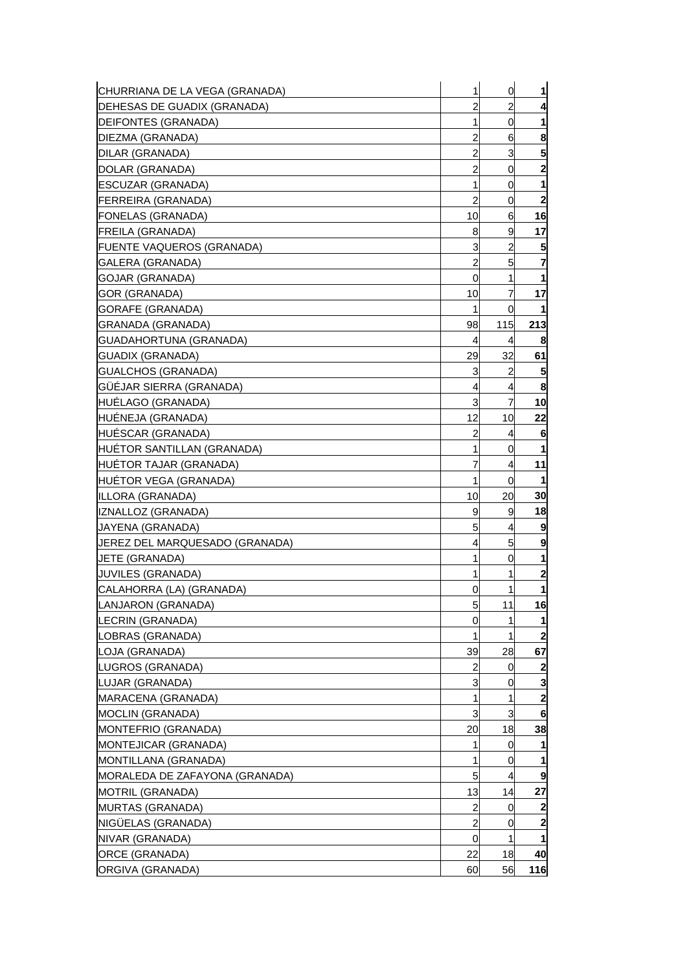| CHURRIANA DE LA VEGA (GRANADA) | $\mathbf{1}$   | $\overline{0}$          | 1                       |
|--------------------------------|----------------|-------------------------|-------------------------|
| DEHESAS DE GUADIX (GRANADA)    | $\overline{a}$ | $\overline{\mathbf{c}}$ | 4                       |
| DEIFONTES (GRANADA)            | $\mathbf{1}$   | $\overline{0}$          | 1                       |
| DIEZMA (GRANADA)               | 2              | 6                       | 8                       |
| DILAR (GRANADA)                | $\overline{c}$ | 3                       | 5                       |
| DOLAR (GRANADA)                | 2              | 0                       | $\overline{\mathbf{c}}$ |
| ESCUZAR (GRANADA)              | 1              | 0                       | 1                       |
| FERREIRA (GRANADA)             | 2              | 0                       | $\mathbf{2}$            |
| <b>FONELAS (GRANADA)</b>       | 10             | 6                       | 16                      |
| FREILA (GRANADA)               | 8              | 9                       | 17                      |
| FUENTE VAQUEROS (GRANADA)      | 3              | $\overline{c}$          | 5                       |
| GALERA (GRANADA)               | $\overline{a}$ | 5                       | 7                       |
| GOJAR (GRANADA)                | 0              | 1                       | 1                       |
| GOR (GRANADA)                  | 10             | $\overline{7}$          | 17                      |
| GORAFE (GRANADA)               | $\mathbf{1}$   | 0                       | $\mathbf{1}$            |
| GRANADA (GRANADA)              | 98             | 115                     | 213                     |
| GUADAHORTUNA (GRANADA)         | 4              | 4                       | 8                       |
| GUADIX (GRANADA)               | 29             | 32                      | 61                      |
| GUALCHOS (GRANADA)             | 3              | $\overline{2}$          | 5                       |
| GÜÉJAR SIERRA (GRANADA)        | 4              | 4                       | 8                       |
| <b>HUELAGO (GRANADA)</b>       | 3              | 7                       | 10                      |
| HUÉNEJA (GRANADA)              | 12             | 10                      | 22                      |
| HUESCAR (GRANADA)              | 2              | 4                       | 6                       |
| HUÉTOR SANTILLAN (GRANADA)     | 1              | 0                       | 1                       |
| <b>HUETOR TAJAR (GRANADA)</b>  | 7              | 4                       | 11                      |
| HUÉTOR VEGA (GRANADA)          | $\mathbf{1}$   | 0                       | 1                       |
| ILLORA (GRANADA)               | 10             | 20                      | 30                      |
| IZNALLOZ (GRANADA)             | 9              | 9                       | 18                      |
| JAYENA (GRANADA)               | 5              | 4                       | 9                       |
| JEREZ DEL MARQUESADO (GRANADA) | 4              | 5                       | 9                       |
| <b>JETE (GRANADA)</b>          | 1              | 0                       | $\mathbf{1}$            |
| <b>JUVILES (GRANADA)</b>       | 1              | 1                       | $\overline{\mathbf{c}}$ |
| CALAHORRA (LA) (GRANADA)       | 0              | 1                       | 1                       |
| LANJARON (GRANADA)             | 5              | 11                      | 16                      |
| LECRIN (GRANADA)               | 0              | 1                       | 1                       |
| LOBRAS (GRANADA)               | 1              | 1                       | $\boldsymbol{2}$        |
| LOJA (GRANADA)                 | 39             | 28                      | 67                      |
| LUGROS (GRANADA)               | 2              | 0                       | $\boldsymbol{2}$        |
| LUJAR (GRANADA)                | 3              | 0                       | 3                       |
| MARACENA (GRANADA)             | 1              | 1                       | $\mathbf{2}$            |
| MOCLIN (GRANADA)               | 3              | 3                       | 6                       |
| MONTEFRIO (GRANADA)            | 20             | 18                      | 38                      |
| MONTEJICAR (GRANADA)           | 1              | 0                       | 1                       |
| MONTILLANA (GRANADA)           | 1              | 0                       |                         |
| MORALEDA DE ZAFAYONA (GRANADA) | 5              | 4                       | 9                       |
| MOTRIL (GRANADA)               | 13             | 14                      | 27                      |
| MURTAS (GRANADA)               | 2              | 0                       | 2                       |
| NIGÜELAS (GRANADA)             | 2              | 0                       | $\mathbf{2}$            |
| NIVAR (GRANADA)                | 0              | 1                       | 1                       |
| ORCE (GRANADA)                 | 22             | 18                      | 40                      |
| ORGIVA (GRANADA)               | 60             | 56                      | 116                     |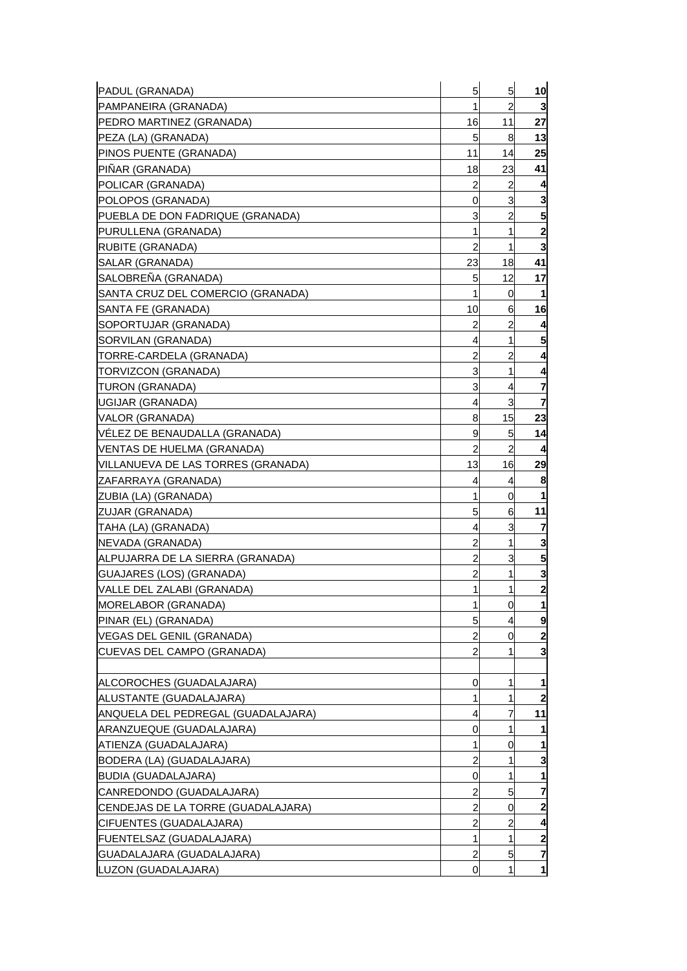| PADUL (GRANADA)                    | 5              | 5              | 10                      |
|------------------------------------|----------------|----------------|-------------------------|
| PAMPANEIRA (GRANADA)               | 1              | 2              | 3                       |
| PEDRO MARTINEZ (GRANADA)           | 16             | 11             | 27                      |
| PEZA (LA) (GRANADA)                | 5              | 8              | 13                      |
| PINOS PUENTE (GRANADA)             | 11             | 14             | 25                      |
| PIÑAR (GRANADA)                    | 18             | 23             | 41                      |
| POLICAR (GRANADA)                  | 2              | $\overline{c}$ | 4                       |
| POLOPOS (GRANADA)                  | 0              | 3              | 3                       |
| PUEBLA DE DON FADRIQUE (GRANADA)   | 3              | $\overline{c}$ | 5                       |
| PURULLENA (GRANADA)                | 1              | 1              | $\mathbf{2}$            |
| RUBITE (GRANADA)                   | 2              | 1              | 3                       |
| SALAR (GRANADA)                    | 23             | 18             | 41                      |
| SALOBREÑA (GRANADA)                | 5              | 12             | 17                      |
| SANTA CRUZ DEL COMERCIO (GRANADA)  | 1              | 0              | -1                      |
| SANTA FE (GRANADA)                 | 10             | 6              | 16                      |
| SOPORTUJAR (GRANADA)               | 2              | 2              | 4                       |
| SORVILAN (GRANADA)                 | 4              | 1              | 5                       |
| TORRE-CARDELA (GRANADA)            | 2              | 2              | 4                       |
| TORVIZCON (GRANADA)                | 3              | 1              |                         |
| TURON (GRANADA)                    | 3              | 4              | 7                       |
| UGIJAR (GRANADA)                   | 4              | 3              | 7                       |
| VALOR (GRANADA)                    | 8              | 15             | 23                      |
| VELEZ DE BENAUDALLA (GRANADA)      | 9              | 5              | 14                      |
| VENTAS DE HUELMA (GRANADA)         | 2              | $\overline{a}$ |                         |
| VILLANUEVA DE LAS TORRES (GRANADA) | 13             | 16             | 29                      |
| ZAFARRAYA (GRANADA)                | 4              | 4              | 8                       |
| ZUBIA (LA) (GRANADA)               | 1              | 0              |                         |
| ZUJAR (GRANADA)                    | 5              | 6              | 11                      |
| TAHA (LA) (GRANADA)                | 4              | 3              | 7                       |
| NEVADA (GRANADA)                   | 2              | 1              | 3                       |
| ALPUJARRA DE LA SIERRA (GRANADA)   | 2              | 3              | 5                       |
| GUAJARES (LOS) (GRANADA)           | 2              | 1              | 3                       |
| VALLE DEL ZALABI (GRANADA)         | 1              | 1              | $\overline{\mathbf{c}}$ |
| MORELABOR (GRANADA)                | 1              | 0              | 1                       |
| PINAR (EL) (GRANADA)               | 5              | 4              | 9                       |
| VEGAS DEL GENIL (GRANADA)          | 2              | 0              | $\mathbf{2}$            |
| CUEVAS DEL CAMPO (GRANADA)         | $\overline{2}$ | 1              | 3                       |
|                                    |                |                |                         |
| ALCOROCHES (GUADALAJARA)           | 0              | 1              |                         |
| ALUSTANTE (GUADALAJARA)            | 1              | 1              |                         |
| ANQUELA DEL PEDREGAL (GUADALAJARA) | 4              | 7              | 11                      |
| ARANZUEQUE (GUADALAJARA)           | 0              | 1              |                         |
| ATIENZA (GUADALAJARA)              | 1              | 0              |                         |
| BODERA (LA) (GUADALAJARA)          | 2              | 1              | 3                       |
| <b>BUDIA (GUADALAJARA)</b>         | 0              | 1              | 1                       |
| CANREDONDO (GUADALAJARA)           | 2              | 5              | 7                       |
| CENDEJAS DE LA TORRE (GUADALAJARA) | 2              | 0              |                         |
| CIFUENTES (GUADALAJARA)            | 2              | 2              |                         |
| FUENTELSAZ (GUADALAJARA)           | 1              | 1              | 2                       |
| GUADALAJARA (GUADALAJARA)          | $\overline{c}$ | 5              | 7                       |
| LUZON (GUADALAJARA)                | 0              | 1              | 1                       |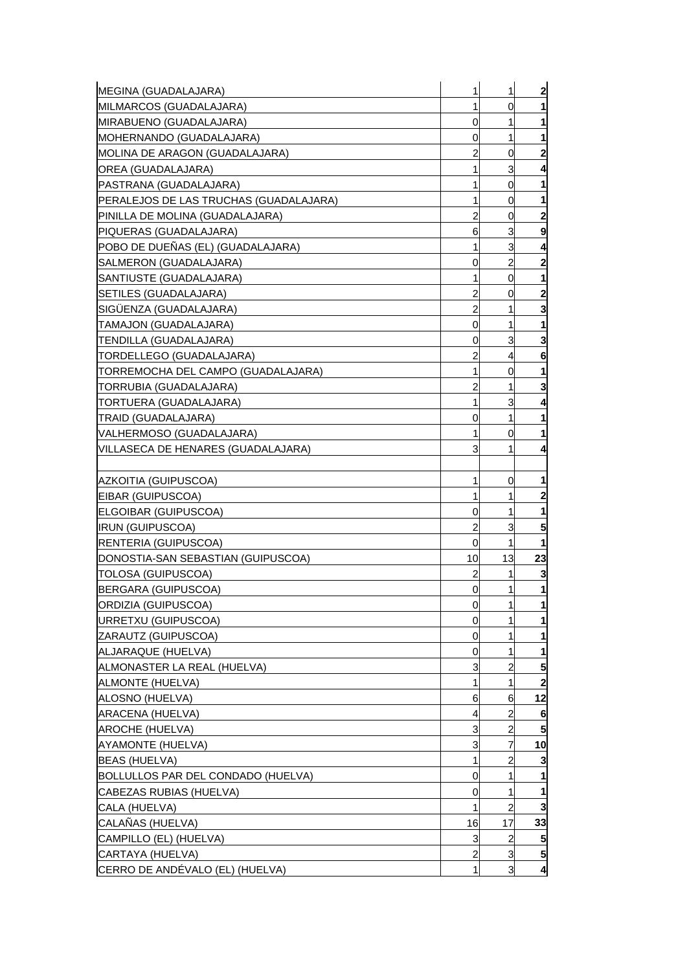| MEGINA (GUADALAJARA)                   | 1              | 1              | $\mathbf{2}$            |
|----------------------------------------|----------------|----------------|-------------------------|
| MILMARCOS (GUADALAJARA)                | 1              | 0              | 1                       |
| MIRABUENO (GUADALAJARA)                | 0              | 1              | 1                       |
| MOHERNANDO (GUADALAJARA)               | 0              | 1              | 1                       |
| MOLINA DE ARAGON (GUADALAJARA)         | 2              | 0              | $\overline{\mathbf{2}}$ |
| OREA (GUADALAJARA)                     | 1              | 3              | 4                       |
| PASTRANA (GUADALAJARA)                 | 1              | 0              | 1                       |
| PERALEJOS DE LAS TRUCHAS (GUADALAJARA) | 1              | 0              | 1                       |
| PINILLA DE MOLINA (GUADALAJARA)        | 2              | 0              | $\mathbf{2}$            |
| PIQUERAS (GUADALAJARA)                 | 6              | 3              | 9                       |
| POBO DE DUEÑAS (EL) (GUADALAJARA)      | 1              | 3              | 4                       |
| SALMERON (GUADALAJARA)                 | 0              | 2              | 2                       |
| SANTIUSTE (GUADALAJARA)                | 1              | 0              | 1                       |
| SETILES (GUADALAJARA)                  | 2              | 0              | $\mathbf{2}$            |
| SIGÜENZA (GUADALAJARA)                 | $\overline{a}$ | 1              | 3                       |
|                                        |                | 1              |                         |
| TAMAJON (GUADALAJARA)                  | 0              |                | 1                       |
| TENDILLA (GUADALAJARA)                 | 0              | 3              | 3                       |
| TORDELLEGO (GUADALAJARA)               | 2              | 4              | 6                       |
| TORREMOCHA DEL CAMPO (GUADALAJARA)     | 1              | 0              | 1                       |
| TORRUBIA (GUADALAJARA)                 | 2              | 1              | 3                       |
| TORTUERA (GUADALAJARA)                 | 1              | 3              | 4                       |
| TRAID (GUADALAJARA)                    | 0              | 1              | 1                       |
| VALHERMOSO (GUADALAJARA)               | 1              | 0              | 1                       |
| VILLASECA DE HENARES (GUADALAJARA)     | 3              | 1              | 4                       |
|                                        |                |                |                         |
| AZKOITIA (GUIPUSCOA)                   | 1              | 0              | 1                       |
| EIBAR (GUIPUSCOA)                      | 1              | 1              | $\overline{2}$          |
| ELGOIBAR (GUIPUSCOA)                   | 0              | 1              | 1                       |
| <b>IRUN (GUIPUSCOA)</b>                | $\overline{c}$ | 3              | 5                       |
| RENTERIA (GUIPUSCOA)                   | 0              | 1              | 1                       |
| DONOSTIA-SAN SEBASTIAN (GUIPUSCOA)     | 10             | 13             | 23                      |
| TOLOSA (GUIPUSCOA)                     | 2              | 1              | 3                       |
| BERGARA (GUIPUSCOA)                    | 0              | 1              | $\mathbf{1}$            |
| ORDIZIA (GUIPUSCOA)                    | $\overline{0}$ | 11             | $\mathbf{1}$            |
| URRETXU (GUIPUSCOA)                    | 0              |                | $\mathbf{1}$            |
| ZARAUTZ (GUIPUSCOA)                    | 0              | 1              | 1                       |
| ALJARAQUE (HUELVA)                     | 0              | 1              | 1                       |
| ALMONASTER LA REAL (HUELVA)            | 3              | 2              | 5                       |
| ALMONTE (HUELVA)                       |                | 1              | $\mathbf{2}$            |
| ALOSNO (HUELVA)                        | 6              | 6              | 12                      |
| ARACENA (HUELVA)                       | 4              | 2              | 6                       |
| <b>AROCHE (HUELVA)</b>                 | 3              | 2              | 5                       |
| AYAMONTE (HUELVA)                      | 3              | 7              | 10                      |
| <b>BEAS (HUELVA)</b>                   | 1              | 2              | 3                       |
| BOLLULLOS PAR DEL CONDADO (HUELVA)     | 0              | 1              | 1                       |
| CABEZAS RUBIAS (HUELVA)                | 0              | 1              | 1                       |
| CALA (HUELVA)                          |                | $\overline{2}$ | 3                       |
| CALAÑAS (HUELVA)                       | 16             | 17             | 33                      |
| CAMPILLO (EL) (HUELVA)                 | 3              | 2              | 5                       |
| CARTAYA (HUELVA)                       | $\overline{c}$ | 3              | $5\overline{)}$         |
| CERRO DE ANDÉVALO (EL) (HUELVA)        | 1              | 3              | 4                       |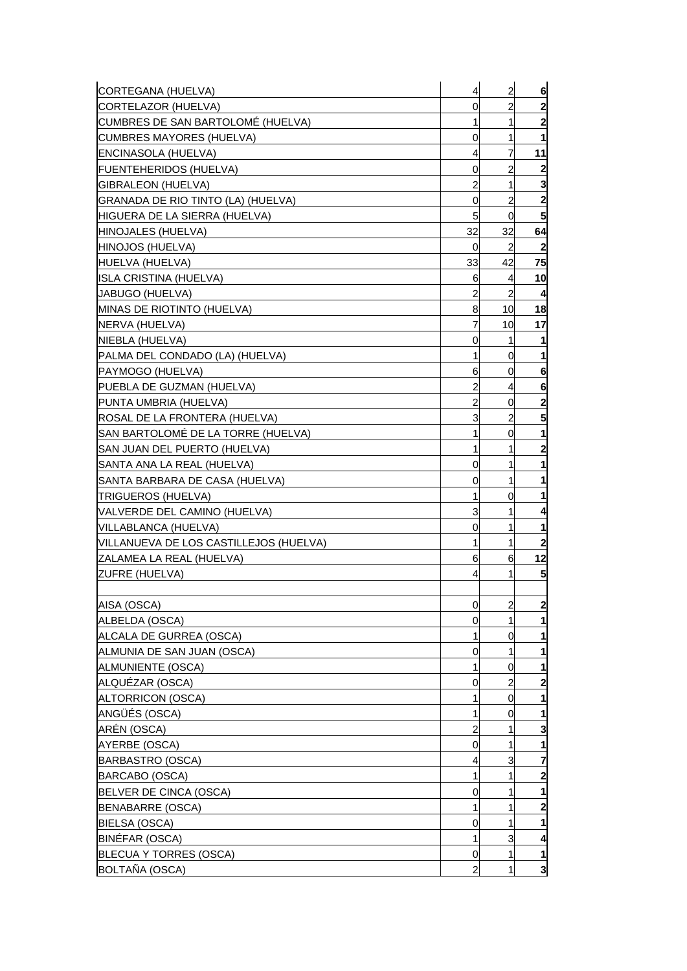| CORTEGANA (HUELVA)                     | 4  | $\overline{a}$ | 6                |
|----------------------------------------|----|----------------|------------------|
| CORTELAZOR (HUELVA)                    | 0  | 2              | $\mathbf{2}$     |
| CUMBRES DE SAN BARTOLOMÉ (HUELVA)      | 1  | 1              | 2                |
| <b>CUMBRES MAYORES (HUELVA)</b>        | 0  | 1              |                  |
| ENCINASOLA (HUELVA)                    | 4  | 7              | 11               |
| FUENTEHERIDOS (HUELVA)                 | 0  | 2              | $\boldsymbol{2}$ |
| GIBRALEON (HUELVA)                     | 2  | 1              | 3                |
| GRANADA DE RIO TINTO (LA) (HUELVA)     | 0  | 2              | 2                |
| HIGUERA DE LA SIERRA (HUELVA)          | 5  | 0              | 5                |
| HINOJALES (HUELVA)                     | 32 | 32             | 64               |
| HINOJOS (HUELVA)                       | 0  | 2              | 2                |
| HUELVA (HUELVA)                        | 33 | 42             | 75               |
| ISLA CRISTINA (HUELVA)                 | 6  | 4              | 10               |
| JABUGO (HUELVA)                        | 2  | 2              | 4                |
| MINAS DE RIOTINTO (HUELVA)             | 8  | 10             | 18               |
| NERVA (HUELVA)                         | 7  | 10             | 17               |
| NIEBLA (HUELVA)                        | 0  | 1              | 1                |
| PALMA DEL CONDADO (LA) (HUELVA)        | 1  | 0              |                  |
| PAYMOGO (HUELVA)                       | 6  | 0              | 6                |
| PUEBLA DE GUZMAN (HUELVA)              | 2  | 4              | 6                |
| PUNTA UMBRIA (HUELVA)                  | 2  | 0              | $\mathbf{2}$     |
| ROSAL DE LA FRONTERA (HUELVA)          | 3  | 2              | 5                |
| SAN BARTOLOMÉ DE LA TORRE (HUELVA)     | 1  | 0              | 1                |
| SAN JUAN DEL PUERTO (HUELVA)           | 1  | 1              | 2                |
| SANTA ANA LA REAL (HUELVA)             | 0  | 1              |                  |
| SANTA BARBARA DE CASA (HUELVA)         | 0  | 1              |                  |
| TRIGUEROS (HUELVA)                     | 1  | 0              |                  |
| VALVERDE DEL CAMINO (HUELVA)           | 3  | 1              |                  |
| VILLABLANCA (HUELVA)                   | 0  | 1              |                  |
| VILLANUEVA DE LOS CASTILLEJOS (HUELVA) | 1  | 1              | $\mathbf{2}$     |
| ZALAMEA LA REAL (HUELVA)               | 6  | 6              | 12               |
| ZUFRE (HUELVA)                         | 4  | 1              | 5                |
|                                        |    |                |                  |
| AISA (OSCA)                            | 0  | $\overline{2}$ | $\mathbf{2}$     |
| ALBELDA (OSCA)                         | 0  | 1              | 1                |
| ALCALA DE GURREA (OSCA)                | 1  | 0              |                  |
| ALMUNIA DE SAN JUAN (OSCA)             | 0  | 1              | 1                |
| ALMUNIENTE (OSCA)                      | 1  | 0              |                  |
| ALQUÉZAR (OSCA)                        | 0  | 2              | 2                |
| ALTORRICON (OSCA)                      | 1  | 0              |                  |
| ANGÜÉS (OSCA)                          | 1  | 0              | 1                |
| ARÉN (OSCA)                            | 2  | 1              | 3                |
| <b>AYERBE (OSCA)</b>                   | 0  | 1              | 1                |
| <b>BARBASTRO (OSCA)</b>                | 4  | 3              | 7                |
| BARCABO (OSCA)                         | 1  | 1              | $\overline{2}$   |
| BELVER DE CINCA (OSCA)                 | 0  | 1              |                  |
| <b>BENABARRE (OSCA)</b>                | 1  | 1              | 2                |
| BIELSA (OSCA)                          | 0  | 1              |                  |
| BINÉFAR (OSCA)                         | 1  | 3              | 4                |
| <b>BLECUA Y TORRES (OSCA)</b>          | 0  | 1              | 1                |
| BOLTAÑA (OSCA)                         | 2  | 1              | 3                |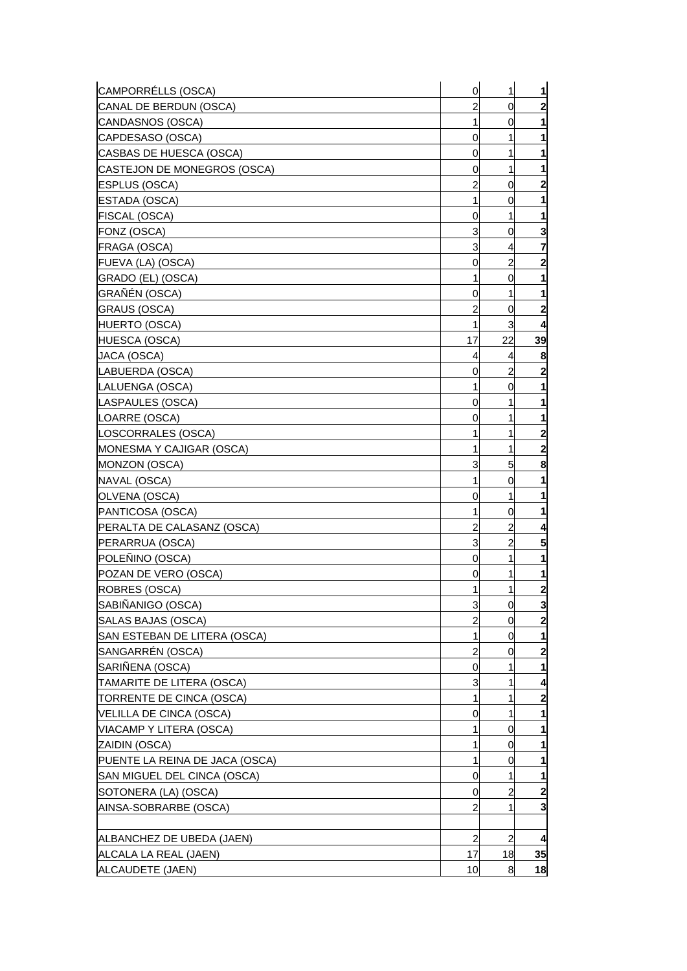| CAMPORRÉLLS (OSCA)             | 0              | 1              | 1                       |
|--------------------------------|----------------|----------------|-------------------------|
| CANAL DE BERDUN (OSCA)         | 2              | 0              | $\mathbf{2}$            |
| CANDASNOS (OSCA)               | 1              | 0              | 1                       |
| CAPDESASO (OSCA)               | 0              | 1              | 1                       |
| CASBAS DE HUESCA (OSCA)        | 0              | 1              | 1                       |
| CASTEJON DE MONEGROS (OSCA)    | 0              | 1              | 1                       |
| <b>ESPLUS (OSCA)</b>           | 2              | 0              | $\mathbf{2}$            |
| ESTADA (OSCA)                  | 1              | 0              | 1                       |
| FISCAL (OSCA)                  | 0              | 1              | 1                       |
| FONZ (OSCA)                    | 3              | 0              | 3                       |
| FRAGA (OSCA)                   | 3              | 4              | 7                       |
| FUEVA (LA) (OSCA)              | 0              | 2              | 2                       |
| GRADO (EL) (OSCA)              | 1              | 0              | 1                       |
| GRAÑÉN (OSCA)                  | 0              | 1              | 1                       |
| <b>GRAUS (OSCA)</b>            | 2              | 0              | $\overline{\mathbf{c}}$ |
| HUERTO (OSCA)                  | 1              | 3              | 4                       |
| HUESCA (OSCA)                  | 17             | 22             | 39                      |
| JACA (OSCA)                    | 4              | 4              | 8                       |
| LABUERDA (OSCA)                | 0              | 2              | 2                       |
| LALUENGA (OSCA)                | 1              | 0              | 1                       |
| LASPAULES (OSCA)               | 0              | 1              | 1                       |
| LOARRE (OSCA)                  | 0              | 1              | 1                       |
| LOSCORRALES (OSCA)             | 1              | 1              | $\mathbf{2}$            |
|                                | 1              |                |                         |
| MONESMA Y CAJIGAR (OSCA)       |                | 1              | 2                       |
| MONZON (OSCA)                  | 3              | 5              | 8                       |
| NAVAL (OSCA)                   | 1              | 0              | 1                       |
| OLVENA (OSCA)                  | 0              | 1              | 1                       |
| PANTICOSA (OSCA)               | 1              | 0              | 1                       |
| PERALTA DE CALASANZ (OSCA)     | 2              | 2              | 4                       |
| PERARRUA (OSCA)                | 3              | 2              | 5                       |
| POLEÑINO (OSCA)                | 0              | 1              | 1                       |
| POZAN DE VERO (OSCA)           | 0              | 1              | 1                       |
| ROBRES (OSCA)                  | 1              | 1              | $\mathbf{2}$            |
| SABIÑANIGO (OSCA)              | 3              | $\overline{0}$ | $\mathbf{3}$            |
| SALAS BAJAS (OSCA)             | $\overline{2}$ | 0              | $\mathbf{2}$            |
| SAN ESTEBAN DE LITERA (OSCA)   | 1              | 0              | 1                       |
| SANGARRÉN (OSCA)               | 2              | 0              | $\mathbf{2}$            |
| SARIÑENA (OSCA)                | 0              | 1              | 1                       |
| TAMARITE DE LITERA (OSCA)      | 3              |                | 4                       |
| TORRENTE DE CINCA (OSCA)       | 1              | 1              | $\mathbf{2}$            |
| VELILLA DE CINCA (OSCA)        | 0              | 1              | 1                       |
| VIACAMP Y LITERA (OSCA)        | 1              | 0              | 1                       |
| ZAIDIN (OSCA)                  | 1              | 0              | $\mathbf{1}$            |
| PUENTE LA REINA DE JACA (OSCA) | 1              | 0              | 1                       |
| SAN MIGUEL DEL CINCA (OSCA)    | 0              | 1              | 1                       |
| SOTONERA (LA) (OSCA)           | 0              | 2              | $\overline{2}$          |
| AINSA-SOBRARBE (OSCA)          | 2              | 1              | $\mathbf{3}$            |
|                                |                |                |                         |
| ALBANCHEZ DE UBEDA (JAEN)      | $\overline{2}$ | $\overline{2}$ | $\overline{\mathbf{A}}$ |
| ALCALA LA REAL (JAEN)          | 17             | 18             | 35                      |
| ALCAUDETE (JAEN)               | 10             | 8              | 18                      |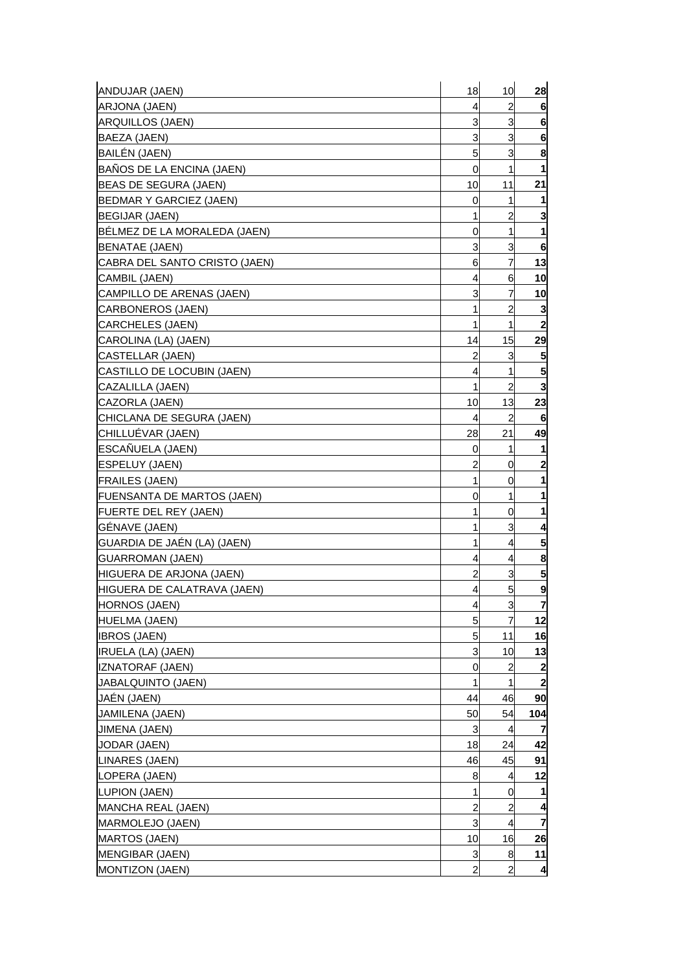| $\overline{c}$<br>ARJONA (JAEN)<br>4<br>6<br>3<br>$6\phantom{1}6$<br>3<br>ARQUILLOS (JAEN)<br>3<br>3<br>6<br>BAEZA (JAEN)<br>5<br>3<br>8<br>BAILÉN (JAEN)<br>BAÑOS DE LA ENCINA (JAEN)<br>0<br>1<br>$\mathbf{1}$<br>11<br>21<br>10<br>BEAS DE SEGURA (JAEN)<br><b>BEDMAR Y GARCIEZ (JAEN)</b><br>0<br>1<br>1<br>3<br>1<br>$\overline{c}$<br><b>BEGIJAR (JAEN)</b><br>BÉLMEZ DE LA MORALEDA (JAEN)<br>1<br>0<br>1<br>3<br>6<br>3<br>BENATAE (JAEN)<br>$\overline{7}$<br>13<br>6<br>CABRA DEL SANTO CRISTO (JAEN)<br>10<br>4<br>6<br>CAMBIL (JAEN)<br>7<br>3<br>CAMPILLO DE ARENAS (JAEN)<br>10<br>$\overline{2}$<br>1<br>3<br><b>CARBONEROS (JAEN)</b><br>1<br>$\overline{\mathbf{2}}$<br>1<br>CARCHELES (JAEN)<br>15<br>29<br>14<br>CAROLINA (LA) (JAEN)<br>3<br>5<br><b>CASTELLAR (JAEN)</b><br>2<br>5<br>1<br>CASTILLO DE LOCUBIN (JAEN)<br>4<br>$\overline{c}$<br>1<br>3<br>CAZALILLA (JAEN)<br>13<br>23<br>CAZORLA (JAEN)<br>10<br>$\overline{c}$<br>CHICLANA DE SEGURA (JAEN)<br>4<br>6<br>49<br>CHILLUÉVAR (JAEN)<br>21<br>28<br>ESCAÑUELA (JAEN)<br>0<br>1<br>1<br>$\overline{c}$<br>$\overline{\mathbf{c}}$<br><b>ESPELUY (JAEN)</b><br>0<br>1<br>1<br><b>FRAILES (JAEN)</b><br>0<br>1<br>1<br>0<br> FUENSANTA DE MARTOS (JAEN)<br>FUERTE DEL REY (JAEN)<br>1<br>0<br>1<br>GÉNAVE (JAEN)<br>3<br>1<br>4<br>GUARDIA DE JAÉN (LA) (JAEN)<br>1<br>5<br>4<br>$\overline{4}$<br>8<br><b>GUARROMAN (JAEN)</b><br>4<br>3<br>5<br>2<br><b>HIGUERA DE ARJONA (JAEN)</b><br>9<br>5<br>$\overline{4}$<br>HIGUERA DE CALATRAVA (JAEN)<br>$\overline{4}$<br>3<br><b>HORNOS (JAEN)</b><br>$\overline{7}$<br>7<br>5<br>12<br>HUELMA (JAEN)<br>5<br>11<br>16<br><b>IBROS (JAEN)</b><br>3<br>10<br>13<br>IRUELA (LA) (JAEN)<br>$\overline{c}$<br>IZNATORAF (JAEN)<br>0<br>$\mathbf{2}$<br>1<br>$\overline{\mathbf{2}}$<br>JABALQUINTO (JAEN)<br>1<br>JAÉN (JAEN)<br>90<br>44<br>46<br>54<br>JAMILENA (JAEN)<br>104<br>50<br>JIMENA (JAEN)<br>3<br>4<br>7<br>18<br>24<br>JODAR (JAEN)<br><b>LINARES (JAEN)</b><br>46<br>45<br>91<br>12<br>LOPERA (JAEN)<br>8<br>4<br>1<br>LUPION (JAEN)<br>0<br>1<br>$\overline{a}$<br>$\overline{a}$<br>4<br>MANCHA REAL (JAEN)<br>3<br>$\overline{4}$<br>MARMOLEJO (JAEN)<br>7<br><b>MARTOS (JAEN)</b><br>16<br>26<br>10<br><b>MENGIBAR (JAEN)</b><br>3<br>8<br>11<br>$\overline{2}$<br>2<br>$\overline{\mathbf{r}}$ | ANDUJAR (JAEN)         | 18 | 10 | 28 |
|----------------------------------------------------------------------------------------------------------------------------------------------------------------------------------------------------------------------------------------------------------------------------------------------------------------------------------------------------------------------------------------------------------------------------------------------------------------------------------------------------------------------------------------------------------------------------------------------------------------------------------------------------------------------------------------------------------------------------------------------------------------------------------------------------------------------------------------------------------------------------------------------------------------------------------------------------------------------------------------------------------------------------------------------------------------------------------------------------------------------------------------------------------------------------------------------------------------------------------------------------------------------------------------------------------------------------------------------------------------------------------------------------------------------------------------------------------------------------------------------------------------------------------------------------------------------------------------------------------------------------------------------------------------------------------------------------------------------------------------------------------------------------------------------------------------------------------------------------------------------------------------------------------------------------------------------------------------------------------------------------------------------------------------------------------------------------------------------------------------------------------------------------------------------------------------------------------------------------------------------------------------------------------------------------------------------------------------------|------------------------|----|----|----|
| 42                                                                                                                                                                                                                                                                                                                                                                                                                                                                                                                                                                                                                                                                                                                                                                                                                                                                                                                                                                                                                                                                                                                                                                                                                                                                                                                                                                                                                                                                                                                                                                                                                                                                                                                                                                                                                                                                                                                                                                                                                                                                                                                                                                                                                                                                                                                                           |                        |    |    |    |
|                                                                                                                                                                                                                                                                                                                                                                                                                                                                                                                                                                                                                                                                                                                                                                                                                                                                                                                                                                                                                                                                                                                                                                                                                                                                                                                                                                                                                                                                                                                                                                                                                                                                                                                                                                                                                                                                                                                                                                                                                                                                                                                                                                                                                                                                                                                                              |                        |    |    |    |
|                                                                                                                                                                                                                                                                                                                                                                                                                                                                                                                                                                                                                                                                                                                                                                                                                                                                                                                                                                                                                                                                                                                                                                                                                                                                                                                                                                                                                                                                                                                                                                                                                                                                                                                                                                                                                                                                                                                                                                                                                                                                                                                                                                                                                                                                                                                                              |                        |    |    |    |
|                                                                                                                                                                                                                                                                                                                                                                                                                                                                                                                                                                                                                                                                                                                                                                                                                                                                                                                                                                                                                                                                                                                                                                                                                                                                                                                                                                                                                                                                                                                                                                                                                                                                                                                                                                                                                                                                                                                                                                                                                                                                                                                                                                                                                                                                                                                                              |                        |    |    |    |
|                                                                                                                                                                                                                                                                                                                                                                                                                                                                                                                                                                                                                                                                                                                                                                                                                                                                                                                                                                                                                                                                                                                                                                                                                                                                                                                                                                                                                                                                                                                                                                                                                                                                                                                                                                                                                                                                                                                                                                                                                                                                                                                                                                                                                                                                                                                                              |                        |    |    |    |
|                                                                                                                                                                                                                                                                                                                                                                                                                                                                                                                                                                                                                                                                                                                                                                                                                                                                                                                                                                                                                                                                                                                                                                                                                                                                                                                                                                                                                                                                                                                                                                                                                                                                                                                                                                                                                                                                                                                                                                                                                                                                                                                                                                                                                                                                                                                                              |                        |    |    |    |
|                                                                                                                                                                                                                                                                                                                                                                                                                                                                                                                                                                                                                                                                                                                                                                                                                                                                                                                                                                                                                                                                                                                                                                                                                                                                                                                                                                                                                                                                                                                                                                                                                                                                                                                                                                                                                                                                                                                                                                                                                                                                                                                                                                                                                                                                                                                                              |                        |    |    |    |
|                                                                                                                                                                                                                                                                                                                                                                                                                                                                                                                                                                                                                                                                                                                                                                                                                                                                                                                                                                                                                                                                                                                                                                                                                                                                                                                                                                                                                                                                                                                                                                                                                                                                                                                                                                                                                                                                                                                                                                                                                                                                                                                                                                                                                                                                                                                                              |                        |    |    |    |
|                                                                                                                                                                                                                                                                                                                                                                                                                                                                                                                                                                                                                                                                                                                                                                                                                                                                                                                                                                                                                                                                                                                                                                                                                                                                                                                                                                                                                                                                                                                                                                                                                                                                                                                                                                                                                                                                                                                                                                                                                                                                                                                                                                                                                                                                                                                                              |                        |    |    |    |
|                                                                                                                                                                                                                                                                                                                                                                                                                                                                                                                                                                                                                                                                                                                                                                                                                                                                                                                                                                                                                                                                                                                                                                                                                                                                                                                                                                                                                                                                                                                                                                                                                                                                                                                                                                                                                                                                                                                                                                                                                                                                                                                                                                                                                                                                                                                                              |                        |    |    |    |
|                                                                                                                                                                                                                                                                                                                                                                                                                                                                                                                                                                                                                                                                                                                                                                                                                                                                                                                                                                                                                                                                                                                                                                                                                                                                                                                                                                                                                                                                                                                                                                                                                                                                                                                                                                                                                                                                                                                                                                                                                                                                                                                                                                                                                                                                                                                                              |                        |    |    |    |
|                                                                                                                                                                                                                                                                                                                                                                                                                                                                                                                                                                                                                                                                                                                                                                                                                                                                                                                                                                                                                                                                                                                                                                                                                                                                                                                                                                                                                                                                                                                                                                                                                                                                                                                                                                                                                                                                                                                                                                                                                                                                                                                                                                                                                                                                                                                                              |                        |    |    |    |
|                                                                                                                                                                                                                                                                                                                                                                                                                                                                                                                                                                                                                                                                                                                                                                                                                                                                                                                                                                                                                                                                                                                                                                                                                                                                                                                                                                                                                                                                                                                                                                                                                                                                                                                                                                                                                                                                                                                                                                                                                                                                                                                                                                                                                                                                                                                                              |                        |    |    |    |
|                                                                                                                                                                                                                                                                                                                                                                                                                                                                                                                                                                                                                                                                                                                                                                                                                                                                                                                                                                                                                                                                                                                                                                                                                                                                                                                                                                                                                                                                                                                                                                                                                                                                                                                                                                                                                                                                                                                                                                                                                                                                                                                                                                                                                                                                                                                                              |                        |    |    |    |
|                                                                                                                                                                                                                                                                                                                                                                                                                                                                                                                                                                                                                                                                                                                                                                                                                                                                                                                                                                                                                                                                                                                                                                                                                                                                                                                                                                                                                                                                                                                                                                                                                                                                                                                                                                                                                                                                                                                                                                                                                                                                                                                                                                                                                                                                                                                                              |                        |    |    |    |
|                                                                                                                                                                                                                                                                                                                                                                                                                                                                                                                                                                                                                                                                                                                                                                                                                                                                                                                                                                                                                                                                                                                                                                                                                                                                                                                                                                                                                                                                                                                                                                                                                                                                                                                                                                                                                                                                                                                                                                                                                                                                                                                                                                                                                                                                                                                                              |                        |    |    |    |
|                                                                                                                                                                                                                                                                                                                                                                                                                                                                                                                                                                                                                                                                                                                                                                                                                                                                                                                                                                                                                                                                                                                                                                                                                                                                                                                                                                                                                                                                                                                                                                                                                                                                                                                                                                                                                                                                                                                                                                                                                                                                                                                                                                                                                                                                                                                                              |                        |    |    |    |
|                                                                                                                                                                                                                                                                                                                                                                                                                                                                                                                                                                                                                                                                                                                                                                                                                                                                                                                                                                                                                                                                                                                                                                                                                                                                                                                                                                                                                                                                                                                                                                                                                                                                                                                                                                                                                                                                                                                                                                                                                                                                                                                                                                                                                                                                                                                                              |                        |    |    |    |
|                                                                                                                                                                                                                                                                                                                                                                                                                                                                                                                                                                                                                                                                                                                                                                                                                                                                                                                                                                                                                                                                                                                                                                                                                                                                                                                                                                                                                                                                                                                                                                                                                                                                                                                                                                                                                                                                                                                                                                                                                                                                                                                                                                                                                                                                                                                                              |                        |    |    |    |
|                                                                                                                                                                                                                                                                                                                                                                                                                                                                                                                                                                                                                                                                                                                                                                                                                                                                                                                                                                                                                                                                                                                                                                                                                                                                                                                                                                                                                                                                                                                                                                                                                                                                                                                                                                                                                                                                                                                                                                                                                                                                                                                                                                                                                                                                                                                                              |                        |    |    |    |
|                                                                                                                                                                                                                                                                                                                                                                                                                                                                                                                                                                                                                                                                                                                                                                                                                                                                                                                                                                                                                                                                                                                                                                                                                                                                                                                                                                                                                                                                                                                                                                                                                                                                                                                                                                                                                                                                                                                                                                                                                                                                                                                                                                                                                                                                                                                                              |                        |    |    |    |
|                                                                                                                                                                                                                                                                                                                                                                                                                                                                                                                                                                                                                                                                                                                                                                                                                                                                                                                                                                                                                                                                                                                                                                                                                                                                                                                                                                                                                                                                                                                                                                                                                                                                                                                                                                                                                                                                                                                                                                                                                                                                                                                                                                                                                                                                                                                                              |                        |    |    |    |
|                                                                                                                                                                                                                                                                                                                                                                                                                                                                                                                                                                                                                                                                                                                                                                                                                                                                                                                                                                                                                                                                                                                                                                                                                                                                                                                                                                                                                                                                                                                                                                                                                                                                                                                                                                                                                                                                                                                                                                                                                                                                                                                                                                                                                                                                                                                                              |                        |    |    |    |
|                                                                                                                                                                                                                                                                                                                                                                                                                                                                                                                                                                                                                                                                                                                                                                                                                                                                                                                                                                                                                                                                                                                                                                                                                                                                                                                                                                                                                                                                                                                                                                                                                                                                                                                                                                                                                                                                                                                                                                                                                                                                                                                                                                                                                                                                                                                                              |                        |    |    |    |
|                                                                                                                                                                                                                                                                                                                                                                                                                                                                                                                                                                                                                                                                                                                                                                                                                                                                                                                                                                                                                                                                                                                                                                                                                                                                                                                                                                                                                                                                                                                                                                                                                                                                                                                                                                                                                                                                                                                                                                                                                                                                                                                                                                                                                                                                                                                                              |                        |    |    |    |
|                                                                                                                                                                                                                                                                                                                                                                                                                                                                                                                                                                                                                                                                                                                                                                                                                                                                                                                                                                                                                                                                                                                                                                                                                                                                                                                                                                                                                                                                                                                                                                                                                                                                                                                                                                                                                                                                                                                                                                                                                                                                                                                                                                                                                                                                                                                                              |                        |    |    |    |
|                                                                                                                                                                                                                                                                                                                                                                                                                                                                                                                                                                                                                                                                                                                                                                                                                                                                                                                                                                                                                                                                                                                                                                                                                                                                                                                                                                                                                                                                                                                                                                                                                                                                                                                                                                                                                                                                                                                                                                                                                                                                                                                                                                                                                                                                                                                                              |                        |    |    |    |
|                                                                                                                                                                                                                                                                                                                                                                                                                                                                                                                                                                                                                                                                                                                                                                                                                                                                                                                                                                                                                                                                                                                                                                                                                                                                                                                                                                                                                                                                                                                                                                                                                                                                                                                                                                                                                                                                                                                                                                                                                                                                                                                                                                                                                                                                                                                                              |                        |    |    |    |
|                                                                                                                                                                                                                                                                                                                                                                                                                                                                                                                                                                                                                                                                                                                                                                                                                                                                                                                                                                                                                                                                                                                                                                                                                                                                                                                                                                                                                                                                                                                                                                                                                                                                                                                                                                                                                                                                                                                                                                                                                                                                                                                                                                                                                                                                                                                                              |                        |    |    |    |
|                                                                                                                                                                                                                                                                                                                                                                                                                                                                                                                                                                                                                                                                                                                                                                                                                                                                                                                                                                                                                                                                                                                                                                                                                                                                                                                                                                                                                                                                                                                                                                                                                                                                                                                                                                                                                                                                                                                                                                                                                                                                                                                                                                                                                                                                                                                                              |                        |    |    |    |
|                                                                                                                                                                                                                                                                                                                                                                                                                                                                                                                                                                                                                                                                                                                                                                                                                                                                                                                                                                                                                                                                                                                                                                                                                                                                                                                                                                                                                                                                                                                                                                                                                                                                                                                                                                                                                                                                                                                                                                                                                                                                                                                                                                                                                                                                                                                                              |                        |    |    |    |
|                                                                                                                                                                                                                                                                                                                                                                                                                                                                                                                                                                                                                                                                                                                                                                                                                                                                                                                                                                                                                                                                                                                                                                                                                                                                                                                                                                                                                                                                                                                                                                                                                                                                                                                                                                                                                                                                                                                                                                                                                                                                                                                                                                                                                                                                                                                                              |                        |    |    |    |
|                                                                                                                                                                                                                                                                                                                                                                                                                                                                                                                                                                                                                                                                                                                                                                                                                                                                                                                                                                                                                                                                                                                                                                                                                                                                                                                                                                                                                                                                                                                                                                                                                                                                                                                                                                                                                                                                                                                                                                                                                                                                                                                                                                                                                                                                                                                                              |                        |    |    |    |
|                                                                                                                                                                                                                                                                                                                                                                                                                                                                                                                                                                                                                                                                                                                                                                                                                                                                                                                                                                                                                                                                                                                                                                                                                                                                                                                                                                                                                                                                                                                                                                                                                                                                                                                                                                                                                                                                                                                                                                                                                                                                                                                                                                                                                                                                                                                                              |                        |    |    |    |
|                                                                                                                                                                                                                                                                                                                                                                                                                                                                                                                                                                                                                                                                                                                                                                                                                                                                                                                                                                                                                                                                                                                                                                                                                                                                                                                                                                                                                                                                                                                                                                                                                                                                                                                                                                                                                                                                                                                                                                                                                                                                                                                                                                                                                                                                                                                                              |                        |    |    |    |
|                                                                                                                                                                                                                                                                                                                                                                                                                                                                                                                                                                                                                                                                                                                                                                                                                                                                                                                                                                                                                                                                                                                                                                                                                                                                                                                                                                                                                                                                                                                                                                                                                                                                                                                                                                                                                                                                                                                                                                                                                                                                                                                                                                                                                                                                                                                                              |                        |    |    |    |
|                                                                                                                                                                                                                                                                                                                                                                                                                                                                                                                                                                                                                                                                                                                                                                                                                                                                                                                                                                                                                                                                                                                                                                                                                                                                                                                                                                                                                                                                                                                                                                                                                                                                                                                                                                                                                                                                                                                                                                                                                                                                                                                                                                                                                                                                                                                                              |                        |    |    |    |
|                                                                                                                                                                                                                                                                                                                                                                                                                                                                                                                                                                                                                                                                                                                                                                                                                                                                                                                                                                                                                                                                                                                                                                                                                                                                                                                                                                                                                                                                                                                                                                                                                                                                                                                                                                                                                                                                                                                                                                                                                                                                                                                                                                                                                                                                                                                                              |                        |    |    |    |
|                                                                                                                                                                                                                                                                                                                                                                                                                                                                                                                                                                                                                                                                                                                                                                                                                                                                                                                                                                                                                                                                                                                                                                                                                                                                                                                                                                                                                                                                                                                                                                                                                                                                                                                                                                                                                                                                                                                                                                                                                                                                                                                                                                                                                                                                                                                                              |                        |    |    |    |
|                                                                                                                                                                                                                                                                                                                                                                                                                                                                                                                                                                                                                                                                                                                                                                                                                                                                                                                                                                                                                                                                                                                                                                                                                                                                                                                                                                                                                                                                                                                                                                                                                                                                                                                                                                                                                                                                                                                                                                                                                                                                                                                                                                                                                                                                                                                                              |                        |    |    |    |
|                                                                                                                                                                                                                                                                                                                                                                                                                                                                                                                                                                                                                                                                                                                                                                                                                                                                                                                                                                                                                                                                                                                                                                                                                                                                                                                                                                                                                                                                                                                                                                                                                                                                                                                                                                                                                                                                                                                                                                                                                                                                                                                                                                                                                                                                                                                                              |                        |    |    |    |
|                                                                                                                                                                                                                                                                                                                                                                                                                                                                                                                                                                                                                                                                                                                                                                                                                                                                                                                                                                                                                                                                                                                                                                                                                                                                                                                                                                                                                                                                                                                                                                                                                                                                                                                                                                                                                                                                                                                                                                                                                                                                                                                                                                                                                                                                                                                                              |                        |    |    |    |
|                                                                                                                                                                                                                                                                                                                                                                                                                                                                                                                                                                                                                                                                                                                                                                                                                                                                                                                                                                                                                                                                                                                                                                                                                                                                                                                                                                                                                                                                                                                                                                                                                                                                                                                                                                                                                                                                                                                                                                                                                                                                                                                                                                                                                                                                                                                                              |                        |    |    |    |
|                                                                                                                                                                                                                                                                                                                                                                                                                                                                                                                                                                                                                                                                                                                                                                                                                                                                                                                                                                                                                                                                                                                                                                                                                                                                                                                                                                                                                                                                                                                                                                                                                                                                                                                                                                                                                                                                                                                                                                                                                                                                                                                                                                                                                                                                                                                                              |                        |    |    |    |
|                                                                                                                                                                                                                                                                                                                                                                                                                                                                                                                                                                                                                                                                                                                                                                                                                                                                                                                                                                                                                                                                                                                                                                                                                                                                                                                                                                                                                                                                                                                                                                                                                                                                                                                                                                                                                                                                                                                                                                                                                                                                                                                                                                                                                                                                                                                                              |                        |    |    |    |
|                                                                                                                                                                                                                                                                                                                                                                                                                                                                                                                                                                                                                                                                                                                                                                                                                                                                                                                                                                                                                                                                                                                                                                                                                                                                                                                                                                                                                                                                                                                                                                                                                                                                                                                                                                                                                                                                                                                                                                                                                                                                                                                                                                                                                                                                                                                                              |                        |    |    |    |
|                                                                                                                                                                                                                                                                                                                                                                                                                                                                                                                                                                                                                                                                                                                                                                                                                                                                                                                                                                                                                                                                                                                                                                                                                                                                                                                                                                                                                                                                                                                                                                                                                                                                                                                                                                                                                                                                                                                                                                                                                                                                                                                                                                                                                                                                                                                                              |                        |    |    |    |
|                                                                                                                                                                                                                                                                                                                                                                                                                                                                                                                                                                                                                                                                                                                                                                                                                                                                                                                                                                                                                                                                                                                                                                                                                                                                                                                                                                                                                                                                                                                                                                                                                                                                                                                                                                                                                                                                                                                                                                                                                                                                                                                                                                                                                                                                                                                                              |                        |    |    |    |
|                                                                                                                                                                                                                                                                                                                                                                                                                                                                                                                                                                                                                                                                                                                                                                                                                                                                                                                                                                                                                                                                                                                                                                                                                                                                                                                                                                                                                                                                                                                                                                                                                                                                                                                                                                                                                                                                                                                                                                                                                                                                                                                                                                                                                                                                                                                                              |                        |    |    |    |
|                                                                                                                                                                                                                                                                                                                                                                                                                                                                                                                                                                                                                                                                                                                                                                                                                                                                                                                                                                                                                                                                                                                                                                                                                                                                                                                                                                                                                                                                                                                                                                                                                                                                                                                                                                                                                                                                                                                                                                                                                                                                                                                                                                                                                                                                                                                                              | <b>MONTIZON (JAEN)</b> |    |    |    |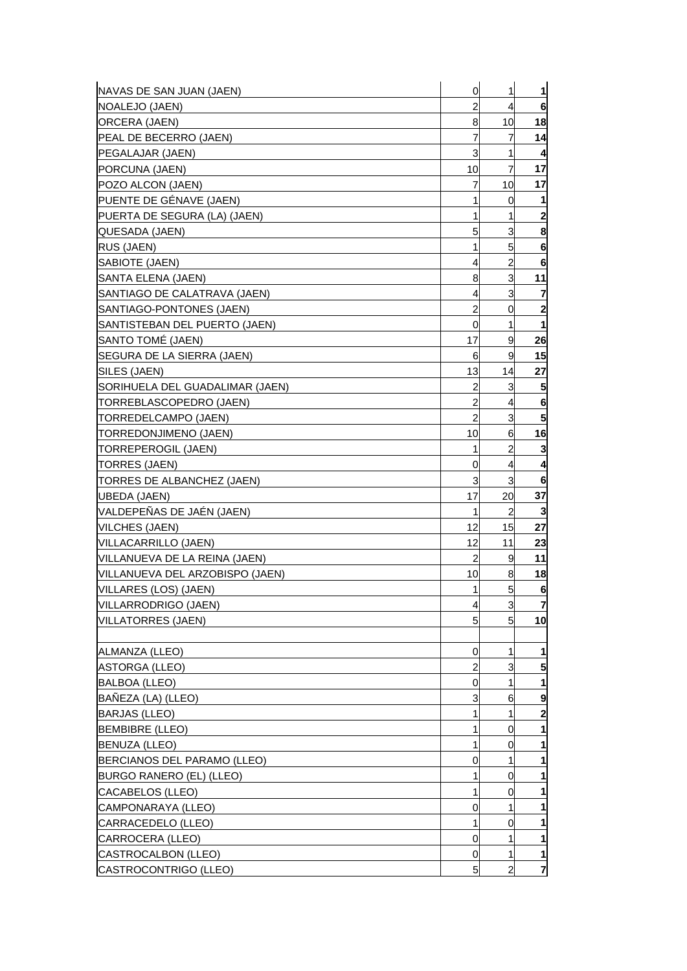| NAVAS DE SAN JUAN (JAEN)        | 0              | 1              | 1                       |
|---------------------------------|----------------|----------------|-------------------------|
| <b>NOALEJO (JAEN)</b>           | $\overline{a}$ | 4              | 6                       |
| ORCERA (JAEN)                   | 8              | 10             | 18                      |
| PEAL DE BECERRO (JAEN)          | 7              | 7              | 14                      |
| PEGALAJAR (JAEN)                | 3              | 1              | 4                       |
| PORCUNA (JAEN)                  | 10             | $\overline{7}$ | 17                      |
| POZO ALCON (JAEN)               | 7              | 10             | 17                      |
| PUENTE DE GÉNAVE (JAEN)         | 1              | 0              |                         |
| PUERTA DE SEGURA (LA) (JAEN)    | 1              | 1              | $\overline{\mathbf{c}}$ |
| QUESADA (JAEN)                  | 5              | 3              | 8                       |
| <b>RUS (JAEN)</b>               | 1              | 5              | 6                       |
| SABIOTE (JAEN)                  | 4              | $\overline{2}$ | 6                       |
| SANTA ELENA (JAEN)              | 8              | 3              | 11                      |
| SANTIAGO DE CALATRAVA (JAEN)    | 4              | 3              | 7                       |
| SANTIAGO-PONTONES (JAEN)        | 2              | 0              | $\overline{\mathbf{c}}$ |
| SANTISTEBAN DEL PUERTO (JAEN)   | 0              | 1              | 1                       |
| SANTO TOMÉ (JAEN)               | 17             | 9              | 26                      |
| SEGURA DE LA SIERRA (JAEN)      | 6              | 9              | 15                      |
| SILES (JAEN)                    | 13             | 14             | 27                      |
| SORIHUELA DEL GUADALIMAR (JAEN) | 2              | 3              | 5                       |
| TORREBLASCOPEDRO (JAEN)         | 2              | 4              | 6                       |
| TORREDELCAMPO (JAEN)            | $\overline{a}$ | 3              | 5                       |
| TORREDONJIMENO (JAEN)           | 10             | 6              | 16                      |
| TORREPEROGIL (JAEN)             | 1              | 2              | 3                       |
| TORRES (JAEN)                   | 0              | 4              | 4                       |
| TORRES DE ALBANCHEZ (JAEN)      | 3              | 3              | 6                       |
| <b>UBEDA (JAEN)</b>             | 17             | 20             | 37                      |
| VALDEPEÑAS DE JAÉN (JAEN)       | 1              | 2              | 3                       |
| <b>VILCHES (JAEN)</b>           | 12             | 15             | 27                      |
| VILLACARRILLO (JAEN)            | 12             | 11             | 23                      |
| VILLANUEVA DE LA REINA (JAEN)   | 2              | 9              | 11                      |
| VILLANUEVA DEL ARZOBISPO (JAEN) | 10             | 8              | 18                      |
| VILLARES (LOS) (JAEN)           | 1              | 5              | 6                       |
| VILLARRODRIGO (JAEN)            | 4              | 3              | $\overline{7}$          |
| <b>VILLATORRES (JAEN)</b>       | 5              | 5 <sup>1</sup> | 10                      |
|                                 |                |                |                         |
| ALMANZA (LLEO)                  | 0              | 1              | 1                       |
| <b>ASTORGA (LLEO)</b>           | $\overline{a}$ | 3              | 5                       |
| <b>BALBOA (LLEO)</b>            | 0              | 1              |                         |
| BAÑEZA (LA) (LLEO)              | 3              | 6              | 9                       |
| <b>BARJAS (LLEO)</b>            | 1              | 1              | 2                       |
| <b>BEMBIBRE (LLEO)</b>          | 1              | 0              |                         |
| <b>BENUZA (LLEO)</b>            | 1              | 0              | 1                       |
| BERCIANOS DEL PARAMO (LLEO)     | 0              | 1              |                         |
| BURGO RANERO (EL) (LLEO)        | 1              | 0              | 1                       |
| CACABELOS (LLEO)                | 1              | 0              |                         |
| CAMPONARAYA (LLEO)              | 0              | 1              |                         |
| CARRACEDELO (LLEO)              | 1              | 0              |                         |
| CARROCERA (LLEO)                | 0              | 1              | 1                       |
| CASTROCALBON (LLEO)             | 0              | 1              | 1                       |
| CASTROCONTRIGO (LLEO)           | 5              | $\overline{2}$ | $\overline{7}$          |
|                                 |                |                |                         |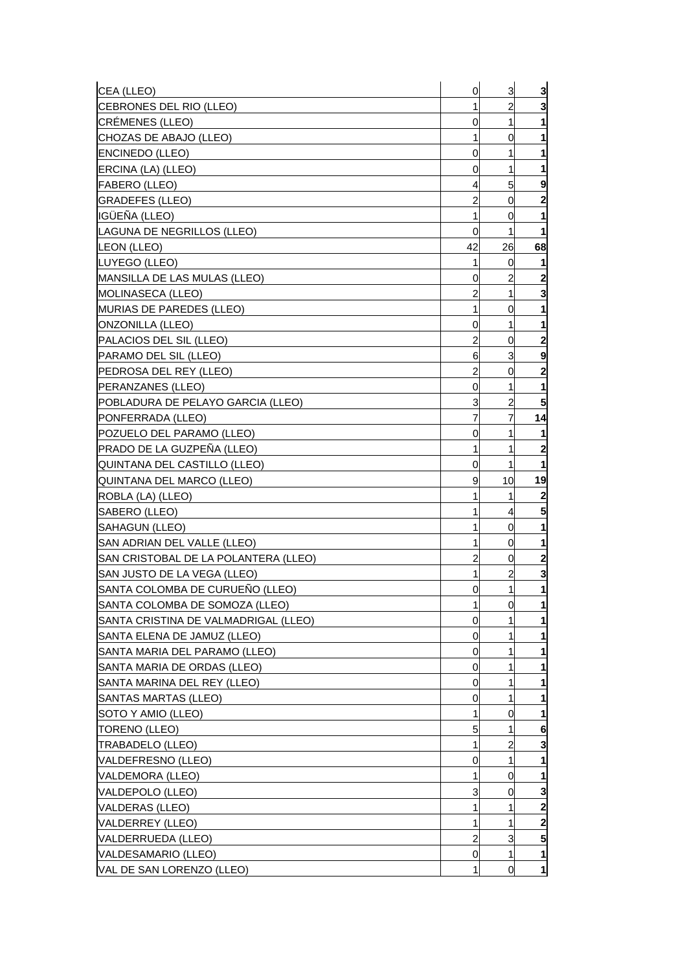| CEA (LLEO)                           | 0  | 3              | 3                |
|--------------------------------------|----|----------------|------------------|
| CEBRONES DEL RIO (LLEO)              | 1  | 2              | 3                |
| <b>CRÉMENES (LLEO)</b>               | 0  | 1              | 1                |
| CHOZAS DE ABAJO (LLEO)               | 1  | 0              | 1                |
| <b>ENCINEDO (LLEO)</b>               | 0  | 1              | 1                |
| ERCINA (LA) (LLEO)                   | 0  | 1              | 1                |
| <b>FABERO (LLEO)</b>                 | 4  | 5              | 9                |
| <b>GRADEFES (LLEO)</b>               | 2  | 0              | 2                |
| IGÜEÑA (LLEO)                        | 1  | 0              | 1                |
| LAGUNA DE NEGRILLOS (LLEO)           | 0  | 1              | $\mathbf{1}$     |
| LEON (LLEO)                          | 42 | 26             | 68               |
| LUYEGO (LLEO)                        | 1  | 0              | 11               |
| MANSILLA DE LAS MULAS (LLEO)         | 0  | 2              | $\boldsymbol{2}$ |
| MOLINASECA (LLEO)                    | 2  | 1              | 3                |
| MURIAS DE PAREDES (LLEO)             | 1  | 0              | 1                |
| ONZONILLA (LLEO)                     | 0  | 1              | 1                |
| PALACIOS DEL SIL (LLEO)              | 2  | 0              | $\mathbf{2}$     |
| PARAMO DEL SIL (LLEO)                | 6  | 3              | 9                |
| PEDROSA DEL REY (LLEO)               | 2  | 0              | $\mathbf{2}$     |
| <b>PERANZANES (LLEO)</b>             | 0  | 1              | 1                |
| POBLADURA DE PELAYO GARCIA (LLEO)    | 3  | 2              | 5                |
| PONFERRADA (LLEO)                    | 7  | 7              | 14               |
| POZUELO DEL PARAMO (LLEO)            | 0  | 1              | 1                |
| <b>PRADO DE LA GUZPENA (LLEO)</b>    | 1  | 1              | $\mathbf{2}$     |
| QUINTANA DEL CASTILLO (LLEO)         | 0  | 1              | 1                |
| QUINTANA DEL MARCO (LLEO)            | 9  | 10             | 19               |
| ROBLA (LA) (LLEO)                    |    | 1              | $\boldsymbol{2}$ |
| SABERO (LLEO)                        |    | 4              | 5                |
| SAHAGUN (LLEO)                       | 1  | 0              | 1                |
| SAN ADRIAN DEL VALLE (LLEO)          |    | 0              | 1                |
| SAN CRISTOBAL DE LA POLANTERA (LLEO) | 2  | 0              | $\mathbf{2}$     |
| SAN JUSTO DE LA VEGA (LLEO)          | 1  | 2              | 3                |
| SANTA COLOMBA DE CURUENO (LLEO)      | 0  | 1              | $\mathbf{1}$     |
| SANTA COLOMBA DE SOMOZA (LLEO)       | 1  | $\overline{0}$ | 1                |
| SANTA CRISTINA DE VALMADRIGAL (LLEO) | 0  |                | 1                |
| SANTA ELENA DE JAMUZ (LLEO)          | 0  |                | 1                |
| SANTA MARIA DEL PARAMO (LLEO)        | 0  |                | 1                |
| SANTA MARIA DE ORDAS (LLEO)          | 0  |                |                  |
| SANTA MARINA DEL REY (LLEO)          | 0  |                |                  |
| SANTAS MARTAS (LLEO)                 | 0  |                | 1                |
| SOTO Y AMIO (LLEO)                   | 1  | 0              | 1                |
| TORENO (LLEO)                        | 5  |                | 6                |
| <b>TRABADELO (LLEO)</b>              | 1  | 2              | 3                |
| VALDEFRESNO (LLEO)                   | 0  | 1              | 1                |
| VALDEMORA (LLEO)                     | 1  | 0              | 1                |
| VALDEPOLO (LLEO)                     | 3  | 0              | 3                |
| VALDERAS (LLEO)                      | 1  |                | $\mathbf{2}$     |
| VALDERREY (LLEO)                     | 1  | 1              | 2                |
| VALDERRUEDA (LLEO)                   | 2  | 3              | 5                |
| VALDESAMARIO (LLEO)                  | 0  | 1              | $\mathbf{1}$     |
| VAL DE SAN LORENZO (LLEO)            |    | 0              | $\mathbf{1}$     |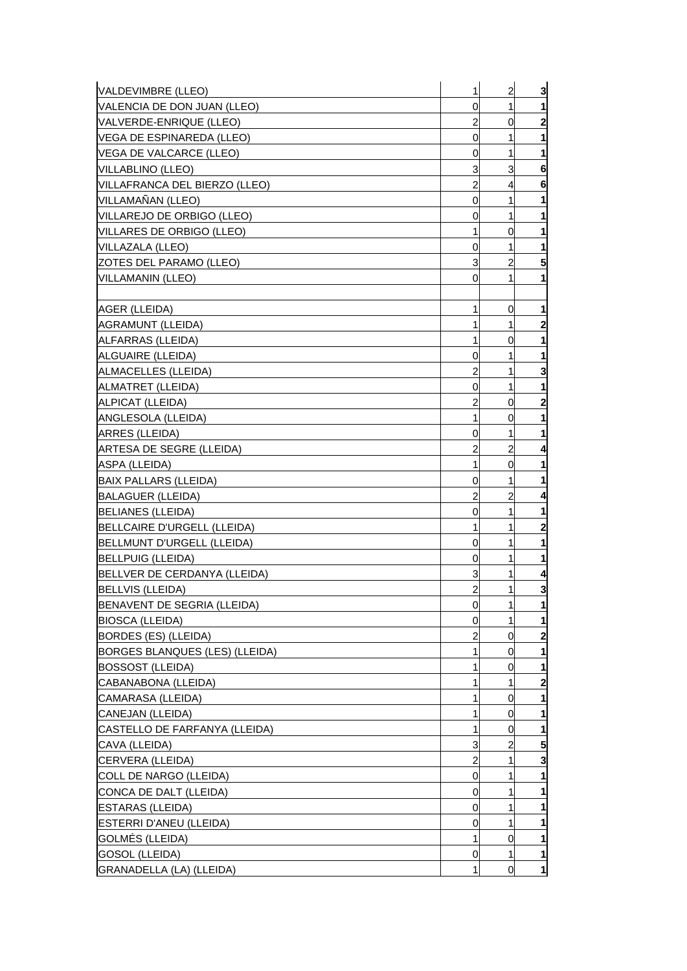| VALDEVIMBRE (LLEO)             | 1              | $\overline{a}$ | 3                       |
|--------------------------------|----------------|----------------|-------------------------|
| VALENCIA DE DON JUAN (LLEO)    | 0              | 1              | 1                       |
| VALVERDE-ENRIQUE (LLEO)        | 2              | 0              | 2                       |
| VEGA DE ESPINAREDA (LLEO)      | 0              | 1              | 1                       |
| VEGA DE VALCARCE (LLEO)        | 0              | 1              | 1                       |
| <b>VILLABLINO (LLEO)</b>       | 3              | 3              | 6                       |
| VILLAFRANCA DEL BIERZO (LLEO)  | 2              | 4              | 6                       |
| VILLAMAÑAN (LLEO)              | 0              | 1              | 1                       |
| VILLAREJO DE ORBIGO (LLEO)     | 0              | 1              | 1                       |
| VILLARES DE ORBIGO (LLEO)      | 1              | 0              | 1                       |
| VILLAZALA (LLEO)               | 0              | 1              | 1                       |
| ZOTES DEL PARAMO (LLEO)        | 3              | 2              | 5                       |
| <b>VILLAMANIN (LLEO)</b>       | 0              | 1              | 1                       |
|                                |                |                |                         |
| AGER (LLEIDA)                  | 1              | 0              | 1                       |
| AGRAMUNT (LLEIDA)              | 1              | 1              | $\mathbf{2}$            |
| ALFARRAS (LLEIDA)              | 1              | 0              | 1                       |
| ALGUAIRE (LLEIDA)              | 0              | 1              | 1                       |
| ALMACELLES (LLEIDA)            | 2              | 1              | 3                       |
| ALMATRET (LLEIDA)              | 0              | 1              | 1                       |
| ALPICAT (LLEIDA)               | 2              | 0              | $\mathbf{2}$            |
| ANGLESOLA (LLEIDA)             | 1              | 0              | 1                       |
| ARRES (LLEIDA)                 | 0              | 1              | 1                       |
| ARTESA DE SEGRE (LLEIDA)       | 2              | 2              | 4                       |
| ASPA (LLEIDA)                  | 1              | 0              | 1                       |
| <b>BAIX PALLARS (LLEIDA)</b>   | 0              | 1              | 1                       |
| <b>BALAGUER (LLEIDA)</b>       | 2              | 2              | 4                       |
| <b>BELIANES (LLEIDA)</b>       | 0              | 1              | 1                       |
| BELLCAIRE D'URGELL (LLEIDA)    | 1              | 1              | $\overline{\mathbf{c}}$ |
| BELLMUNT D'URGELL (LLEIDA)     | 0              | 1              | 1                       |
| <b>BELLPUIG (LLEIDA)</b>       | 0              | 1              | 1                       |
| BELLVER DE CERDANYA (LLEIDA)   | 3              |                | 4                       |
| <b>BELLVIS (LLEIDA)</b>        | $\overline{a}$ | 1              | 3                       |
| BENAVENT DE SEGRIA (LLEIDA)    | 0              | 1              | 1                       |
| <b>BIOSCA (LLEIDA)</b>         | 0              | 1              | $\mathbf{1}$            |
| BORDES (ES) (LLEIDA)           | 2              | 0              | $\mathbf{2}$            |
| BORGES BLANQUES (LES) (LLEIDA) | 1              | 0              | 1                       |
| <b>BOSSOST (LLEIDA)</b>        |                | 0              | 1                       |
| CABANABONA (LLEIDA)            | 1              | 1              | 2                       |
| CAMARASA (LLEIDA)              | 1              | 0              | 1                       |
| CANEJAN (LLEIDA)               | 1              | 0              | 1                       |
| CASTELLO DE FARFANYA (LLEIDA)  | 1              | 0              | 1                       |
| CAVA (LLEIDA)                  | 3              | 2              | 5                       |
| CERVERA (LLEIDA)               | 2              | 1              | 3                       |
| COLL DE NARGO (LLEIDA)         | 0              | 1              | 1                       |
| CONCA DE DALT (LLEIDA)         | 0              |                | 1                       |
| <b>ESTARAS (LLEIDA)</b>        | 0              | 1              | 1                       |
| ESTERRI D'ANEU (LLEIDA)        | 0              | 1              | 1                       |
| GOLMÉS (LLEIDA)                | 1              | 0              | 1                       |
| GOSOL (LLEIDA)                 | 0              | 1              | 1                       |
| GRANADELLA (LA) (LLEIDA)       | 1              | 0              | $\mathbf{1}$            |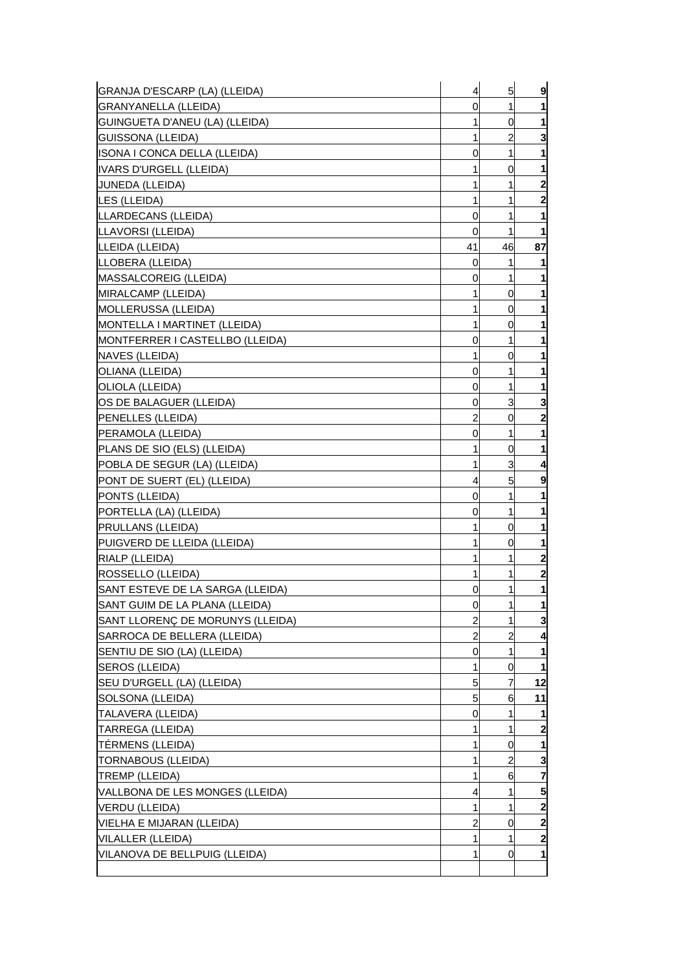| GRANJA D'ESCARP (LA) (LLEIDA)    | 4              | 5  | 9              |
|----------------------------------|----------------|----|----------------|
| <b>GRANYANELLA (LLEIDA)</b>      | 0              | 1  | 1              |
| GUINGUETA D'ANEU (LA) (LLEIDA)   | 1              | 0  | 1              |
| GUISSONA (LLEIDA)                | 1              | 2  | 3              |
| ISONA I CONCA DELLA (LLEIDA)     | 0              | 1  | 1              |
| <b>IVARS D'URGELL (LLEIDA)</b>   |                | 0  | 1              |
| JUNEDA (LLEIDA)                  | 1              | 1  | $\mathbf{z}$   |
| LES (LLEIDA)                     | 1              | 1  | $\mathbf{2}$   |
| LLARDECANS (LLEIDA)              | 0              | 1  | 1              |
| LLAVORSI (LLEIDA)                | 0              | 1  | 1              |
| LLEIDA (LLEIDA)                  | 41             | 46 | 87             |
| LLOBERA (LLEIDA)                 | 0              | 1  | 1              |
| MASSALCOREIG (LLEIDA)            | 0              | 1  | 1              |
| MIRALCAMP (LLEIDA)               |                | 0  | 1              |
| MOLLERUSSA (LLEIDA)              | 1              | 0  | 1              |
| MONTELLA I MARTINET (LLEIDA)     | 1              | 0  | 1              |
| MONTFERRER I CASTELLBO (LLEIDA)  | 0              | 1  | 1              |
| NAVES (LLEIDA)                   | 1              | 0  | 1              |
| OLIANA (LLEIDA)                  | 0              | 1  | 1              |
| OLIOLA (LLEIDA)                  | 0              | 1  | 1              |
| OS DE BALAGUER (LLEIDA)          | 0              | 3  | 3              |
| PENELLES (LLEIDA)                | 2              | 0  | $\mathbf{2}$   |
| PERAMOLA (LLEIDA)                | 0              | 1  | 1              |
| PLANS DE SIO (ELS) (LLEIDA)      | 1              | 0  | 1              |
| POBLA DE SEGUR (LA) (LLEIDA)     | 1              | 3  | 4              |
| PONT DE SUERT (EL) (LLEIDA)      | 4              | 5  | 9              |
| PONTS (LLEIDA)                   | 0              | 1  | 1              |
| PORTELLA (LA) (LLEIDA)           | 0              | 1  | 1              |
| PRULLANS (LLEIDA)                | 1              | 0  | 1              |
| PUIGVERD DE LLEIDA (LLEIDA)      |                | 0  | 1              |
| RIALP (LLEIDA)                   | 1              | 1  | $\mathbf{2}$   |
| ROSSELLO (LLEIDA)                |                | 1  | $\mathbf{2}$   |
| SANT ESTEVE DE LA SARGA (LLEIDA) | 0              | 1  | 1              |
| SANT GUIM DE LA PLANA (LLEIDA)   | 0              | 1  | $\mathbf{1}$   |
| SANT LLORENÇ DE MORUNYS (LLEIDA) | $\overline{2}$ | 1  | 3              |
| SARROCA DE BELLERA (LLEIDA)      | 2              | 2  | 4              |
| SENTIU DE SIO (LA) (LLEIDA)      | 0              | 1  | 1              |
| SEROS (LLEIDA)                   |                | 0  | $\mathbf{1}$   |
| SEU D'URGELL (LA) (LLEIDA)       | 5              |    | 12             |
| SOLSONA (LLEIDA)                 | 5              | 6  | 11             |
| TALAVERA (LLEIDA)                | 0              | 1  | 1              |
| TARREGA (LLEIDA)                 |                | 1  | $\mathbf{2}$   |
| TÉRMENS (LLEIDA)                 | 1              | 0  | $\mathbf{1}$   |
| <b>TORNABOUS (LLEIDA)</b>        | 1              | 2  | 3              |
| <b>TREMP (LLEIDA)</b>            | 1              | 6  | 7              |
| VALLBONA DE LES MONGES (LLEIDA)  | 4              | 1  | 5 <sub>l</sub> |
| VERDU (LLEIDA)                   | 1              | 1  | $\mathbf{2}$   |
| VIELHA E MIJARAN (LLEIDA)        | 2              | 0  | $\mathbf{z}$   |
| VILALLER (LLEIDA)                | 1              | 1  | $\mathbf{z}$   |
| VILANOVA DE BELLPUIG (LLEIDA)    | 1              | 0  | $\mathbf{1}$   |
|                                  |                |    |                |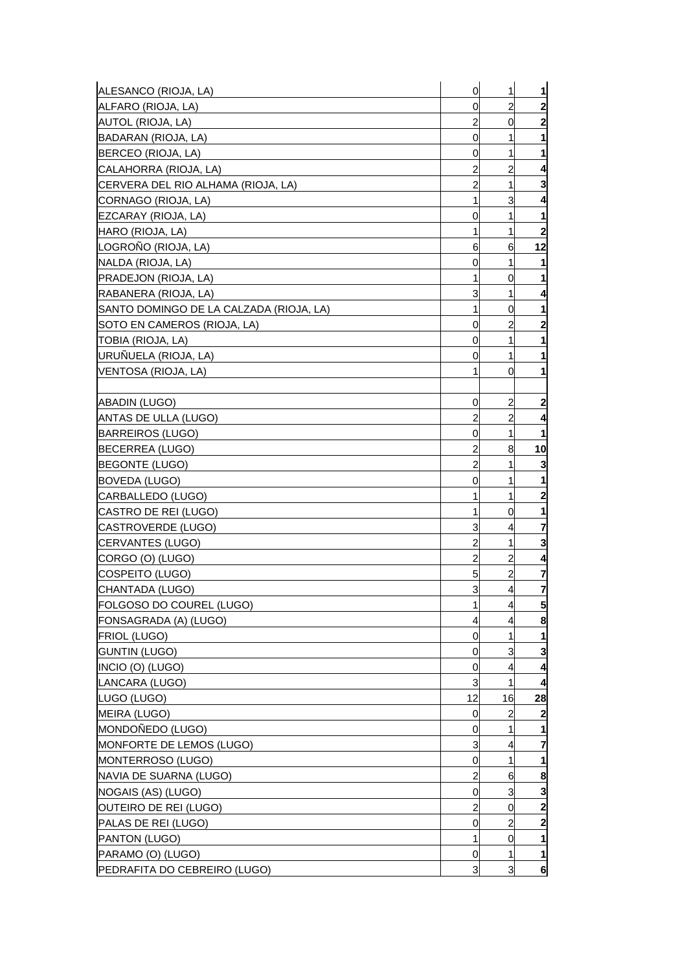| $\overline{a}$<br>$\mathbf{2}$<br>ALFARO (RIOJA, LA)<br>0<br>$\mathbf{z}$<br>$\overline{c}$<br>AUTOL (RIOJA, LA)<br>0<br>0<br>1<br>1<br>$\mathbf 1$<br>0<br>1<br>$\overline{c}$<br>CALAHORRA (RIOJA, LA)<br>2<br>4<br>3<br>$\overline{c}$<br>1<br>CERVERA DEL RIO ALHAMA (RIOJA, LA)<br>CORNAGO (RIOJA, LA)<br>3<br>1<br>4<br>EZCARAY (RIOJA, LA)<br>1<br>0<br>1<br>HARO (RIOJA, LA)<br>$\overline{\mathbf{c}}$<br>1<br>1<br>LOGROÑO (RIOJA, LA)<br>12<br>6<br>6<br>NALDA (RIOJA, LA)<br>0<br>1<br>1<br><b>PRADEJON (RIOJA, LA)</b><br>1<br>1<br>0<br>3<br>RABANERA (RIOJA, LA)<br>1<br>4<br>1<br>$\mathbf{1}$<br>SANTO DOMINGO DE LA CALZADA (RIOJA, LA)<br>0<br>$\mathbf{2}$<br>SOTO EN CAMEROS (RIOJA, LA)<br>2<br>0<br>TOBIA (RIOJA, LA)<br>0<br>1<br>1<br>URUÑUELA (RIOJA, LA)<br>1<br>1<br>0<br>VENTOSA (RIOJA, LA)<br>1<br>0<br>1<br>$\overline{\mathbf{c}}$<br><b>ABADIN (LUGO)</b><br>0<br>2<br>$\overline{c}$<br>ANTAS DE ULLA (LUGO)<br>$\overline{c}$<br>4<br>1<br>$\mathbf{1}$<br><b>BARREIROS (LUGO)</b><br>0<br>2<br>8<br>10<br>BECERREA (LUGO)<br>$\overline{c}$<br>3<br><b>BEGONTE (LUGO)</b><br>1<br>BOVEDA (LUGO)<br>0<br>1<br>1<br>$\overline{\mathbf{c}}$<br>1<br>CARBALLEDO (LUGO)<br>1<br>CASTRO DE REI (LUGO)<br>0<br>1<br>1<br>3<br>7<br>CASTROVERDE (LUGO)<br>4<br>2<br>3<br>CERVANTES (LUGO)<br>1<br>$\overline{c}$<br>$\overline{a}$<br>CORGO (O) (LUGO)<br>4<br>$\overline{c}$<br>COSPEITO (LUGO)<br>5<br>7<br>3<br>7<br>4<br>CHANTADA (LUGO)<br>5 <sub>l</sub><br>FOLGOSO DO COUREL (LUGO)<br>1<br>$\overline{4}$<br>8<br>FONSAGRADA (A) (LUGO)<br>4<br>4<br><b>FRIOL (LUGO)</b><br>1<br>0<br>1<br>3<br><b>GUNTIN (LUGO)</b><br>0<br>3<br>INCIO (O) (LUGO)<br>0<br>4<br>4<br>3<br>1<br>LANCARA (LUGO)<br>4<br>12<br>16<br>LUGO (LUGO)<br>28<br>MEIRA (LUGO)<br>$\overline{\mathbf{c}}$<br>0<br>2<br>MONDOÑEDO (LUGO)<br>0<br>1<br>1<br>7<br>MONFORTE DE LEMOS (LUGO)<br>3<br>4<br>MONTERROSO (LUGO)<br>1<br>0<br>1<br>2<br>8<br>NAVIA DE SUARNA (LUGO)<br>6<br>NOGAIS (AS) (LUGO)<br>0<br>3<br>3<br>$\overline{\mathbf{c}}$<br>2<br>OUTEIRO DE REI (LUGO)<br>0<br>$\mathbf{2}$<br>PALAS DE REI (LUGO)<br>2<br>0<br>PANTON (LUGO)<br>$\mathbf{1}$<br>1<br>0<br>PARAMO (O) (LUGO)<br>0<br>1<br>$\mathbf{1}$<br>3<br>3<br>6 | ALESANCO (RIOJA, LA)         | $\mathbf 0$ | 1 | $\mathbf{1}$ |
|--------------------------------------------------------------------------------------------------------------------------------------------------------------------------------------------------------------------------------------------------------------------------------------------------------------------------------------------------------------------------------------------------------------------------------------------------------------------------------------------------------------------------------------------------------------------------------------------------------------------------------------------------------------------------------------------------------------------------------------------------------------------------------------------------------------------------------------------------------------------------------------------------------------------------------------------------------------------------------------------------------------------------------------------------------------------------------------------------------------------------------------------------------------------------------------------------------------------------------------------------------------------------------------------------------------------------------------------------------------------------------------------------------------------------------------------------------------------------------------------------------------------------------------------------------------------------------------------------------------------------------------------------------------------------------------------------------------------------------------------------------------------------------------------------------------------------------------------------------------------------------------------------------------------------------------------------------------------------------------------------------------------------------------------------------------------------------------------------------------------------------------------------------------------------------------------------------------------------------------------------------|------------------------------|-------------|---|--------------|
|                                                                                                                                                                                                                                                                                                                                                                                                                                                                                                                                                                                                                                                                                                                                                                                                                                                                                                                                                                                                                                                                                                                                                                                                                                                                                                                                                                                                                                                                                                                                                                                                                                                                                                                                                                                                                                                                                                                                                                                                                                                                                                                                                                                                                                                        |                              |             |   |              |
|                                                                                                                                                                                                                                                                                                                                                                                                                                                                                                                                                                                                                                                                                                                                                                                                                                                                                                                                                                                                                                                                                                                                                                                                                                                                                                                                                                                                                                                                                                                                                                                                                                                                                                                                                                                                                                                                                                                                                                                                                                                                                                                                                                                                                                                        |                              |             |   |              |
|                                                                                                                                                                                                                                                                                                                                                                                                                                                                                                                                                                                                                                                                                                                                                                                                                                                                                                                                                                                                                                                                                                                                                                                                                                                                                                                                                                                                                                                                                                                                                                                                                                                                                                                                                                                                                                                                                                                                                                                                                                                                                                                                                                                                                                                        | BADARAN (RIOJA, LA)          |             |   |              |
|                                                                                                                                                                                                                                                                                                                                                                                                                                                                                                                                                                                                                                                                                                                                                                                                                                                                                                                                                                                                                                                                                                                                                                                                                                                                                                                                                                                                                                                                                                                                                                                                                                                                                                                                                                                                                                                                                                                                                                                                                                                                                                                                                                                                                                                        | BERCEO (RIOJA, LA)           |             |   |              |
|                                                                                                                                                                                                                                                                                                                                                                                                                                                                                                                                                                                                                                                                                                                                                                                                                                                                                                                                                                                                                                                                                                                                                                                                                                                                                                                                                                                                                                                                                                                                                                                                                                                                                                                                                                                                                                                                                                                                                                                                                                                                                                                                                                                                                                                        |                              |             |   |              |
|                                                                                                                                                                                                                                                                                                                                                                                                                                                                                                                                                                                                                                                                                                                                                                                                                                                                                                                                                                                                                                                                                                                                                                                                                                                                                                                                                                                                                                                                                                                                                                                                                                                                                                                                                                                                                                                                                                                                                                                                                                                                                                                                                                                                                                                        |                              |             |   |              |
|                                                                                                                                                                                                                                                                                                                                                                                                                                                                                                                                                                                                                                                                                                                                                                                                                                                                                                                                                                                                                                                                                                                                                                                                                                                                                                                                                                                                                                                                                                                                                                                                                                                                                                                                                                                                                                                                                                                                                                                                                                                                                                                                                                                                                                                        |                              |             |   |              |
|                                                                                                                                                                                                                                                                                                                                                                                                                                                                                                                                                                                                                                                                                                                                                                                                                                                                                                                                                                                                                                                                                                                                                                                                                                                                                                                                                                                                                                                                                                                                                                                                                                                                                                                                                                                                                                                                                                                                                                                                                                                                                                                                                                                                                                                        |                              |             |   |              |
|                                                                                                                                                                                                                                                                                                                                                                                                                                                                                                                                                                                                                                                                                                                                                                                                                                                                                                                                                                                                                                                                                                                                                                                                                                                                                                                                                                                                                                                                                                                                                                                                                                                                                                                                                                                                                                                                                                                                                                                                                                                                                                                                                                                                                                                        |                              |             |   |              |
|                                                                                                                                                                                                                                                                                                                                                                                                                                                                                                                                                                                                                                                                                                                                                                                                                                                                                                                                                                                                                                                                                                                                                                                                                                                                                                                                                                                                                                                                                                                                                                                                                                                                                                                                                                                                                                                                                                                                                                                                                                                                                                                                                                                                                                                        |                              |             |   |              |
|                                                                                                                                                                                                                                                                                                                                                                                                                                                                                                                                                                                                                                                                                                                                                                                                                                                                                                                                                                                                                                                                                                                                                                                                                                                                                                                                                                                                                                                                                                                                                                                                                                                                                                                                                                                                                                                                                                                                                                                                                                                                                                                                                                                                                                                        |                              |             |   |              |
|                                                                                                                                                                                                                                                                                                                                                                                                                                                                                                                                                                                                                                                                                                                                                                                                                                                                                                                                                                                                                                                                                                                                                                                                                                                                                                                                                                                                                                                                                                                                                                                                                                                                                                                                                                                                                                                                                                                                                                                                                                                                                                                                                                                                                                                        |                              |             |   |              |
|                                                                                                                                                                                                                                                                                                                                                                                                                                                                                                                                                                                                                                                                                                                                                                                                                                                                                                                                                                                                                                                                                                                                                                                                                                                                                                                                                                                                                                                                                                                                                                                                                                                                                                                                                                                                                                                                                                                                                                                                                                                                                                                                                                                                                                                        |                              |             |   |              |
|                                                                                                                                                                                                                                                                                                                                                                                                                                                                                                                                                                                                                                                                                                                                                                                                                                                                                                                                                                                                                                                                                                                                                                                                                                                                                                                                                                                                                                                                                                                                                                                                                                                                                                                                                                                                                                                                                                                                                                                                                                                                                                                                                                                                                                                        |                              |             |   |              |
|                                                                                                                                                                                                                                                                                                                                                                                                                                                                                                                                                                                                                                                                                                                                                                                                                                                                                                                                                                                                                                                                                                                                                                                                                                                                                                                                                                                                                                                                                                                                                                                                                                                                                                                                                                                                                                                                                                                                                                                                                                                                                                                                                                                                                                                        |                              |             |   |              |
|                                                                                                                                                                                                                                                                                                                                                                                                                                                                                                                                                                                                                                                                                                                                                                                                                                                                                                                                                                                                                                                                                                                                                                                                                                                                                                                                                                                                                                                                                                                                                                                                                                                                                                                                                                                                                                                                                                                                                                                                                                                                                                                                                                                                                                                        |                              |             |   |              |
|                                                                                                                                                                                                                                                                                                                                                                                                                                                                                                                                                                                                                                                                                                                                                                                                                                                                                                                                                                                                                                                                                                                                                                                                                                                                                                                                                                                                                                                                                                                                                                                                                                                                                                                                                                                                                                                                                                                                                                                                                                                                                                                                                                                                                                                        |                              |             |   |              |
|                                                                                                                                                                                                                                                                                                                                                                                                                                                                                                                                                                                                                                                                                                                                                                                                                                                                                                                                                                                                                                                                                                                                                                                                                                                                                                                                                                                                                                                                                                                                                                                                                                                                                                                                                                                                                                                                                                                                                                                                                                                                                                                                                                                                                                                        |                              |             |   |              |
|                                                                                                                                                                                                                                                                                                                                                                                                                                                                                                                                                                                                                                                                                                                                                                                                                                                                                                                                                                                                                                                                                                                                                                                                                                                                                                                                                                                                                                                                                                                                                                                                                                                                                                                                                                                                                                                                                                                                                                                                                                                                                                                                                                                                                                                        |                              |             |   |              |
|                                                                                                                                                                                                                                                                                                                                                                                                                                                                                                                                                                                                                                                                                                                                                                                                                                                                                                                                                                                                                                                                                                                                                                                                                                                                                                                                                                                                                                                                                                                                                                                                                                                                                                                                                                                                                                                                                                                                                                                                                                                                                                                                                                                                                                                        |                              |             |   |              |
|                                                                                                                                                                                                                                                                                                                                                                                                                                                                                                                                                                                                                                                                                                                                                                                                                                                                                                                                                                                                                                                                                                                                                                                                                                                                                                                                                                                                                                                                                                                                                                                                                                                                                                                                                                                                                                                                                                                                                                                                                                                                                                                                                                                                                                                        |                              |             |   |              |
|                                                                                                                                                                                                                                                                                                                                                                                                                                                                                                                                                                                                                                                                                                                                                                                                                                                                                                                                                                                                                                                                                                                                                                                                                                                                                                                                                                                                                                                                                                                                                                                                                                                                                                                                                                                                                                                                                                                                                                                                                                                                                                                                                                                                                                                        |                              |             |   |              |
|                                                                                                                                                                                                                                                                                                                                                                                                                                                                                                                                                                                                                                                                                                                                                                                                                                                                                                                                                                                                                                                                                                                                                                                                                                                                                                                                                                                                                                                                                                                                                                                                                                                                                                                                                                                                                                                                                                                                                                                                                                                                                                                                                                                                                                                        |                              |             |   |              |
|                                                                                                                                                                                                                                                                                                                                                                                                                                                                                                                                                                                                                                                                                                                                                                                                                                                                                                                                                                                                                                                                                                                                                                                                                                                                                                                                                                                                                                                                                                                                                                                                                                                                                                                                                                                                                                                                                                                                                                                                                                                                                                                                                                                                                                                        |                              |             |   |              |
|                                                                                                                                                                                                                                                                                                                                                                                                                                                                                                                                                                                                                                                                                                                                                                                                                                                                                                                                                                                                                                                                                                                                                                                                                                                                                                                                                                                                                                                                                                                                                                                                                                                                                                                                                                                                                                                                                                                                                                                                                                                                                                                                                                                                                                                        |                              |             |   |              |
|                                                                                                                                                                                                                                                                                                                                                                                                                                                                                                                                                                                                                                                                                                                                                                                                                                                                                                                                                                                                                                                                                                                                                                                                                                                                                                                                                                                                                                                                                                                                                                                                                                                                                                                                                                                                                                                                                                                                                                                                                                                                                                                                                                                                                                                        |                              |             |   |              |
|                                                                                                                                                                                                                                                                                                                                                                                                                                                                                                                                                                                                                                                                                                                                                                                                                                                                                                                                                                                                                                                                                                                                                                                                                                                                                                                                                                                                                                                                                                                                                                                                                                                                                                                                                                                                                                                                                                                                                                                                                                                                                                                                                                                                                                                        |                              |             |   |              |
|                                                                                                                                                                                                                                                                                                                                                                                                                                                                                                                                                                                                                                                                                                                                                                                                                                                                                                                                                                                                                                                                                                                                                                                                                                                                                                                                                                                                                                                                                                                                                                                                                                                                                                                                                                                                                                                                                                                                                                                                                                                                                                                                                                                                                                                        |                              |             |   |              |
|                                                                                                                                                                                                                                                                                                                                                                                                                                                                                                                                                                                                                                                                                                                                                                                                                                                                                                                                                                                                                                                                                                                                                                                                                                                                                                                                                                                                                                                                                                                                                                                                                                                                                                                                                                                                                                                                                                                                                                                                                                                                                                                                                                                                                                                        |                              |             |   |              |
|                                                                                                                                                                                                                                                                                                                                                                                                                                                                                                                                                                                                                                                                                                                                                                                                                                                                                                                                                                                                                                                                                                                                                                                                                                                                                                                                                                                                                                                                                                                                                                                                                                                                                                                                                                                                                                                                                                                                                                                                                                                                                                                                                                                                                                                        |                              |             |   |              |
|                                                                                                                                                                                                                                                                                                                                                                                                                                                                                                                                                                                                                                                                                                                                                                                                                                                                                                                                                                                                                                                                                                                                                                                                                                                                                                                                                                                                                                                                                                                                                                                                                                                                                                                                                                                                                                                                                                                                                                                                                                                                                                                                                                                                                                                        |                              |             |   |              |
|                                                                                                                                                                                                                                                                                                                                                                                                                                                                                                                                                                                                                                                                                                                                                                                                                                                                                                                                                                                                                                                                                                                                                                                                                                                                                                                                                                                                                                                                                                                                                                                                                                                                                                                                                                                                                                                                                                                                                                                                                                                                                                                                                                                                                                                        |                              |             |   |              |
|                                                                                                                                                                                                                                                                                                                                                                                                                                                                                                                                                                                                                                                                                                                                                                                                                                                                                                                                                                                                                                                                                                                                                                                                                                                                                                                                                                                                                                                                                                                                                                                                                                                                                                                                                                                                                                                                                                                                                                                                                                                                                                                                                                                                                                                        |                              |             |   |              |
|                                                                                                                                                                                                                                                                                                                                                                                                                                                                                                                                                                                                                                                                                                                                                                                                                                                                                                                                                                                                                                                                                                                                                                                                                                                                                                                                                                                                                                                                                                                                                                                                                                                                                                                                                                                                                                                                                                                                                                                                                                                                                                                                                                                                                                                        |                              |             |   |              |
|                                                                                                                                                                                                                                                                                                                                                                                                                                                                                                                                                                                                                                                                                                                                                                                                                                                                                                                                                                                                                                                                                                                                                                                                                                                                                                                                                                                                                                                                                                                                                                                                                                                                                                                                                                                                                                                                                                                                                                                                                                                                                                                                                                                                                                                        |                              |             |   |              |
|                                                                                                                                                                                                                                                                                                                                                                                                                                                                                                                                                                                                                                                                                                                                                                                                                                                                                                                                                                                                                                                                                                                                                                                                                                                                                                                                                                                                                                                                                                                                                                                                                                                                                                                                                                                                                                                                                                                                                                                                                                                                                                                                                                                                                                                        |                              |             |   |              |
|                                                                                                                                                                                                                                                                                                                                                                                                                                                                                                                                                                                                                                                                                                                                                                                                                                                                                                                                                                                                                                                                                                                                                                                                                                                                                                                                                                                                                                                                                                                                                                                                                                                                                                                                                                                                                                                                                                                                                                                                                                                                                                                                                                                                                                                        |                              |             |   |              |
|                                                                                                                                                                                                                                                                                                                                                                                                                                                                                                                                                                                                                                                                                                                                                                                                                                                                                                                                                                                                                                                                                                                                                                                                                                                                                                                                                                                                                                                                                                                                                                                                                                                                                                                                                                                                                                                                                                                                                                                                                                                                                                                                                                                                                                                        |                              |             |   |              |
|                                                                                                                                                                                                                                                                                                                                                                                                                                                                                                                                                                                                                                                                                                                                                                                                                                                                                                                                                                                                                                                                                                                                                                                                                                                                                                                                                                                                                                                                                                                                                                                                                                                                                                                                                                                                                                                                                                                                                                                                                                                                                                                                                                                                                                                        |                              |             |   |              |
|                                                                                                                                                                                                                                                                                                                                                                                                                                                                                                                                                                                                                                                                                                                                                                                                                                                                                                                                                                                                                                                                                                                                                                                                                                                                                                                                                                                                                                                                                                                                                                                                                                                                                                                                                                                                                                                                                                                                                                                                                                                                                                                                                                                                                                                        |                              |             |   |              |
|                                                                                                                                                                                                                                                                                                                                                                                                                                                                                                                                                                                                                                                                                                                                                                                                                                                                                                                                                                                                                                                                                                                                                                                                                                                                                                                                                                                                                                                                                                                                                                                                                                                                                                                                                                                                                                                                                                                                                                                                                                                                                                                                                                                                                                                        |                              |             |   |              |
|                                                                                                                                                                                                                                                                                                                                                                                                                                                                                                                                                                                                                                                                                                                                                                                                                                                                                                                                                                                                                                                                                                                                                                                                                                                                                                                                                                                                                                                                                                                                                                                                                                                                                                                                                                                                                                                                                                                                                                                                                                                                                                                                                                                                                                                        |                              |             |   |              |
|                                                                                                                                                                                                                                                                                                                                                                                                                                                                                                                                                                                                                                                                                                                                                                                                                                                                                                                                                                                                                                                                                                                                                                                                                                                                                                                                                                                                                                                                                                                                                                                                                                                                                                                                                                                                                                                                                                                                                                                                                                                                                                                                                                                                                                                        |                              |             |   |              |
|                                                                                                                                                                                                                                                                                                                                                                                                                                                                                                                                                                                                                                                                                                                                                                                                                                                                                                                                                                                                                                                                                                                                                                                                                                                                                                                                                                                                                                                                                                                                                                                                                                                                                                                                                                                                                                                                                                                                                                                                                                                                                                                                                                                                                                                        |                              |             |   |              |
|                                                                                                                                                                                                                                                                                                                                                                                                                                                                                                                                                                                                                                                                                                                                                                                                                                                                                                                                                                                                                                                                                                                                                                                                                                                                                                                                                                                                                                                                                                                                                                                                                                                                                                                                                                                                                                                                                                                                                                                                                                                                                                                                                                                                                                                        |                              |             |   |              |
|                                                                                                                                                                                                                                                                                                                                                                                                                                                                                                                                                                                                                                                                                                                                                                                                                                                                                                                                                                                                                                                                                                                                                                                                                                                                                                                                                                                                                                                                                                                                                                                                                                                                                                                                                                                                                                                                                                                                                                                                                                                                                                                                                                                                                                                        |                              |             |   |              |
|                                                                                                                                                                                                                                                                                                                                                                                                                                                                                                                                                                                                                                                                                                                                                                                                                                                                                                                                                                                                                                                                                                                                                                                                                                                                                                                                                                                                                                                                                                                                                                                                                                                                                                                                                                                                                                                                                                                                                                                                                                                                                                                                                                                                                                                        |                              |             |   |              |
|                                                                                                                                                                                                                                                                                                                                                                                                                                                                                                                                                                                                                                                                                                                                                                                                                                                                                                                                                                                                                                                                                                                                                                                                                                                                                                                                                                                                                                                                                                                                                                                                                                                                                                                                                                                                                                                                                                                                                                                                                                                                                                                                                                                                                                                        |                              |             |   |              |
|                                                                                                                                                                                                                                                                                                                                                                                                                                                                                                                                                                                                                                                                                                                                                                                                                                                                                                                                                                                                                                                                                                                                                                                                                                                                                                                                                                                                                                                                                                                                                                                                                                                                                                                                                                                                                                                                                                                                                                                                                                                                                                                                                                                                                                                        |                              |             |   |              |
|                                                                                                                                                                                                                                                                                                                                                                                                                                                                                                                                                                                                                                                                                                                                                                                                                                                                                                                                                                                                                                                                                                                                                                                                                                                                                                                                                                                                                                                                                                                                                                                                                                                                                                                                                                                                                                                                                                                                                                                                                                                                                                                                                                                                                                                        | PEDRAFITA DO CEBREIRO (LUGO) |             |   |              |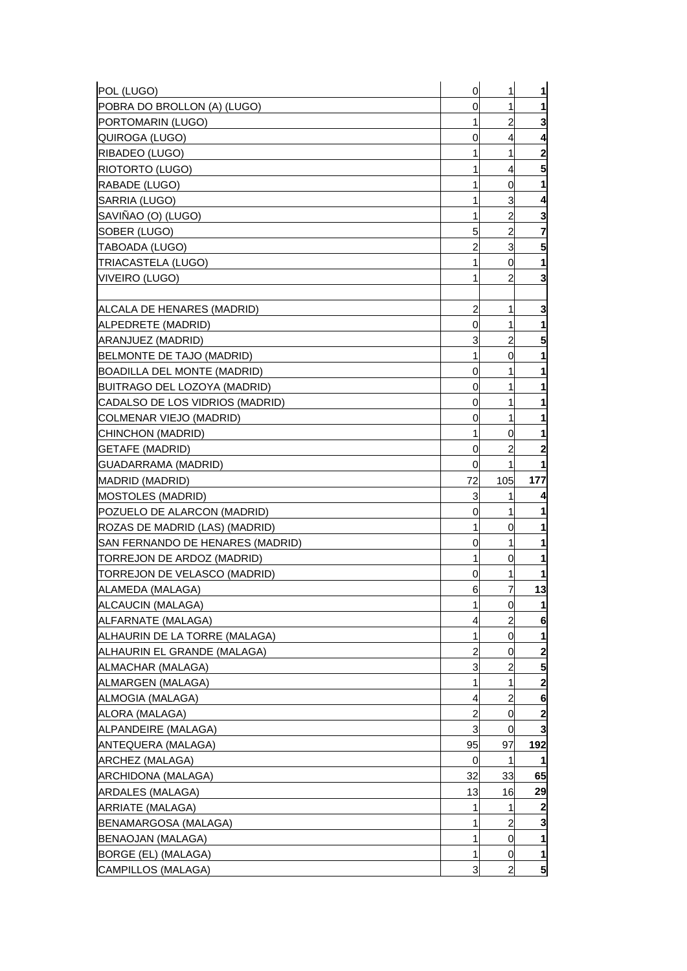| POL (LUGO)                         | $\mathbf 0$    | 1              | $\mathbf{1}$            |
|------------------------------------|----------------|----------------|-------------------------|
| POBRA DO BROLLON (A) (LUGO)        | 0              | 1              | $\mathbf{1}$            |
| PORTOMARIN (LUGO)                  | 1              | $\overline{c}$ | 3                       |
| QUIROGA (LUGO)                     | 0              | 4              | 4                       |
| RIBADEO (LUGO)                     | 1              | 1              | $\overline{\mathbf{c}}$ |
| RIOTORTO (LUGO)                    |                | 4              | 5 <sub>l</sub>          |
| RABADE (LUGO)                      |                | 0              | $\mathbf{1}$            |
| SARRIA (LUGO)                      | 1              | 3              | 4                       |
| SAVIÑAO (O) (LUGO)                 | 1              | $\overline{c}$ | 3                       |
| SOBER (LUGO)                       | 5              | $\overline{a}$ | 7                       |
| TABOADA (LUGO)                     | 2              | $\mathbf{3}$   | 5                       |
| <b>TRIACASTELA (LUGO)</b>          | 1              | 0              | 1                       |
| VIVEIRO (LUGO)                     |                | 2              | 3                       |
|                                    |                |                |                         |
| ALCALA DE HENARES (MADRID)         | $\overline{c}$ | 1              | 3                       |
| ALPEDRETE (MADRID)                 | 0              | 1              | 1                       |
| ARANJUEZ (MADRID)                  | 3              | $\overline{c}$ | 5                       |
| BELMONTE DE TAJO (MADRID)          | 1              | 0              | 1                       |
| <b>BOADILLA DEL MONTE (MADRID)</b> | 0              | 1              | 1                       |
| BUITRAGO DEL LOZOYA (MADRID)       | 0              | 1              | 1                       |
| CADALSO DE LOS VIDRIOS (MADRID)    | 0              | 1              | 1                       |
| COLMENAR VIEJO (MADRID)            | 0              | 1              | 1                       |
| CHINCHON (MADRID)                  | 1              | 0              | 1                       |
| <b>GETAFE (MADRID)</b>             | 0              | 2              | $\mathbf{2}$            |
| GUADARRAMA (MADRID)                | 0              | 1              | 1                       |
| MADRID (MADRID)                    | 72             | 105            | 177                     |
| <b>MOSTOLES (MADRID)</b>           | 3              | 1              | 4                       |
| POZUELO DE ALARCON (MADRID)        | 0              | 1              | 1                       |
| ROZAS DE MADRID (LAS) (MADRID)     | 1              | 0              | 1                       |
| SAN FERNANDO DE HENARES (MADRID)   | 0              | 1              | 1                       |
| TORREJON DE ARDOZ (MADRID)         | 1              | 0              | 1                       |
| TORREJON DE VELASCO (MADRID)       | 0              | 1              | 1                       |
| ALAMEDA (MALAGA)                   | 6              | 7              | 13                      |
| <b>ALCAUCIN (MALAGA)</b>           | 1              | $\overline{0}$ | $\mathbf{1}$            |
| ALFARNATE (MALAGA)                 | 4              | $\overline{c}$ | 6                       |
| ALHAURIN DE LA TORRE (MALAGA)      | 1              | 0              | $\mathbf{1}$            |
| ALHAURIN EL GRANDE (MALAGA)        | 2              | 0              | $\mathbf{2}$            |
| ALMACHAR (MALAGA)                  | 3              | $\overline{a}$ | 5                       |
| ALMARGEN (MALAGA)                  | 1              | 1              | $\mathbf{2}$            |
| ALMOGIA (MALAGA)                   | 4              | $\overline{c}$ | 6                       |
| ALORA (MALAGA)                     | 2              | 0              | $\mathbf{2}$            |
| ALPANDEIRE (MALAGA)                | 3              | $\overline{0}$ | $\overline{\mathbf{3}}$ |
| ANTEQUERA (MALAGA)                 | 95             | 97             | 192                     |
| ARCHEZ (MALAGA)                    | 0              | 1              |                         |
| ARCHIDONA (MALAGA)                 | 32             | 33             | 65                      |
| ARDALES (MALAGA)                   | 13             | 16             | 29                      |
| <b>ARRIATE (MALAGA)</b>            |                | 1              | $\boldsymbol{2}$        |
| BENAMARGOSA (MALAGA)               |                | $\overline{c}$ | 3                       |
| <b>BENAOJAN (MALAGA)</b>           | 1              | 0              | $\mathbf 1$             |
| BORGE (EL) (MALAGA)                |                | 0              | $\mathbf{1}$            |
| CAMPILLOS (MALAGA)                 | 3              | $\overline{2}$ | 5 <sub>5</sub>          |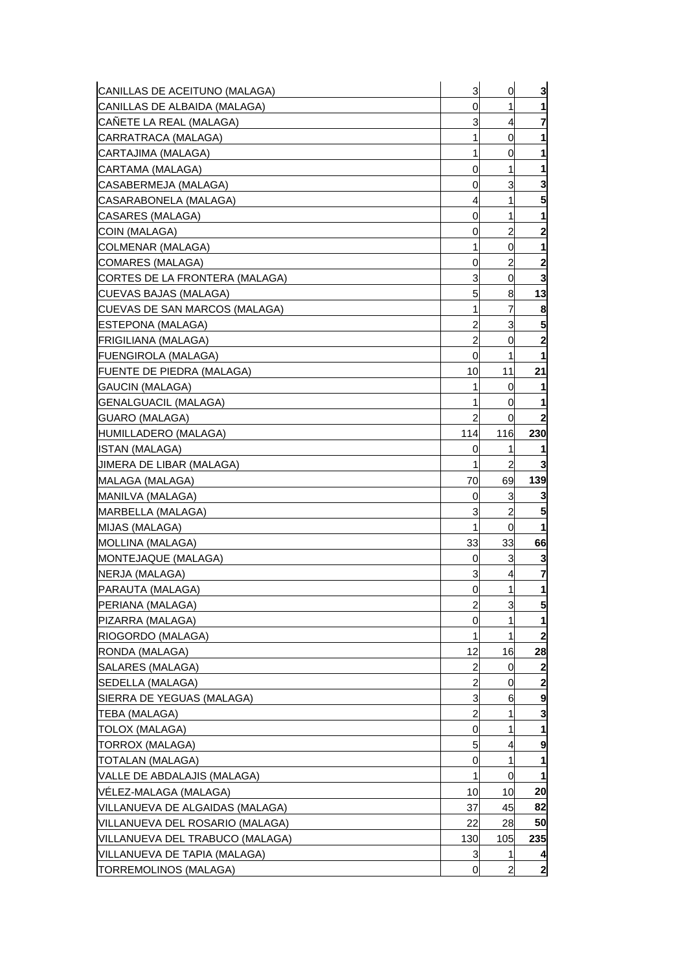| CANILLAS DE ACEITUNO (MALAGA)    | 3              | 0              | 3                |
|----------------------------------|----------------|----------------|------------------|
| CANILLAS DE ALBAIDA (MALAGA)     | 0              | 1              | 1                |
| CANETE LA REAL (MALAGA)          | 3              | 4              | 7                |
| CARRATRACA (MALAGA)              | 1              | 0              |                  |
| ICARTAJIMA (MALAGA)              | 1              | 0              | 1                |
| CARTAMA (MALAGA)                 | 0              | 1              | 1                |
| CASABERMEJA (MALAGA)             | 0              | 3              | 3                |
| ICASARABONELA (MALAGA)           | 4              | 1              | 5                |
| ICASARES (MALAGA)                | 0              | 1              | 1                |
| COIN (MALAGA)                    | 0              | $\overline{c}$ | $\mathbf{2}$     |
| COLMENAR (MALAGA)                | $\mathbf{1}$   | 0              | 1                |
| COMARES (MALAGA)                 | 0              | 2              | 2                |
| ICORTES DE LA FRONTERA (MALAGA)  | 3              | 0              | 3                |
| CUEVAS BAJAS (MALAGA)            | 5              | 8              | 13               |
| CUEVAS DE SAN MARCOS (MALAGA)    | 1              | 7              | 8                |
| <b>IESTEPONA (MALAGA)</b>        | 2              | 3              | 5                |
| [FRIGILIANA (MALAGA)             | $\overline{a}$ | 0              | $\mathbf{2}$     |
| <b>FUENGIROLA (MALAGA)</b>       | 0              | 1              | 1                |
| <b>FUENTE DE PIEDRA (MALAGA)</b> | 10             | 11             | 21               |
| <b>GAUCIN (MALAGA)</b>           | 1              | 0              | 1                |
| GENALGUACIL (MALAGA)             | 1              | 0              | 1                |
| GUARO (MALAGA)                   | $\overline{c}$ | 0              | $\boldsymbol{2}$ |
| HUMILLADERO (MALAGA)             | 114            | 116            | 230              |
| ISTAN (MALAGA)                   | 0              | 1              |                  |
| IJIMERA DE LIBAR (MALAGA)        | 1              | $\overline{c}$ |                  |
| MALAGA (MALAGA)                  | 70             | 69             | 139              |
| MANILVA (MALAGA)                 | 0              | 3              |                  |
| IMARBELLA (MALAGA)               | 3              | 2              | 5                |
| MIJAS (MALAGA)                   | 1              | 0              | 1                |
| MOLLINA (MALAGA)                 | 33             | 33             | 66               |
| <b>MONTEJAQUE (MALAGA)</b>       | 0              | 3              | 3                |
| NERJA (MALAGA)                   | 3              | 4              | 7                |
| PARAUTA (MALAGA)                 | 0              | 1              | 1                |
| PERIANA (MALAGA)                 | $\overline{a}$ | 3              | $5\overline{)}$  |
| PIZARRA (MALAGA)                 | 0              |                | 1                |
| RIOGORDO (MALAGA)                | 1              | 1              | $\boldsymbol{2}$ |
| RONDA (MALAGA)                   | 12             | 16             | 28               |
| SALARES (MALAGA)                 | $\overline{c}$ | 0              | $\boldsymbol{2}$ |
| SEDELLA (MALAGA)                 | $\overline{c}$ | 0              | $\mathbf{2}$     |
| SIERRA DE YEGUAS (MALAGA)        | 3              | 6              | 9                |
| <b>TEBA (MALAGA)</b>             | $\overline{c}$ | 1              | 3                |
| TOLOX (MALAGA)                   | 0              | 1              |                  |
| <b>TORROX (MALAGA)</b>           | 5              | 4              | 9                |
| TOTALAN (MALAGA)                 | 0              | 1              |                  |
| VALLE DE ABDALAJIS (MALAGA)      | 1              | 0              | 1                |
| VÉLEZ-MALAGA (MALAGA)            | 10             | 10             | 20               |
| VILLANUEVA DE ALGAIDAS (MALAGA)  | 37             | 45             | 82               |
| VILLANUEVA DEL ROSARIO (MALAGA)  | 22             | 28             | 50               |
| VILLANUEVA DEL TRABUCO (MALAGA)  | 130            | 105            | 235              |
| VILLANUEVA DE TAPIA (MALAGA)     | 3              | 1              | 4                |
| TORREMOLINOS (MALAGA)            | 0              | 2              | $\mathbf{z}$     |
|                                  |                |                |                  |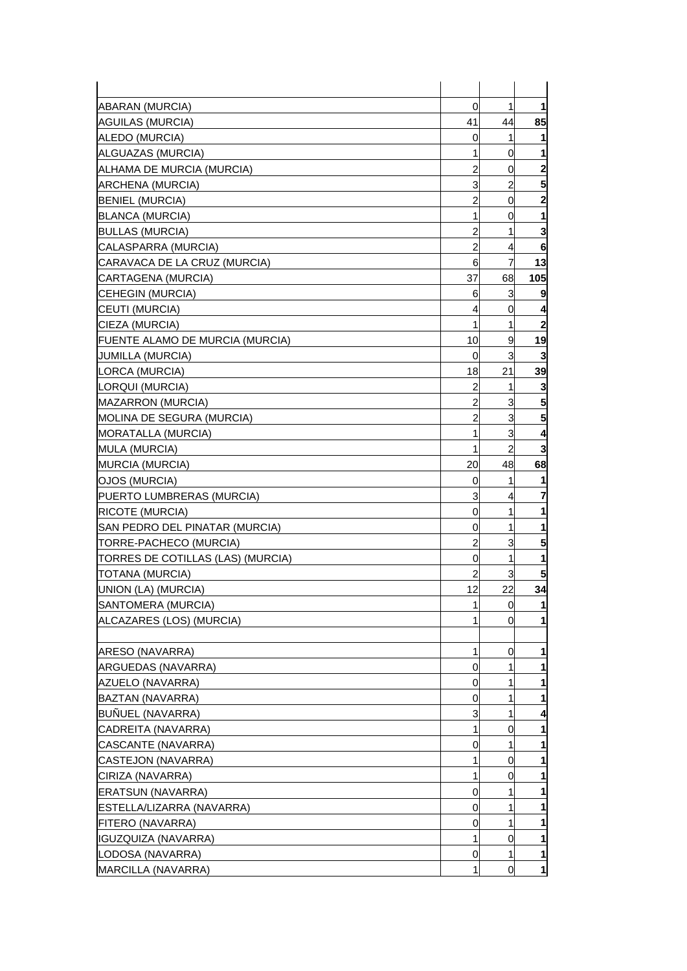| <b>ABARAN (MURCIA)</b>                 | $\mathbf 0$    | 1              | $\mathbf{1}$            |
|----------------------------------------|----------------|----------------|-------------------------|
| AGUILAS (MURCIA)                       | 41             | 44             | 85                      |
| ALEDO (MURCIA)                         | 0              | 1              | 1                       |
| ALGUAZAS (MURCIA)                      | 1              | 0              | 1                       |
| ALHAMA DE MURCIA (MURCIA)              | 2              | 0              | $\mathbf{2}$            |
| <b>ARCHENA (MURCIA)</b>                | 3              | $\overline{c}$ | 5                       |
| <b>BENIEL (MURCIA)</b>                 | 2              | $\overline{0}$ | $\overline{\mathbf{c}}$ |
| <b>BLANCA (MURCIA)</b>                 | 1              | 0              | 1                       |
| <b>BULLAS (MURCIA)</b>                 | 2              | 1              | 3                       |
| CALASPARRA (MURCIA)                    | $\overline{a}$ | 4              | 6                       |
| CARAVACA DE LA CRUZ (MURCIA)           | 6              | 7              | 13                      |
| CARTAGENA (MURCIA)                     | 37             | 68             | 105                     |
| <b>CEHEGIN (MURCIA)</b>                | 6              | 3              | 9                       |
| CEUTI (MURCIA)                         | 4              | 0              | 4                       |
| CIEZA (MURCIA)                         | 1              | 1              | 2                       |
| <b>FUENTE ALAMO DE MURCIA (MURCIA)</b> | 10             | 9              | 19                      |
| <b>JUMILLA (MURCIA)</b>                | $\mathbf 0$    | 3              | 3                       |
| LORCA (MURCIA)                         | 18             | 21             | 39                      |
| LORQUI (MURCIA)                        | 2              | 1              | 3                       |
| <b>MAZARRON (MURCIA)</b>               | $\overline{a}$ | 3              | 5                       |
| MOLINA DE SEGURA (MURCIA)              | 2              | 3              | 5                       |
| MORATALLA (MURCIA)                     | 1              | 3              | 4                       |
| <b>MULA (MURCIA)</b>                   | 1              | $\overline{c}$ | 3                       |
| <b>MURCIA (MURCIA)</b>                 | 20             | 48             | 68                      |
| OJOS (MURCIA)                          | 0              | 1              | 1                       |
| PUERTO LUMBRERAS (MURCIA)              | 3              | 4              | 7                       |
| RICOTE (MURCIA)                        | 0              | 1              | 1                       |
| SAN PEDRO DEL PINATAR (MURCIA)         | 0              | 1              | 1                       |
| TORRE-PACHECO (MURCIA)                 | $\overline{c}$ | 3              | 5                       |
| TORRES DE COTILLAS (LAS) (MURCIA)      | 0              | 1              | 1                       |
| <b>TOTANA (MURCIA)</b>                 | 2              | 3              | 5                       |
| UNION (LA) (MURCIA)                    | 12             | 22             | 34                      |
| SANTOMERA (MURCIA)                     | $\mathbf{1}$   | $\overline{0}$ | $\mathbf{1}$            |
| ALCAZARES (LOS) (MURCIA)               |                | 0              | 1                       |
|                                        |                |                |                         |
| ARESO (NAVARRA)                        | 1              | 0              | 1                       |
| <b>ARGUEDAS (NAVARRA)</b>              | 0              | 1              | 1                       |
| AZUELO (NAVARRA)                       | 0              |                | 1                       |
| BAZTAN (NAVARRA)                       | 0              | 1              | 1                       |
| BUÑUEL (NAVARRA)                       | 3              | 1              | 4                       |
| CADREITA (NAVARRA)                     | 1              | 0              | 1                       |
| CASCANTE (NAVARRA)                     | 0              | 1              | 1                       |
| CASTEJON (NAVARRA)                     | 1              | 0              | 1                       |
| CIRIZA (NAVARRA)                       | 1              | 0              | 1                       |
| ERATSUN (NAVARRA)                      | 0              | 1              | 1                       |
| ESTELLA/LIZARRA (NAVARRA)              | 0              | 1              | 1                       |
| FITERO (NAVARRA)                       | 0              | 1              | 1                       |
| <b>IGUZQUIZA (NAVARRA)</b>             | 1              | 0              | 1                       |
| LODOSA (NAVARRA)                       | 0              | 1              | 1                       |
| MARCILLA (NAVARRA)                     | 1              | 0              | $\mathbf{1}$            |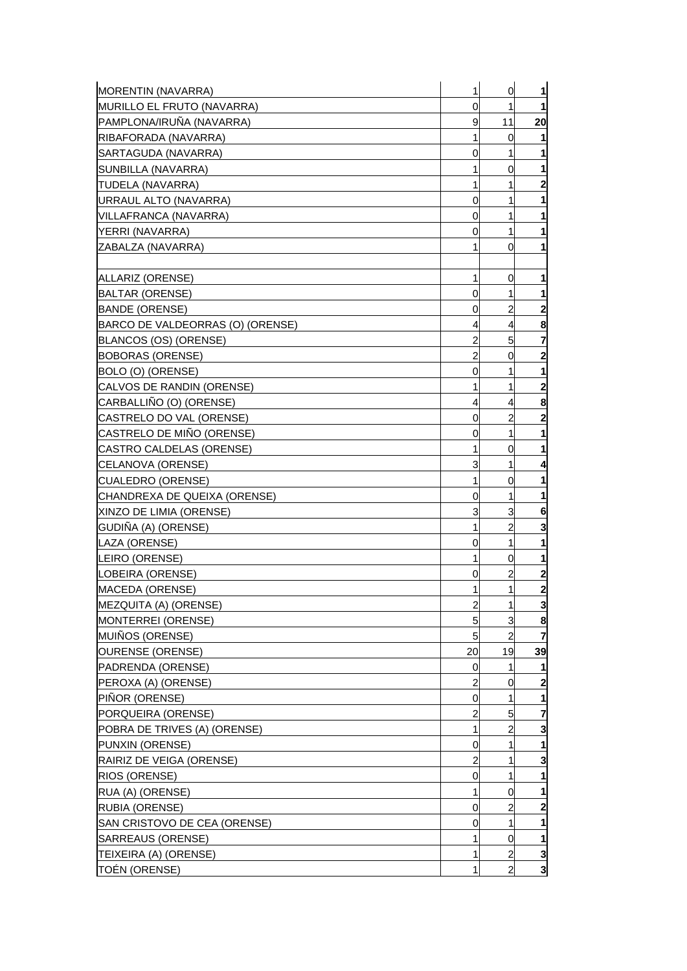| 0<br>1<br>11<br>9<br>1<br>0<br>1<br>1<br>0<br>0<br>1<br>1<br>1<br>1<br>0<br>0<br>1<br>1<br>1<br>1<br>0<br>0<br>1<br>ALLARIZ (ORENSE)<br>1<br>1<br>0<br><b>BALTAR (ORENSE)</b><br>0<br>1<br>$\overline{c}$<br>$\overline{\mathbf{c}}$<br><b>BANDE (ORENSE)</b><br>0<br>BARCO DE VALDEORRAS (O) (ORENSE)<br>4<br>8<br>4<br>$\overline{c}$<br>5<br>7<br>BLANCOS (OS) (ORENSE)<br>$\mathbf{2}$<br>$\overline{a}$<br><b>BOBORAS (ORENSE)</b><br>0<br>1<br>BOLO (O) (ORENSE)<br>0<br>1<br>$\overline{\mathbf{c}}$<br>1<br>CALVOS DE RANDIN (ORENSE)<br>1<br>CARBALLIÑO (O) (ORENSE)<br>8<br>4<br>4<br>$\overline{c}$<br>$\mathbf{2}$<br>CASTRELO DO VAL (ORENSE)<br>0<br>CASTRELO DE MIÑO (ORENSE)<br>1<br>1<br>0<br>CASTRO CALDELAS (ORENSE)<br>1<br>1<br>0<br>CELANOVA (ORENSE)<br>3<br>1<br>4<br>$\mathbf{1}$<br>CUALEDRO (ORENSE)<br>0<br>1<br>CHANDREXA DE QUEIXA (ORENSE)<br>1<br>0<br>1<br>3<br>XINZO DE LIMIA (ORENSE)<br>3<br>6<br>$\overline{c}$<br>GUDIÑA (A) (ORENSE)<br>3<br>1<br>$\mathbf{1}$<br>$\mathbf{1}$<br>LAZA (ORENSE)<br>0<br>0<br>1<br>LEIRO (ORENSE)<br>1<br>$\overline{\mathbf{c}}$<br>LOBEIRA (ORENSE)<br>2<br>0<br>$\overline{\mathbf{c}}$<br>1<br>MACEDA (ORENSE)<br>1<br>$\overline{\mathbf{3}}$<br>MEZQUITA (A) (ORENSE)<br>$\overline{a}$<br>$\mathbf{1}$<br>3<br>MONTERREI (ORENSE)<br>5<br>8<br>$\overline{a}$<br>MUIÑOS (ORENSE)<br>5<br>7<br>19<br>39<br>OURENSE (ORENSE)<br>20<br>PADRENDA (ORENSE)<br>0<br>1<br>1<br>$\overline{\mathbf{c}}$<br>$\overline{a}$<br>PEROXA (A) (ORENSE)<br>$\overline{0}$<br>PIÑOR (ORENSE)<br>1<br>0<br>1<br>$\overline{7}$<br>PORQUEIRA (ORENSE)<br>$\overline{c}$<br>5<br>$\overline{\mathbf{3}}$<br>$\overline{a}$<br>POBRA DE TRIVES (A) (ORENSE)<br>1<br>PUNXIN (ORENSE)<br>1<br>1<br>0<br>3<br>RAIRIZ DE VEIGA (ORENSE)<br>2<br>1<br>1<br>RIOS (ORENSE)<br>0<br>1<br>1<br>RUA (A) (ORENSE)<br>0<br>$\overline{c}$<br>0<br>1<br>1<br>0<br>1<br>0<br>$\overline{a}$<br>$\overline{a}$ | MORENTIN (NAVARRA)           | $\mathbf{1}$ | $\overline{0}$ | $\mathbf{1}$            |
|----------------------------------------------------------------------------------------------------------------------------------------------------------------------------------------------------------------------------------------------------------------------------------------------------------------------------------------------------------------------------------------------------------------------------------------------------------------------------------------------------------------------------------------------------------------------------------------------------------------------------------------------------------------------------------------------------------------------------------------------------------------------------------------------------------------------------------------------------------------------------------------------------------------------------------------------------------------------------------------------------------------------------------------------------------------------------------------------------------------------------------------------------------------------------------------------------------------------------------------------------------------------------------------------------------------------------------------------------------------------------------------------------------------------------------------------------------------------------------------------------------------------------------------------------------------------------------------------------------------------------------------------------------------------------------------------------------------------------------------------------------------------------------------------------------------------------------------------------------------------------------------------------------------------------------------------------------|------------------------------|--------------|----------------|-------------------------|
|                                                                                                                                                                                                                                                                                                                                                                                                                                                                                                                                                                                                                                                                                                                                                                                                                                                                                                                                                                                                                                                                                                                                                                                                                                                                                                                                                                                                                                                                                                                                                                                                                                                                                                                                                                                                                                                                                                                                                          | MURILLO EL FRUTO (NAVARRA)   |              |                | $\mathbf{1}$            |
|                                                                                                                                                                                                                                                                                                                                                                                                                                                                                                                                                                                                                                                                                                                                                                                                                                                                                                                                                                                                                                                                                                                                                                                                                                                                                                                                                                                                                                                                                                                                                                                                                                                                                                                                                                                                                                                                                                                                                          | PAMPLONA/IRUÑA (NAVARRA)     |              |                | 20                      |
|                                                                                                                                                                                                                                                                                                                                                                                                                                                                                                                                                                                                                                                                                                                                                                                                                                                                                                                                                                                                                                                                                                                                                                                                                                                                                                                                                                                                                                                                                                                                                                                                                                                                                                                                                                                                                                                                                                                                                          | RIBAFORADA (NAVARRA)         |              |                | 1                       |
|                                                                                                                                                                                                                                                                                                                                                                                                                                                                                                                                                                                                                                                                                                                                                                                                                                                                                                                                                                                                                                                                                                                                                                                                                                                                                                                                                                                                                                                                                                                                                                                                                                                                                                                                                                                                                                                                                                                                                          | SARTAGUDA (NAVARRA)          |              |                |                         |
|                                                                                                                                                                                                                                                                                                                                                                                                                                                                                                                                                                                                                                                                                                                                                                                                                                                                                                                                                                                                                                                                                                                                                                                                                                                                                                                                                                                                                                                                                                                                                                                                                                                                                                                                                                                                                                                                                                                                                          | SUNBILLA (NAVARRA)           |              |                | $\mathbf{1}$            |
|                                                                                                                                                                                                                                                                                                                                                                                                                                                                                                                                                                                                                                                                                                                                                                                                                                                                                                                                                                                                                                                                                                                                                                                                                                                                                                                                                                                                                                                                                                                                                                                                                                                                                                                                                                                                                                                                                                                                                          | TUDELA (NAVARRA)             |              |                | $\overline{\mathbf{c}}$ |
|                                                                                                                                                                                                                                                                                                                                                                                                                                                                                                                                                                                                                                                                                                                                                                                                                                                                                                                                                                                                                                                                                                                                                                                                                                                                                                                                                                                                                                                                                                                                                                                                                                                                                                                                                                                                                                                                                                                                                          | URRAUL ALTO (NAVARRA)        |              |                |                         |
|                                                                                                                                                                                                                                                                                                                                                                                                                                                                                                                                                                                                                                                                                                                                                                                                                                                                                                                                                                                                                                                                                                                                                                                                                                                                                                                                                                                                                                                                                                                                                                                                                                                                                                                                                                                                                                                                                                                                                          | VILLAFRANCA (NAVARRA)        |              |                |                         |
|                                                                                                                                                                                                                                                                                                                                                                                                                                                                                                                                                                                                                                                                                                                                                                                                                                                                                                                                                                                                                                                                                                                                                                                                                                                                                                                                                                                                                                                                                                                                                                                                                                                                                                                                                                                                                                                                                                                                                          | YERRI (NAVARRA)              |              |                |                         |
|                                                                                                                                                                                                                                                                                                                                                                                                                                                                                                                                                                                                                                                                                                                                                                                                                                                                                                                                                                                                                                                                                                                                                                                                                                                                                                                                                                                                                                                                                                                                                                                                                                                                                                                                                                                                                                                                                                                                                          | ZABALZA (NAVARRA)            |              |                |                         |
|                                                                                                                                                                                                                                                                                                                                                                                                                                                                                                                                                                                                                                                                                                                                                                                                                                                                                                                                                                                                                                                                                                                                                                                                                                                                                                                                                                                                                                                                                                                                                                                                                                                                                                                                                                                                                                                                                                                                                          |                              |              |                |                         |
|                                                                                                                                                                                                                                                                                                                                                                                                                                                                                                                                                                                                                                                                                                                                                                                                                                                                                                                                                                                                                                                                                                                                                                                                                                                                                                                                                                                                                                                                                                                                                                                                                                                                                                                                                                                                                                                                                                                                                          |                              |              |                |                         |
|                                                                                                                                                                                                                                                                                                                                                                                                                                                                                                                                                                                                                                                                                                                                                                                                                                                                                                                                                                                                                                                                                                                                                                                                                                                                                                                                                                                                                                                                                                                                                                                                                                                                                                                                                                                                                                                                                                                                                          |                              |              |                | $\mathbf{1}$            |
|                                                                                                                                                                                                                                                                                                                                                                                                                                                                                                                                                                                                                                                                                                                                                                                                                                                                                                                                                                                                                                                                                                                                                                                                                                                                                                                                                                                                                                                                                                                                                                                                                                                                                                                                                                                                                                                                                                                                                          |                              |              |                |                         |
|                                                                                                                                                                                                                                                                                                                                                                                                                                                                                                                                                                                                                                                                                                                                                                                                                                                                                                                                                                                                                                                                                                                                                                                                                                                                                                                                                                                                                                                                                                                                                                                                                                                                                                                                                                                                                                                                                                                                                          |                              |              |                |                         |
|                                                                                                                                                                                                                                                                                                                                                                                                                                                                                                                                                                                                                                                                                                                                                                                                                                                                                                                                                                                                                                                                                                                                                                                                                                                                                                                                                                                                                                                                                                                                                                                                                                                                                                                                                                                                                                                                                                                                                          |                              |              |                |                         |
|                                                                                                                                                                                                                                                                                                                                                                                                                                                                                                                                                                                                                                                                                                                                                                                                                                                                                                                                                                                                                                                                                                                                                                                                                                                                                                                                                                                                                                                                                                                                                                                                                                                                                                                                                                                                                                                                                                                                                          |                              |              |                |                         |
|                                                                                                                                                                                                                                                                                                                                                                                                                                                                                                                                                                                                                                                                                                                                                                                                                                                                                                                                                                                                                                                                                                                                                                                                                                                                                                                                                                                                                                                                                                                                                                                                                                                                                                                                                                                                                                                                                                                                                          |                              |              |                |                         |
|                                                                                                                                                                                                                                                                                                                                                                                                                                                                                                                                                                                                                                                                                                                                                                                                                                                                                                                                                                                                                                                                                                                                                                                                                                                                                                                                                                                                                                                                                                                                                                                                                                                                                                                                                                                                                                                                                                                                                          |                              |              |                |                         |
|                                                                                                                                                                                                                                                                                                                                                                                                                                                                                                                                                                                                                                                                                                                                                                                                                                                                                                                                                                                                                                                                                                                                                                                                                                                                                                                                                                                                                                                                                                                                                                                                                                                                                                                                                                                                                                                                                                                                                          |                              |              |                |                         |
|                                                                                                                                                                                                                                                                                                                                                                                                                                                                                                                                                                                                                                                                                                                                                                                                                                                                                                                                                                                                                                                                                                                                                                                                                                                                                                                                                                                                                                                                                                                                                                                                                                                                                                                                                                                                                                                                                                                                                          |                              |              |                |                         |
|                                                                                                                                                                                                                                                                                                                                                                                                                                                                                                                                                                                                                                                                                                                                                                                                                                                                                                                                                                                                                                                                                                                                                                                                                                                                                                                                                                                                                                                                                                                                                                                                                                                                                                                                                                                                                                                                                                                                                          |                              |              |                |                         |
|                                                                                                                                                                                                                                                                                                                                                                                                                                                                                                                                                                                                                                                                                                                                                                                                                                                                                                                                                                                                                                                                                                                                                                                                                                                                                                                                                                                                                                                                                                                                                                                                                                                                                                                                                                                                                                                                                                                                                          |                              |              |                |                         |
|                                                                                                                                                                                                                                                                                                                                                                                                                                                                                                                                                                                                                                                                                                                                                                                                                                                                                                                                                                                                                                                                                                                                                                                                                                                                                                                                                                                                                                                                                                                                                                                                                                                                                                                                                                                                                                                                                                                                                          |                              |              |                |                         |
|                                                                                                                                                                                                                                                                                                                                                                                                                                                                                                                                                                                                                                                                                                                                                                                                                                                                                                                                                                                                                                                                                                                                                                                                                                                                                                                                                                                                                                                                                                                                                                                                                                                                                                                                                                                                                                                                                                                                                          |                              |              |                |                         |
|                                                                                                                                                                                                                                                                                                                                                                                                                                                                                                                                                                                                                                                                                                                                                                                                                                                                                                                                                                                                                                                                                                                                                                                                                                                                                                                                                                                                                                                                                                                                                                                                                                                                                                                                                                                                                                                                                                                                                          |                              |              |                |                         |
|                                                                                                                                                                                                                                                                                                                                                                                                                                                                                                                                                                                                                                                                                                                                                                                                                                                                                                                                                                                                                                                                                                                                                                                                                                                                                                                                                                                                                                                                                                                                                                                                                                                                                                                                                                                                                                                                                                                                                          |                              |              |                |                         |
|                                                                                                                                                                                                                                                                                                                                                                                                                                                                                                                                                                                                                                                                                                                                                                                                                                                                                                                                                                                                                                                                                                                                                                                                                                                                                                                                                                                                                                                                                                                                                                                                                                                                                                                                                                                                                                                                                                                                                          |                              |              |                |                         |
|                                                                                                                                                                                                                                                                                                                                                                                                                                                                                                                                                                                                                                                                                                                                                                                                                                                                                                                                                                                                                                                                                                                                                                                                                                                                                                                                                                                                                                                                                                                                                                                                                                                                                                                                                                                                                                                                                                                                                          |                              |              |                |                         |
|                                                                                                                                                                                                                                                                                                                                                                                                                                                                                                                                                                                                                                                                                                                                                                                                                                                                                                                                                                                                                                                                                                                                                                                                                                                                                                                                                                                                                                                                                                                                                                                                                                                                                                                                                                                                                                                                                                                                                          |                              |              |                |                         |
|                                                                                                                                                                                                                                                                                                                                                                                                                                                                                                                                                                                                                                                                                                                                                                                                                                                                                                                                                                                                                                                                                                                                                                                                                                                                                                                                                                                                                                                                                                                                                                                                                                                                                                                                                                                                                                                                                                                                                          |                              |              |                |                         |
|                                                                                                                                                                                                                                                                                                                                                                                                                                                                                                                                                                                                                                                                                                                                                                                                                                                                                                                                                                                                                                                                                                                                                                                                                                                                                                                                                                                                                                                                                                                                                                                                                                                                                                                                                                                                                                                                                                                                                          |                              |              |                |                         |
|                                                                                                                                                                                                                                                                                                                                                                                                                                                                                                                                                                                                                                                                                                                                                                                                                                                                                                                                                                                                                                                                                                                                                                                                                                                                                                                                                                                                                                                                                                                                                                                                                                                                                                                                                                                                                                                                                                                                                          |                              |              |                |                         |
|                                                                                                                                                                                                                                                                                                                                                                                                                                                                                                                                                                                                                                                                                                                                                                                                                                                                                                                                                                                                                                                                                                                                                                                                                                                                                                                                                                                                                                                                                                                                                                                                                                                                                                                                                                                                                                                                                                                                                          |                              |              |                |                         |
|                                                                                                                                                                                                                                                                                                                                                                                                                                                                                                                                                                                                                                                                                                                                                                                                                                                                                                                                                                                                                                                                                                                                                                                                                                                                                                                                                                                                                                                                                                                                                                                                                                                                                                                                                                                                                                                                                                                                                          |                              |              |                |                         |
|                                                                                                                                                                                                                                                                                                                                                                                                                                                                                                                                                                                                                                                                                                                                                                                                                                                                                                                                                                                                                                                                                                                                                                                                                                                                                                                                                                                                                                                                                                                                                                                                                                                                                                                                                                                                                                                                                                                                                          |                              |              |                |                         |
|                                                                                                                                                                                                                                                                                                                                                                                                                                                                                                                                                                                                                                                                                                                                                                                                                                                                                                                                                                                                                                                                                                                                                                                                                                                                                                                                                                                                                                                                                                                                                                                                                                                                                                                                                                                                                                                                                                                                                          |                              |              |                |                         |
|                                                                                                                                                                                                                                                                                                                                                                                                                                                                                                                                                                                                                                                                                                                                                                                                                                                                                                                                                                                                                                                                                                                                                                                                                                                                                                                                                                                                                                                                                                                                                                                                                                                                                                                                                                                                                                                                                                                                                          |                              |              |                |                         |
|                                                                                                                                                                                                                                                                                                                                                                                                                                                                                                                                                                                                                                                                                                                                                                                                                                                                                                                                                                                                                                                                                                                                                                                                                                                                                                                                                                                                                                                                                                                                                                                                                                                                                                                                                                                                                                                                                                                                                          |                              |              |                |                         |
|                                                                                                                                                                                                                                                                                                                                                                                                                                                                                                                                                                                                                                                                                                                                                                                                                                                                                                                                                                                                                                                                                                                                                                                                                                                                                                                                                                                                                                                                                                                                                                                                                                                                                                                                                                                                                                                                                                                                                          |                              |              |                |                         |
|                                                                                                                                                                                                                                                                                                                                                                                                                                                                                                                                                                                                                                                                                                                                                                                                                                                                                                                                                                                                                                                                                                                                                                                                                                                                                                                                                                                                                                                                                                                                                                                                                                                                                                                                                                                                                                                                                                                                                          |                              |              |                |                         |
|                                                                                                                                                                                                                                                                                                                                                                                                                                                                                                                                                                                                                                                                                                                                                                                                                                                                                                                                                                                                                                                                                                                                                                                                                                                                                                                                                                                                                                                                                                                                                                                                                                                                                                                                                                                                                                                                                                                                                          |                              |              |                |                         |
|                                                                                                                                                                                                                                                                                                                                                                                                                                                                                                                                                                                                                                                                                                                                                                                                                                                                                                                                                                                                                                                                                                                                                                                                                                                                                                                                                                                                                                                                                                                                                                                                                                                                                                                                                                                                                                                                                                                                                          |                              |              |                |                         |
|                                                                                                                                                                                                                                                                                                                                                                                                                                                                                                                                                                                                                                                                                                                                                                                                                                                                                                                                                                                                                                                                                                                                                                                                                                                                                                                                                                                                                                                                                                                                                                                                                                                                                                                                                                                                                                                                                                                                                          |                              |              |                |                         |
|                                                                                                                                                                                                                                                                                                                                                                                                                                                                                                                                                                                                                                                                                                                                                                                                                                                                                                                                                                                                                                                                                                                                                                                                                                                                                                                                                                                                                                                                                                                                                                                                                                                                                                                                                                                                                                                                                                                                                          |                              |              |                |                         |
|                                                                                                                                                                                                                                                                                                                                                                                                                                                                                                                                                                                                                                                                                                                                                                                                                                                                                                                                                                                                                                                                                                                                                                                                                                                                                                                                                                                                                                                                                                                                                                                                                                                                                                                                                                                                                                                                                                                                                          | <b>RUBIA (ORENSE)</b>        |              |                | $\overline{\mathbf{c}}$ |
|                                                                                                                                                                                                                                                                                                                                                                                                                                                                                                                                                                                                                                                                                                                                                                                                                                                                                                                                                                                                                                                                                                                                                                                                                                                                                                                                                                                                                                                                                                                                                                                                                                                                                                                                                                                                                                                                                                                                                          | SAN CRISTOVO DE CEA (ORENSE) |              |                |                         |
|                                                                                                                                                                                                                                                                                                                                                                                                                                                                                                                                                                                                                                                                                                                                                                                                                                                                                                                                                                                                                                                                                                                                                                                                                                                                                                                                                                                                                                                                                                                                                                                                                                                                                                                                                                                                                                                                                                                                                          | SARREAUS (ORENSE)            |              |                |                         |
|                                                                                                                                                                                                                                                                                                                                                                                                                                                                                                                                                                                                                                                                                                                                                                                                                                                                                                                                                                                                                                                                                                                                                                                                                                                                                                                                                                                                                                                                                                                                                                                                                                                                                                                                                                                                                                                                                                                                                          | TEIXEIRA (A) (ORENSE)        |              |                | $\overline{\mathbf{3}}$ |
|                                                                                                                                                                                                                                                                                                                                                                                                                                                                                                                                                                                                                                                                                                                                                                                                                                                                                                                                                                                                                                                                                                                                                                                                                                                                                                                                                                                                                                                                                                                                                                                                                                                                                                                                                                                                                                                                                                                                                          | TOÉN (ORENSE)                |              |                | $\mathbf{3}$            |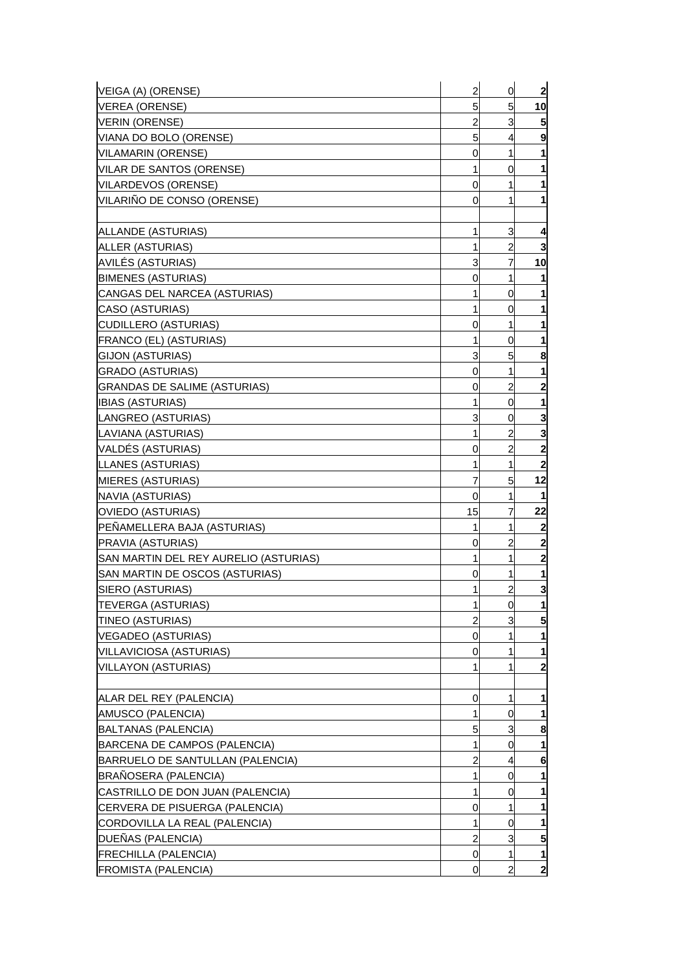| VEIGA (A) (ORENSE)                               | $\overline{c}$ | 0                   | $\overline{2}$          |
|--------------------------------------------------|----------------|---------------------|-------------------------|
| <b>VEREA (ORENSE)</b>                            | 5              | 5 <sub>5</sub>      | 10                      |
| <b>VERIN (ORENSE)</b>                            | $\overline{a}$ | 3                   | 5                       |
| VIANA DO BOLO (ORENSE)                           | 5              | 4                   | 9                       |
| <b>VILAMARIN (ORENSE)</b>                        | 0              | 1                   | $\mathbf{1}$            |
| VILAR DE SANTOS (ORENSE)                         | 1              | 0                   | 1                       |
| <b>VILARDEVOS (ORENSE)</b>                       | 0              | 1                   | 1                       |
| VILARIÑO DE CONSO (ORENSE)                       | 0              | 1                   | 1                       |
|                                                  |                |                     |                         |
| ALLANDE (ASTURIAS)                               | 1              | 3                   | 4                       |
| ALLER (ASTURIAS)                                 | 1              | $\overline{a}$      | 3                       |
| AVILÉS (ASTURIAS)                                | 3              | 7                   | 10                      |
| <b>BIMENES (ASTURIAS)</b>                        | 0              | 1                   | 1                       |
| CANGAS DEL NARCEA (ASTURIAS)                     | 1              | 0                   | 1                       |
| CASO (ASTURIAS)                                  | 1              | 0                   | 1                       |
| <b>CUDILLERO (ASTURIAS)</b>                      | 0              | 1                   | 1                       |
| <b>FRANCO (EL) (ASTURIAS)</b>                    | 1              | 0                   | 1                       |
| GIJON (ASTURIAS)                                 | 3              | 5                   | 8                       |
| <b>GRADO (ASTURIAS)</b>                          | 0              | 1                   | 1                       |
| <b>GRANDAS DE SALIME (ASTURIAS)</b>              | 0              | $\overline{a}$      | $\mathbf{2}$            |
| <b>IBIAS (ASTURIAS)</b>                          | 1              | 0                   | 1                       |
| LANGREO (ASTURIAS)                               | 3              | 0                   | 3                       |
| LAVIANA (ASTURIAS)                               | 1              | $\overline{a}$      | 3                       |
| VALDÉS (ASTURIAS)                                |                | $\overline{c}$      | $\mathbf{2}$            |
|                                                  | 0              | 1                   | $\overline{\mathbf{2}}$ |
| LLANES (ASTURIAS)                                | 1              | 5                   |                         |
| <b>MIERES (ASTURIAS)</b>                         | 7              |                     | 12                      |
| NAVIA (ASTURIAS)                                 | 0              | 1                   | 1                       |
| <b>OVIEDO (ASTURIAS)</b>                         | 15             | 7                   | 22                      |
| PEÑAMELLERA BAJA (ASTURIAS)<br>PRAVIA (ASTURIAS) | 1              | 1                   | $\boldsymbol{2}$        |
|                                                  | 0              | $\overline{a}$<br>1 | $\mathbf{2}$            |
| SAN MARTIN DEL REY AURELIO (ASTURIAS)            | 1              |                     | $\overline{\mathbf{c}}$ |
| SAN MARTIN DE OSCOS (ASTURIAS)                   | 0              | 1                   | 1                       |
| SIERO (ASTURIAS)                                 | 1              | $\overline{c}$      | 3                       |
| <b>TEVERGA (ASTURIAS)</b>                        | 1              | 0                   | 1                       |
| TINEO (ASTURIAS)                                 | $\overline{c}$ | 3                   | 5                       |
| <b>VEGADEO (ASTURIAS)</b>                        | 0              | 1                   | 1                       |
| VILLAVICIOSA (ASTURIAS)                          | 0              | 1                   | 1                       |
| <b>VILLAYON (ASTURIAS)</b>                       | 1              | 1                   | $\mathbf{2}$            |
|                                                  |                |                     |                         |
| ALAR DEL REY (PALENCIA)                          | 0              | 1                   | 1                       |
| AMUSCO (PALENCIA)                                | 1              | 0                   | 1                       |
| BALTANAS (PALENCIA)                              | 5              | 3                   | 8                       |
| BARCENA DE CAMPOS (PALENCIA)                     | 1              | 0                   | 1                       |
| BARRUELO DE SANTULLAN (PALENCIA)                 | 2              | 4                   | 6                       |
| BRAÑOSERA (PALENCIA)                             | 1              | 0                   | 1                       |
| CASTRILLO DE DON JUAN (PALENCIA)                 | 1              | 0                   |                         |
| CERVERA DE PISUERGA (PALENCIA)                   | 0              | 1                   | 1                       |
| CORDOVILLA LA REAL (PALENCIA)                    | 1              | 0                   |                         |
| DUEÑAS (PALENCIA)                                | $\overline{c}$ | 3                   | 5                       |
| <b>FRECHILLA (PALENCIA)</b>                      | $\mathbf 0$    | 1                   | 1                       |
| <b>FROMISTA (PALENCIA)</b>                       | 0              | $\overline{a}$      | $\mathbf{2}$            |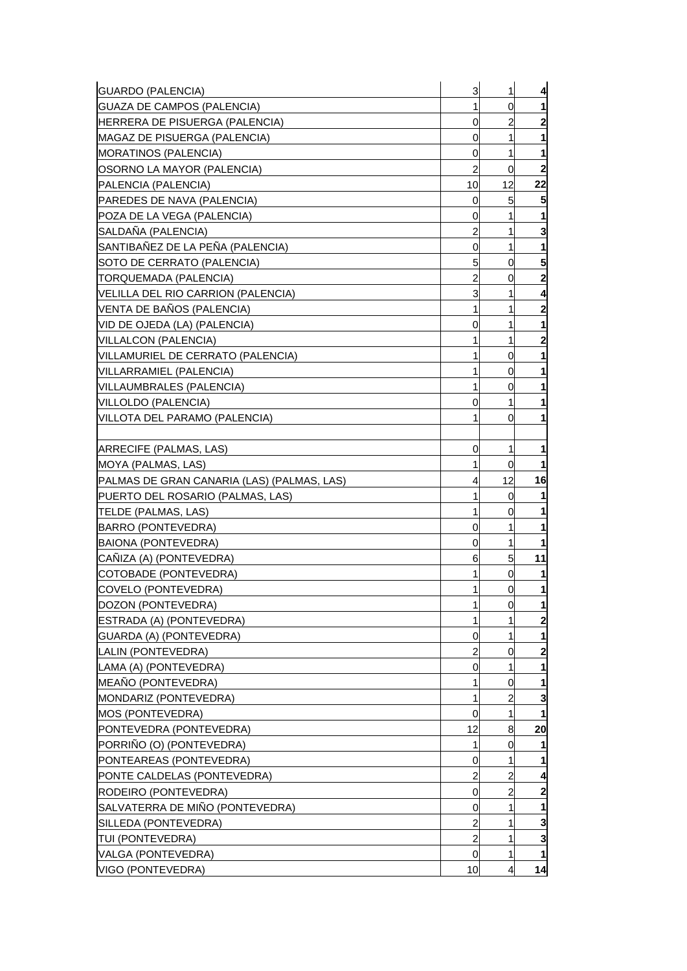| <b>GUARDO (PALENCIA)</b>                   | 3              | 1  | 4              |
|--------------------------------------------|----------------|----|----------------|
| GUAZA DE CAMPOS (PALENCIA)                 | 1              | 0  |                |
| HERRERA DE PISUERGA (PALENCIA)             | 0              | 2  |                |
| MAGAZ DE PISUERGA (PALENCIA)               | 0              | 1  |                |
| MORATINOS (PALENCIA)                       | 0              | 1  | 1              |
| OSORNO LA MAYOR (PALENCIA)                 | $\overline{c}$ | 0  | $\mathbf{2}$   |
| PALENCIA (PALENCIA)                        | 10             | 12 | 22             |
| PAREDES DE NAVA (PALENCIA)                 | 0              | 5  |                |
| POZA DE LA VEGA (PALENCIA)                 | 0              | 1  |                |
| SALDANA (PALENCIA)                         | 2              | 1  | 3              |
| SANTIBAÑEZ DE LA PEÑA (PALENCIA)           | 0              | 1  |                |
| SOTO DE CERRATO (PALENCIA)                 | 5              | 0  | 5              |
| TORQUEMADA (PALENCIA)                      | 2              | 0  | 2              |
| VELILLA DEL RIO CARRION (PALENCIA)         | 3              | 1  | 4              |
| VENTA DE BANOS (PALENCIA)                  | 1              | 1  | 2              |
| VID DE OJEDA (LA) (PALENCIA)               | 0              | 1  |                |
| <b>VILLALCON (PALENCIA)</b>                | 1              | 1  | 2              |
| VILLAMURIEL DE CERRATO (PALENCIA)          | 1              | 0  |                |
| VILLARRAMIEL (PALENCIA)                    | 1              | 0  |                |
| VILLAUMBRALES (PALENCIA)                   | 1              | 0  |                |
| VILLOLDO (PALENCIA)                        | 0              | 1  |                |
| VILLOTA DEL PARAMO (PALENCIA)              | 1              | 0  |                |
|                                            |                |    |                |
| ARRECIFE (PALMAS, LAS)                     | 0              | 1  |                |
| MOYA (PALMAS, LAS)                         | 1              | 0  |                |
| PALMAS DE GRAN CANARIA (LAS) (PALMAS, LAS) | 4              | 12 | 16             |
| PUERTO DEL ROSARIO (PALMAS, LAS)           | 1              | 0  |                |
| <b>TELDE (PALMAS, LAS)</b>                 | 1              | 0  |                |
| <b>BARRO (PONTEVEDRA)</b>                  | 0              | 1  |                |
| BAIONA (PONTEVEDRA)                        | 0              | 1  |                |
| CAÑIZA (A) (PONTEVEDRA)                    | 6              | 5  | 11             |
| COTOBADE (PONTEVEDRA)                      | 1              | 0  |                |
| COVELO (PONTEVEDRA)                        | 1              | 0  | 1              |
| DOZON (PONTEVEDRA)                         | 1              | 0  | 1              |
| ESTRADA (A) (PONTEVEDRA)                   | 1              |    | $\mathbf{2}$   |
| GUARDA (A) (PONTEVEDRA)                    | 0              | 1  |                |
| LALIN (PONTEVEDRA)                         | 2              | 0  | $\overline{2}$ |
| LAMA (A) (PONTEVEDRA)                      | 0              | 1  |                |
| MEAÑO (PONTEVEDRA)                         | 1              | 0  |                |
| MONDARIZ (PONTEVEDRA)                      | 1              | 2  | 3              |
| MOS (PONTEVEDRA)                           | 0              | 1  |                |
| PONTEVEDRA (PONTEVEDRA)                    | 12             | 8  | 20             |
| PORRIÑO (O) (PONTEVEDRA)                   | 1              | 0  |                |
| PONTEAREAS (PONTEVEDRA)                    | 0              | 1  |                |
| PONTE CALDELAS (PONTEVEDRA)                | 2              | 2  | 4              |
| RODEIRO (PONTEVEDRA)                       | 0              | 2  | $\overline{2}$ |
| SALVATERRA DE MIÑO (PONTEVEDRA)            | 0              | 1  |                |
| SILLEDA (PONTEVEDRA)                       | 2              | 1  | 3              |
| TUI (PONTEVEDRA)                           | $\overline{a}$ | 1  | 3              |
| VALGA (PONTEVEDRA)                         | 0              | 1  | 1              |
| VIGO (PONTEVEDRA)                          | 10             | 4  | 14             |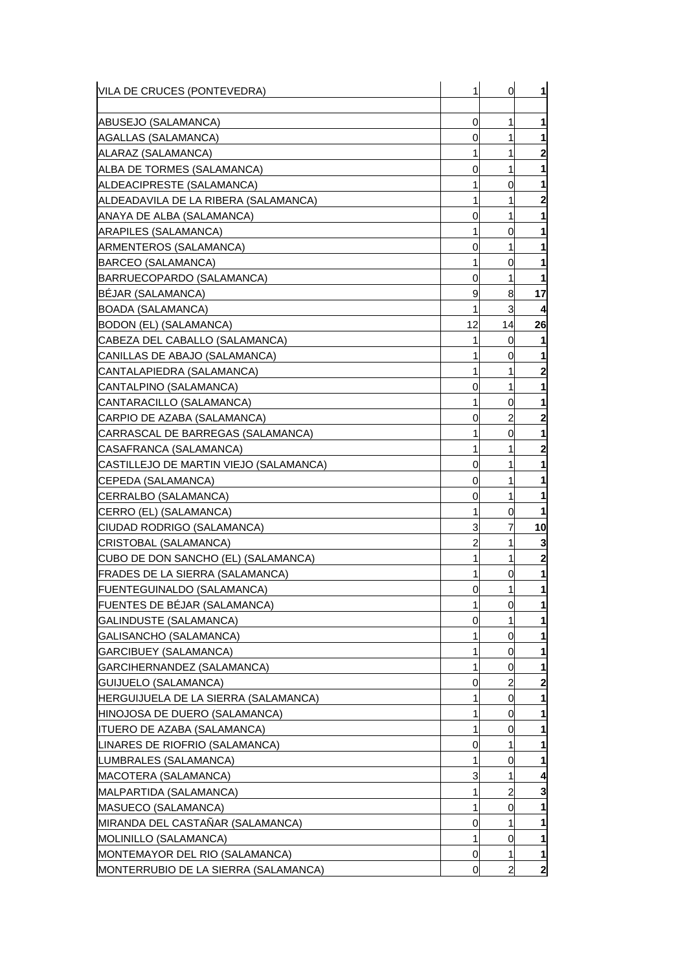| VILA DE CRUCES (PONTEVEDRA)                 | 1            | 0  | 1            |
|---------------------------------------------|--------------|----|--------------|
| ABUSEJO (SALAMANCA)                         | 0            | 1  | 1            |
| AGALLAS (SALAMANCA)                         | 0            | 1  |              |
| IALARAZ (SALAMANCA)                         | 1            | 1  | 2            |
| ALBA DE TORMES (SALAMANCA)                  | 0            | 1  | 1            |
| ALDEACIPRESTE (SALAMANCA)                   | 1            | 0  | 1            |
| ALDEADAVILA DE LA RIBERA (SALAMANCA)        | 1            | 1  | 2            |
| ANAYA DE ALBA (SALAMANCA)                   | 0            | 1  | 1            |
| ARAPILES (SALAMANCA)                        | 1            | 0  |              |
| ARMENTEROS (SALAMANCA)                      | 0            | 1  |              |
| BARCEO (SALAMANCA)                          | 1            | 0  |              |
| BARRUECOPARDO (SALAMANCA)                   | 0            | 1  | 1            |
| <b>BEJAR (SALAMANCA)</b>                    | 9            | 8  | 17           |
| <b>BOADA (SALAMANCA)</b>                    | $\mathbf{1}$ | 3  | 4            |
| BODON (EL) (SALAMANCA)                      | 12           | 14 | 26           |
| CABEZA DEL CABALLO (SALAMANCA)              | 1            | 0  | 1            |
| CANILLAS DE ABAJO (SALAMANCA)               | 1            | 0  |              |
| CANTALAPIEDRA (SALAMANCA)                   | 1            | 1  | 2            |
| CANTALPINO (SALAMANCA)                      | 0            | 1  |              |
| CANTARACILLO (SALAMANCA)                    | 1            | 0  | 1            |
| CARPIO DE AZABA (SALAMANCA)                 | 0            | 2  | $\mathbf{2}$ |
| CARRASCAL DE BARREGAS (SALAMANCA)           | 1            | 0  | 1            |
| CASAFRANCA (SALAMANCA)                      | 1            | 1  | 2            |
| ICASTILLEJO DE MARTIN VIEJO (SALAMANCA)     | 0            | 1  | 1            |
| CEPEDA (SALAMANCA)                          | 0            | 1  |              |
| CERRALBO (SALAMANCA)                        | 0            | 1  | 1            |
| CERRO (EL) (SALAMANCA)                      | 1            | 0  |              |
| ICIUDAD RODRIGO (SALAMANCA)                 | 3            | 7  | 10           |
| CRISTOBAL (SALAMANCA)                       | 2            | 1  | 3            |
| CUBO DE DON SANCHO (EL) (SALAMANCA)         | 1            | 1  | $\mathbf{2}$ |
| <b>FRADES DE LA SIERRA (SALAMANCA)</b>      | 1            | 0  | 1            |
| <b>FUENTEGUINALDO (SALAMANCA)</b>           | 0            | 1  | 1            |
| FUENTES DE BÉJAR (SALAMANCA)                | 1            | 0  |              |
| GALINDUSTE (SALAMANCA)                      | 0            |    |              |
| GALISANCHO (SALAMANCA)                      | 1            | 0  |              |
| <b>GARCIBUEY (SALAMANCA)</b>                | 1            | 0  | 1            |
| GARCIHERNANDEZ (SALAMANCA)                  | 1            | 0  |              |
| GUIJUELO (SALAMANCA)                        | 0            | 2  | 2            |
| <b>HERGUIJUELA DE LA SIERRA (SALAMANCA)</b> |              | 0  |              |
| HINOJOSA DE DUERO (SALAMANCA)               | 1            | 0  |              |
| <b>ITUERO DE AZABA (SALAMANCA)</b>          | 1            | 0  |              |
| LINARES DE RIOFRIO (SALAMANCA)              | 0            | 1  |              |
| LUMBRALES (SALAMANCA)                       | 1            | 0  |              |
| MACOTERA (SALAMANCA)                        | 3            | 1  | 4            |
| MALPARTIDA (SALAMANCA)                      | 1            | 2  | 3            |
| <b>MASUECO (SALAMANCA)</b>                  | 1            | 0  |              |
| MIRANDA DEL CASTAÑAR (SALAMANCA)            | 0            | 1  |              |
| <b>MOLINILLO (SALAMANCA)</b>                | 1            | 0  | 1            |
| MONTEMAYOR DEL RIO (SALAMANCA)              | 0            | 1  | 1            |
| MONTERRUBIO DE LA SIERRA (SALAMANCA)        | 0            | 2  | $\mathbf{z}$ |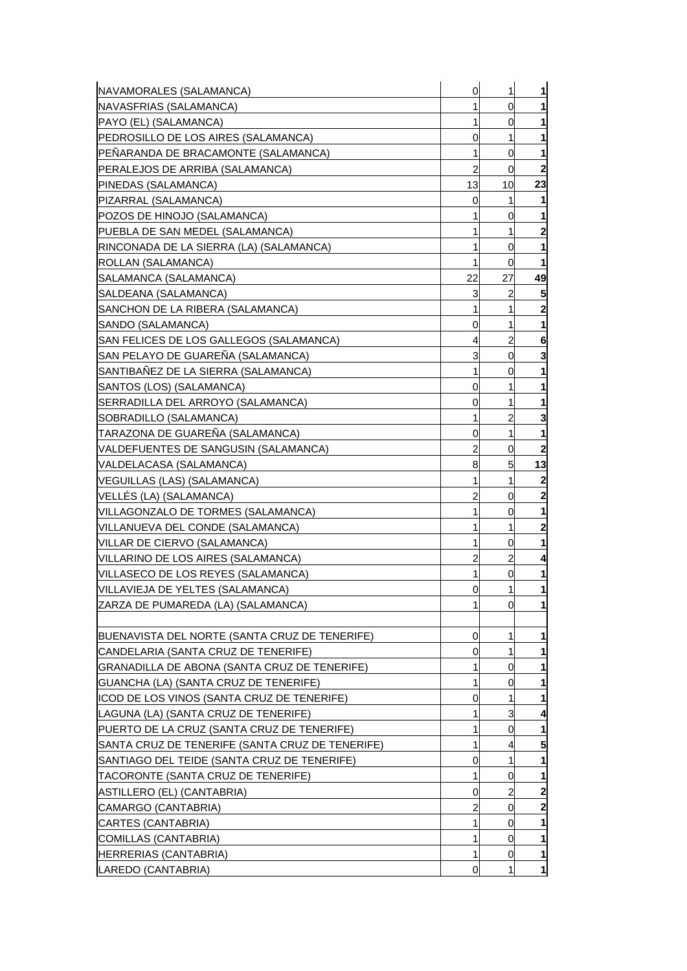| NAVAMORALES (SALAMANCA)                         | 0              | 1              | 1                       |
|-------------------------------------------------|----------------|----------------|-------------------------|
| NAVASFRIAS (SALAMANCA)                          | 1              | 0              | 1                       |
| PAYO (EL) (SALAMANCA)                           | 1              | 0              | 1                       |
| PEDROSILLO DE LOS AIRES (SALAMANCA)             | 0              | 1              |                         |
| PEÑARANDA DE BRACAMONTE (SALAMANCA)             | 1              | 0              | 1                       |
| PERALEJOS DE ARRIBA (SALAMANCA)                 | $\overline{a}$ | 0              | $\mathbf{2}$            |
| PINEDAS (SALAMANCA)                             | 13             | 10             | 23                      |
| PIZARRAL (SALAMANCA)                            | 0              | 1              |                         |
| POZOS DE HINOJO (SALAMANCA)                     | 1              | 0              | 1                       |
| PUEBLA DE SAN MEDEL (SALAMANCA)                 | 1              | 1              | $\overline{\mathbf{c}}$ |
| RINCONADA DE LA SIERRA (LA) (SALAMANCA)         | $\mathbf{1}$   | 0              | 1                       |
| ROLLAN (SALAMANCA)                              | 1              | 0              | 1                       |
| SALAMANCA (SALAMANCA)                           | 22             | 27             | 49                      |
| SALDEANA (SALAMANCA)                            | 3              | $\overline{c}$ | 5                       |
| SANCHON DE LA RIBERA (SALAMANCA)                | 1              | 1              | $\mathbf{2}$            |
| SANDO (SALAMANCA)                               | 0              | 1              | 1                       |
| SAN FELICES DE LOS GALLEGOS (SALAMANCA)         | 4              | $\overline{c}$ | 6                       |
| SAN PELAYO DE GUARENA (SALAMANCA)               | 3              | 0              | 3                       |
| SANTIBAÑEZ DE LA SIERRA (SALAMANCA)             | 1              | 0              | 1                       |
| SANTOS (LOS) (SALAMANCA)                        | 0              | 1              | 1                       |
| SERRADILLA DEL ARROYO (SALAMANCA)               | 0              | 1              | 1                       |
| SOBRADILLO (SALAMANCA)                          | 1              | 2              | 3                       |
| TARAZONA DE GUARENA (SALAMANCA)                 | 0              | 1              | 1                       |
| VALDEFUENTES DE SANGUSIN (SALAMANCA)            | 2              | 0              | $\mathbf{2}$            |
| VALDELACASA (SALAMANCA)                         | 8              | 5              | 13                      |
| VEGUILLAS (LAS) (SALAMANCA)                     | 1              | 1              | $\boldsymbol{2}$        |
| VELLES (LA) (SALAMANCA)                         | 2              | 0              | $\mathbf{2}$            |
| VILLAGONZALO DE TORMES (SALAMANCA)              | 1              | 0              |                         |
| VILLANUEVA DEL CONDE (SALAMANCA)                | 1              | 1              | 2                       |
| VILLAR DE CIERVO (SALAMANCA)                    | 1              | 0              | 1                       |
| VILLARINO DE LOS AIRES (SALAMANCA)              | $\overline{c}$ | $\overline{c}$ | 4                       |
| VILLASECO DE LOS REYES (SALAMANCA)              | 1              | 0              | 1                       |
| VILLAVIEJA DE YELTES (SALAMANCA)                | 0              | 1              | 1                       |
| ZARZA DE PUMAREDA (LA) (SALAMANCA)              | 1              | 0              | $\mathbf{1}$            |
|                                                 |                |                |                         |
| BUENAVISTA DEL NORTE (SANTA CRUZ DE TENERIFE)   | 0              | 1              | 1                       |
| CANDELARIA (SANTA CRUZ DE TENERIFE)             | 0              | 1              | 1                       |
| GRANADILLA DE ABONA (SANTA CRUZ DE TENERIFE)    | 1              | 0              |                         |
| GUANCHA (LA) (SANTA CRUZ DE TENERIFE)           | $\mathbf{1}$   | 0              | 1                       |
| ICOD DE LOS VINOS (SANTA CRUZ DE TENERIFE)      | 0              | 1              |                         |
| LAGUNA (LA) (SANTA CRUZ DE TENERIFE)            | 1              | 3              | 4                       |
| PUERTO DE LA CRUZ (SANTA CRUZ DE TENERIFE)      | 1              | 0              | 1                       |
| SANTA CRUZ DE TENERIFE (SANTA CRUZ DE TENERIFE) | $\mathbf{1}$   | $\overline{a}$ | 5                       |
| SANTIAGO DEL TEIDE (SANTA CRUZ DE TENERIFE)     | 0              | 1              |                         |
| TACORONTE (SANTA CRUZ DE TENERIFE)              | 1              | 0              | 1                       |
| ASTILLERO (EL) (CANTABRIA)                      | 0              | $\overline{a}$ | $\mathbf{2}$            |
| CAMARGO (CANTABRIA)                             | $\overline{c}$ | 0              | $\overline{\mathbf{c}}$ |
| CARTES (CANTABRIA)                              | 1              | 0              |                         |
| COMILLAS (CANTABRIA)                            | 1              | 0              | 1                       |
| HERRERIAS (CANTABRIA)                           | 1              | 0              | 1                       |
| LAREDO (CANTABRIA)                              | 0              | 1              | $\mathbf{1}$            |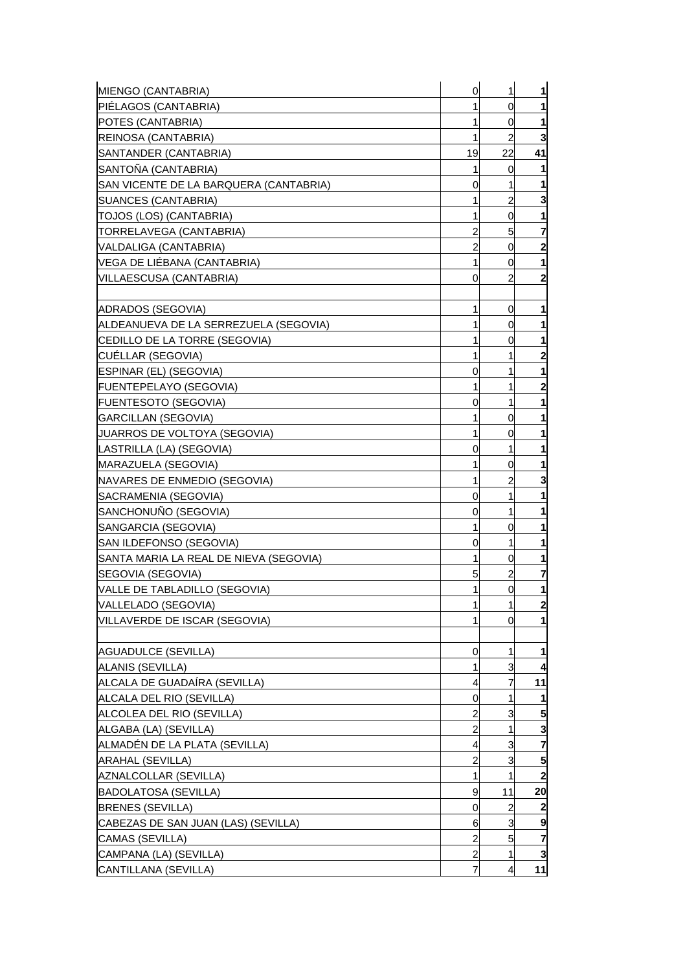| MIENGO (CANTABRIA)                     | $\mathbf 0$    | 1              | $\mathbf{1}$            |
|----------------------------------------|----------------|----------------|-------------------------|
| PIÉLAGOS (CANTABRIA)                   |                | 0              | $\mathbf{1}$            |
| POTES (CANTABRIA)                      |                | 0              | 1                       |
| <b>REINOSA (CANTABRIA)</b>             | 1              | 2              | 3                       |
| SANTANDER (CANTABRIA)                  | 19             | 22             | 41                      |
| SANTONA (CANTABRIA)                    |                | 0              | $\mathbf{1}$            |
| SAN VICENTE DE LA BARQUERA (CANTABRIA) | 0              | 1              | 1                       |
| SUANCES (CANTABRIA)                    | 1              | $\overline{c}$ | 3                       |
| TOJOS (LOS) (CANTABRIA)                | 1              | 0              | 1                       |
| TORRELAVEGA (CANTABRIA)                | 2              | 5              | 7                       |
| VALDALIGA (CANTABRIA)                  | 2              | 0              | $\overline{\mathbf{c}}$ |
| VEGA DE LIEBANA (CANTABRIA)            | 1              | 0              | 1                       |
| VILLAESCUSA (CANTABRIA)                | 0              | 2              | $\overline{\mathbf{c}}$ |
|                                        |                |                |                         |
| ADRADOS (SEGOVIA)                      | 1              | 0              | 1                       |
| ALDEANUEVA DE LA SERREZUELA (SEGOVIA)  |                | 0              | 1                       |
| CEDILLO DE LA TORRE (SEGOVIA)          |                | 0              | 1                       |
| CUELLAR (SEGOVIA)                      |                | 1              | $\overline{\mathbf{c}}$ |
| ESPINAR (EL) (SEGOVIA)                 | 0              | 1              | 1                       |
| <b>FUENTEPELAYO (SEGOVIA)</b>          | 1              | 1              | $\mathbf{2}$            |
| <b>FUENTESOTO (SEGOVIA)</b>            | 0              | 1              | 1                       |
| GARCILLAN (SEGOVIA)                    |                | 0              | 1                       |
| JUARROS DE VOLTOYA (SEGOVIA)           |                | 0              | 1                       |
| LASTRILLA (LA) (SEGOVIA)               | 0              | 1              | 1                       |
| MARAZUELA (SEGOVIA)                    | 1              | 0              | 1                       |
| NAVARES DE ENMEDIO (SEGOVIA)           |                | $\overline{c}$ | 3                       |
| SACRAMENIA (SEGOVIA)                   | 0              | 1              | 1                       |
| SANCHONUÑO (SEGOVIA)                   | 0              | 1              | 1                       |
| SANGARCIA (SEGOVIA)                    | 1              | 0              | 1                       |
| SAN ILDEFONSO (SEGOVIA)                | 0              | 1              | 1                       |
| SANTA MARIA LA REAL DE NIEVA (SEGOVIA) |                | 0              | 1                       |
| SEGOVIA (SEGOVIA)                      | 5              | 2              | 7                       |
| VALLE DE TABLADILLO (SEGOVIA)          | 1              | $\overline{0}$ | $\mathbf{1}$            |
| VALLELADO (SEGOVIA)                    | 1              | $\mathbf{1}$   | $\mathbf{2}$            |
| VILLAVERDE DE ISCAR (SEGOVIA)          |                | 0              | 1                       |
|                                        |                |                |                         |
| <b>AGUADULCE (SEVILLA)</b>             | 0              | 1              | $\mathbf 1$             |
| ALANIS (SEVILLA)                       |                | 3              | $\overline{4}$          |
| ALCALA DE GUADAÍRA (SEVILLA)           | 4              | 7              | 11                      |
| ALCALA DEL RIO (SEVILLA)               | 0              | 1              | 1                       |
| ALCOLEA DEL RIO (SEVILLA)              | 2              | 3              | 5                       |
| ALGABA (LA) (SEVILLA)                  | $\overline{a}$ | 1              | 3                       |
| ALMADÉN DE LA PLATA (SEVILLA)          | 4              | 3              | $\overline{7}$          |
| ARAHAL (SEVILLA)                       | 2              | 3              | 5                       |
| AZNALCOLLAR (SEVILLA)                  | 1              | 1              | $\overline{\mathbf{c}}$ |
| <b>BADOLATOSA (SEVILLA)</b>            | 9              | 11             | 20                      |
| <b>BRENES (SEVILLA)</b>                | 0              | $\overline{c}$ | $\boldsymbol{2}$        |
| CABEZAS DE SAN JUAN (LAS) (SEVILLA)    | 6              | 3              | 9                       |
| CAMAS (SEVILLA)                        | $\overline{c}$ | 5              | $\overline{7}$          |
| CAMPANA (LA) (SEVILLA)                 | $\overline{a}$ | 1              | $\overline{\mathbf{3}}$ |
| CANTILLANA (SEVILLA)                   | 7              | 4              | 11                      |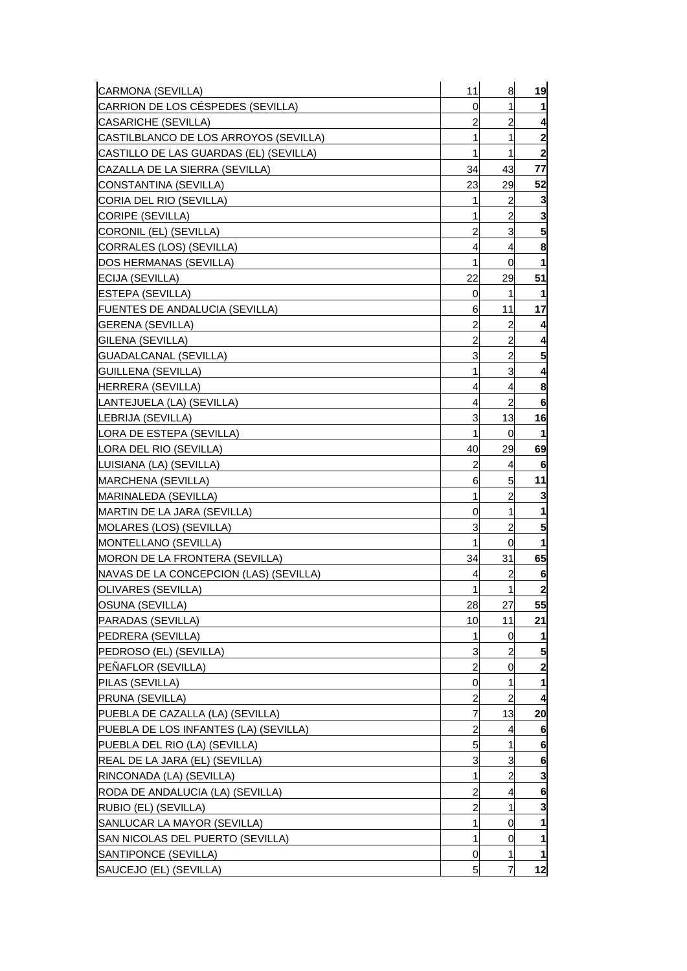| CARRION DE LOS CÉSPEDES (SEVILLA)<br>0<br>1<br>2<br>2<br>1<br>$\mathbf{2}$<br>1<br>CASTILLO DE LAS GUARDAS (EL) (SEVILLA)<br>1<br>1<br>$\mathbf{2}$<br>34<br>43<br>77<br>CAZALLA DE LA SIERRA (SEVILLA)<br>29<br>52<br>CONSTANTINA (SEVILLA)<br>23<br>2<br>CORIA DEL RIO (SEVILLA)<br>1<br>3<br>2<br>3<br>CORIPE (SEVILLA)<br>1<br>5<br>2<br>CORONIL (EL) (SEVILLA)<br>3<br>4<br>8<br>CORRALES (LOS) (SEVILLA)<br>4<br>DOS HERMANAS (SEVILLA)<br>1<br>0<br>ECIJA (SEVILLA)<br>22<br>29<br>51<br><b>ESTEPA (SEVILLA)</b><br>0<br>1<br>-1<br>11<br>17<br><b>FUENTES DE ANDALUCIA (SEVILLA)</b><br>6<br>2<br>GERENA (SEVILLA)<br>2<br>4<br>2<br>2<br>GILENA (SEVILLA)<br>4<br>3<br>2<br>5<br>GUADALCANAL (SEVILLA)<br>3<br><b>GUILLENA (SEVILLA)</b><br>1<br>HERRERA (SEVILLA)<br>4<br>4<br>8<br>$\overline{c}$<br>LANTEJUELA (LA) (SEVILLA)<br>4<br>6<br>3<br>13<br>LEBRIJA (SEVILLA)<br>16<br>1<br>1<br>LORA DE ESTEPA (SEVILLA)<br>0<br>40<br>69<br>LORA DEL RIO (SEVILLA)<br>29<br>2<br>LUISIANA (LA) (SEVILLA)<br>4<br>6<br>5<br>11<br>MARCHENA (SEVILLA)<br>6<br>2<br>MARINALEDA (SEVILLA)<br>1<br>3<br>MARTIN DE LA JARA (SEVILLA)<br>0<br>1<br>3<br>MOLARES (LOS) (SEVILLA)<br>$\overline{c}$<br>5<br>1<br>MONTELLANO (SEVILLA)<br>0<br>65<br>34<br>31<br>MORON DE LA FRONTERA (SEVILLA)<br>NAVAS DE LA CONCEPCION (LAS) (SEVILLA)<br>2<br>4<br>6<br>1<br>$\mathbf{2}$<br>OLIVARES (SEVILLA)<br>1<br>28<br>27<br><b>OSUNA (SEVILLA)</b><br>55<br>11<br>PARADAS (SEVILLA)<br>10<br>21<br>PEDRERA (SEVILLA)<br>0<br>1<br>$\overline{c}$<br>5<br>PEDROSO (EL) (SEVILLA)<br>3<br>PEÑAFLOR (SEVILLA)<br>$\overline{c}$<br>$\overline{2}$<br>0<br>PILAS (SEVILLA)<br>1<br>0<br>$\overline{a}$<br>PRUNA (SEVILLA)<br>2<br>4<br>7<br>13<br>20<br>PUEBLA DE CAZALLA (LA) (SEVILLA)<br>2<br>PUEBLA DE LOS INFANTES (LA) (SEVILLA)<br>6<br>4<br>5<br>1<br>6<br>PUEBLA DEL RIO (LA) (SEVILLA)<br>REAL DE LA JARA (EL) (SEVILLA)<br>3<br>3<br>6<br>$\overline{c}$<br>3<br>RINCONADA (LA) (SEVILLA)<br>1<br>RODA DE ANDALUCIA (LA) (SEVILLA)<br>$\overline{2}$<br>6<br>4<br>$\overline{2}$<br>1<br>RUBIO (EL) (SEVILLA)<br>3<br>SANLUCAR LA MAYOR (SEVILLA)<br>0<br>1<br>SAN NICOLAS DEL PUERTO (SEVILLA)<br>1<br>0<br>SANTIPONCE (SEVILLA)<br>0<br>1<br>1<br>7<br>5 | CARMONA (SEVILLA)                     | 11 | 8 | 19 |
|-------------------------------------------------------------------------------------------------------------------------------------------------------------------------------------------------------------------------------------------------------------------------------------------------------------------------------------------------------------------------------------------------------------------------------------------------------------------------------------------------------------------------------------------------------------------------------------------------------------------------------------------------------------------------------------------------------------------------------------------------------------------------------------------------------------------------------------------------------------------------------------------------------------------------------------------------------------------------------------------------------------------------------------------------------------------------------------------------------------------------------------------------------------------------------------------------------------------------------------------------------------------------------------------------------------------------------------------------------------------------------------------------------------------------------------------------------------------------------------------------------------------------------------------------------------------------------------------------------------------------------------------------------------------------------------------------------------------------------------------------------------------------------------------------------------------------------------------------------------------------------------------------------------------------------------------------------------------------------------------------------------------------------------------------------------------------------------------------------------------------------------------------------------------------------------------------------------------------------------------------------------|---------------------------------------|----|---|----|
| 12                                                                                                                                                                                                                                                                                                                                                                                                                                                                                                                                                                                                                                                                                                                                                                                                                                                                                                                                                                                                                                                                                                                                                                                                                                                                                                                                                                                                                                                                                                                                                                                                                                                                                                                                                                                                                                                                                                                                                                                                                                                                                                                                                                                                                                                          |                                       |    |   |    |
|                                                                                                                                                                                                                                                                                                                                                                                                                                                                                                                                                                                                                                                                                                                                                                                                                                                                                                                                                                                                                                                                                                                                                                                                                                                                                                                                                                                                                                                                                                                                                                                                                                                                                                                                                                                                                                                                                                                                                                                                                                                                                                                                                                                                                                                             | CASARICHE (SEVILLA)                   |    |   |    |
|                                                                                                                                                                                                                                                                                                                                                                                                                                                                                                                                                                                                                                                                                                                                                                                                                                                                                                                                                                                                                                                                                                                                                                                                                                                                                                                                                                                                                                                                                                                                                                                                                                                                                                                                                                                                                                                                                                                                                                                                                                                                                                                                                                                                                                                             | CASTILBLANCO DE LOS ARROYOS (SEVILLA) |    |   |    |
|                                                                                                                                                                                                                                                                                                                                                                                                                                                                                                                                                                                                                                                                                                                                                                                                                                                                                                                                                                                                                                                                                                                                                                                                                                                                                                                                                                                                                                                                                                                                                                                                                                                                                                                                                                                                                                                                                                                                                                                                                                                                                                                                                                                                                                                             |                                       |    |   |    |
|                                                                                                                                                                                                                                                                                                                                                                                                                                                                                                                                                                                                                                                                                                                                                                                                                                                                                                                                                                                                                                                                                                                                                                                                                                                                                                                                                                                                                                                                                                                                                                                                                                                                                                                                                                                                                                                                                                                                                                                                                                                                                                                                                                                                                                                             |                                       |    |   |    |
|                                                                                                                                                                                                                                                                                                                                                                                                                                                                                                                                                                                                                                                                                                                                                                                                                                                                                                                                                                                                                                                                                                                                                                                                                                                                                                                                                                                                                                                                                                                                                                                                                                                                                                                                                                                                                                                                                                                                                                                                                                                                                                                                                                                                                                                             |                                       |    |   |    |
|                                                                                                                                                                                                                                                                                                                                                                                                                                                                                                                                                                                                                                                                                                                                                                                                                                                                                                                                                                                                                                                                                                                                                                                                                                                                                                                                                                                                                                                                                                                                                                                                                                                                                                                                                                                                                                                                                                                                                                                                                                                                                                                                                                                                                                                             |                                       |    |   |    |
|                                                                                                                                                                                                                                                                                                                                                                                                                                                                                                                                                                                                                                                                                                                                                                                                                                                                                                                                                                                                                                                                                                                                                                                                                                                                                                                                                                                                                                                                                                                                                                                                                                                                                                                                                                                                                                                                                                                                                                                                                                                                                                                                                                                                                                                             |                                       |    |   |    |
|                                                                                                                                                                                                                                                                                                                                                                                                                                                                                                                                                                                                                                                                                                                                                                                                                                                                                                                                                                                                                                                                                                                                                                                                                                                                                                                                                                                                                                                                                                                                                                                                                                                                                                                                                                                                                                                                                                                                                                                                                                                                                                                                                                                                                                                             |                                       |    |   |    |
|                                                                                                                                                                                                                                                                                                                                                                                                                                                                                                                                                                                                                                                                                                                                                                                                                                                                                                                                                                                                                                                                                                                                                                                                                                                                                                                                                                                                                                                                                                                                                                                                                                                                                                                                                                                                                                                                                                                                                                                                                                                                                                                                                                                                                                                             |                                       |    |   |    |
|                                                                                                                                                                                                                                                                                                                                                                                                                                                                                                                                                                                                                                                                                                                                                                                                                                                                                                                                                                                                                                                                                                                                                                                                                                                                                                                                                                                                                                                                                                                                                                                                                                                                                                                                                                                                                                                                                                                                                                                                                                                                                                                                                                                                                                                             |                                       |    |   |    |
|                                                                                                                                                                                                                                                                                                                                                                                                                                                                                                                                                                                                                                                                                                                                                                                                                                                                                                                                                                                                                                                                                                                                                                                                                                                                                                                                                                                                                                                                                                                                                                                                                                                                                                                                                                                                                                                                                                                                                                                                                                                                                                                                                                                                                                                             |                                       |    |   |    |
|                                                                                                                                                                                                                                                                                                                                                                                                                                                                                                                                                                                                                                                                                                                                                                                                                                                                                                                                                                                                                                                                                                                                                                                                                                                                                                                                                                                                                                                                                                                                                                                                                                                                                                                                                                                                                                                                                                                                                                                                                                                                                                                                                                                                                                                             |                                       |    |   |    |
|                                                                                                                                                                                                                                                                                                                                                                                                                                                                                                                                                                                                                                                                                                                                                                                                                                                                                                                                                                                                                                                                                                                                                                                                                                                                                                                                                                                                                                                                                                                                                                                                                                                                                                                                                                                                                                                                                                                                                                                                                                                                                                                                                                                                                                                             |                                       |    |   |    |
|                                                                                                                                                                                                                                                                                                                                                                                                                                                                                                                                                                                                                                                                                                                                                                                                                                                                                                                                                                                                                                                                                                                                                                                                                                                                                                                                                                                                                                                                                                                                                                                                                                                                                                                                                                                                                                                                                                                                                                                                                                                                                                                                                                                                                                                             |                                       |    |   |    |
|                                                                                                                                                                                                                                                                                                                                                                                                                                                                                                                                                                                                                                                                                                                                                                                                                                                                                                                                                                                                                                                                                                                                                                                                                                                                                                                                                                                                                                                                                                                                                                                                                                                                                                                                                                                                                                                                                                                                                                                                                                                                                                                                                                                                                                                             |                                       |    |   |    |
|                                                                                                                                                                                                                                                                                                                                                                                                                                                                                                                                                                                                                                                                                                                                                                                                                                                                                                                                                                                                                                                                                                                                                                                                                                                                                                                                                                                                                                                                                                                                                                                                                                                                                                                                                                                                                                                                                                                                                                                                                                                                                                                                                                                                                                                             |                                       |    |   |    |
|                                                                                                                                                                                                                                                                                                                                                                                                                                                                                                                                                                                                                                                                                                                                                                                                                                                                                                                                                                                                                                                                                                                                                                                                                                                                                                                                                                                                                                                                                                                                                                                                                                                                                                                                                                                                                                                                                                                                                                                                                                                                                                                                                                                                                                                             |                                       |    |   |    |
|                                                                                                                                                                                                                                                                                                                                                                                                                                                                                                                                                                                                                                                                                                                                                                                                                                                                                                                                                                                                                                                                                                                                                                                                                                                                                                                                                                                                                                                                                                                                                                                                                                                                                                                                                                                                                                                                                                                                                                                                                                                                                                                                                                                                                                                             |                                       |    |   |    |
|                                                                                                                                                                                                                                                                                                                                                                                                                                                                                                                                                                                                                                                                                                                                                                                                                                                                                                                                                                                                                                                                                                                                                                                                                                                                                                                                                                                                                                                                                                                                                                                                                                                                                                                                                                                                                                                                                                                                                                                                                                                                                                                                                                                                                                                             |                                       |    |   |    |
|                                                                                                                                                                                                                                                                                                                                                                                                                                                                                                                                                                                                                                                                                                                                                                                                                                                                                                                                                                                                                                                                                                                                                                                                                                                                                                                                                                                                                                                                                                                                                                                                                                                                                                                                                                                                                                                                                                                                                                                                                                                                                                                                                                                                                                                             |                                       |    |   |    |
|                                                                                                                                                                                                                                                                                                                                                                                                                                                                                                                                                                                                                                                                                                                                                                                                                                                                                                                                                                                                                                                                                                                                                                                                                                                                                                                                                                                                                                                                                                                                                                                                                                                                                                                                                                                                                                                                                                                                                                                                                                                                                                                                                                                                                                                             |                                       |    |   |    |
|                                                                                                                                                                                                                                                                                                                                                                                                                                                                                                                                                                                                                                                                                                                                                                                                                                                                                                                                                                                                                                                                                                                                                                                                                                                                                                                                                                                                                                                                                                                                                                                                                                                                                                                                                                                                                                                                                                                                                                                                                                                                                                                                                                                                                                                             |                                       |    |   |    |
|                                                                                                                                                                                                                                                                                                                                                                                                                                                                                                                                                                                                                                                                                                                                                                                                                                                                                                                                                                                                                                                                                                                                                                                                                                                                                                                                                                                                                                                                                                                                                                                                                                                                                                                                                                                                                                                                                                                                                                                                                                                                                                                                                                                                                                                             |                                       |    |   |    |
|                                                                                                                                                                                                                                                                                                                                                                                                                                                                                                                                                                                                                                                                                                                                                                                                                                                                                                                                                                                                                                                                                                                                                                                                                                                                                                                                                                                                                                                                                                                                                                                                                                                                                                                                                                                                                                                                                                                                                                                                                                                                                                                                                                                                                                                             |                                       |    |   |    |
|                                                                                                                                                                                                                                                                                                                                                                                                                                                                                                                                                                                                                                                                                                                                                                                                                                                                                                                                                                                                                                                                                                                                                                                                                                                                                                                                                                                                                                                                                                                                                                                                                                                                                                                                                                                                                                                                                                                                                                                                                                                                                                                                                                                                                                                             |                                       |    |   |    |
|                                                                                                                                                                                                                                                                                                                                                                                                                                                                                                                                                                                                                                                                                                                                                                                                                                                                                                                                                                                                                                                                                                                                                                                                                                                                                                                                                                                                                                                                                                                                                                                                                                                                                                                                                                                                                                                                                                                                                                                                                                                                                                                                                                                                                                                             |                                       |    |   |    |
|                                                                                                                                                                                                                                                                                                                                                                                                                                                                                                                                                                                                                                                                                                                                                                                                                                                                                                                                                                                                                                                                                                                                                                                                                                                                                                                                                                                                                                                                                                                                                                                                                                                                                                                                                                                                                                                                                                                                                                                                                                                                                                                                                                                                                                                             |                                       |    |   |    |
|                                                                                                                                                                                                                                                                                                                                                                                                                                                                                                                                                                                                                                                                                                                                                                                                                                                                                                                                                                                                                                                                                                                                                                                                                                                                                                                                                                                                                                                                                                                                                                                                                                                                                                                                                                                                                                                                                                                                                                                                                                                                                                                                                                                                                                                             |                                       |    |   |    |
|                                                                                                                                                                                                                                                                                                                                                                                                                                                                                                                                                                                                                                                                                                                                                                                                                                                                                                                                                                                                                                                                                                                                                                                                                                                                                                                                                                                                                                                                                                                                                                                                                                                                                                                                                                                                                                                                                                                                                                                                                                                                                                                                                                                                                                                             |                                       |    |   |    |
|                                                                                                                                                                                                                                                                                                                                                                                                                                                                                                                                                                                                                                                                                                                                                                                                                                                                                                                                                                                                                                                                                                                                                                                                                                                                                                                                                                                                                                                                                                                                                                                                                                                                                                                                                                                                                                                                                                                                                                                                                                                                                                                                                                                                                                                             |                                       |    |   |    |
|                                                                                                                                                                                                                                                                                                                                                                                                                                                                                                                                                                                                                                                                                                                                                                                                                                                                                                                                                                                                                                                                                                                                                                                                                                                                                                                                                                                                                                                                                                                                                                                                                                                                                                                                                                                                                                                                                                                                                                                                                                                                                                                                                                                                                                                             |                                       |    |   |    |
|                                                                                                                                                                                                                                                                                                                                                                                                                                                                                                                                                                                                                                                                                                                                                                                                                                                                                                                                                                                                                                                                                                                                                                                                                                                                                                                                                                                                                                                                                                                                                                                                                                                                                                                                                                                                                                                                                                                                                                                                                                                                                                                                                                                                                                                             |                                       |    |   |    |
|                                                                                                                                                                                                                                                                                                                                                                                                                                                                                                                                                                                                                                                                                                                                                                                                                                                                                                                                                                                                                                                                                                                                                                                                                                                                                                                                                                                                                                                                                                                                                                                                                                                                                                                                                                                                                                                                                                                                                                                                                                                                                                                                                                                                                                                             |                                       |    |   |    |
|                                                                                                                                                                                                                                                                                                                                                                                                                                                                                                                                                                                                                                                                                                                                                                                                                                                                                                                                                                                                                                                                                                                                                                                                                                                                                                                                                                                                                                                                                                                                                                                                                                                                                                                                                                                                                                                                                                                                                                                                                                                                                                                                                                                                                                                             |                                       |    |   |    |
|                                                                                                                                                                                                                                                                                                                                                                                                                                                                                                                                                                                                                                                                                                                                                                                                                                                                                                                                                                                                                                                                                                                                                                                                                                                                                                                                                                                                                                                                                                                                                                                                                                                                                                                                                                                                                                                                                                                                                                                                                                                                                                                                                                                                                                                             |                                       |    |   |    |
|                                                                                                                                                                                                                                                                                                                                                                                                                                                                                                                                                                                                                                                                                                                                                                                                                                                                                                                                                                                                                                                                                                                                                                                                                                                                                                                                                                                                                                                                                                                                                                                                                                                                                                                                                                                                                                                                                                                                                                                                                                                                                                                                                                                                                                                             |                                       |    |   |    |
|                                                                                                                                                                                                                                                                                                                                                                                                                                                                                                                                                                                                                                                                                                                                                                                                                                                                                                                                                                                                                                                                                                                                                                                                                                                                                                                                                                                                                                                                                                                                                                                                                                                                                                                                                                                                                                                                                                                                                                                                                                                                                                                                                                                                                                                             |                                       |    |   |    |
|                                                                                                                                                                                                                                                                                                                                                                                                                                                                                                                                                                                                                                                                                                                                                                                                                                                                                                                                                                                                                                                                                                                                                                                                                                                                                                                                                                                                                                                                                                                                                                                                                                                                                                                                                                                                                                                                                                                                                                                                                                                                                                                                                                                                                                                             |                                       |    |   |    |
|                                                                                                                                                                                                                                                                                                                                                                                                                                                                                                                                                                                                                                                                                                                                                                                                                                                                                                                                                                                                                                                                                                                                                                                                                                                                                                                                                                                                                                                                                                                                                                                                                                                                                                                                                                                                                                                                                                                                                                                                                                                                                                                                                                                                                                                             |                                       |    |   |    |
|                                                                                                                                                                                                                                                                                                                                                                                                                                                                                                                                                                                                                                                                                                                                                                                                                                                                                                                                                                                                                                                                                                                                                                                                                                                                                                                                                                                                                                                                                                                                                                                                                                                                                                                                                                                                                                                                                                                                                                                                                                                                                                                                                                                                                                                             |                                       |    |   |    |
|                                                                                                                                                                                                                                                                                                                                                                                                                                                                                                                                                                                                                                                                                                                                                                                                                                                                                                                                                                                                                                                                                                                                                                                                                                                                                                                                                                                                                                                                                                                                                                                                                                                                                                                                                                                                                                                                                                                                                                                                                                                                                                                                                                                                                                                             |                                       |    |   |    |
|                                                                                                                                                                                                                                                                                                                                                                                                                                                                                                                                                                                                                                                                                                                                                                                                                                                                                                                                                                                                                                                                                                                                                                                                                                                                                                                                                                                                                                                                                                                                                                                                                                                                                                                                                                                                                                                                                                                                                                                                                                                                                                                                                                                                                                                             |                                       |    |   |    |
|                                                                                                                                                                                                                                                                                                                                                                                                                                                                                                                                                                                                                                                                                                                                                                                                                                                                                                                                                                                                                                                                                                                                                                                                                                                                                                                                                                                                                                                                                                                                                                                                                                                                                                                                                                                                                                                                                                                                                                                                                                                                                                                                                                                                                                                             |                                       |    |   |    |
|                                                                                                                                                                                                                                                                                                                                                                                                                                                                                                                                                                                                                                                                                                                                                                                                                                                                                                                                                                                                                                                                                                                                                                                                                                                                                                                                                                                                                                                                                                                                                                                                                                                                                                                                                                                                                                                                                                                                                                                                                                                                                                                                                                                                                                                             |                                       |    |   |    |
|                                                                                                                                                                                                                                                                                                                                                                                                                                                                                                                                                                                                                                                                                                                                                                                                                                                                                                                                                                                                                                                                                                                                                                                                                                                                                                                                                                                                                                                                                                                                                                                                                                                                                                                                                                                                                                                                                                                                                                                                                                                                                                                                                                                                                                                             |                                       |    |   |    |
|                                                                                                                                                                                                                                                                                                                                                                                                                                                                                                                                                                                                                                                                                                                                                                                                                                                                                                                                                                                                                                                                                                                                                                                                                                                                                                                                                                                                                                                                                                                                                                                                                                                                                                                                                                                                                                                                                                                                                                                                                                                                                                                                                                                                                                                             |                                       |    |   |    |
|                                                                                                                                                                                                                                                                                                                                                                                                                                                                                                                                                                                                                                                                                                                                                                                                                                                                                                                                                                                                                                                                                                                                                                                                                                                                                                                                                                                                                                                                                                                                                                                                                                                                                                                                                                                                                                                                                                                                                                                                                                                                                                                                                                                                                                                             |                                       |    |   |    |
|                                                                                                                                                                                                                                                                                                                                                                                                                                                                                                                                                                                                                                                                                                                                                                                                                                                                                                                                                                                                                                                                                                                                                                                                                                                                                                                                                                                                                                                                                                                                                                                                                                                                                                                                                                                                                                                                                                                                                                                                                                                                                                                                                                                                                                                             |                                       |    |   |    |
|                                                                                                                                                                                                                                                                                                                                                                                                                                                                                                                                                                                                                                                                                                                                                                                                                                                                                                                                                                                                                                                                                                                                                                                                                                                                                                                                                                                                                                                                                                                                                                                                                                                                                                                                                                                                                                                                                                                                                                                                                                                                                                                                                                                                                                                             | SAUCEJO (EL) (SEVILLA)                |    |   |    |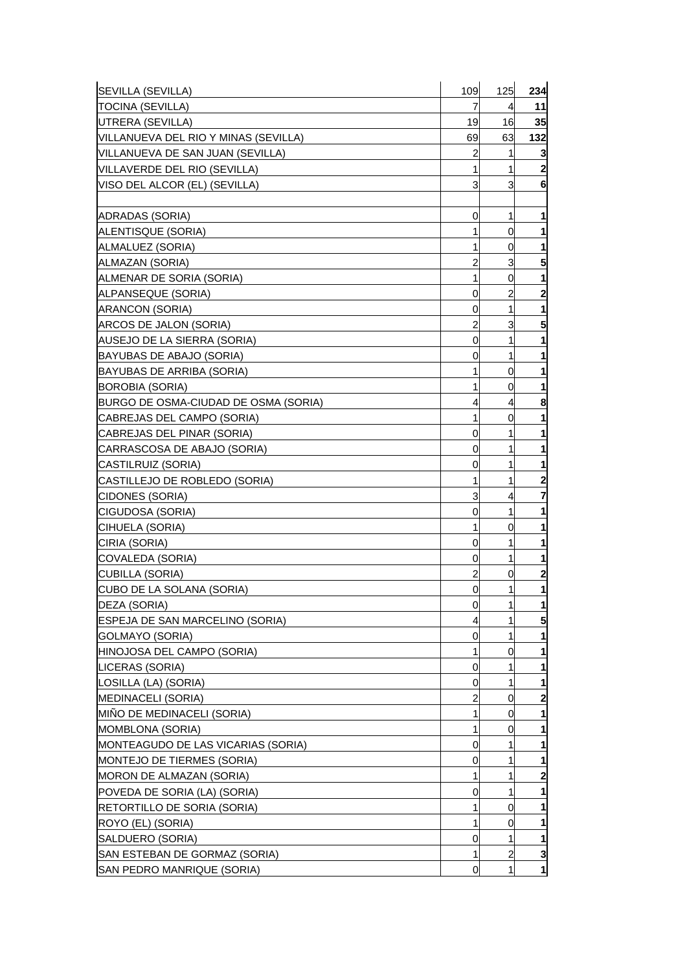| SEVILLA (SEVILLA)                     | 109            | 125            | 234              |
|---------------------------------------|----------------|----------------|------------------|
| TOCINA (SEVILLA)                      | 7              | 4              | 11               |
| UTRERA (SEVILLA)                      | 19             | 16             | 35               |
| VILLANUEVA DEL RIO Y MINAS (SEVILLA)  | 69             | 63             | 132              |
| VILLANUEVA DE SAN JUAN (SEVILLA)      | $\overline{a}$ | 1              | 3                |
| VILLAVERDE DEL RIO (SEVILLA)          | 1              | 1              | $\boldsymbol{2}$ |
| VISO DEL ALCOR (EL) (SEVILLA)         | 3              | 3              | 6                |
|                                       |                |                |                  |
| ADRADAS (SORIA)                       | 0              | 1              | 1                |
| ALENTISQUE (SORIA)                    | 1              | 0              | 1                |
| ALMALUEZ (SORIA)                      | 1              | 0              | 1                |
| ALMAZAN (SORIA)                       | 2              | 3              | 5                |
| ALMENAR DE SORIA (SORIA)              | 1              | 0              | 1                |
| ALPANSEQUE (SORIA)                    | 0              | $\overline{c}$ | $\mathbf{2}$     |
| ARANCON (SORIA)                       | 0              | 1              | 1                |
| ARCOS DE JALON (SORIA)                | 2              | 3              | 5                |
| AUSEJO DE LA SIERRA (SORIA)           | 0              | 1              | 1                |
| BAYUBAS DE ABAJO (SORIA)              | 0              | 1              | 1                |
| BAYUBAS DE ARRIBA (SORIA)             | 1              | 0              | 1                |
| BOROBIA (SORIA)                       | 1              | 0              |                  |
| IBURGO DE OSMA-CIUDAD DE OSMA (SORIA) | 4              | 4              | 8                |
| CABREJAS DEL CAMPO (SORIA)            | 1              | 0              | 1                |
| CABREJAS DEL PINAR (SORIA)            | 0              | 1              | 1                |
| CARRASCOSA DE ABAJO (SORIA)           | 0              | 1              | 1                |
| CASTILRUIZ (SORIA)                    | 0              | 1              | 1                |
| CASTILLEJO DE ROBLEDO (SORIA)         | 1              | 1              | 2                |
| CIDONES (SORIA)                       | 3              | 4              | 7                |
| CIGUDOSA (SORIA)                      | 0              | 1              |                  |
| CIHUELA (SORIA)                       | 1              | 0              | 1                |
| CIRIA (SORIA)                         | 0              | 1              | 1                |
| COVALEDA (SORIA)                      | 0              | 1              | 1                |
| CUBILLA (SORIA)                       | 2              | 0              | 2                |
| CUBO DE LA SOLANA (SORIA)             | 0              | 1              | 1                |
| DEZA (SORIA)                          | $\overline{0}$ | 1              | 1                |
| ESPEJA DE SAN MARCELINO (SORIA)       | 4              |                | 5                |
| GOLMAYO (SORIA)                       | 0              | 1              |                  |
| HINOJOSA DEL CAMPO (SORIA)            | 1              | 0              | 1                |
| LICERAS (SORIA)                       | 0              | 1              | 1                |
| LOSILLA (LA) (SORIA)                  | 0              | 1              | 1                |
| <b>MEDINACELI (SORIA)</b>             | 2              | 0              | 2                |
| MIÑO DE MEDINACELI (SORIA)            | 1              | 0              | 1                |
| <b>MOMBLONA (SORIA)</b>               | 1              | 0              |                  |
| MONTEAGUDO DE LAS VICARIAS (SORIA)    | 0              | 1              | 1                |
| <b>MONTEJO DE TIERMES (SORIA)</b>     | 0              | 1              | 1                |
| MORON DE ALMAZAN (SORIA)              | 1              | 1              | 2                |
| POVEDA DE SORIA (LA) (SORIA)          | 0              | 1              |                  |
| RETORTILLO DE SORIA (SORIA)           | 1              | 0              | 1                |
| ROYO (EL) (SORIA)                     | 1              | 0              |                  |
| SALDUERO (SORIA)                      | 0              | 1              | 1                |
| SAN ESTEBAN DE GORMAZ (SORIA)         | 1              | 2              | 3                |
| SAN PEDRO MANRIQUE (SORIA)            | 0              | 1              | $\mathbf{1}$     |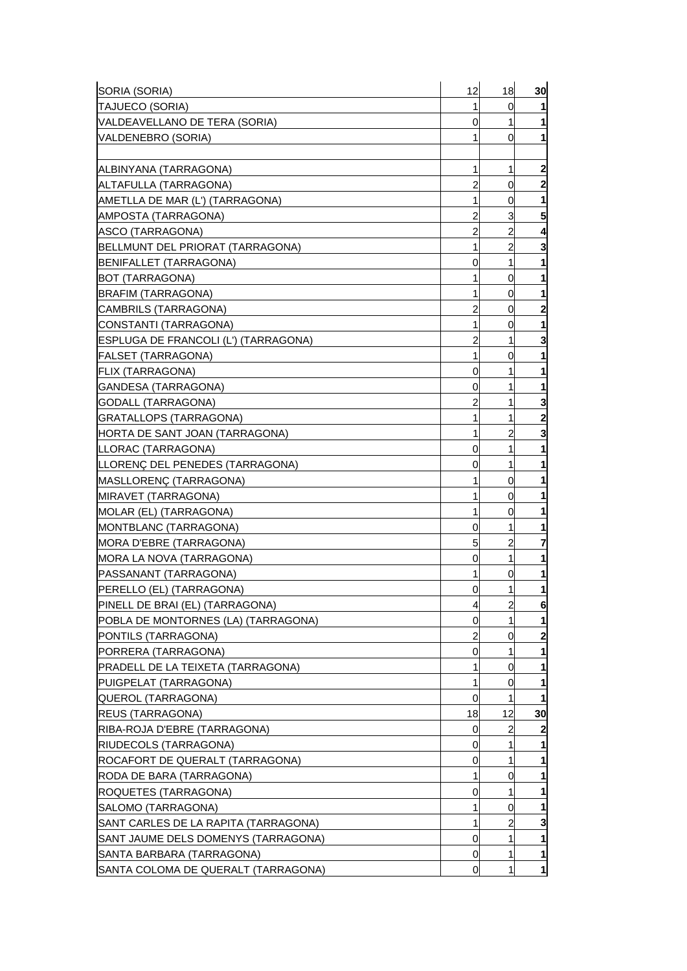| SORIA (SORIA)                          | 12             | 18             | 30                      |
|----------------------------------------|----------------|----------------|-------------------------|
| TAJUECO (SORIA)                        | 1              | 0              |                         |
| VALDEAVELLANO DE TERA (SORIA)          | 0              | 1              | 1                       |
| VALDENEBRO (SORIA)                     | 1              | 0              | 1                       |
|                                        |                |                |                         |
| ALBINYANA (TARRAGONA)                  | 1              | 1              | $\overline{\mathbf{c}}$ |
| ALTAFULLA (TARRAGONA)                  | 2              | 0              | $\mathbf{2}$            |
| AMETLLA DE MAR (L') (TARRAGONA)        | 1              | 0              | 1                       |
| IAMPOSTA (TARRAGONA)                   | 2              | 3              | 5                       |
| ASCO (TARRAGONA)                       | 2              | 2              | 4                       |
| BELLMUNT DEL PRIORAT (TARRAGONA)       | 1              | $\overline{2}$ | 3                       |
| BENIFALLET (TARRAGONA)                 | 0              | 1              |                         |
| IBOT (TARRAGONA)                       | 1              | 0              | 1                       |
| BRAFIM (TARRAGONA)                     | 1              | 0              | 1                       |
| CAMBRILS (TARRAGONA)                   | 2              | 0              | $\mathbf{2}$            |
| CONSTANTI (TARRAGONA)                  | 1              | 0              |                         |
| IESPLUGA DE FRANCOLI (L') (TARRAGONA)  | 2              | 1              | 3                       |
| [FALSET (TARRAGONA)                    | 1              | 0              |                         |
| <b>FLIX (TARRAGONA)</b>                | 0              | 1              | 1                       |
| GANDESA (TARRAGONA)                    | 0              | 1              |                         |
| <b>GODALL (TARRAGONA)</b>              | 2              | 1              | З                       |
| GRATALLOPS (TARRAGONA)                 | 1              | 1              | 2                       |
| <b>IHORTA DE SANT JOAN (TARRAGONA)</b> | 1              | 2              | 3                       |
| LLORAC (TARRAGONA)                     | 0              | 1              |                         |
| LLORENÇ DEL PENEDES (TARRAGONA)        | 0              | 1              | 1                       |
| MASLLORENÇ (TARRAGONA)                 | 1              | 0              |                         |
| <b>MIRAVET (TARRAGONA)</b>             | 1              | 0              |                         |
| <b>MOLAR (EL) (TARRAGONA)</b>          | 1              | 0              |                         |
| <b>MONTBLANC (TARRAGONA)</b>           | 0              | 1              |                         |
| <b>MORA D'EBRE (TARRAGONA)</b>         | 5              | 2              | 7                       |
| MORA LA NOVA (TARRAGONA)               | 0              | 1              | 1                       |
| <b>PASSANANT (TARRAGONA)</b>           | 1              | 0              | 1                       |
| PERELLO (EL) (TARRAGONA)               | 0              | 1              | 1                       |
| PINELL DE BRAI (EL) (TARRAGONA)        | $\overline{4}$ | $\overline{a}$ | 6                       |
| POBLA DE MONTORNES (LA) (TARRAGONA)    | 0              |                | 1                       |
| <b>PONTILS (TARRAGONA)</b>             | 2              | 0              | $\mathbf{2}$            |
| IPORRERA (TARRAGONA)                   | 0              | 1              |                         |
| PRADELL DE LA TEIXETA (TARRAGONA)      | 1              | 0              |                         |
| PUIGPELAT (TARRAGONA)                  | 1              | 0              | 1                       |
| QUEROL (TARRAGONA)                     | 0              | 1              |                         |
| <b>REUS (TARRAGONA)</b>                | 18             | 12             | 30                      |
| RIBA-ROJA D'EBRE (TARRAGONA)           | 0              | 2              | 2                       |
| RIUDECOLS (TARRAGONA)                  | 0              | 1              |                         |
| ROCAFORT DE QUERALT (TARRAGONA)        | 0              | 1              |                         |
| RODA DE BARA (TARRAGONA)               | 1              | 0              | 1                       |
| ROQUETES (TARRAGONA)                   | 0              | 1              |                         |
| SALOMO (TARRAGONA)                     | 1              | 0              |                         |
| SANT CARLES DE LA RAPITA (TARRAGONA)   | 1              | 2              | 3                       |
| SANT JAUME DELS DOMENYS (TARRAGONA)    | 0              | 1              | 1                       |
| SANTA BARBARA (TARRAGONA)              | 0              | 1              | 1                       |
| SANTA COLOMA DE QUERALT (TARRAGONA)    | 0              | 1              | $\mathbf{1}$            |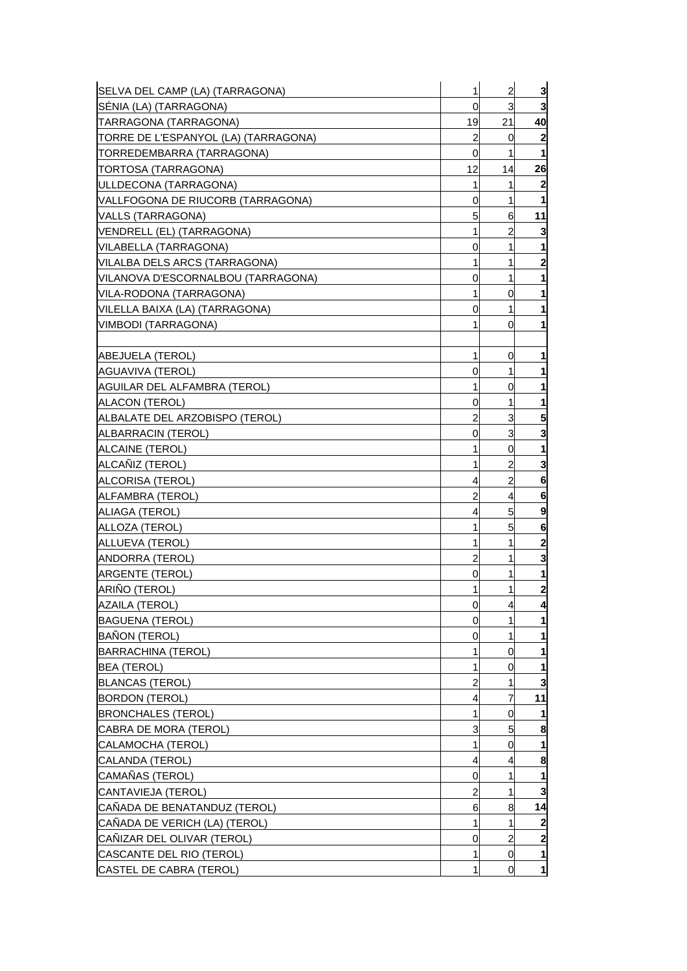| SELVA DEL CAMP (LA) (TARRAGONA)      | 1  | $\overline{a}$ | $\overline{\mathbf{3}}$ |
|--------------------------------------|----|----------------|-------------------------|
| SÉNIA (LA) (TARRAGONA)               | 0  | 3              | 3                       |
| TARRAGONA (TARRAGONA)                | 19 | 21             | 40                      |
| TORRE DE L'ESPANYOL (LA) (TARRAGONA) | 2  | 0              | 2                       |
| TORREDEMBARRA (TARRAGONA)            | 0  | 1              | 1                       |
| TORTOSA (TARRAGONA)                  | 12 | 14             | 26                      |
| ULLDECONA (TARRAGONA)                | 1  | 1              | 2                       |
| VALLFOGONA DE RIUCORB (TARRAGONA)    | 0  | 1              |                         |
| VALLS (TARRAGONA)                    | 5  | 6              | 11                      |
| VENDRELL (EL) (TARRAGONA)            | 1  | 2              | 3                       |
| VILABELLA (TARRAGONA)                | 0  | 1              |                         |
| VILALBA DELS ARCS (TARRAGONA)        | 1  | 1              | 2                       |
| VILANOVA D'ESCORNALBOU (TARRAGONA)   | 0  | 1              | 1                       |
| VILA-RODONA (TARRAGONA)              | 1  | 0              |                         |
| VILELLA BAIXA (LA) (TARRAGONA)       | 0  | 1              | 1                       |
| VIMBODI (TARRAGONA)                  | 1  | 0              |                         |
|                                      |    |                |                         |
| ABEJUELA (TEROL)                     | 1  | 0              |                         |
| AGUAVIVA (TEROL)                     | 0  | 1              |                         |
| AGUILAR DEL ALFAMBRA (TEROL)         | 1  | 0              |                         |
| <b>ALACON (TEROL)</b>                | 0  | 1              | 1                       |
| ALBALATE DEL ARZOBISPO (TEROL)       | 2  | 3              | 5                       |
| ALBARRACIN (TEROL)                   | 0  | 3              | 3                       |
| ALCAINE (TEROL)                      | 1  | 0              |                         |
| ALCAÑIZ (TEROL)                      | 1  | 2              | 3                       |
| ALCORISA (TEROL)                     | 4  | $\overline{2}$ | 6                       |
| ALFAMBRA (TEROL)                     | 2  | 4              | 6                       |
| ALIAGA (TEROL)                       | 4  | 5              | 9                       |
| ALLOZA (TEROL)                       | 1  | 5              | 6                       |
| ALLUEVA (TEROL)                      | 1  | 1              | $\mathbf{2}$            |
| ANDORRA (TEROL)                      | 2  | 1              | 3                       |
| <b>ARGENTE (TEROL)</b>               | 0  | 1              |                         |
| ARIÑO (TEROL)                        | 1  | 1              | $\mathbf{2}$            |
| <b>AZAILA (TEROL)</b>                | 0  | 4              | 4                       |
| <b>BAGUENA (TEROL)</b>               | 0  |                |                         |
| <b>BAÑON (TEROL)</b>                 | 0  | 1              |                         |
| <b>BARRACHINA (TEROL)</b>            | 1  | 0              | 1                       |
| <b>BEA (TEROL)</b>                   | 1  | 0              |                         |
| <b>BLANCAS (TEROL)</b>               | 2  | 1              | 3                       |
| <b>BORDON (TEROL)</b>                | 4  | 7              | 11                      |
| <b>BRONCHALES (TEROL)</b>            | 1  | 0              |                         |
| CABRA DE MORA (TEROL)                | 3  | 5              | 8                       |
| CALAMOCHA (TEROL)                    | 1  | 0              |                         |
| CALANDA (TEROL)                      | 4  | 4              | 8                       |
| CAMAÑAS (TEROL)                      | 0  | 1              | 1                       |
| CANTAVIEJA (TEROL)                   | 2  | 1              | 3                       |
| CAÑADA DE BENATANDUZ (TEROL)         | 6  | 8              | 14                      |
| CAÑADA DE VERICH (LA) (TEROL)        | 1  | 1              | 2                       |
| CAÑIZAR DEL OLIVAR (TEROL)           | 0  | $\overline{2}$ | 2                       |
| CASCANTE DEL RIO (TEROL)             | 1  | 0              | 1                       |
| <b>CASTEL DE CABRA (TEROL)</b>       | 1  | 0              | $\mathbf{1}$            |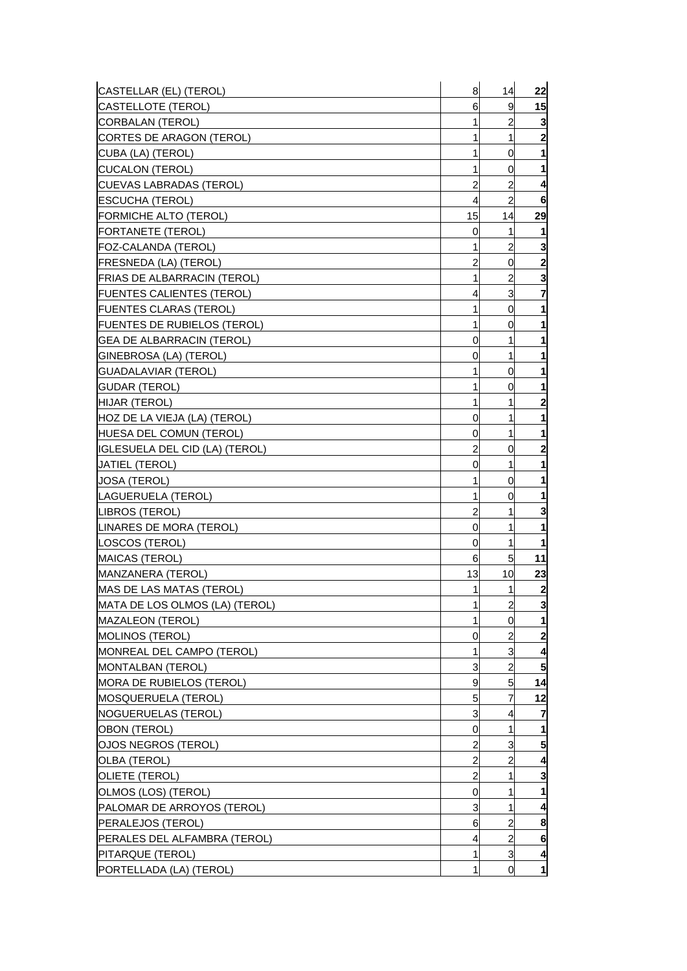| CASTELLAR (EL) (TEROL)           | 8              | 14             | 22                      |
|----------------------------------|----------------|----------------|-------------------------|
| <b>CASTELLOTE (TEROL)</b>        | 6              | 9              | 15                      |
| CORBALAN (TEROL)                 | 1              | $\overline{a}$ | 3                       |
| CORTES DE ARAGON (TEROL)         | 1              | 1              | $\mathbf{2}$            |
| CUBA (LA) (TEROL)                | 1              | 0              | 1                       |
| CUCALON (TEROL)                  | 1              | 0              | 1                       |
| CUEVAS LABRADAS (TEROL)          | $\overline{c}$ | 2              | 4                       |
| ESCUCHA (TEROL)                  | $\overline{4}$ | $\overline{a}$ | 6                       |
| FORMICHE ALTO (TEROL)            | 15             | 14             | 29                      |
| FORTANETE (TEROL)                | 0              | 1              |                         |
| FOZ-CALANDA (TEROL)              | $\mathbf{1}$   | $\overline{a}$ | 3                       |
| FRESNEDA (LA) (TEROL)            | 2              | 0              | $\boldsymbol{2}$        |
| FRIAS DE ALBARRACIN (TEROL)      | 1              | $\overline{a}$ | 3                       |
| <b>FUENTES CALIENTES (TEROL)</b> | 4              | 3              | 7                       |
| FUENTES CLARAS (TEROL)           | 1              | 0              | 1                       |
| FUENTES DE RUBIELOS (TEROL)      | 1              | 0              | 1                       |
| GEA DE ALBARRACIN (TEROL)        | 0              | 1              | 1                       |
| GINEBROSA (LA) (TEROL)           | 0              | 1              | 1                       |
| GUADALAVIAR (TEROL)              | 1              | 0              | 1                       |
| <b>GUDAR (TEROL)</b>             | 1              | 0              | 1                       |
| HIJAR (TEROL)                    | 1              | 1              | $\overline{\mathbf{c}}$ |
| HOZ DE LA VIEJA (LA) (TEROL)     | 0              | 1              | 1                       |
| HUESA DEL COMUN (TEROL)          | 0              | 1              | 1                       |
| IGLESUELA DEL CID (LA) (TEROL)   | 2              | 0              | 2                       |
| <b>JATIEL (TEROL)</b>            | 0              | 1              | 1                       |
| JOSA (TEROL)                     | 1              | 0              | 1                       |
| LAGUERUELA (TEROL)               | 1              | 0              | 1                       |
| LIBROS (TEROL)                   | 2              | 1              | 3                       |
| ILINARES DE MORA (TEROL)         | 0              | 1              | 1                       |
| LOSCOS (TEROL)                   | 0              | 1              | 1                       |
| MAICAS (TEROL)                   | 6              | 5 <sup>1</sup> | 11                      |
| MANZANERA (TEROL)                | 13             | 10             | 23                      |
| MAS DE LAS MATAS (TEROL)         | 1              | $\mathbf{1}$   | $\overline{\mathbf{c}}$ |
| MATA DE LOS OLMOS (LA) (TEROL)   | $\mathbf{1}$   | $\overline{c}$ | 3                       |
| <b>MAZALEON (TEROL)</b>          | 1              | <sub>0</sub>   | 1                       |
| <b>MOLINOS (TEROL)</b>           | 0              | 2              | $\mathbf{z}$            |
| MONREAL DEL CAMPO (TEROL)        | 1              | 3              | 4                       |
| MONTALBAN (TEROL)                | 3              | $\overline{a}$ | 5                       |
| MORA DE RUBIELOS (TEROL)         | 9              | 5 <sub>5</sub> | 14                      |
| <b>MOSQUERUELA (TEROL)</b>       | 5              | 7              | 12                      |
| NOGUERUELAS (TEROL)              | 3              | 4              | 7                       |
| OBON (TEROL)                     | 0              | 1              | 1                       |
| OJOS NEGROS (TEROL)              | $\overline{a}$ | 3              | 5                       |
| OLBA (TEROL)                     | $\overline{a}$ | 2              | 4                       |
| OLIETE (TEROL)                   | $\overline{c}$ | 1              | 3                       |
| OLMOS (LOS) (TEROL)              | 0              | 1              | 1                       |
| PALOMAR DE ARROYOS (TEROL)       | 3              | 1              | 4                       |
| PERALEJOS (TEROL)                | 6              | 2              | 8                       |
| PERALES DEL ALFAMBRA (TEROL)     | 4              | $\overline{c}$ | 6                       |
| PITARQUE (TEROL)                 | 1              | 3              | 4                       |
| PORTELLADA (LA) (TEROL)          | 1              | <sub>0</sub>   | $\mathbf{1}$            |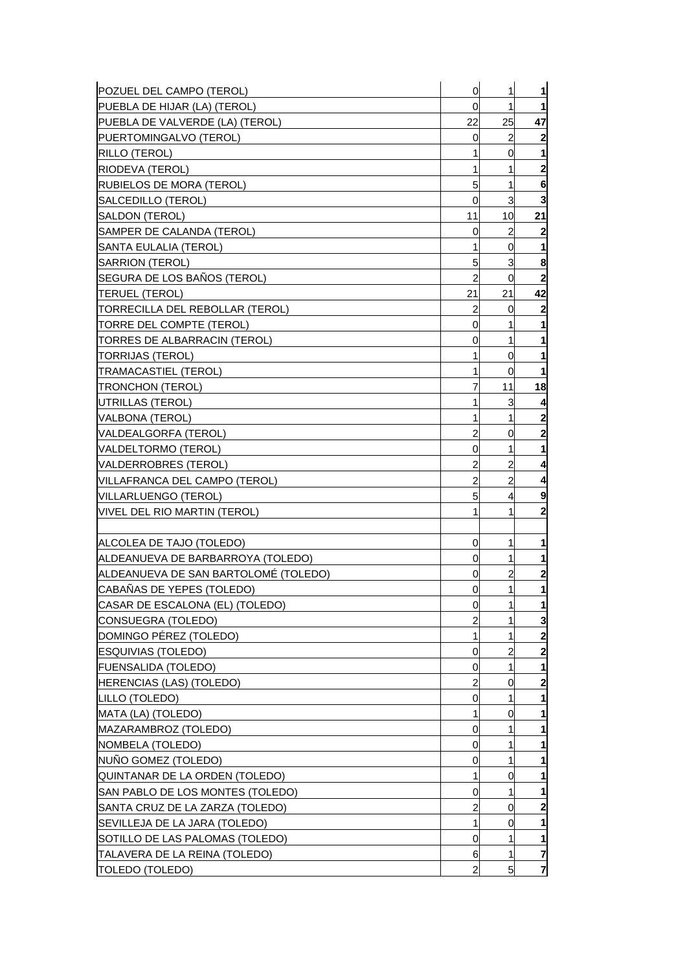| POZUEL DEL CAMPO (TEROL)             | $\mathbf 0$    | 1  | $\mathbf{1}$            |
|--------------------------------------|----------------|----|-------------------------|
| PUEBLA DE HIJAR (LA) (TEROL)         | 0              | 1  | $\mathbf{1}$            |
| PUEBLA DE VALVERDE (LA) (TEROL)      | 22             | 25 | 47                      |
| PUERTOMINGALVO (TEROL)               | 0              | 2  | $\boldsymbol{2}$        |
| RILLO (TEROL)                        | 1              | 0  | 1                       |
| RIODEVA (TEROL)                      | 1              | 1  | $\mathbf{2}$            |
| RUBIELOS DE MORA (TEROL)             | 5              | 1  | 6                       |
| SALCEDILLO (TEROL)                   | 0              | 3  | 3                       |
| SALDON (TEROL)                       | 11             | 10 | 21                      |
| SAMPER DE CALANDA (TEROL)            | 0              | 2  | $\mathbf{2}$            |
| SANTA EULALIA (TEROL)                | 1              | 0  | 1                       |
| SARRION (TEROL)                      | 5              | 3  | 8                       |
| SEGURA DE LOS BAÑOS (TEROL)          | $\overline{2}$ | 0  | $\overline{\mathbf{2}}$ |
| <b>TERUEL (TEROL)</b>                | 21             | 21 | 42                      |
| TORRECILLA DEL REBOLLAR (TEROL)      | 2              | 0  | $\mathbf{2}$            |
| TORRE DEL COMPTE (TEROL)             | 0              | 1  | 1                       |
| TORRES DE ALBARRACIN (TEROL)         | 0              | 1  | 1                       |
| <b>TORRIJAS (TEROL)</b>              | 1              | 0  | 1                       |
| <b>TRAMACASTIEL (TEROL)</b>          | 1              | 0  | 1                       |
| <b>TRONCHON (TEROL)</b>              | 7              | 11 | 18                      |
| UTRILLAS (TEROL)                     | 1              | 3  | 4                       |
| VALBONA (TEROL)                      |                | 1  | $\mathbf{2}$            |
| VALDEALGORFA (TEROL)                 | 2              | 0  | $\mathbf{2}$            |
| VALDELTORMO (TEROL)                  | 0              | 1  | 1                       |
| VALDERROBRES (TEROL)                 | 2              | 2  | 4                       |
| VILLAFRANCA DEL CAMPO (TEROL)        | 2              | 2  | 4                       |
| VILLARLUENGO (TEROL)                 | 5              | 4  | 9                       |
| VIVEL DEL RIO MARTIN (TEROL)         | 1              | 1  | $\mathbf{2}$            |
|                                      |                |    |                         |
| ALCOLEA DE TAJO (TOLEDO)             | 0              | 1  | 1                       |
| ALDEANUEVA DE BARBARROYA (TOLEDO)    | 0              | 1  | 1                       |
| ALDEANUEVA DE SAN BARTOLOMÉ (TOLEDO) | 0              | 2  | 2                       |
| CABAÑAS DE YEPES (TOLEDO)            | 0              | 1  | 1                       |
| CASAR DE ESCALONA (EL) (TOLEDO)      | 0              | 1  | 1                       |
| CONSUEGRA (TOLEDO)                   |                | 1  | 3                       |
| DOMINGO PÉREZ (TOLEDO)               | 1              | 1  | $\mathbf{2}$            |
| ESQUIVIAS (TOLEDO)                   | 0              | 2  | $\mathbf{2}$            |
| <b>FUENSALIDA (TOLEDO)</b>           | 0              | 1  | 1                       |
| HERENCIAS (LAS) (TOLEDO)             | 2              | 0  | $\overline{2}$          |
| LILLO (TOLEDO)                       | 0              | 1  | 1                       |
| MATA (LA) (TOLEDO)                   | 1              | 0  | 1                       |
| MAZARAMBROZ (TOLEDO)                 | 0              |    | 1                       |
| NOMBELA (TOLEDO)                     | 0              | 1  | 1                       |
| NUÑO GOMEZ (TOLEDO)                  | 0              | 1  | 1                       |
| QUINTANAR DE LA ORDEN (TOLEDO)       | 1              | 0  | 1                       |
| SAN PABLO DE LOS MONTES (TOLEDO)     | 0              |    | 1                       |
| SANTA CRUZ DE LA ZARZA (TOLEDO)      | 2              | 0  | 2                       |
| SEVILLEJA DE LA JARA (TOLEDO)        | 1              | 0  | 1                       |
| SOTILLO DE LAS PALOMAS (TOLEDO)      | 0              | 1  | 1                       |
| TALAVERA DE LA REINA (TOLEDO)        | 6              | 1  | 7                       |
| <b>TOLEDO (TOLEDO)</b>               |                | 5  | $\overline{7}$          |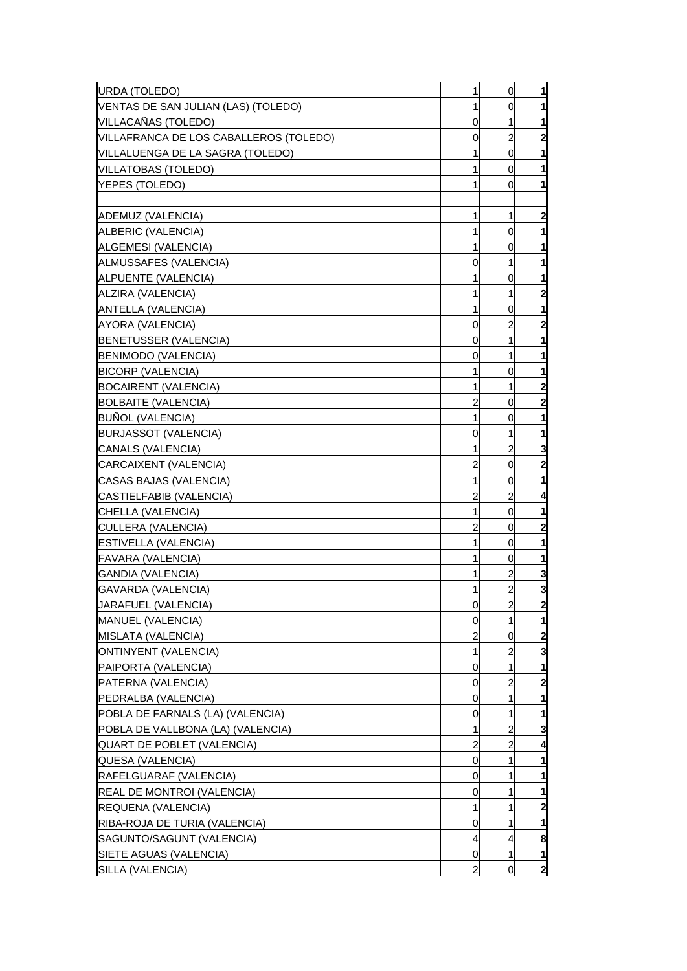| VENTAS DE SAN JULIAN (LAS) (TOLEDO)<br>1<br>0<br>1<br>1<br>0<br>$\overline{c}$<br>0<br>0<br>1<br>1<br>VILLATOBAS (TOLEDO)<br>0<br>1<br>0<br>1<br>1<br>ALBERIC (VALENCIA)<br>0<br>0<br>1<br>1<br>1<br>0<br>ALPUENTE (VALENCIA)<br>1<br>0<br>1<br>1<br>ALZIRA (VALENCIA)<br><b>ANTELLA (VALENCIA)</b><br>1<br>0<br>$\mathbf{2}$<br>2<br>AYORA (VALENCIA)<br>0<br>BENETUSSER (VALENCIA)<br>1<br>1<br>0<br>BENIMODO (VALENCIA)<br>1<br>0<br><b>BICORP (VALENCIA)</b><br>0<br>1<br>1<br>$\mathbf{2}$<br><b>BOCAIRENT (VALENCIA)</b><br>1<br>1<br><b>BOLBAITE (VALENCIA)</b><br>$\overline{\mathbf{c}}$<br>2<br>0<br><b>BUÑOL (VALENCIA)</b><br>0<br><b>BURJASSOT (VALENCIA)</b><br>1<br>0<br>$\overline{c}$<br>3<br>CANALS (VALENCIA)<br>1<br>$\overline{\mathbf{c}}$<br>CARCAIXENT (VALENCIA)<br>2<br>0<br>CASAS BAJAS (VALENCIA)<br>0<br>$\overline{c}$<br>2<br>CASTIELFABIB (VALENCIA)<br>4<br>CHELLA (VALENCIA)<br>0<br>1<br>1<br>$\overline{\mathbf{c}}$<br>CULLERA (VALENCIA)<br>2<br>0<br>$\mathbf{1}$<br><b>ESTIVELLA (VALENCIA)</b><br>0<br>1<br><b>FAVARA (VALENCIA)</b><br>$\overline{0}$<br>3<br><b>GANDIA (VALENCIA)</b><br>2<br>$\overline{2}$<br>3<br>GAVARDA (VALENCIA)<br>1<br>0<br>$\mathbf{2}$<br>JARAFUEL (VALENCIA)<br>$\overline{c}$<br>MANUEL (VALENCIA)<br>1<br>0<br>$\overline{\mathbf{c}}$<br>MISLATA (VALENCIA)<br>2<br>0<br>$\overline{c}$<br>3<br>ONTINYENT (VALENCIA)<br>1<br>PAIPORTA (VALENCIA)<br>0<br>1<br>$\overline{c}$<br>PATERNA (VALENCIA)<br>0<br>PEDRALBA (VALENCIA)<br>1<br>0<br>POBLA DE FARNALS (LA) (VALENCIA)<br>0<br>1<br>$\overline{c}$<br>POBLA DE VALLBONA (LA) (VALENCIA)<br>$\overline{a}$<br>2<br>QUART DE POBLET (VALENCIA)<br>QUESA (VALENCIA)<br>0<br>1<br>RAFELGUARAF (VALENCIA)<br>0<br>1<br>REAL DE MONTROI (VALENCIA)<br>0<br>1<br>REQUENA (VALENCIA)<br>1<br>1<br>1<br>0<br>SAGUNTO/SAGUNT (VALENCIA)<br>4<br>4<br>SIETE AGUAS (VALENCIA)<br>0<br>1<br>SILLA (VALENCIA)<br>2<br>0 | URDA (TOLEDO)                          | 1 | $\overline{0}$ | $\mathbf{1}$            |
|-------------------------------------------------------------------------------------------------------------------------------------------------------------------------------------------------------------------------------------------------------------------------------------------------------------------------------------------------------------------------------------------------------------------------------------------------------------------------------------------------------------------------------------------------------------------------------------------------------------------------------------------------------------------------------------------------------------------------------------------------------------------------------------------------------------------------------------------------------------------------------------------------------------------------------------------------------------------------------------------------------------------------------------------------------------------------------------------------------------------------------------------------------------------------------------------------------------------------------------------------------------------------------------------------------------------------------------------------------------------------------------------------------------------------------------------------------------------------------------------------------------------------------------------------------------------------------------------------------------------------------------------------------------------------------------------------------------------------------------------------------------------------------------------------------------------------------------------------------------------------------------------------------------------------------------------|----------------------------------------|---|----------------|-------------------------|
|                                                                                                                                                                                                                                                                                                                                                                                                                                                                                                                                                                                                                                                                                                                                                                                                                                                                                                                                                                                                                                                                                                                                                                                                                                                                                                                                                                                                                                                                                                                                                                                                                                                                                                                                                                                                                                                                                                                                           |                                        |   |                | $\mathbf{1}$            |
|                                                                                                                                                                                                                                                                                                                                                                                                                                                                                                                                                                                                                                                                                                                                                                                                                                                                                                                                                                                                                                                                                                                                                                                                                                                                                                                                                                                                                                                                                                                                                                                                                                                                                                                                                                                                                                                                                                                                           | VILLACAÑAS (TOLEDO)                    |   |                |                         |
|                                                                                                                                                                                                                                                                                                                                                                                                                                                                                                                                                                                                                                                                                                                                                                                                                                                                                                                                                                                                                                                                                                                                                                                                                                                                                                                                                                                                                                                                                                                                                                                                                                                                                                                                                                                                                                                                                                                                           | VILLAFRANCA DE LOS CABALLEROS (TOLEDO) |   |                | $\overline{\mathbf{c}}$ |
|                                                                                                                                                                                                                                                                                                                                                                                                                                                                                                                                                                                                                                                                                                                                                                                                                                                                                                                                                                                                                                                                                                                                                                                                                                                                                                                                                                                                                                                                                                                                                                                                                                                                                                                                                                                                                                                                                                                                           | VILLALUENGA DE LA SAGRA (TOLEDO)       |   |                |                         |
|                                                                                                                                                                                                                                                                                                                                                                                                                                                                                                                                                                                                                                                                                                                                                                                                                                                                                                                                                                                                                                                                                                                                                                                                                                                                                                                                                                                                                                                                                                                                                                                                                                                                                                                                                                                                                                                                                                                                           |                                        |   |                | 1                       |
|                                                                                                                                                                                                                                                                                                                                                                                                                                                                                                                                                                                                                                                                                                                                                                                                                                                                                                                                                                                                                                                                                                                                                                                                                                                                                                                                                                                                                                                                                                                                                                                                                                                                                                                                                                                                                                                                                                                                           | YEPES (TOLEDO)                         |   |                |                         |
|                                                                                                                                                                                                                                                                                                                                                                                                                                                                                                                                                                                                                                                                                                                                                                                                                                                                                                                                                                                                                                                                                                                                                                                                                                                                                                                                                                                                                                                                                                                                                                                                                                                                                                                                                                                                                                                                                                                                           |                                        |   |                |                         |
|                                                                                                                                                                                                                                                                                                                                                                                                                                                                                                                                                                                                                                                                                                                                                                                                                                                                                                                                                                                                                                                                                                                                                                                                                                                                                                                                                                                                                                                                                                                                                                                                                                                                                                                                                                                                                                                                                                                                           | ADEMUZ (VALENCIA)                      |   |                | $\overline{\mathbf{c}}$ |
|                                                                                                                                                                                                                                                                                                                                                                                                                                                                                                                                                                                                                                                                                                                                                                                                                                                                                                                                                                                                                                                                                                                                                                                                                                                                                                                                                                                                                                                                                                                                                                                                                                                                                                                                                                                                                                                                                                                                           |                                        |   |                | 1                       |
|                                                                                                                                                                                                                                                                                                                                                                                                                                                                                                                                                                                                                                                                                                                                                                                                                                                                                                                                                                                                                                                                                                                                                                                                                                                                                                                                                                                                                                                                                                                                                                                                                                                                                                                                                                                                                                                                                                                                           | ALGEMESI (VALENCIA)                    |   |                |                         |
|                                                                                                                                                                                                                                                                                                                                                                                                                                                                                                                                                                                                                                                                                                                                                                                                                                                                                                                                                                                                                                                                                                                                                                                                                                                                                                                                                                                                                                                                                                                                                                                                                                                                                                                                                                                                                                                                                                                                           | ALMUSSAFES (VALENCIA)                  |   |                |                         |
|                                                                                                                                                                                                                                                                                                                                                                                                                                                                                                                                                                                                                                                                                                                                                                                                                                                                                                                                                                                                                                                                                                                                                                                                                                                                                                                                                                                                                                                                                                                                                                                                                                                                                                                                                                                                                                                                                                                                           |                                        |   |                |                         |
|                                                                                                                                                                                                                                                                                                                                                                                                                                                                                                                                                                                                                                                                                                                                                                                                                                                                                                                                                                                                                                                                                                                                                                                                                                                                                                                                                                                                                                                                                                                                                                                                                                                                                                                                                                                                                                                                                                                                           |                                        |   |                | $\mathbf{2}$            |
|                                                                                                                                                                                                                                                                                                                                                                                                                                                                                                                                                                                                                                                                                                                                                                                                                                                                                                                                                                                                                                                                                                                                                                                                                                                                                                                                                                                                                                                                                                                                                                                                                                                                                                                                                                                                                                                                                                                                           |                                        |   |                | 1                       |
|                                                                                                                                                                                                                                                                                                                                                                                                                                                                                                                                                                                                                                                                                                                                                                                                                                                                                                                                                                                                                                                                                                                                                                                                                                                                                                                                                                                                                                                                                                                                                                                                                                                                                                                                                                                                                                                                                                                                           |                                        |   |                |                         |
|                                                                                                                                                                                                                                                                                                                                                                                                                                                                                                                                                                                                                                                                                                                                                                                                                                                                                                                                                                                                                                                                                                                                                                                                                                                                                                                                                                                                                                                                                                                                                                                                                                                                                                                                                                                                                                                                                                                                           |                                        |   |                |                         |
|                                                                                                                                                                                                                                                                                                                                                                                                                                                                                                                                                                                                                                                                                                                                                                                                                                                                                                                                                                                                                                                                                                                                                                                                                                                                                                                                                                                                                                                                                                                                                                                                                                                                                                                                                                                                                                                                                                                                           |                                        |   |                | 1                       |
|                                                                                                                                                                                                                                                                                                                                                                                                                                                                                                                                                                                                                                                                                                                                                                                                                                                                                                                                                                                                                                                                                                                                                                                                                                                                                                                                                                                                                                                                                                                                                                                                                                                                                                                                                                                                                                                                                                                                           |                                        |   |                |                         |
|                                                                                                                                                                                                                                                                                                                                                                                                                                                                                                                                                                                                                                                                                                                                                                                                                                                                                                                                                                                                                                                                                                                                                                                                                                                                                                                                                                                                                                                                                                                                                                                                                                                                                                                                                                                                                                                                                                                                           |                                        |   |                |                         |
|                                                                                                                                                                                                                                                                                                                                                                                                                                                                                                                                                                                                                                                                                                                                                                                                                                                                                                                                                                                                                                                                                                                                                                                                                                                                                                                                                                                                                                                                                                                                                                                                                                                                                                                                                                                                                                                                                                                                           |                                        |   |                |                         |
|                                                                                                                                                                                                                                                                                                                                                                                                                                                                                                                                                                                                                                                                                                                                                                                                                                                                                                                                                                                                                                                                                                                                                                                                                                                                                                                                                                                                                                                                                                                                                                                                                                                                                                                                                                                                                                                                                                                                           |                                        |   |                | $\mathbf{1}$            |
|                                                                                                                                                                                                                                                                                                                                                                                                                                                                                                                                                                                                                                                                                                                                                                                                                                                                                                                                                                                                                                                                                                                                                                                                                                                                                                                                                                                                                                                                                                                                                                                                                                                                                                                                                                                                                                                                                                                                           |                                        |   |                | 1                       |
|                                                                                                                                                                                                                                                                                                                                                                                                                                                                                                                                                                                                                                                                                                                                                                                                                                                                                                                                                                                                                                                                                                                                                                                                                                                                                                                                                                                                                                                                                                                                                                                                                                                                                                                                                                                                                                                                                                                                           |                                        |   |                |                         |
|                                                                                                                                                                                                                                                                                                                                                                                                                                                                                                                                                                                                                                                                                                                                                                                                                                                                                                                                                                                                                                                                                                                                                                                                                                                                                                                                                                                                                                                                                                                                                                                                                                                                                                                                                                                                                                                                                                                                           |                                        |   |                |                         |
|                                                                                                                                                                                                                                                                                                                                                                                                                                                                                                                                                                                                                                                                                                                                                                                                                                                                                                                                                                                                                                                                                                                                                                                                                                                                                                                                                                                                                                                                                                                                                                                                                                                                                                                                                                                                                                                                                                                                           |                                        |   |                | $\mathbf{1}$            |
|                                                                                                                                                                                                                                                                                                                                                                                                                                                                                                                                                                                                                                                                                                                                                                                                                                                                                                                                                                                                                                                                                                                                                                                                                                                                                                                                                                                                                                                                                                                                                                                                                                                                                                                                                                                                                                                                                                                                           |                                        |   |                |                         |
|                                                                                                                                                                                                                                                                                                                                                                                                                                                                                                                                                                                                                                                                                                                                                                                                                                                                                                                                                                                                                                                                                                                                                                                                                                                                                                                                                                                                                                                                                                                                                                                                                                                                                                                                                                                                                                                                                                                                           |                                        |   |                |                         |
|                                                                                                                                                                                                                                                                                                                                                                                                                                                                                                                                                                                                                                                                                                                                                                                                                                                                                                                                                                                                                                                                                                                                                                                                                                                                                                                                                                                                                                                                                                                                                                                                                                                                                                                                                                                                                                                                                                                                           |                                        |   |                |                         |
|                                                                                                                                                                                                                                                                                                                                                                                                                                                                                                                                                                                                                                                                                                                                                                                                                                                                                                                                                                                                                                                                                                                                                                                                                                                                                                                                                                                                                                                                                                                                                                                                                                                                                                                                                                                                                                                                                                                                           |                                        |   |                |                         |
|                                                                                                                                                                                                                                                                                                                                                                                                                                                                                                                                                                                                                                                                                                                                                                                                                                                                                                                                                                                                                                                                                                                                                                                                                                                                                                                                                                                                                                                                                                                                                                                                                                                                                                                                                                                                                                                                                                                                           |                                        |   |                |                         |
|                                                                                                                                                                                                                                                                                                                                                                                                                                                                                                                                                                                                                                                                                                                                                                                                                                                                                                                                                                                                                                                                                                                                                                                                                                                                                                                                                                                                                                                                                                                                                                                                                                                                                                                                                                                                                                                                                                                                           |                                        |   |                |                         |
|                                                                                                                                                                                                                                                                                                                                                                                                                                                                                                                                                                                                                                                                                                                                                                                                                                                                                                                                                                                                                                                                                                                                                                                                                                                                                                                                                                                                                                                                                                                                                                                                                                                                                                                                                                                                                                                                                                                                           |                                        |   |                |                         |
|                                                                                                                                                                                                                                                                                                                                                                                                                                                                                                                                                                                                                                                                                                                                                                                                                                                                                                                                                                                                                                                                                                                                                                                                                                                                                                                                                                                                                                                                                                                                                                                                                                                                                                                                                                                                                                                                                                                                           |                                        |   |                |                         |
|                                                                                                                                                                                                                                                                                                                                                                                                                                                                                                                                                                                                                                                                                                                                                                                                                                                                                                                                                                                                                                                                                                                                                                                                                                                                                                                                                                                                                                                                                                                                                                                                                                                                                                                                                                                                                                                                                                                                           |                                        |   |                | $\mathbf{1}$            |
|                                                                                                                                                                                                                                                                                                                                                                                                                                                                                                                                                                                                                                                                                                                                                                                                                                                                                                                                                                                                                                                                                                                                                                                                                                                                                                                                                                                                                                                                                                                                                                                                                                                                                                                                                                                                                                                                                                                                           |                                        |   |                |                         |
|                                                                                                                                                                                                                                                                                                                                                                                                                                                                                                                                                                                                                                                                                                                                                                                                                                                                                                                                                                                                                                                                                                                                                                                                                                                                                                                                                                                                                                                                                                                                                                                                                                                                                                                                                                                                                                                                                                                                           |                                        |   |                |                         |
|                                                                                                                                                                                                                                                                                                                                                                                                                                                                                                                                                                                                                                                                                                                                                                                                                                                                                                                                                                                                                                                                                                                                                                                                                                                                                                                                                                                                                                                                                                                                                                                                                                                                                                                                                                                                                                                                                                                                           |                                        |   |                | 1                       |
|                                                                                                                                                                                                                                                                                                                                                                                                                                                                                                                                                                                                                                                                                                                                                                                                                                                                                                                                                                                                                                                                                                                                                                                                                                                                                                                                                                                                                                                                                                                                                                                                                                                                                                                                                                                                                                                                                                                                           |                                        |   |                | $\mathbf{2}$            |
|                                                                                                                                                                                                                                                                                                                                                                                                                                                                                                                                                                                                                                                                                                                                                                                                                                                                                                                                                                                                                                                                                                                                                                                                                                                                                                                                                                                                                                                                                                                                                                                                                                                                                                                                                                                                                                                                                                                                           |                                        |   |                | 1                       |
|                                                                                                                                                                                                                                                                                                                                                                                                                                                                                                                                                                                                                                                                                                                                                                                                                                                                                                                                                                                                                                                                                                                                                                                                                                                                                                                                                                                                                                                                                                                                                                                                                                                                                                                                                                                                                                                                                                                                           |                                        |   |                | 1                       |
|                                                                                                                                                                                                                                                                                                                                                                                                                                                                                                                                                                                                                                                                                                                                                                                                                                                                                                                                                                                                                                                                                                                                                                                                                                                                                                                                                                                                                                                                                                                                                                                                                                                                                                                                                                                                                                                                                                                                           |                                        |   |                | 3                       |
|                                                                                                                                                                                                                                                                                                                                                                                                                                                                                                                                                                                                                                                                                                                                                                                                                                                                                                                                                                                                                                                                                                                                                                                                                                                                                                                                                                                                                                                                                                                                                                                                                                                                                                                                                                                                                                                                                                                                           |                                        |   |                | 4                       |
|                                                                                                                                                                                                                                                                                                                                                                                                                                                                                                                                                                                                                                                                                                                                                                                                                                                                                                                                                                                                                                                                                                                                                                                                                                                                                                                                                                                                                                                                                                                                                                                                                                                                                                                                                                                                                                                                                                                                           |                                        |   |                | 1                       |
|                                                                                                                                                                                                                                                                                                                                                                                                                                                                                                                                                                                                                                                                                                                                                                                                                                                                                                                                                                                                                                                                                                                                                                                                                                                                                                                                                                                                                                                                                                                                                                                                                                                                                                                                                                                                                                                                                                                                           |                                        |   |                | 1                       |
|                                                                                                                                                                                                                                                                                                                                                                                                                                                                                                                                                                                                                                                                                                                                                                                                                                                                                                                                                                                                                                                                                                                                                                                                                                                                                                                                                                                                                                                                                                                                                                                                                                                                                                                                                                                                                                                                                                                                           |                                        |   |                | 1                       |
|                                                                                                                                                                                                                                                                                                                                                                                                                                                                                                                                                                                                                                                                                                                                                                                                                                                                                                                                                                                                                                                                                                                                                                                                                                                                                                                                                                                                                                                                                                                                                                                                                                                                                                                                                                                                                                                                                                                                           |                                        |   |                | $\mathbf{2}$            |
|                                                                                                                                                                                                                                                                                                                                                                                                                                                                                                                                                                                                                                                                                                                                                                                                                                                                                                                                                                                                                                                                                                                                                                                                                                                                                                                                                                                                                                                                                                                                                                                                                                                                                                                                                                                                                                                                                                                                           | RIBA-ROJA DE TURIA (VALENCIA)          |   |                | 1                       |
|                                                                                                                                                                                                                                                                                                                                                                                                                                                                                                                                                                                                                                                                                                                                                                                                                                                                                                                                                                                                                                                                                                                                                                                                                                                                                                                                                                                                                                                                                                                                                                                                                                                                                                                                                                                                                                                                                                                                           |                                        |   |                | 8                       |
|                                                                                                                                                                                                                                                                                                                                                                                                                                                                                                                                                                                                                                                                                                                                                                                                                                                                                                                                                                                                                                                                                                                                                                                                                                                                                                                                                                                                                                                                                                                                                                                                                                                                                                                                                                                                                                                                                                                                           |                                        |   |                | 1                       |
|                                                                                                                                                                                                                                                                                                                                                                                                                                                                                                                                                                                                                                                                                                                                                                                                                                                                                                                                                                                                                                                                                                                                                                                                                                                                                                                                                                                                                                                                                                                                                                                                                                                                                                                                                                                                                                                                                                                                           |                                        |   |                | $\mathbf{2}$            |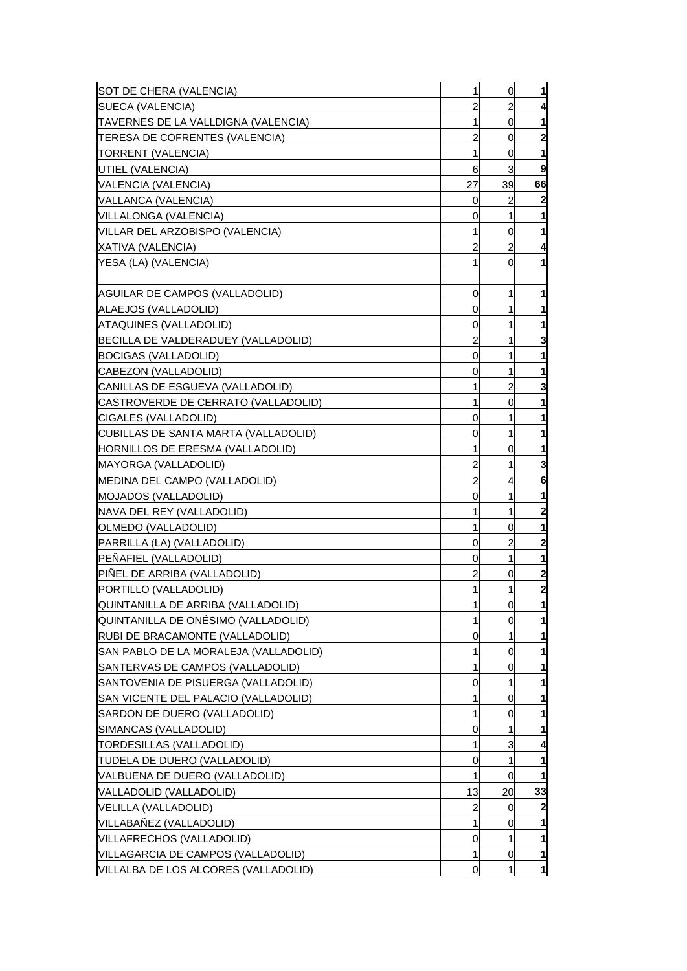| SOT DE CHERA (VALENCIA)                 | 1  | 0              | $\mathbf{1}$     |
|-----------------------------------------|----|----------------|------------------|
| SUECA (VALENCIA)                        | 2  | 2              | 4                |
| TAVERNES DE LA VALLDIGNA (VALENCIA)     | 1  | 0              |                  |
| TERESA DE COFRENTES (VALENCIA)          | 2  | 0              | $\mathbf{2}$     |
| TORRENT (VALENCIA)                      | 1  | 0              | 1                |
| UTIEL (VALENCIA)                        | 6  | 3              | 9                |
| VALENCIA (VALENCIA)                     | 27 | 39             | 66               |
| VALLANCA (VALENCIA)                     | 0  | 2              | $\boldsymbol{2}$ |
| VILLALONGA (VALENCIA)                   | 0  | 1              | 1                |
| VILLAR DEL ARZOBISPO (VALENCIA)         |    | 0              | 1                |
| XATIVA (VALENCIA)                       | 2  | 2              | 4                |
| YESA (LA) (VALENCIA)                    | 1  | 0              | 1                |
|                                         |    |                |                  |
| AGUILAR DE CAMPOS (VALLADOLID)          | 0  | 1              | 1                |
| ALAEJOS (VALLADOLID)                    | 0  | 1              | 1                |
| ATAQUINES (VALLADOLID)                  | 0  |                |                  |
| BECILLA DE VALDERADUEY (VALLADOLID)     | 2  | 1              | 3                |
| BOCIGAS (VALLADOLID)                    | 0  | 1              | 1                |
| CABEZON (VALLADOLID)                    | 0  | 1              |                  |
| CANILLAS DE ESGUEVA (VALLADOLID)        |    | 2              | 3                |
| CASTROVERDE DE CERRATO (VALLADOLID)     | 1  | 0              | 1                |
| CIGALES (VALLADOLID)                    | 0  | 1              | 1                |
| CUBILLAS DE SANTA MARTA (VALLADOLID)    | 0  | 1              | 1                |
| <b>HORNILLOS DE ERESMA (VALLADOLID)</b> | 1  | 0              | 1                |
| MAYORGA (VALLADOLID)                    | 2  | 1              | 3                |
| MEDINA DEL CAMPO (VALLADOLID)           | 2  | 4              | 6                |
| MOJADOS (VALLADOLID)                    | 0  | 1              | 1                |
| NAVA DEL REY (VALLADOLID)               |    | 1              | 2                |
| OLMEDO (VALLADOLID)                     | 1  | 0              | 1                |
| PARRILLA (LA) (VALLADOLID)              | 0  | 2              | $\mathbf{2}$     |
| PEÑAFIEL (VALLADOLID)                   | 0  | 1              | 1                |
| PIÑEL DE ARRIBA (VALLADOLID)            | 2  | 0              | 2                |
| PORTILLO (VALLADOLID)                   | 1  | 1              | $\mathbf{z}$     |
| QUINTANILLA DE ARRIBA (VALLADOLID)      | 1  | $\overline{0}$ | 1                |
| QUINTANILLA DE ONÉSIMO (VALLADOLID)     |    | 0              | 1                |
| RUBI DE BRACAMONTE (VALLADOLID)         | 0  | 1              | 1                |
| SAN PABLO DE LA MORALEJA (VALLADOLID)   |    | 0              | 1                |
| SANTERVAS DE CAMPOS (VALLADOLID)        |    | 0              |                  |
| SANTOVENIA DE PISUERGA (VALLADOLID)     | 0  |                |                  |
| SAN VICENTE DEL PALACIO (VALLADOLID)    | 1  | 0              |                  |
| SARDON DE DUERO (VALLADOLID)            | 1  | 0              | 1                |
| SIMANCAS (VALLADOLID)                   | 0  |                | 1                |
| TORDESILLAS (VALLADOLID)                | 1  | 3              | 4                |
| TUDELA DE DUERO (VALLADOLID)            | 0  | 1              | 1                |
| VALBUENA DE DUERO (VALLADOLID)          | 1  | 0              | 1                |
| VALLADOLID (VALLADOLID)                 | 13 | 20             | 33               |
| VELILLA (VALLADOLID)                    | 2  | 0              | 2                |
| VILLABAÑEZ (VALLADOLID)                 | 1  | 0              | 1                |
| VILLAFRECHOS (VALLADOLID)               | 0  | 1              | 1                |
| VILLAGARCIA DE CAMPOS (VALLADOLID)      | 1  | 0              | 11               |
| VILLALBA DE LOS ALCORES (VALLADOLID)    | 0  | 1              | $\mathbf{1}$     |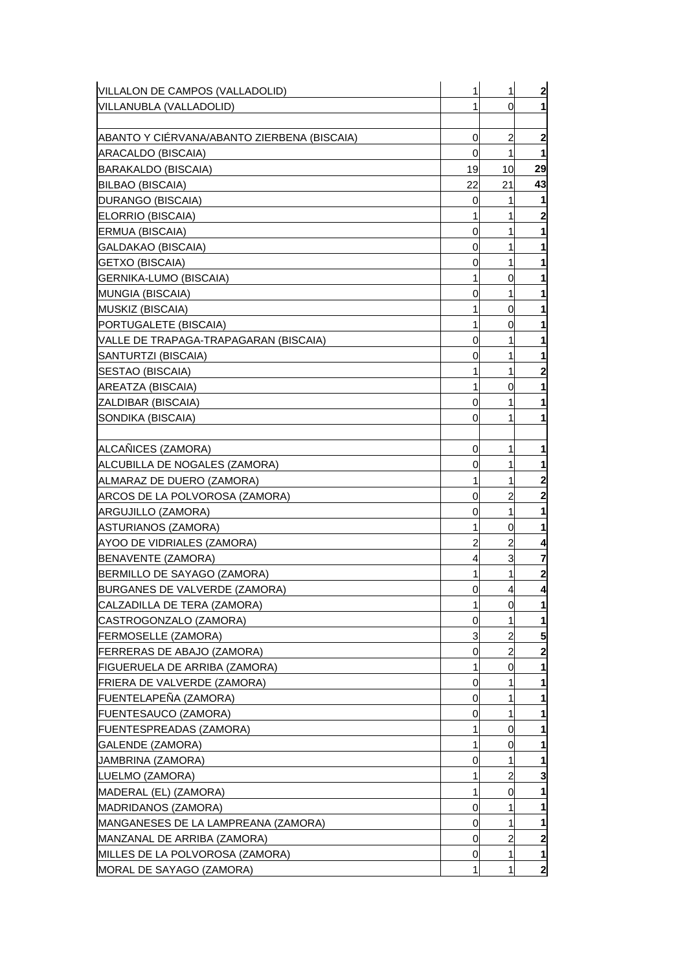| VILLALON DE CAMPOS (VALLADOLID)             | 1  | 1              | $\overline{2}$   |
|---------------------------------------------|----|----------------|------------------|
| VILLANUBLA (VALLADOLID)                     |    | 0              | 11               |
|                                             |    |                |                  |
| ABANTO Y CIÉRVANA/ABANTO ZIERBENA (BISCAIA) | 0  | 2              | $\mathbf{2}$     |
| ARACALDO (BISCAIA)                          | 0  | 1              | 1                |
| BARAKALDO (BISCAIA)                         | 19 | 10             | 29               |
| <b>BILBAO (BISCAIA)</b>                     | 22 | 21             | 43               |
| DURANGO (BISCAIA)                           | 0  | 1              | 1                |
| ELORRIO (BISCAIA)                           | 1  | 1              | $\boldsymbol{2}$ |
| ERMUA (BISCAIA)                             | 0  | 1              | 1                |
| GALDAKAO (BISCAIA)                          | 0  | 1              |                  |
| <b>GETXO (BISCAIA)</b>                      | 0  | 1              |                  |
| GERNIKA-LUMO (BISCAIA)                      | 1  | 0              | 1                |
| MUNGIA (BISCAIA)                            | 0  | 1              | 1                |
| MUSKIZ (BISCAIA)                            | 1  | 0              | 1                |
| PORTUGALETE (BISCAIA)                       | 1  | 0              |                  |
| VALLE DE TRAPAGA-TRAPAGARAN (BISCAIA)       | 0  | 1              | 1                |
| SANTURTZI (BISCAIA)                         | 0  | 1              | 1                |
| SESTAO (BISCAIA)                            | 1  | 1              | 2                |
| AREATZA (BISCAIA)                           | 1  | 0              | 1                |
| ZALDIBAR (BISCAIA)                          | 0  | 1              | 1                |
| SONDIKA (BISCAIA)                           | 0  |                | 1                |
|                                             |    |                |                  |
| ALCAÑICES (ZAMORA)                          | 0  | 1              | 1                |
| ALCUBILLA DE NOGALES (ZAMORA)               | 0  | 1              | 1                |
| ALMARAZ DE DUERO (ZAMORA)                   |    | 1              | 2                |
| ARCOS DE LA POLVOROSA (ZAMORA)              | 0  | 2              | $\mathbf{2}$     |
| ARGUJILLO (ZAMORA)                          | 0  | 1              | 1                |
| ASTURIANOS (ZAMORA)                         | 1  | 0              | 1                |
| AYOO DE VIDRIALES (ZAMORA)                  | 2  | 2              | 4                |
| BENAVENTE (ZAMORA)                          | 4  | 3              | 7                |
| BERMILLO DE SAYAGO (ZAMORA)                 |    | 1              | $\mathbf{2}$     |
| BURGANES DE VALVERDE (ZAMORA)               | 0  | 4              | 4                |
| CALZADILLA DE TERA (ZAMORA)                 | 1  | $\overline{0}$ | 11               |
| CASTROGONZALO (ZAMORA)                      | 0  |                | 1                |
| <b>FERMOSELLE (ZAMORA)</b>                  | 3  | 2              | 5                |
| <b>FERRERAS DE ABAJO (ZAMORA)</b>           | 0  | $\overline{c}$ | $\overline{2}$   |
| <b>FIGUERUELA DE ARRIBA (ZAMORA)</b>        |    | 0              | 1                |
| FRIERA DE VALVERDE (ZAMORA)                 | 0  |                | 1                |
| FUENTELAPEÑA (ZAMORA)                       | 0  |                | 1                |
| <b>FUENTESAUCO (ZAMORA)</b>                 | 0  | 1              | 1                |
| <b>FUENTESPREADAS (ZAMORA)</b>              |    | 0              |                  |
| GALENDE (ZAMORA)                            | 1  | 0              | 1                |
| JAMBRINA (ZAMORA)                           | 0  | 1              | 1                |
| LUELMO (ZAMORA)                             | 1  | 2              | 3                |
| MADERAL (EL) (ZAMORA)                       |    | 0              |                  |
| MADRIDANOS (ZAMORA)                         | 0  |                | 1                |
| MANGANESES DE LA LAMPREANA (ZAMORA)         | 0  | 1              | 1                |
| MANZANAL DE ARRIBA (ZAMORA)                 | 0  | $\overline{2}$ | $\mathbf{2}$     |
| MILLES DE LA POLVOROSA (ZAMORA)             | 0  | 1              | 11               |
| MORAL DE SAYAGO (ZAMORA)                    |    |                | $\mathbf{2}$     |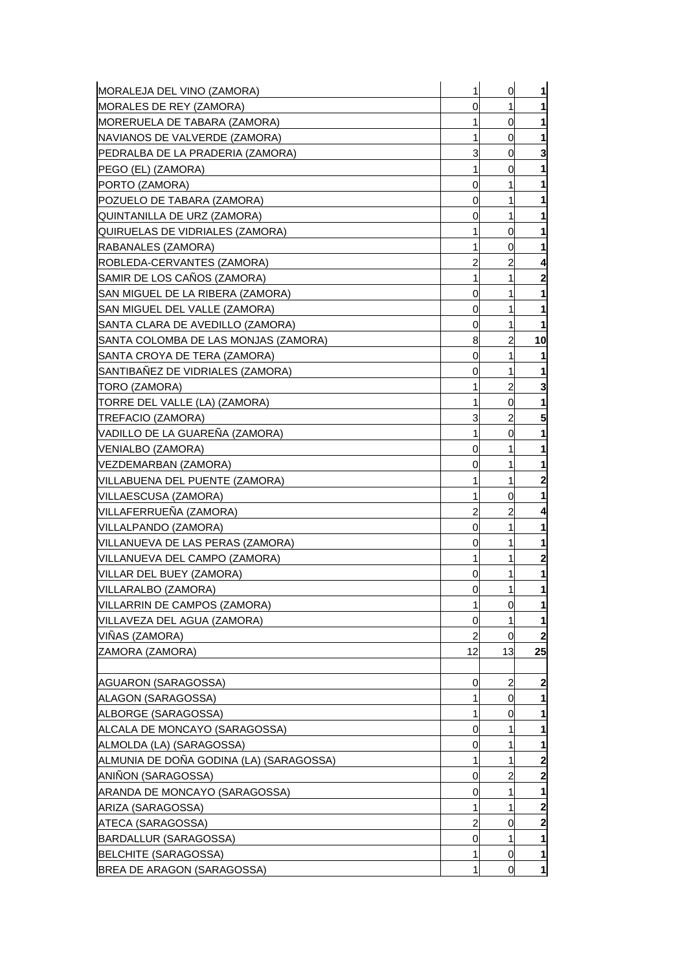| MORALEJA DEL VINO (ZAMORA)                               | 1      | $\overline{0}$ | $\mathbf{1}$                            |
|----------------------------------------------------------|--------|----------------|-----------------------------------------|
| MORALES DE REY (ZAMORA)                                  | 0      | 1              | 1                                       |
| <b>IMORERUELA DE TABARA (ZAMORA)</b>                     | 1      | 0              | $\mathbf{1}$                            |
| <b>INAVIANOS DE VALVERDE (ZAMORA)</b>                    | 1      | 0              | 1                                       |
| PEDRALBA DE LA PRADERIA (ZAMORA)                         | 3      | 0              | 3                                       |
| [PEGO (EL) (ZAMORA)                                      | 1      | 0              | 1                                       |
| PORTO (ZAMORA)                                           | 0      | 1              | $\mathbf{1}$                            |
| POZUELO DE TABARA (ZAMORA)                               | 0      | 1              | 1                                       |
| QUINTANILLA DE URZ (ZAMORA)                              | 0      | 1              | 1                                       |
| QUIRUELAS DE VIDRIALES (ZAMORA)                          | 1      | 0              | 1                                       |
| RABANALES (ZAMORA)                                       | 1      | 0              | 1                                       |
| ROBLEDA-CERVANTES (ZAMORA)                               | 2      | 2              | 4                                       |
| SAMIR DE LOS CANOS (ZAMORA)                              | 1      | 1              | $\overline{\mathbf{c}}$                 |
| ISAN MIGUEL DE LA RIBERA (ZAMORA)                        | 0      | 1              | 1                                       |
| SAN MIGUEL DEL VALLE (ZAMORA)                            | 0      | 1              | $\mathbf{1}$                            |
| SANTA CLARA DE AVEDILLO (ZAMORA)                         | 0      | 1              | 1                                       |
| ISANTA COLOMBA DE LAS MONJAS (ZAMORA)                    | 8      | 2              | 10                                      |
| SANTA CROYA DE TERA (ZAMORA)                             | 0      | 1              | 1                                       |
| SANTIBAÑEZ DE VIDRIALES (ZAMORA)                         | 0      | 1              | 1                                       |
| TORO (ZAMORA)                                            |        | 2              | 3                                       |
| TORRE DEL VALLE (LA) (ZAMORA)                            | 1      | 0              | 1                                       |
| TREFACIO (ZAMORA)                                        | 3      | $\overline{a}$ | 5                                       |
| VADILLO DE LA GUARENA (ZAMORA)                           | 1      | 0              | $\mathbf{1}$                            |
|                                                          |        | 1              |                                         |
| VENIALBO (ZAMORA)                                        | 0      |                | 1                                       |
| VEZDEMARBAN (ZAMORA)                                     | 0<br>1 | 1<br>1         | 1                                       |
| VILLABUENA DEL PUENTE (ZAMORA)                           | 1      | 0              | $\overline{\mathbf{c}}$<br>$\mathbf{1}$ |
| VILLAESCUSA (ZAMORA)<br>VILLAFERRUENA (ZAMORA)           | 2      |                |                                         |
|                                                          | 0      | 2<br>1         | 4                                       |
| VILLALPANDO (ZAMORA)<br>VILLANUEVA DE LAS PERAS (ZAMORA) | 0      | 1              | 1                                       |
|                                                          | 1      | 1              | 1<br>$\overline{\mathbf{c}}$            |
| VILLANUEVA DEL CAMPO (ZAMORA)                            | 0      | 1              |                                         |
| VILLAR DEL BUEY (ZAMORA)<br>VILLARALBO (ZAMORA)          | 0      | 1              | 1<br>$\mathbf{1}$                       |
| VILLARRIN DE CAMPOS (ZAMORA)                             | 1      |                |                                         |
| VILLAVEZA DEL AGUA (ZAMORA)                              | 0      | $\overline{0}$ | $\mathbf{1}$<br>$\mathbf{1}$            |
| VIÑAS (ZAMORA)                                           | 2      | 0              | $\mathbf{2}$                            |
|                                                          | 12     | 13             | 25                                      |
| ZAMORA (ZAMORA)                                          |        |                |                                         |
| AGUARON (SARAGOSSA)                                      | 0      | 2              | $\overline{\mathbf{c}}$                 |
| ALAGON (SARAGOSSA)                                       |        | 0              | 1                                       |
| ALBORGE (SARAGOSSA)                                      | 1      | 0              | 1                                       |
| ALCALA DE MONCAYO (SARAGOSSA)                            | 0      |                | 1                                       |
| ALMOLDA (LA) (SARAGOSSA)                                 | 0      | 1              | $\mathbf{1}$                            |
| ALMUNIA DE DOÑA GODINA (LA) (SARAGOSSA)                  | 1      | 1              | $\mathbf{2}$                            |
| ANIÑON (SARAGOSSA)                                       |        | 2              |                                         |
|                                                          | 0      |                | $\mathbf{2}$                            |
| ARANDA DE MONCAYO (SARAGOSSA)                            | 0<br>1 | 1<br>1         | 1<br>$\overline{\mathbf{c}}$            |
| ARIZA (SARAGOSSA)                                        |        |                |                                         |
| ATECA (SARAGOSSA)                                        | 2      | 0              | $\mathbf{2}$                            |
| BARDALLUR (SARAGOSSA)                                    | 0      | 1              | $\mathbf{1}$                            |
| <b>BELCHITE (SARAGOSSA)</b>                              |        | 0              | $\mathbf{1}$                            |
| BREA DE ARAGON (SARAGOSSA)                               | 1      | <sub>0</sub>   | $\mathbf{1}$                            |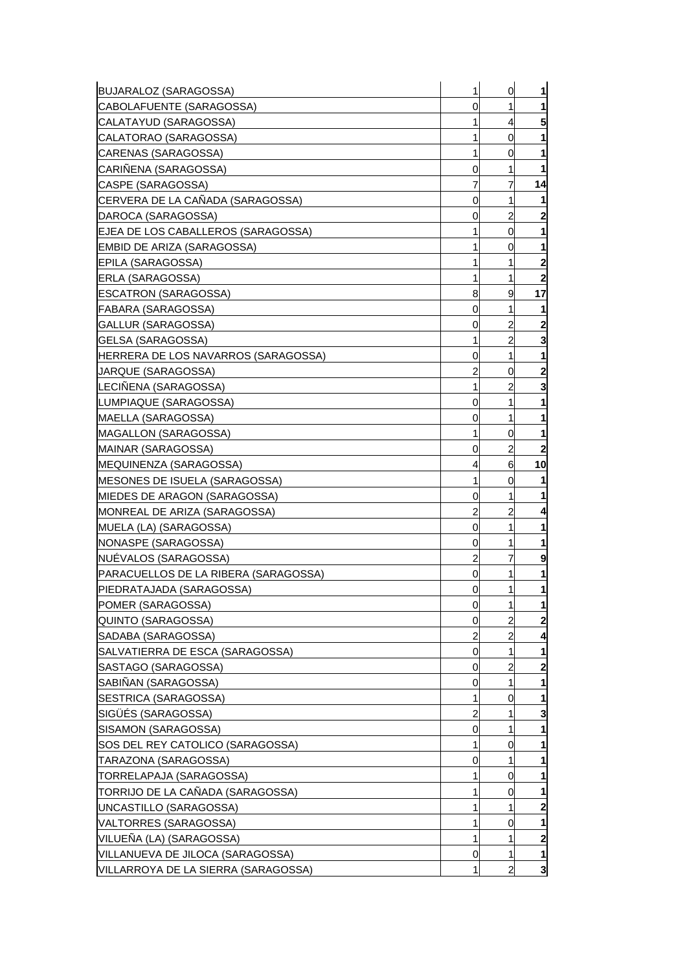| <b>BUJARALOZ (SARAGOSSA)</b>         | 1 | 0 | 1                       |
|--------------------------------------|---|---|-------------------------|
| CABOLAFUENTE (SARAGOSSA)             | 0 | 1 | 1                       |
| CALATAYUD (SARAGOSSA)                |   | 4 | 5                       |
| CALATORAO (SARAGOSSA)                |   | 0 |                         |
| CARENAS (SARAGOSSA)                  | 1 | 0 | 1                       |
| CARIÑENA (SARAGOSSA)                 | 0 |   | 1                       |
| CASPE (SARAGOSSA)                    |   | 7 | 14                      |
| CERVERA DE LA CAÑADA (SARAGOSSA)     | 0 | 1 |                         |
| DAROCA (SARAGOSSA)                   | 0 | 2 | $\mathbf{2}$            |
| EJEA DE LOS CABALLEROS (SARAGOSSA)   |   | 0 | 1                       |
| EMBID DE ARIZA (SARAGOSSA)           |   | 0 | 1                       |
| EPILA (SARAGOSSA)                    |   |   | $\mathbf{2}$            |
| ERLA (SARAGOSSA)                     | 1 | 1 | $\mathbf{2}$            |
| <b>ESCATRON (SARAGOSSA)</b>          | 8 | 9 | 17                      |
| FABARA (SARAGOSSA)                   | 0 | 1 | 1                       |
| GALLUR (SARAGOSSA)                   | 0 | 2 | $\mathbf{2}$            |
| GELSA (SARAGOSSA)                    | 1 | 2 | 3                       |
| HERRERA DE LOS NAVARROS (SARAGOSSA)  | 0 | 1 | 1                       |
| JARQUE (SARAGOSSA)                   | 2 | 0 | 2                       |
| LECIÑENA (SARAGOSSA)                 | 1 | 2 | 3                       |
| LUMPIAQUE (SARAGOSSA)                | 0 | 1 | 1                       |
| MAELLA (SARAGOSSA)                   | 0 | 1 | 1                       |
| MAGALLON (SARAGOSSA)                 | 1 | 0 | 1                       |
| MAINAR (SARAGOSSA)                   | 0 | 2 | 2                       |
| <b>IMEQUINENZA (SARAGOSSA)</b>       | 4 | 6 | 10                      |
| MESONES DE ISUELA (SARAGOSSA)        |   | 0 |                         |
| MIEDES DE ARAGON (SARAGOSSA)         | 0 |   |                         |
| MONREAL DE ARIZA (SARAGOSSA)         | 2 | 2 | 4                       |
| MUELA (LA) (SARAGOSSA)               | 0 | 1 |                         |
| NONASPE (SARAGOSSA)                  | 0 |   | 1                       |
| NUEVALOS (SARAGOSSA)                 | 2 |   | 9                       |
| PARACUELLOS DE LA RIBERA (SARAGOSSA) | 0 |   |                         |
| PIEDRATAJADA (SARAGOSSA)             | 0 | 1 | 1                       |
| POMER (SARAGOSSA)                    | 0 | 1 | 1                       |
| QUINTO (SARAGOSSA)                   | 0 | 2 | $\mathbf{2}$            |
| SADABA (SARAGOSSA)                   | 2 | 2 | 4                       |
| SALVATIERRA DE ESCA (SARAGOSSA)      | 0 | 1 | 1                       |
| SASTAGO (SARAGOSSA)                  | 0 | 2 | $\overline{2}$          |
| SABIÑAN (SARAGOSSA)                  | 0 | 1 | 1                       |
| SESTRICA (SARAGOSSA)                 | 1 | 0 | 1                       |
| SIGÜÉS (SARAGOSSA)                   | 2 | 1 | 3                       |
| SISAMON (SARAGOSSA)                  | 0 | 1 | 1                       |
| SOS DEL REY CATOLICO (SARAGOSSA)     | 1 | 0 | 1                       |
| TARAZONA (SARAGOSSA)                 | 0 | 1 | 1                       |
| TORRELAPAJA (SARAGOSSA)              | 1 | 0 | 1                       |
| TORRIJO DE LA CAÑADA (SARAGOSSA)     |   | 0 | 1                       |
| UNCASTILLO (SARAGOSSA)               | 1 | 1 | $\mathbf{2}$            |
| VALTORRES (SARAGOSSA)                |   | 0 | 1                       |
| VILUEÑA (LA) (SARAGOSSA)             | 1 | 1 | $\mathbf{2}$            |
| VILLANUEVA DE JILOCA (SARAGOSSA)     | 0 | 1 | 11                      |
| VILLARROYA DE LA SIERRA (SARAGOSSA)  |   | 2 | $\overline{\mathbf{3}}$ |
|                                      |   |   |                         |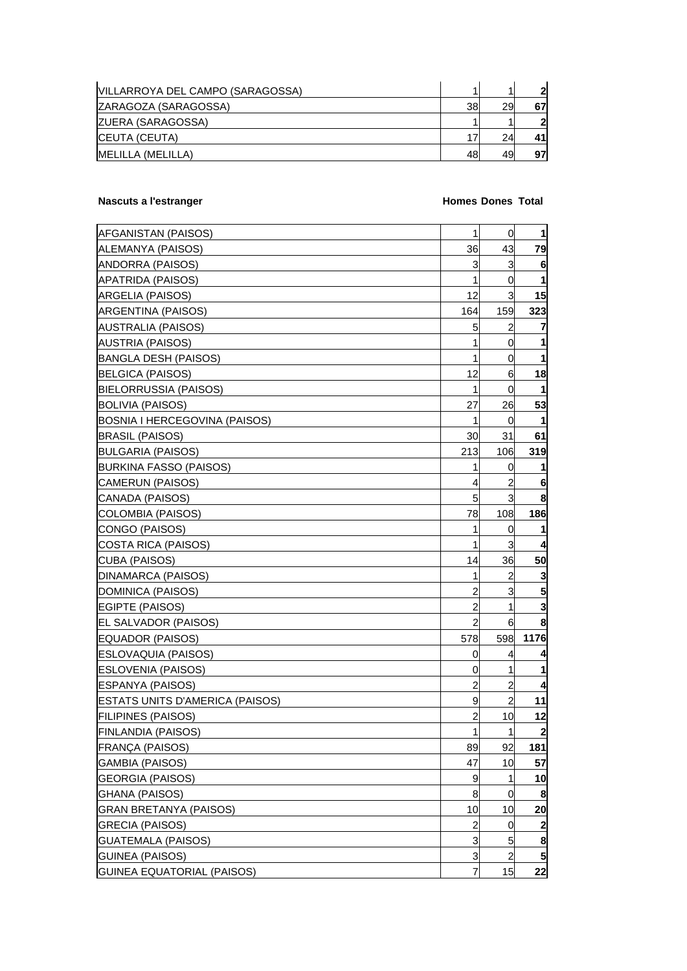| IVILLARROYA DEL CAMPO (SARAGOSSA) |    |    | 2  |
|-----------------------------------|----|----|----|
| ZARAGOZA (SARAGOSSA)              | 38 | 29 | 67 |
| <b>ZUERA (SARAGOSSA)</b>          |    |    | 21 |
| <b>CEUTA (CEUTA)</b>              | 17 | 24 | 41 |
| <b>IMELILLA (MELILLA)</b>         | 48 | 49 | 97 |

## **Nascuts a l'estranger de la communitation de la communitation de la communitation de la communitation de la communitation de la communitation de la communitation de la communitation de la communitation de la communitation**

| <b>AFGANISTAN (PAISOS)</b>      | $\mathbf{1}$   | $\overline{0}$ | $\mathbf 1$  |
|---------------------------------|----------------|----------------|--------------|
| ALEMANYA (PAISOS)               | 36             | 43             | 79           |
| ANDORRA (PAISOS)                | 3              | 3              | 6            |
| APATRIDA (PAISOS)               | 1              | 0              | 1            |
| ARGELIA (PAISOS)                | 12             | $\overline{3}$ | 15           |
| ARGENTINA (PAISOS)              | 164            | 159            | 323          |
| AUSTRALIA (PAISOS)              | 5              | 2              | 7            |
| AUSTRIA (PAISOS)                | 1              | 0              | 1            |
| BANGLA DESH (PAISOS)            | 1              | 0              | 1            |
| <b>BELGICA (PAISOS)</b>         | 12             | 6              | 18           |
| BIELORRUSSIA (PAISOS)           | 1              | 0              | 1            |
| BOLIVIA (PAISOS)                | 27             | 26             | 53           |
| BOSNIA I HERCEGOVINA (PAISOS)   | 1              | 0              |              |
| BRASIL (PAISOS)                 | 30             | 31             | 61           |
| BULGARIA (PAISOS)               | 213            | 106            | 319          |
| BURKINA FASSO (PAISOS)          | 1              | 0              | 1            |
| CAMERUN (PAISOS)                | 4              | 2              | 6            |
| CANADA (PAISOS)                 | 5              | 3              | 8            |
| COLOMBIA (PAISOS)               | 78             | 108            | 186          |
| CONGO (PAISOS)                  | 1              | 0              | 1            |
| COSTA RICA (PAISOS)             | 1              | 3              | 4            |
| CUBA (PAISOS)                   | 14             | 36             | 50           |
| DINAMARCA (PAISOS)              | 1              | 2              | 3            |
| DOMINICA (PAISOS)               | $\overline{c}$ | 3              | 5            |
| EGIPTE (PAISOS)                 | $\overline{a}$ | 1              | 3            |
| EL SALVADOR (PAISOS)            | 2              | 6              | 8            |
| EQUADOR (PAISOS)                | 578            | 598            | 1176         |
| ESLOVAQUIA (PAISOS)             | 0              | 4              | 4            |
| ESLOVENIA (PAISOS)              | 0              | 1              | 1            |
| ESPANYA (PAISOS)                | 2              | $\overline{c}$ | 4            |
| ESTATS UNITS D'AMERICA (PAISOS) | 9              | $\overline{c}$ | 11           |
| <b>FILIPINES (PAISOS)</b>       | 2              | 10             | 12           |
| FINLANDIA (PAISOS)              | $\mathbf{1}$   | 1              | $\mathbf{2}$ |
| FRANÇA (PAISOS)                 | 89             | 92             | 181          |
| GAMBIA (PAISOS)                 | 47             | 10             | 57           |
| <b>GEORGIA (PAISOS)</b>         | 9              | 1              | 10           |
| GHANA (PAISOS)                  | 8              | 0              | 8            |
| <b>GRAN BRETANYA (PAISOS)</b>   | 10             | 10             | 20           |
| <b>GRECIA (PAISOS)</b>          | $\overline{c}$ | $\overline{0}$ | 2            |
| <b>GUATEMALA (PAISOS)</b>       | 3              | 5              | 8            |
| <b>GUINEA (PAISOS)</b>          | 3              | $\overline{a}$ | 5            |
| GUINEA EQUATORIAL (PAISOS)      | 7              | 15             | 22           |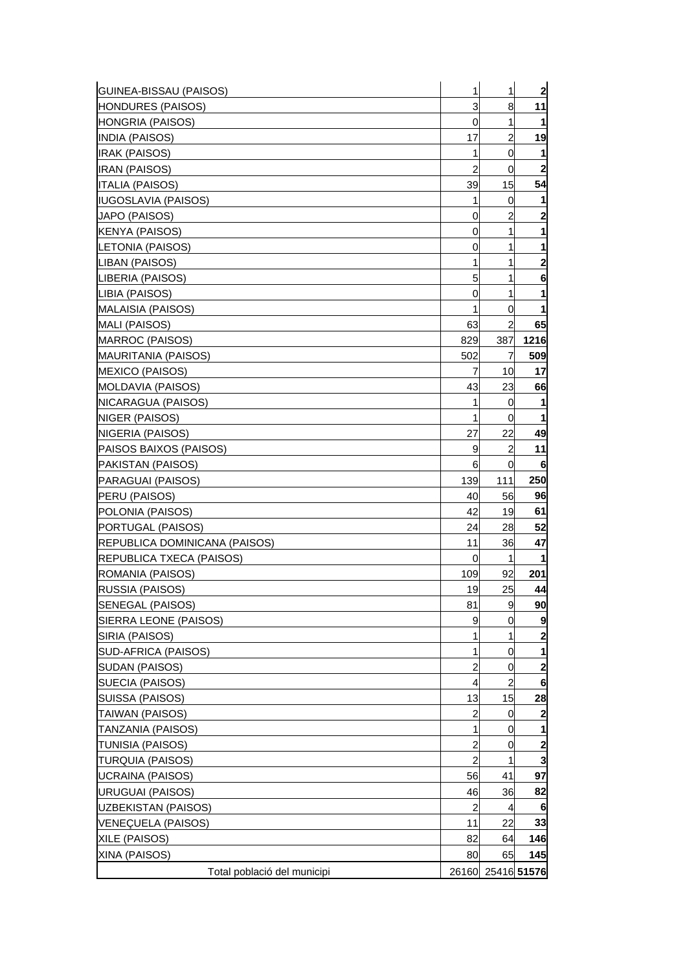| GUINEA-BISSAU (PAISOS)                | 1              | 1              | $\overline{2}$          |
|---------------------------------------|----------------|----------------|-------------------------|
| <b>HONDURES (PAISOS)</b>              | 3              | 8              | 11                      |
| HONGRIA (PAISOS)                      | 0              | 1              | 1                       |
| INDIA (PAISOS)                        | 17             | 2              | 19                      |
| <b>IRAK (PAISOS)</b>                  | 1              | 0              | 1                       |
| <b>IRAN (PAISOS)</b>                  | $\overline{2}$ | 0              | $\overline{\mathbf{2}}$ |
| <b>ITALIA (PAISOS)</b>                | 39             | 15             | 54                      |
| <b>IUGOSLAVIA (PAISOS)</b>            | 1              | 0              |                         |
| JAPO (PAISOS)                         | 0              | $\overline{c}$ | $\mathbf{2}$            |
| KENYA (PAISOS)                        | 0              | 1              | 1                       |
| LETONIA (PAISOS)                      | 0              | 1              | 1                       |
| LIBAN (PAISOS)                        | 1              | 1              | 2                       |
| LIBERIA (PAISOS)                      | 5              | 1              | 6                       |
| LIBIA (PAISOS)                        | 0              | 1              |                         |
| MALAISIA (PAISOS)                     | 1              | 0              | 1                       |
| MALI (PAISOS)                         | 63             | 2              | 65                      |
| MARROC (PAISOS)                       | 829            | 387            | 1216                    |
| MAURITANIA (PAISOS)                   | 502            | 7              | 509                     |
| MEXICO (PAISOS)                       | 7              | 10             | 17                      |
| MOLDAVIA (PAISOS)                     | 43             | 23             | 66                      |
| NICARAGUA (PAISOS)                    | 1              | 0              | 1                       |
| NIGER (PAISOS)                        | 1              | 0              | 1                       |
| NIGERIA (PAISOS)                      | 27             | 22             | 49                      |
|                                       | 9              | 2              | 11                      |
| PAISOS BAIXOS (PAISOS)                | 6              | 0              |                         |
| PAKISTAN (PAISOS)                     | 139            | 111            | 6<br>250                |
| PARAGUAI (PAISOS)                     | 40             | 56             | 96                      |
| PERU (PAISOS)                         | 42             | 19             | 61                      |
| POLONIA (PAISOS)<br>PORTUGAL (PAISOS) | 24             | 28             | 52                      |
| REPUBLICA DOMINICANA (PAISOS)         | 11             | 36             | 47                      |
| <b>REPUBLICA TXECA (PAISOS)</b>       | 0              | 1              |                         |
|                                       |                | 92             |                         |
| ROMANIA (PAISOS)                      | 109            |                | 201                     |
| RUSSIA (PAISOS)                       | 19             | 25             | 44                      |
| SENEGAL (PAISOS)                      | 81             | 9              | 90                      |
| SIERRA LEONE (PAISOS)                 | 9              | $\mathbf 0$    | 9                       |
| SIRIA (PAISOS)                        | 1              | 1              | $\mathbf{2}$            |
| SUD-AFRICA (PAISOS)                   | 1              | 0              | 1                       |
| SUDAN (PAISOS)                        | 2              | 0              | $\overline{2}$          |
| SUECIA (PAISOS)                       | 4              | 2              | 6                       |
| SUISSA (PAISOS)                       | 13             | 15             | 28                      |
| TAIWAN (PAISOS)                       | $\overline{c}$ | $\mathbf 0$    | 2                       |
| TANZANIA (PAISOS)                     | 1              | 0              |                         |
| <b>TUNISIA (PAISOS)</b>               | $\overline{c}$ | 0              | $\overline{\mathbf{c}}$ |
| <b>TURQUIA (PAISOS)</b>               | 2              | 1              | 3                       |
| <b>UCRAINA (PAISOS)</b>               | 56             | 41             | 97                      |
| URUGUAI (PAISOS)                      | 46             | 36             | 82                      |
| UZBEKISTAN (PAISOS)                   | 2              | 4              | 6                       |
| <b>VENEÇUELA (PAISOS)</b>             | 11             | 22             | 33                      |
| XILE (PAISOS)                         | 82             | 64             | 146                     |
| XINA (PAISOS)                         | 80             | 65             | 145                     |
| Total població del municipi           | 26160          |                | 25416 51576             |